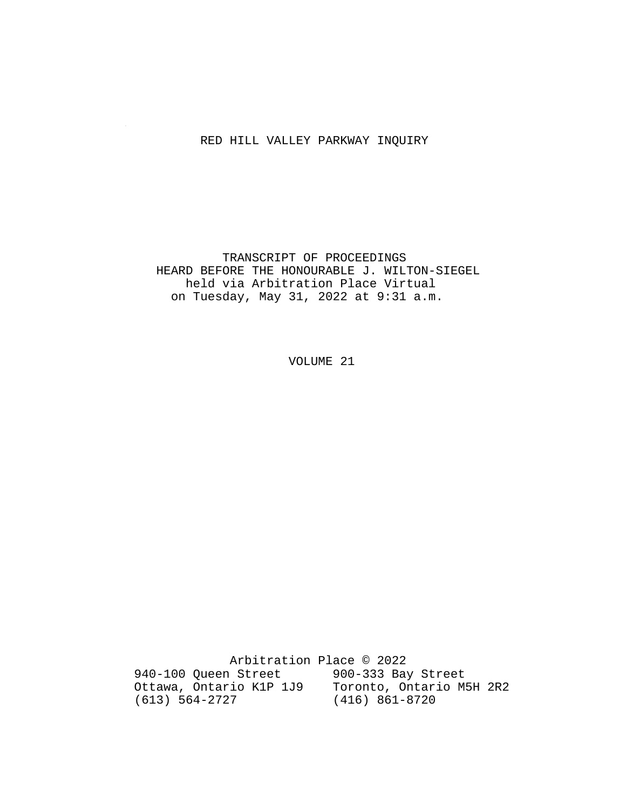### RED HILL VALLEY PARKWAY INQUIRY

 TRANSCRIPT OF PROCEEDINGS HEARD BEFORE THE HONOURABLE J. WILTON-SIEGEL held via Arbitration Place Virtual on Tuesday, May 31, 2022 at 9:31 a.m.

VOLUME 21

 Arbitration Place © 2022 940-100 Queen Street 900-333 Bay Street Ottawa, Ontario K1P 1J9 Toronto, Ontario M5H 2R2 (613) 564-2727 (416) 861-8720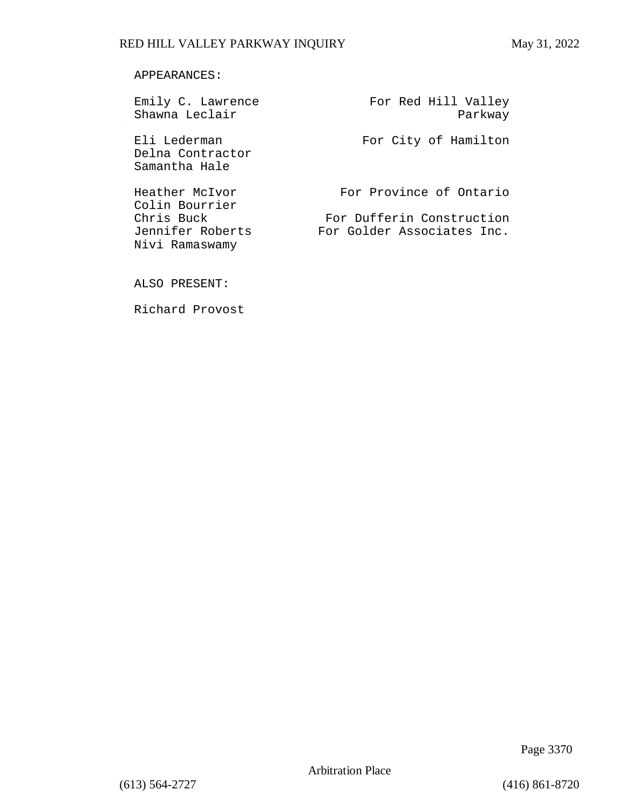#### APPEARANCES:

| Emily C. Lawrence<br>Shawna Leclair               | For Red Hill Valley<br>Parkway |
|---------------------------------------------------|--------------------------------|
| Eli Lederman<br>Delna Contractor<br>Samantha Hale | For City of Hamilton           |
| Heather McIvor<br>Colin Bourrier                  | For Province of Ontario        |
| Chris Buck                                        | For Dufferin Construction      |
| Jennifer Roberts<br>Nivi Ramaswamy                | For Golder Associates Inc.     |

ALSO PRESENT:

Richard Provost

Page 3370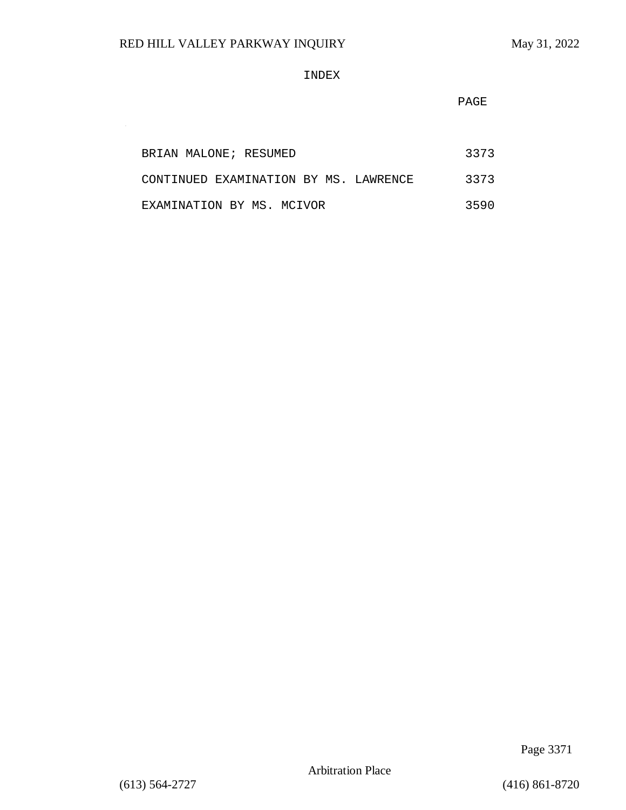$\sim$ 

#### INDEX

**PAGE** 

| BRIAN MALONE; RESUMED                 | 3373 |
|---------------------------------------|------|
| CONTINUED EXAMINATION BY MS. LAWRENCE | 3373 |
| EXAMINATION BY MS. MCIVOR             | 3590 |

Page 3371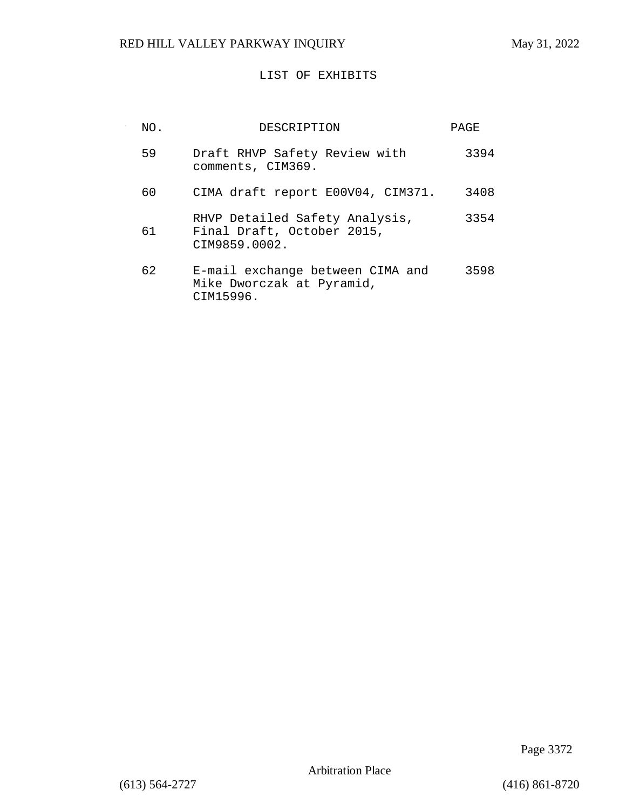## LIST OF EXHIBITS

| NO. | DESCRIPTION                                                                   | PAGE |
|-----|-------------------------------------------------------------------------------|------|
| 59  | Draft RHVP Safety Review with<br>comments, CIM369.                            | 3394 |
| 60  | CIMA draft report E00V04, CIM371.                                             | 3408 |
| 61  | RHVP Detailed Safety Analysis,<br>Final Draft, October 2015,<br>CIM9859.0002. | 3354 |
| 62  | E-mail exchange between CIMA and<br>Mike Dworczak at Pyramid,<br>CIM15996.    | 3598 |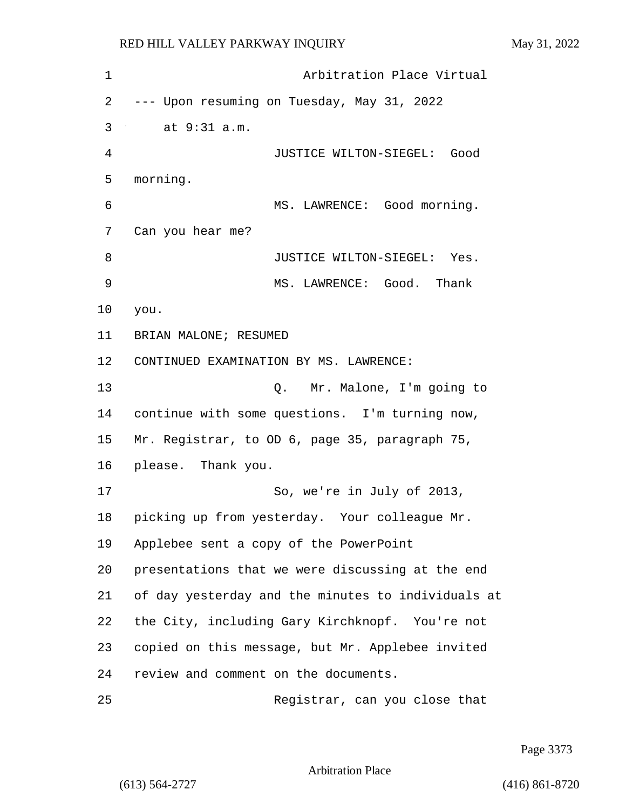| $\mathbf 1$ | Arbitration Place Virtual                          |
|-------------|----------------------------------------------------|
| 2           | --- Upon resuming on Tuesday, May 31, 2022         |
| 3           | at 9:31 a.m.                                       |
| 4           | JUSTICE WILTON-SIEGEL: Good                        |
| 5           | morning.                                           |
| 6           | MS. LAWRENCE: Good morning.                        |
| 7           | Can you hear me?                                   |
| 8           | JUSTICE WILTON-SIEGEL: Yes.                        |
| 9           | MS. LAWRENCE: Good. Thank                          |
| 10          | you.                                               |
| 11          | BRIAN MALONE; RESUMED                              |
| 12          | CONTINUED EXAMINATION BY MS. LAWRENCE:             |
| 13          | Q. Mr. Malone, I'm going to                        |
| 14          | continue with some questions. I'm turning now,     |
| 15          | Mr. Registrar, to OD 6, page 35, paragraph 75,     |
| 16          | please. Thank you.                                 |
| 17          | So, we're in July of 2013,                         |
| 18          | picking up from yesterday. Your colleague Mr.      |
| 19          | Applebee sent a copy of the PowerPoint             |
| 20          | presentations that we were discussing at the end   |
| 21          | of day yesterday and the minutes to individuals at |
| 22          | the City, including Gary Kirchknopf. You're not    |
| 23          | copied on this message, but Mr. Applebee invited   |
| 24          | review and comment on the documents.               |
| 25          | Registrar, can you close that                      |

Page 3373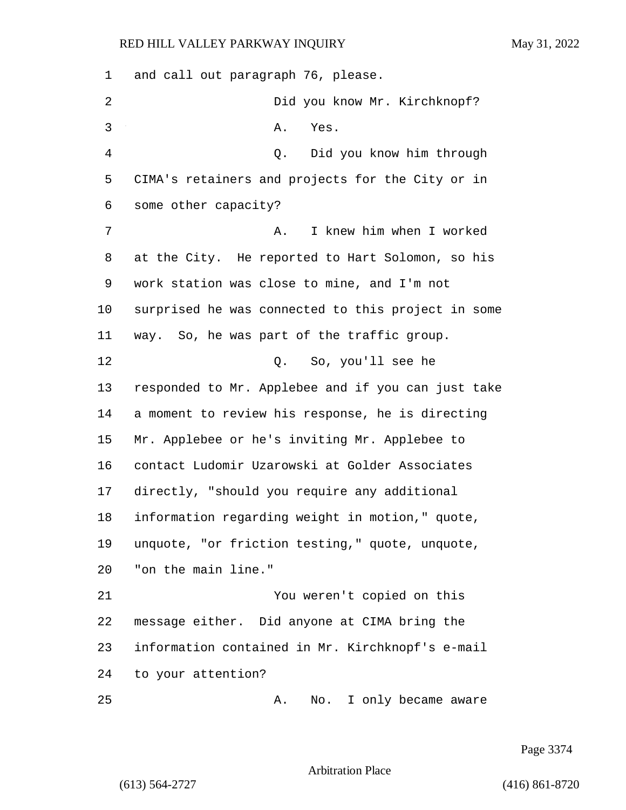and call out paragraph 76, please. 2 Did you know Mr. Kirchknopf? 3 A. Yes. 4 Q. Did you know him through CIMA's retainers and projects for the City or in some other capacity? 7 A. I knew him when I worked at the City. He reported to Hart Solomon, so his work station was close to mine, and I'm not surprised he was connected to this project in some way. So, he was part of the traffic group. 12 O. So, you'll see he responded to Mr. Applebee and if you can just take a moment to review his response, he is directing Mr. Applebee or he's inviting Mr. Applebee to contact Ludomir Uzarowski at Golder Associates directly, "should you require any additional information regarding weight in motion," quote, unquote, "or friction testing," quote, unquote, "on the main line." 21 You weren't copied on this message either. Did anyone at CIMA bring the information contained in Mr. Kirchknopf's e-mail to your attention? 25 A. No. I only became aware

Page 3374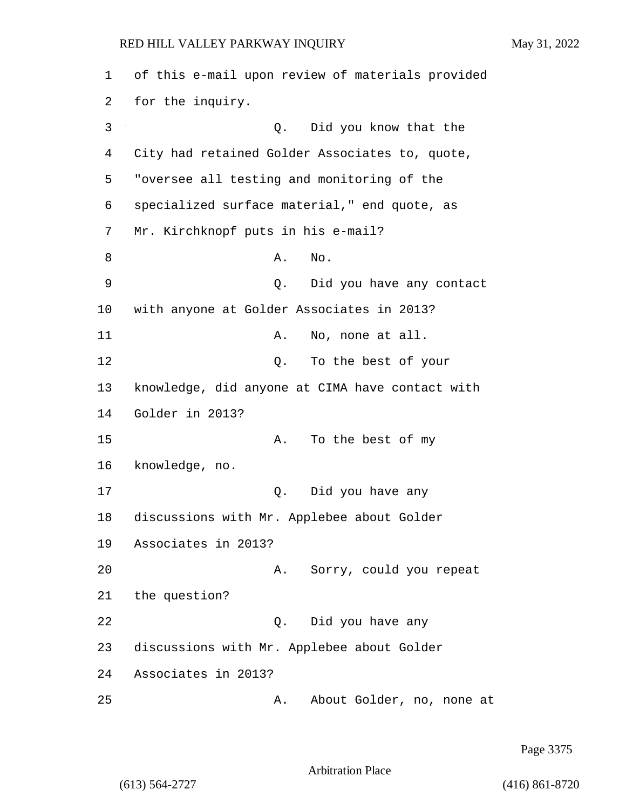1 of this e-mail upon review of materials provided 2 for the inquiry. 3 Q. Did you know that the 4 City had retained Golder Associates to, quote, 5 "oversee all testing and monitoring of the 6 specialized surface material," end quote, as 7 Mr. Kirchknopf puts in his e-mail? 8 A. No. 9 Q. Did you have any contact 10 with anyone at Golder Associates in 2013? 11 A. No, none at all. 12 O. To the best of your 13 knowledge, did anyone at CIMA have contact with 14 Golder in 2013? 15 A. To the best of my 16 knowledge, no. 17 Q. Did you have any 18 discussions with Mr. Applebee about Golder 19 Associates in 2013? 20 A. Sorry, could you repeat 21 the question? 22 Q. Did you have any 23 discussions with Mr. Applebee about Golder 24 Associates in 2013? 25 A. About Golder, no, none at

Page 3375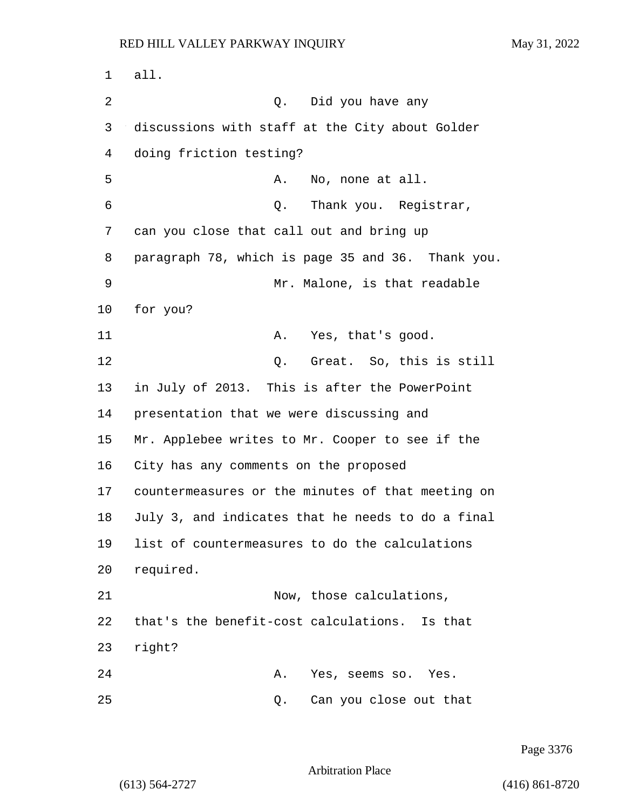1 all. 2 Q. Did you have any 3 discussions with staff at the City about Golder 4 doing friction testing? 5 A. No, none at all. 6 Q. Thank you. Registrar, 7 can you close that call out and bring up 8 paragraph 78, which is page 35 and 36. Thank you. 9 Mr. Malone, is that readable 10 for you? 11 A. Yes, that's good. 12 C. Great. So, this is still 13 in July of 2013. This is after the PowerPoint 14 presentation that we were discussing and 15 Mr. Applebee writes to Mr. Cooper to see if the 16 City has any comments on the proposed 17 countermeasures or the minutes of that meeting on 18 July 3, and indicates that he needs to do a final 19 list of countermeasures to do the calculations 20 required. 21 Now, those calculations, 22 that's the benefit-cost calculations. Is that 23 right? 24 A. Yes, seems so. Yes. 25 Q. Can you close out that

Page 3376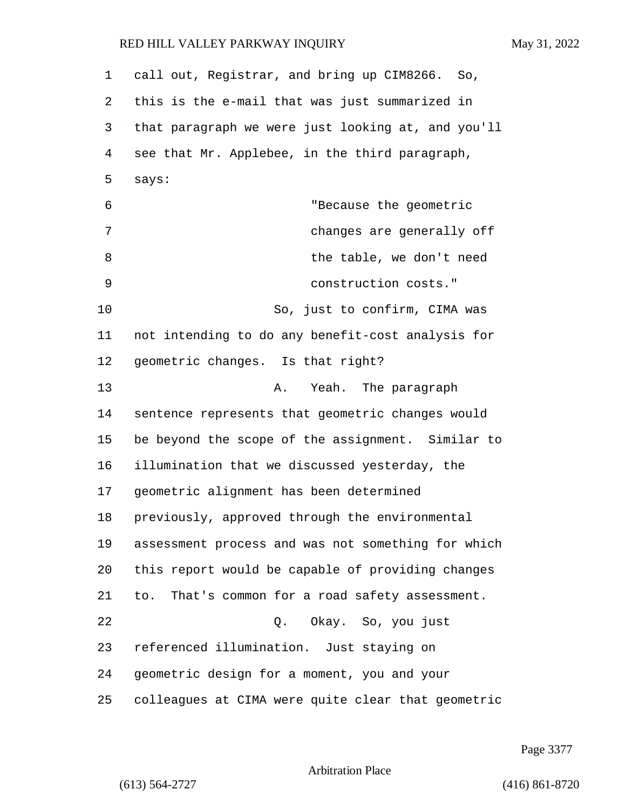| $\mathbf 1$ | call out, Registrar, and bring up CIM8266. So,     |
|-------------|----------------------------------------------------|
| 2           | this is the e-mail that was just summarized in     |
| 3           | that paragraph we were just looking at, and you'll |
| 4           | see that Mr. Applebee, in the third paragraph,     |
| 5           | says:                                              |
| 6           | "Because the geometric                             |
| 7           | changes are generally off                          |
| 8           | the table, we don't need                           |
| 9           | construction costs."                               |
| 10          | So, just to confirm, CIMA was                      |
| 11          | not intending to do any benefit-cost analysis for  |
| 12          | geometric changes. Is that right?                  |
| 13          | A. Yeah. The paragraph                             |
| 14          | sentence represents that geometric changes would   |
| 15          | be beyond the scope of the assignment. Similar to  |
| 16          | illumination that we discussed yesterday, the      |
| 17          | geometric alignment has been determined            |
| 18          | previously, approved through the environmental     |
| 19          | assessment process and was not something for which |
| 20          | this report would be capable of providing changes  |
| 21          | to. That's common for a road safety assessment.    |
| 22          | Q. Okay. So, you just                              |
| 23          | referenced illumination. Just staying on           |
| 24          | geometric design for a moment, you and your        |
| 25          | colleagues at CIMA were quite clear that geometric |

Page 3377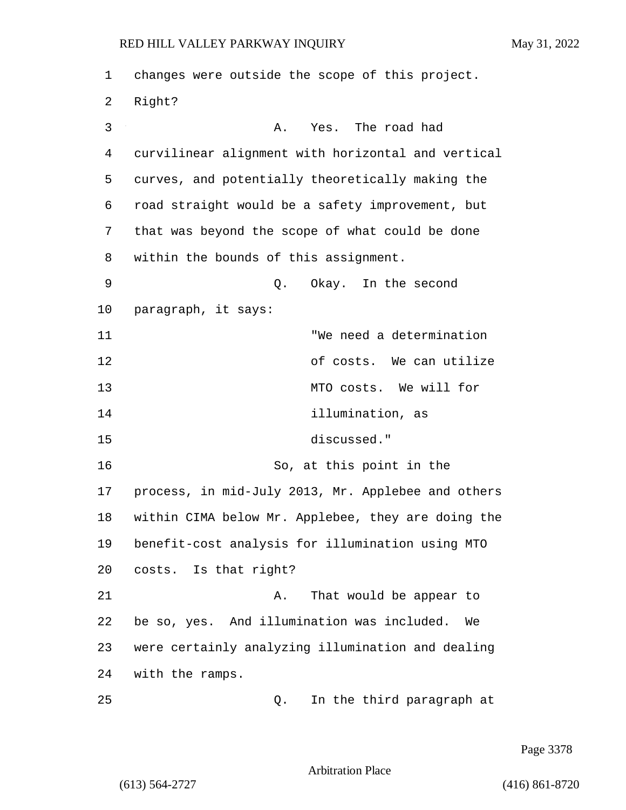1 changes were outside the scope of this project. 2 Right? 3 A. Yes. The road had 4 curvilinear alignment with horizontal and vertical 5 curves, and potentially theoretically making the 6 road straight would be a safety improvement, but 7 that was beyond the scope of what could be done 8 within the bounds of this assignment. 9 Q. Okay. In the second 10 paragraph, it says: 11 "We need a determination 12 of costs. We can utilize 13 MTO costs. We will for 14 illumination, as 15 discussed." 16 So, at this point in the 17 process, in mid-July 2013, Mr. Applebee and others 18 within CIMA below Mr. Applebee, they are doing the 19 benefit-cost analysis for illumination using MTO 20 costs. Is that right? 21 A. That would be appear to 22 be so, yes. And illumination was included. We 23 were certainly analyzing illumination and dealing 24 with the ramps. 25 Q. In the third paragraph at

Page 3378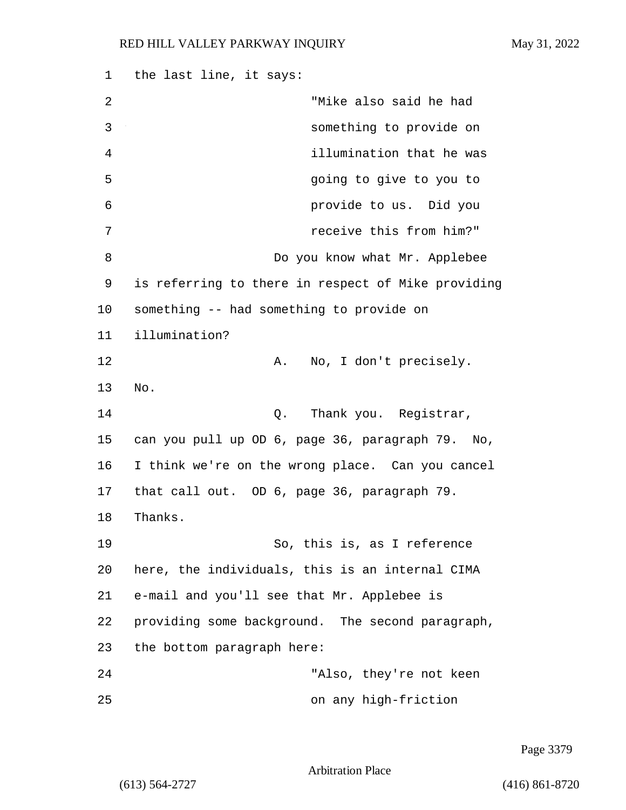1 the last line, it says: 2 "Mike also said he had 3 something to provide on 4 illumination that he was 5 going to give to you to 6 provide to us. Did you 7 receive this from him?" 8 Do you know what Mr. Applebee 9 is referring to there in respect of Mike providing 10 something -- had something to provide on 11 illumination? 12 A. No, I don't precisely. 13 No. 14 Q. Thank you. Registrar, 15 can you pull up OD 6, page 36, paragraph 79. No, 16 I think we're on the wrong place. Can you cancel 17 that call out. OD 6, page 36, paragraph 79. 18 Thanks. 19 So, this is, as I reference 20 here, the individuals, this is an internal CIMA 21 e-mail and you'll see that Mr. Applebee is 22 providing some background. The second paragraph, 23 the bottom paragraph here: 24 "Also, they're not keen 25 on any high-friction

Page 3379

Arbitration Place

(613) 564-2727 (416) 861-8720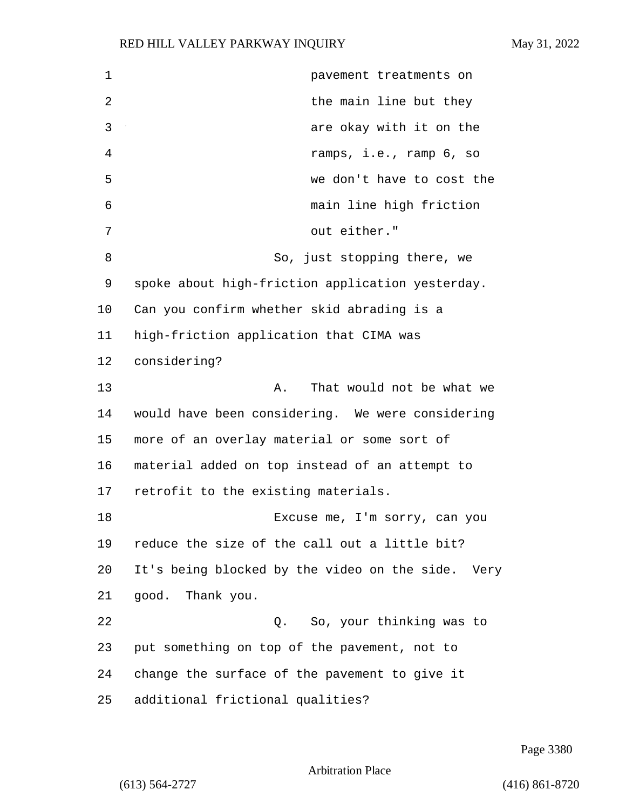**1 pavement** treatments on **the main line but they** 3 are okay with it on the 4 ramps, i.e., ramp 6, so 5 we don't have to cost the 6 main line high friction 7 out either." 8 So, just stopping there, we spoke about high-friction application yesterday. Can you confirm whether skid abrading is a high-friction application that CIMA was considering? 13 A. That would not be what we would have been considering. We were considering more of an overlay material or some sort of material added on top instead of an attempt to retrofit to the existing materials. 18 Excuse me, I'm sorry, can you reduce the size of the call out a little bit? It's being blocked by the video on the side. Very good. Thank you. 22 Q. So, your thinking was to put something on top of the pavement, not to change the surface of the pavement to give it additional frictional qualities?

Page 3380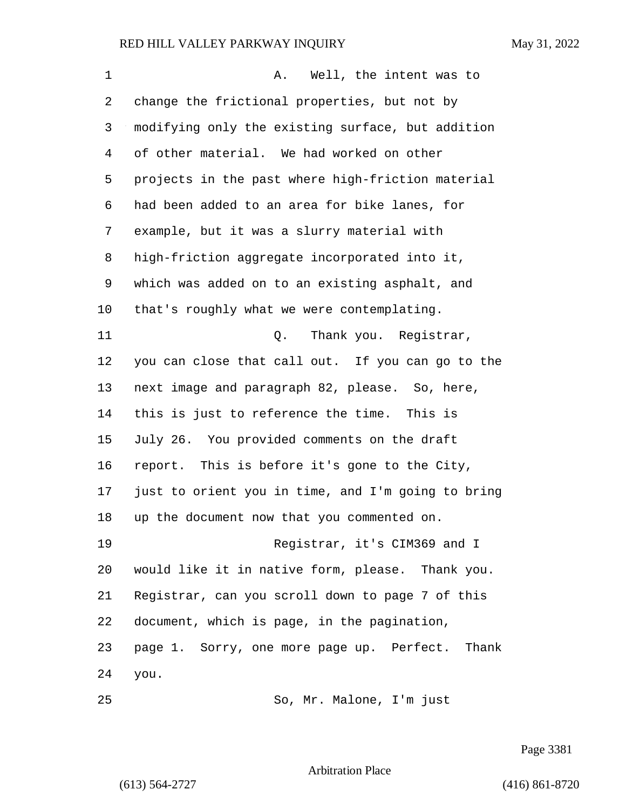| 1  | Well, the intent was to<br>Α.                      |
|----|----------------------------------------------------|
| 2  | change the frictional properties, but not by       |
| 3  | modifying only the existing surface, but addition  |
| 4  | of other material. We had worked on other          |
| 5  | projects in the past where high-friction material  |
| 6  | had been added to an area for bike lanes, for      |
| 7  | example, but it was a slurry material with         |
| 8  | high-friction aggregate incorporated into it,      |
| 9  | which was added on to an existing asphalt, and     |
| 10 | that's roughly what we were contemplating.         |
| 11 | Thank you. Registrar,<br>Q.                        |
| 12 | you can close that call out. If you can go to the  |
| 13 | next image and paragraph 82, please. So, here,     |
| 14 | this is just to reference the time. This is        |
| 15 | July 26. You provided comments on the draft        |
| 16 | report. This is before it's gone to the City,      |
| 17 | just to orient you in time, and I'm going to bring |
| 18 | up the document now that you commented on.         |
| 19 | Registrar, it's CIM369 and I                       |
| 20 | would like it in native form, please. Thank you.   |
| 21 | Registrar, can you scroll down to page 7 of this   |
| 22 | document, which is page, in the pagination,        |
| 23 | page 1. Sorry, one more page up. Perfect. Thank    |
| 24 | you.                                               |
|    |                                                    |

25 So, Mr. Malone, I'm just

Page 3381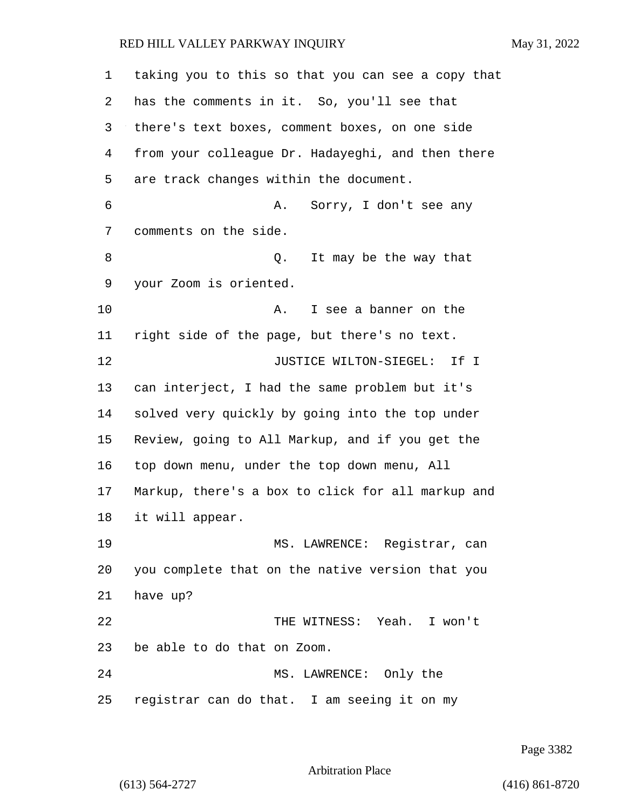| 1  | taking you to this so that you can see a copy that |
|----|----------------------------------------------------|
| 2  | has the comments in it. So, you'll see that        |
| 3  | there's text boxes, comment boxes, on one side     |
| 4  | from your colleague Dr. Hadayeghi, and then there  |
| 5  | are track changes within the document.             |
| 6  | Sorry, I don't see any<br>Α.                       |
| 7  | comments on the side.                              |
| 8  | It may be the way that<br>Q.                       |
| 9  | your Zoom is oriented.                             |
| 10 | I see a banner on the<br>Α.                        |
| 11 | right side of the page, but there's no text.       |
| 12 | JUSTICE WILTON-SIEGEL: If I                        |
| 13 | can interject, I had the same problem but it's     |
| 14 | solved very quickly by going into the top under    |
| 15 | Review, going to All Markup, and if you get the    |
| 16 | top down menu, under the top down menu, All        |
| 17 | Markup, there's a box to click for all markup and  |
| 18 | it will appear.                                    |
| 19 | MS. LAWRENCE: Registrar, can                       |
| 20 | you complete that on the native version that you   |
| 21 | have up?                                           |
| 22 | THE WITNESS: Yeah. I won't                         |
| 23 | be able to do that on Zoom.                        |
| 24 | MS. LAWRENCE: Only the                             |
| 25 | registrar can do that. I am seeing it on my        |

Page 3382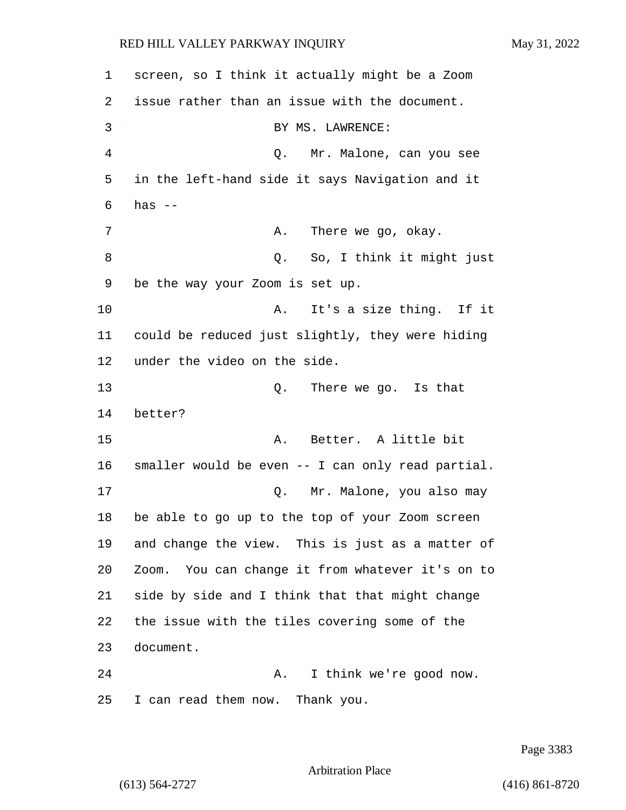1 screen, so I think it actually might be a Zoom 2 issue rather than an issue with the document. 3 BY MS. LAWRENCE: 4 Q. Mr. Malone, can you see 5 in the left-hand side it says Navigation and it 6 has -- 7 A. There we go, okay. 8 and 1991 **So.** I think it might just 9 be the way your Zoom is set up. 10 A. It's a size thing. If it 11 could be reduced just slightly, they were hiding 12 under the video on the side. 13 Q. There we go. Is that 14 better? 15 A. Better. A little bit 16 smaller would be even -- I can only read partial. 17 Q. Mr. Malone, you also may 18 be able to go up to the top of your Zoom screen 19 and change the view. This is just as a matter of 20 Zoom. You can change it from whatever it's on to 21 side by side and I think that that might change 22 the issue with the tiles covering some of the 23 document. 24 A. I think we're good now. 25 I can read them now. Thank you.

Page 3383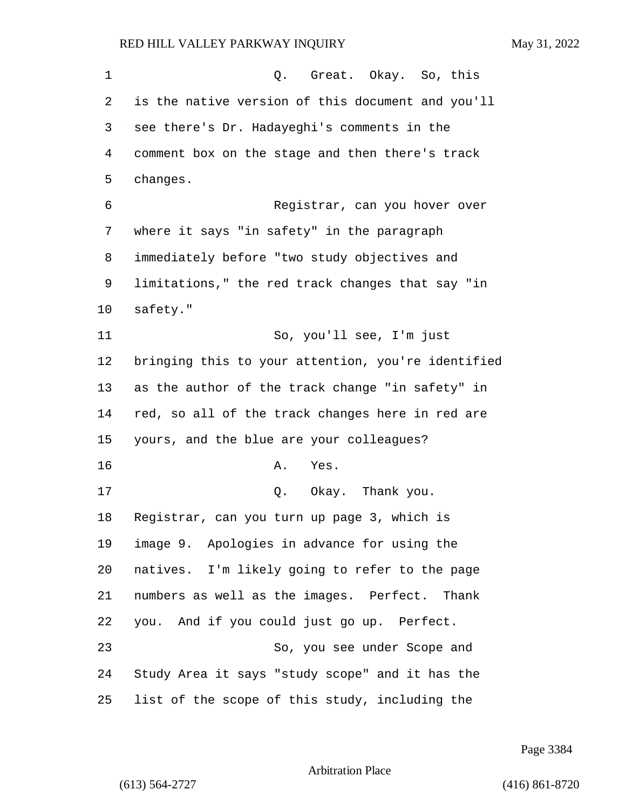1 0. Great. Okay. So, this is the native version of this document and you'll see there's Dr. Hadayeghi's comments in the comment box on the stage and then there's track changes. 6 Registrar, can you hover over where it says "in safety" in the paragraph immediately before "two study objectives and limitations," the red track changes that say "in safety." 11 So, you'll see, I'm just bringing this to your attention, you're identified as the author of the track change "in safety" in red, so all of the track changes here in red are yours, and the blue are your colleagues? 16 A. Yes. 17 O. Okay. Thank you. Registrar, can you turn up page 3, which is image 9. Apologies in advance for using the natives. I'm likely going to refer to the page numbers as well as the images. Perfect. Thank you. And if you could just go up. Perfect. 23 So, you see under Scope and Study Area it says "study scope" and it has the list of the scope of this study, including the

Page 3384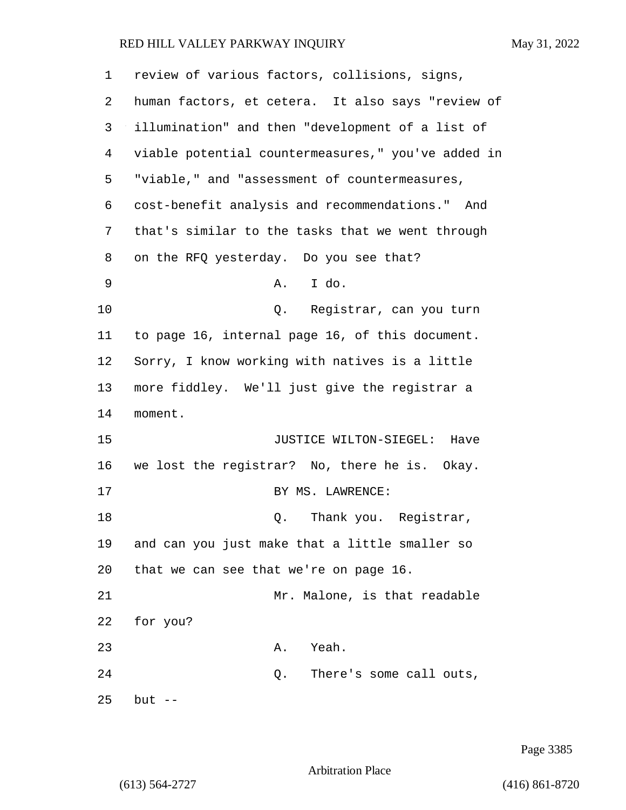| 1  | review of various factors, collisions, signs,      |
|----|----------------------------------------------------|
| 2  | human factors, et cetera. It also says "review of  |
| 3  | illumination" and then "development of a list of   |
| 4  | viable potential countermeasures," you've added in |
| 5  | "viable," and "assessment of countermeasures,      |
| 6  | cost-benefit analysis and recommendations." And    |
| 7  | that's similar to the tasks that we went through   |
| 8  | on the RFQ yesterday. Do you see that?             |
| 9  | A. I do.                                           |
| 10 | Q. Registrar, can you turn                         |
| 11 | to page 16, internal page 16, of this document.    |
| 12 | Sorry, I know working with natives is a little     |
| 13 | more fiddley. We'll just give the registrar a      |
| 14 | moment.                                            |
| 15 | JUSTICE WILTON-SIEGEL: Have                        |
| 16 | we lost the registrar? No, there he is. Okay.      |
| 17 | BY MS. LAWRENCE:                                   |
| 18 | Q. Thank you. Registrar,                           |
| 19 | and can you just make that a little smaller so     |
| 20 | that we can see that we're on page 16.             |
| 21 | Mr. Malone, is that readable                       |
| 22 | for you?                                           |
| 23 | Yeah.<br>Α.                                        |
| 24 | There's some call outs,<br>Q.                      |
| 25 | $but --$                                           |

Page 3385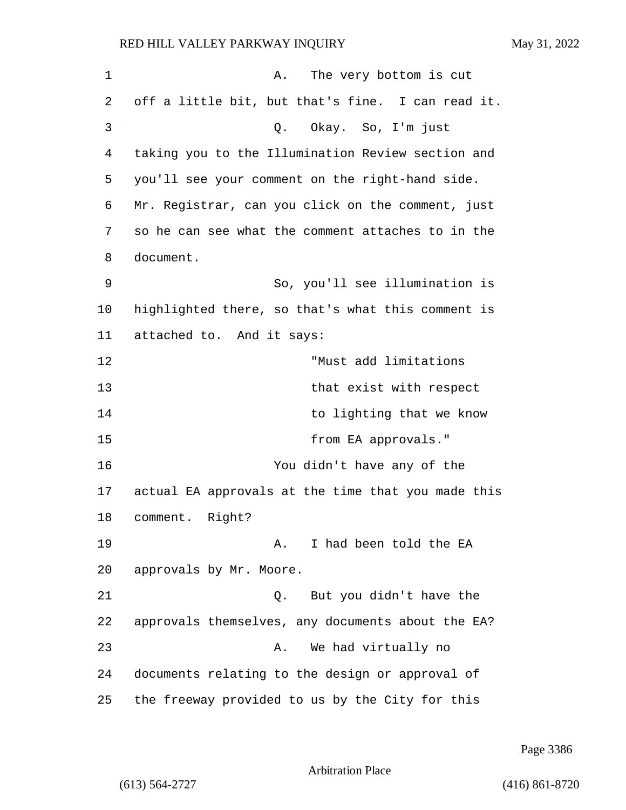| 1           | The very bottom is cut<br>Α.                       |
|-------------|----------------------------------------------------|
| 2           | off a little bit, but that's fine. I can read it.  |
| 3           | Q. Okay. So, I'm just                              |
| 4           | taking you to the Illumination Review section and  |
| 5           | you'll see your comment on the right-hand side.    |
| 6           | Mr. Registrar, can you click on the comment, just  |
| 7           | so he can see what the comment attaches to in the  |
| 8           | document.                                          |
| $\mathsf 9$ | So, you'll see illumination is                     |
| 10          | highlighted there, so that's what this comment is  |
| 11          | attached to. And it says:                          |
| 12          | "Must add limitations                              |
| 13          | that exist with respect                            |
| 14          | to lighting that we know                           |
| 15          | from EA approvals."                                |
| 16          | You didn't have any of the                         |
| 17          | actual EA approvals at the time that you made this |
| 18          | comment. Right?                                    |
| 19          | I had been told the EA<br>Α.                       |
| 20          | approvals by Mr. Moore.                            |
| 21          | But you didn't have the<br>Q.                      |
| 22          | approvals themselves, any documents about the EA?  |
| 23          | We had virtually no<br>Α.                          |
| 24          | documents relating to the design or approval of    |
| 25          | the freeway provided to us by the City for this    |

Page 3386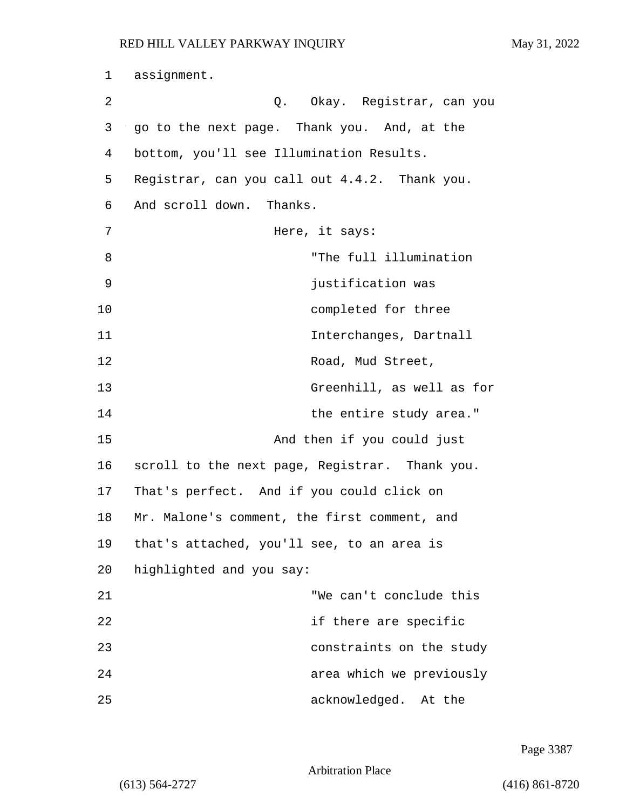| 1  | assignment.                                    |
|----|------------------------------------------------|
| 2  | Q. Okay. Registrar, can you                    |
| 3  | go to the next page. Thank you. And, at the    |
| 4  | bottom, you'll see Illumination Results.       |
| 5  | Registrar, can you call out 4.4.2. Thank you.  |
| 6  | And scroll down. Thanks.                       |
| 7  | Here, it says:                                 |
| 8  | "The full illumination                         |
| 9  | justification was                              |
| 10 | completed for three                            |
| 11 | Interchanges, Dartnall                         |
| 12 | Road, Mud Street,                              |
| 13 | Greenhill, as well as for                      |
| 14 | the entire study area."                        |
| 15 | And then if you could just                     |
| 16 | scroll to the next page, Registrar. Thank you. |
| 17 | That's perfect. And if you could click on      |
| 18 | Mr. Malone's comment, the first comment, and   |
| 19 | that's attached, you'll see, to an area is     |
| 20 | highlighted and you say:                       |
| 21 | "We can't conclude this                        |
| 22 | if there are specific                          |
| 23 | constraints on the study                       |
| 24 | area which we previously                       |
| 25 | acknowledged. At the                           |

Page 3387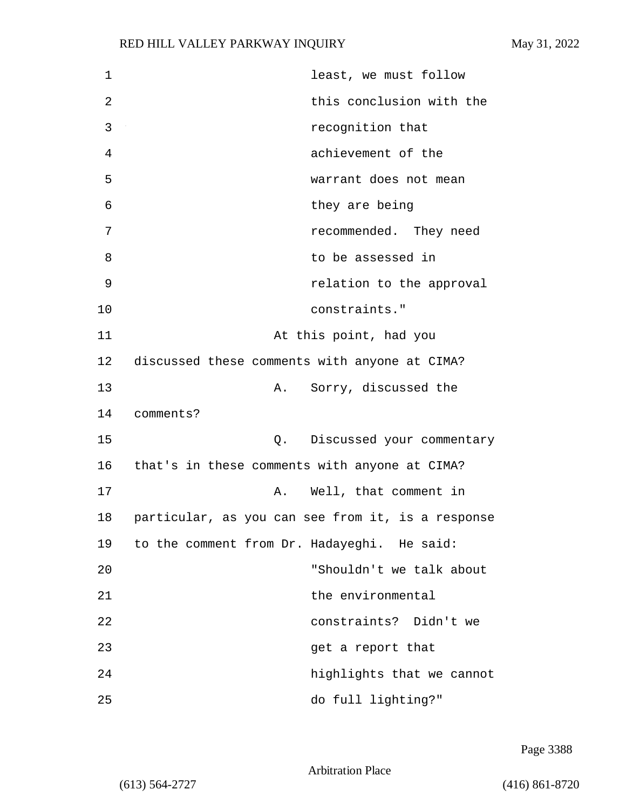| 1  | least, we must follow                             |
|----|---------------------------------------------------|
| 2  | this conclusion with the                          |
| 3  | recognition that                                  |
| 4  | achievement of the                                |
| 5  | warrant does not mean                             |
| 6  | they are being                                    |
| 7  | recommended. They need                            |
| 8  | to be assessed in                                 |
| 9  | relation to the approval                          |
| 10 | constraints."                                     |
| 11 | At this point, had you                            |
| 12 | discussed these comments with anyone at CIMA?     |
| 13 | Sorry, discussed the<br>Α.                        |
| 14 | comments?                                         |
| 15 | Discussed your commentary<br>Q.                   |
| 16 | that's in these comments with anyone at CIMA?     |
| 17 | Well, that comment in<br>Α.                       |
| 18 | particular, as you can see from it, is a response |
| 19 | to the comment from Dr. Hadayeghi. He said:       |
| 20 | "Shouldn't we talk about                          |
| 21 | the environmental                                 |
| 22 | constraints? Didn't we                            |
| 23 | get a report that                                 |
| 24 | highlights that we cannot                         |
| 25 | do full lighting?"                                |

Page 3388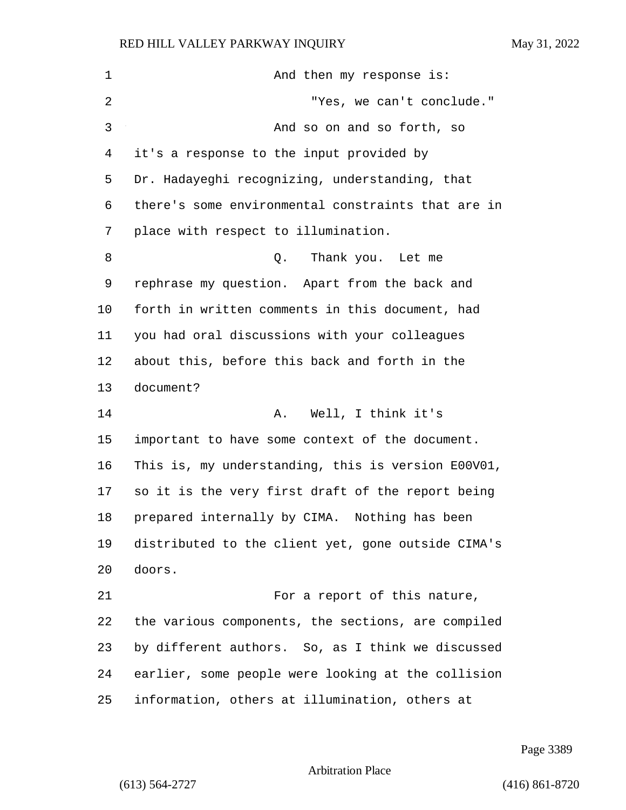| $\mathbf 1$    | And then my response is:                           |
|----------------|----------------------------------------------------|
| $\overline{2}$ | "Yes, we can't conclude."                          |
| 3              | And so on and so forth, so                         |
| 4              | it's a response to the input provided by           |
| 5              | Dr. Hadayeghi recognizing, understanding, that     |
| 6              | there's some environmental constraints that are in |
| 7              | place with respect to illumination.                |
| 8              | Thank you. Let me<br>Q.                            |
| 9              | rephrase my question. Apart from the back and      |
| 10             | forth in written comments in this document, had    |
| 11             | you had oral discussions with your colleagues      |
| 12             | about this, before this back and forth in the      |
| 13             | document?                                          |
| 14             | Well, I think it's<br>Α.                           |
| 15             | important to have some context of the document.    |
| 16             | This is, my understanding, this is version E00V01, |
| 17             | so it is the very first draft of the report being  |
| 18             | prepared internally by CIMA. Nothing has been      |
| 19             | distributed to the client yet, gone outside CIMA's |
| 20             | doors.                                             |
| 21             | For a report of this nature,                       |
| 22             | the various components, the sections, are compiled |
| 23             | by different authors. So, as I think we discussed  |
| 24             | earlier, some people were looking at the collision |
| 25             | information, others at illumination, others at     |

Page 3389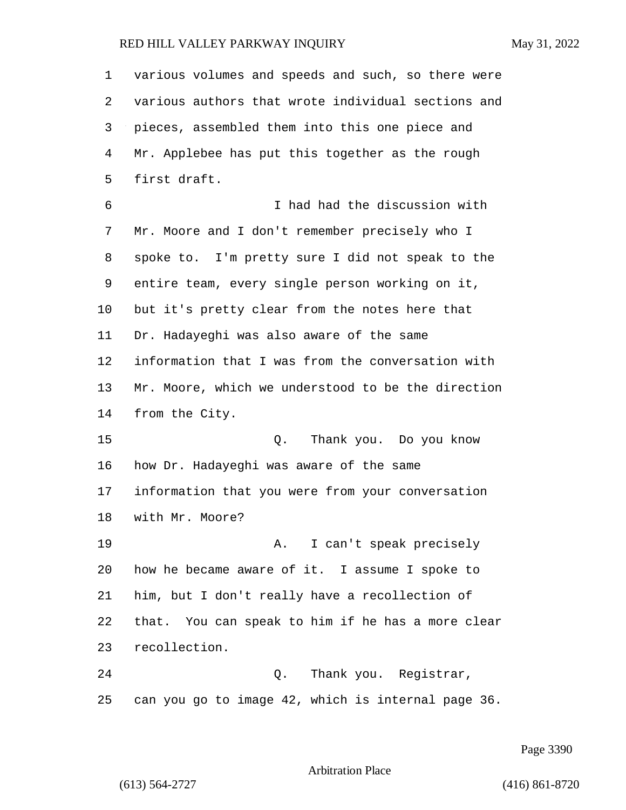| 1  | various volumes and speeds and such, so there were |
|----|----------------------------------------------------|
| 2  | various authors that wrote individual sections and |
| 3  | pieces, assembled them into this one piece and     |
| 4  | Mr. Applebee has put this together as the rough    |
| 5  | first draft.                                       |
| 6  | I had had the discussion with                      |
| 7  | Mr. Moore and I don't remember precisely who I     |
| 8  | spoke to. I'm pretty sure I did not speak to the   |
| 9  | entire team, every single person working on it,    |
| 10 | but it's pretty clear from the notes here that     |
| 11 | Dr. Hadayeghi was also aware of the same           |
| 12 | information that I was from the conversation with  |
| 13 | Mr. Moore, which we understood to be the direction |
| 14 | from the City.                                     |
| 15 | Thank you. Do you know<br>Q.                       |
| 16 | how Dr. Hadayeghi was aware of the same            |
| 17 | information that you were from your conversation   |
| 18 | with Mr. Moore?                                    |
| 19 | I can't speak precisely<br>Α.                      |
| 20 | how he became aware of it. I assume I spoke to     |
| 21 | him, but I don't really have a recollection of     |
| 22 | that. You can speak to him if he has a more clear  |
| 23 | recollection.                                      |
| 24 | Thank you. Registrar,<br>Q.                        |
| 25 | can you go to image 42, which is internal page 36. |

Page 3390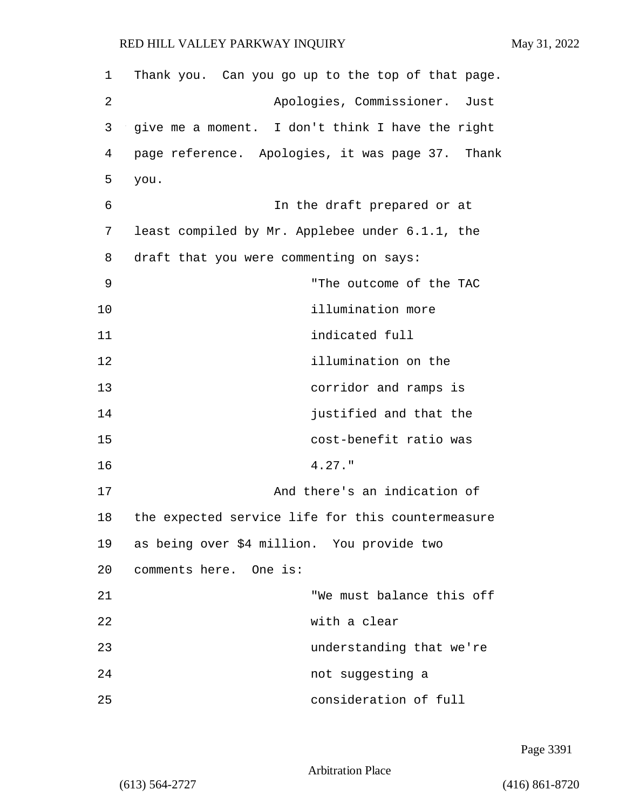| 1  | Thank you. Can you go up to the top of that page. |
|----|---------------------------------------------------|
| 2  | Apologies, Commissioner.<br>Just                  |
| 3  | give me a moment. I don't think I have the right  |
| 4  | page reference. Apologies, it was page 37. Thank  |
| 5  | you.                                              |
| 6  | In the draft prepared or at                       |
| 7  | least compiled by Mr. Applebee under 6.1.1, the   |
| 8  | draft that you were commenting on says:           |
| 9  | "The outcome of the TAC                           |
| 10 | illumination more                                 |
| 11 | indicated full                                    |
| 12 | illumination on the                               |
| 13 | corridor and ramps is                             |
| 14 | justified and that the                            |
| 15 | cost-benefit ratio was                            |
| 16 | $4.27.$ "                                         |
| 17 | And there's an indication of                      |
| 18 | the expected service life for this countermeasure |
| 19 | as being over \$4 million. You provide two        |
| 20 | comments here. One is:                            |
| 21 | "We must balance this off                         |
| 22 | with a clear                                      |
| 23 | understanding that we're                          |
| 24 | not suggesting a                                  |
| 25 | consideration of full                             |

Page 3391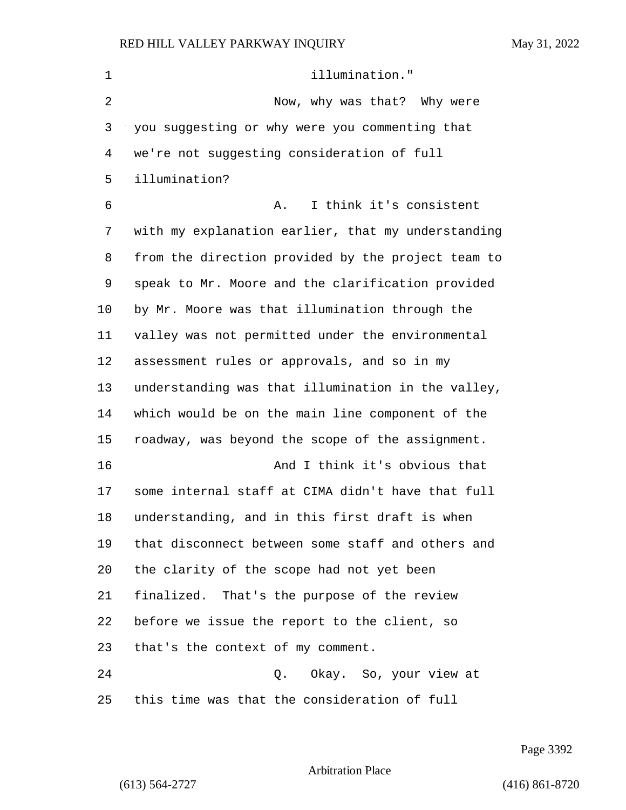| $\mathbf 1$    | illumination."                                     |
|----------------|----------------------------------------------------|
| $\overline{2}$ | Now, why was that? Why were                        |
| 3              | you suggesting or why were you commenting that     |
| 4              | we're not suggesting consideration of full         |
| 5              | illumination?                                      |
| 6              | I think it's consistent<br>Α.                      |
| 7              | with my explanation earlier, that my understanding |
| 8              | from the direction provided by the project team to |
| 9              | speak to Mr. Moore and the clarification provided  |
| 10             | by Mr. Moore was that illumination through the     |
| 11             | valley was not permitted under the environmental   |
| 12             | assessment rules or approvals, and so in my        |
| 13             | understanding was that illumination in the valley, |
| 14             | which would be on the main line component of the   |
| 15             | roadway, was beyond the scope of the assignment.   |
| 16             | And I think it's obvious that                      |
| 17             | some internal staff at CIMA didn't have that full  |
| 18             | understanding, and in this first draft is when     |
| 19             | that disconnect between some staff and others and  |
| 20             | the clarity of the scope had not yet been          |
| 21             | finalized. That's the purpose of the review        |
| 22             | before we issue the report to the client, so       |
| 23             | that's the context of my comment.                  |
| 24             | Okay. So, your view at<br>Q.                       |
| 25             | this time was that the consideration of full       |

Page 3392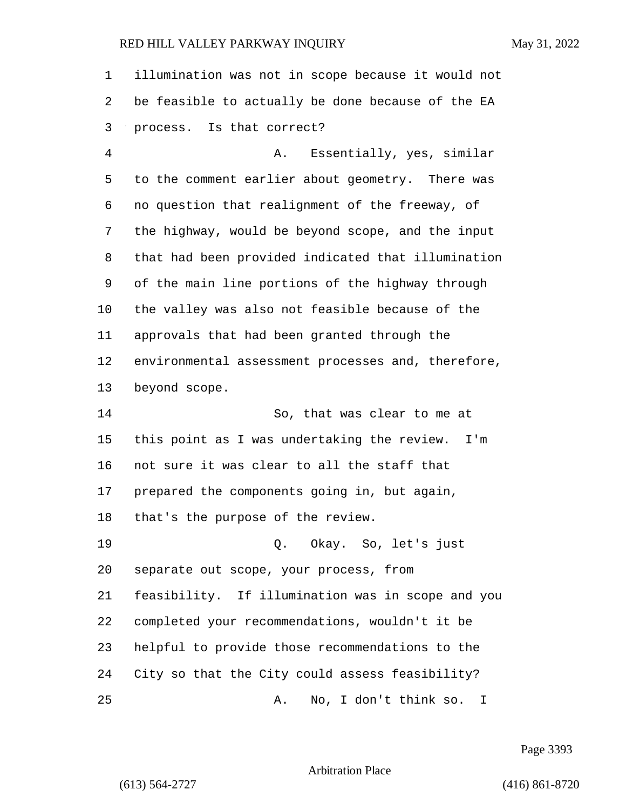illumination was not in scope because it would not be feasible to actually be done because of the EA process. Is that correct? 4 A. Essentially, yes, similar to the comment earlier about geometry. There was no question that realignment of the freeway, of the highway, would be beyond scope, and the input that had been provided indicated that illumination of the main line portions of the highway through the valley was also not feasible because of the approvals that had been granted through the environmental assessment processes and, therefore, beyond scope. 14 So, that was clear to me at this point as I was undertaking the review. I'm not sure it was clear to all the staff that prepared the components going in, but again, that's the purpose of the review. 19 Q. Okay. So, let's just separate out scope, your process, from feasibility. If illumination was in scope and you completed your recommendations, wouldn't it be helpful to provide those recommendations to the City so that the City could assess feasibility?

Page 3393

Arbitration Place

25 A. No, I don't think so. I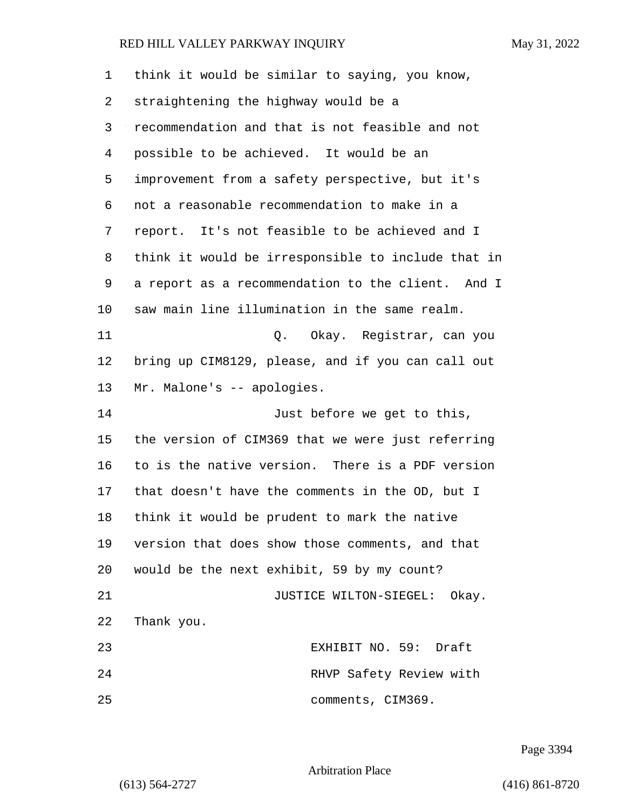| 1  | think it would be similar to saying, you know,     |
|----|----------------------------------------------------|
| 2  | straightening the highway would be a               |
| 3  | recommendation and that is not feasible and not    |
| 4  | possible to be achieved. It would be an            |
| 5  | improvement from a safety perspective, but it's    |
| 6  | not a reasonable recommendation to make in a       |
| 7  | report. It's not feasible to be achieved and I     |
| 8  | think it would be irresponsible to include that in |
| 9  | a report as a recommendation to the client. And I  |
| 10 | saw main line illumination in the same realm.      |
| 11 | Q. Okay. Registrar, can you                        |
| 12 | bring up CIM8129, please, and if you can call out  |
| 13 | Mr. Malone's -- apologies.                         |
| 14 | Just before we get to this,                        |
| 15 | the version of CIM369 that we were just referring  |
| 16 | to is the native version. There is a PDF version   |
| 17 | that doesn't have the comments in the OD, but I    |
| 18 | think it would be prudent to mark the native       |
| 19 | version that does show those comments, and that    |
| 20 | would be the next exhibit, 59 by my count?         |
| 21 | JUSTICE WILTON-SIEGEL: Okay.                       |
| 22 | Thank you.                                         |
| 23 | EXHIBIT NO. 59: Draft                              |
| 24 | RHVP Safety Review with                            |
| 25 | comments, CIM369.                                  |

Page 3394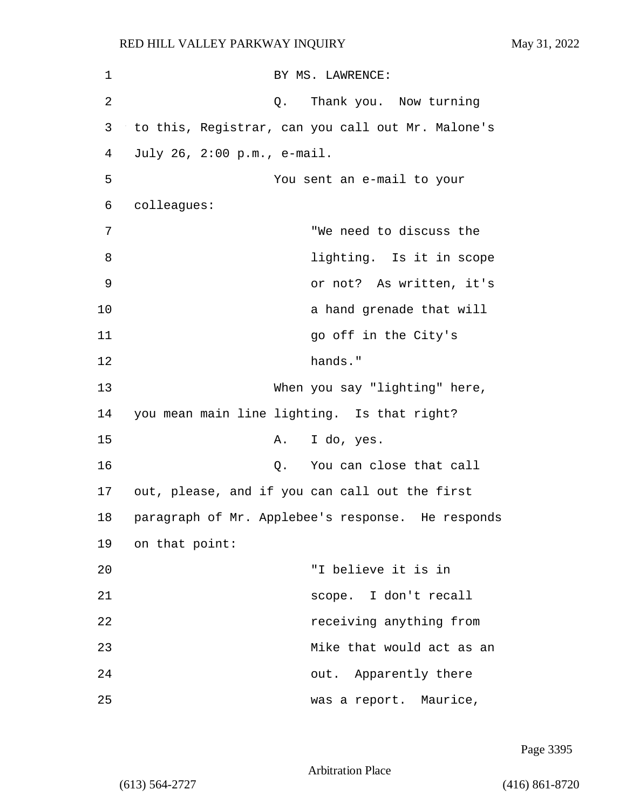| 1              | BY MS. LAWRENCE:                                  |
|----------------|---------------------------------------------------|
| $\overline{2}$ | Thank you. Now turning<br>Q.                      |
| 3              | to this, Registrar, can you call out Mr. Malone's |
| 4              | July 26, 2:00 p.m., e-mail.                       |
| 5              | You sent an e-mail to your                        |
| 6              | colleagues:                                       |
| 7              | "We need to discuss the                           |
| 8              | lighting. Is it in scope                          |
| 9              | or not? As written, it's                          |
| 10             | a hand grenade that will                          |
| 11             | go off in the City's                              |
| 12             | hands."                                           |
| 13             | When you say "lighting" here,                     |
| 14             | you mean main line lighting. Is that right?       |
| 15             | I do, yes.<br>Α.                                  |
| 16             | You can close that call<br>Q.                     |
| 17             | out, please, and if you can call out the first    |
| 18             | paragraph of Mr. Applebee's response. He responds |
| 19             | on that point:                                    |
| 20             | "I believe it is in                               |
| 21             | scope. I don't recall                             |
| 22             | receiving anything from                           |
| 23             | Mike that would act as an                         |
| 24             | out. Apparently there                             |
| 25             | was a report. Maurice,                            |

Page 3395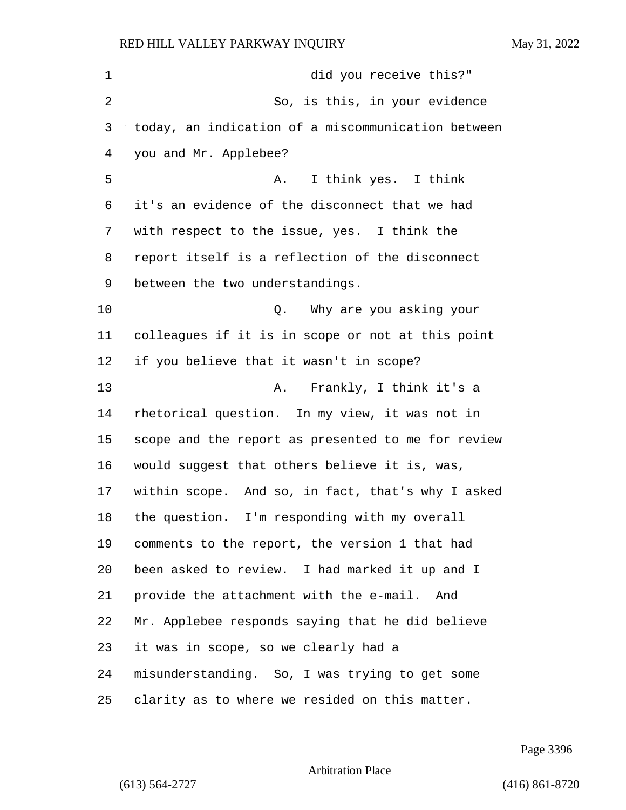| 1  | did you receive this?"                             |
|----|----------------------------------------------------|
| 2  | So, is this, in your evidence                      |
| 3  | today, an indication of a miscommunication between |
| 4  | you and Mr. Applebee?                              |
| 5  | I think yes. I think<br>Α.                         |
| 6  | it's an evidence of the disconnect that we had     |
| 7  | with respect to the issue, yes. I think the        |
| 8  | report itself is a reflection of the disconnect    |
| 9  | between the two understandings.                    |
| 10 | Q. Why are you asking your                         |
| 11 | colleagues if it is in scope or not at this point  |
| 12 | if you believe that it wasn't in scope?            |
| 13 | Frankly, I think it's a<br>Α.                      |
| 14 | rhetorical question. In my view, it was not in     |
| 15 | scope and the report as presented to me for review |
| 16 | would suggest that others believe it is, was,      |
| 17 | within scope. And so, in fact, that's why I asked  |
| 18 | the question. I'm responding with my overall       |
| 19 | comments to the report, the version 1 that had     |
| 20 | been asked to review. I had marked it up and I     |
| 21 | provide the attachment with the e-mail. And        |
| 22 | Mr. Applebee responds saying that he did believe   |
| 23 | it was in scope, so we clearly had a               |
| 24 | misunderstanding. So, I was trying to get some     |
| 25 | clarity as to where we resided on this matter.     |

Page 3396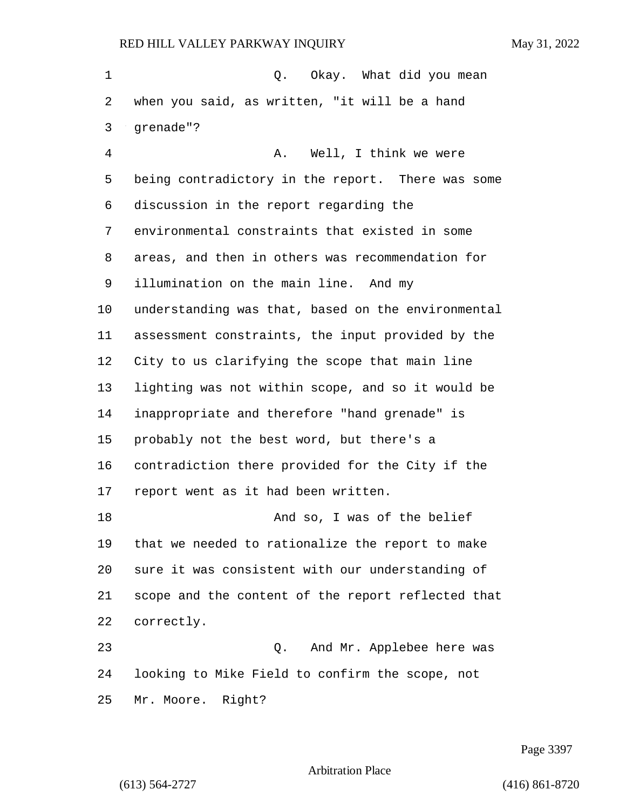1 C. Okay. What did you mean when you said, as written, "it will be a hand grenade"? 4 A. Well, I think we were being contradictory in the report. There was some discussion in the report regarding the environmental constraints that existed in some areas, and then in others was recommendation for illumination on the main line. And my understanding was that, based on the environmental assessment constraints, the input provided by the City to us clarifying the scope that main line lighting was not within scope, and so it would be inappropriate and therefore "hand grenade" is probably not the best word, but there's a contradiction there provided for the City if the report went as it had been written. 18 And so, I was of the belief that we needed to rationalize the report to make sure it was consistent with our understanding of scope and the content of the report reflected that correctly. 23 Q. And Mr. Applebee here was looking to Mike Field to confirm the scope, not Mr. Moore. Right?

Page 3397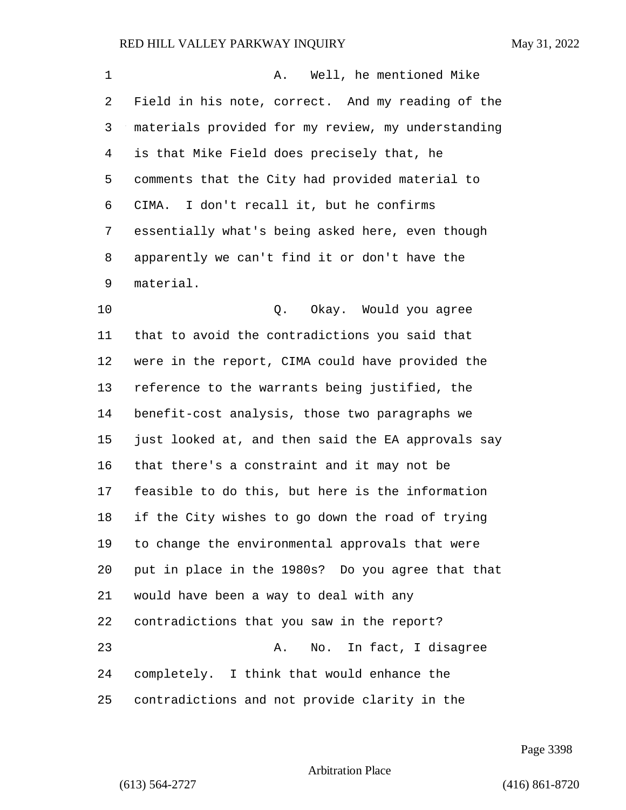| 1  | Well, he mentioned Mike<br>Α.                      |
|----|----------------------------------------------------|
| 2  | Field in his note, correct. And my reading of the  |
| 3  | materials provided for my review, my understanding |
| 4  | is that Mike Field does precisely that, he         |
| 5  | comments that the City had provided material to    |
| 6  | CIMA. I don't recall it, but he confirms           |
| 7  | essentially what's being asked here, even though   |
| 8  | apparently we can't find it or don't have the      |
| 9  | material.                                          |
| 10 | Okay. Would you agree<br>Q.                        |
| 11 | that to avoid the contradictions you said that     |
| 12 | were in the report, CIMA could have provided the   |
| 13 | reference to the warrants being justified, the     |
| 14 | benefit-cost analysis, those two paragraphs we     |
| 15 | just looked at, and then said the EA approvals say |
| 16 | that there's a constraint and it may not be        |
| 17 | feasible to do this, but here is the information   |
| 18 | if the City wishes to go down the road of trying   |
| 19 | to change the environmental approvals that were    |
| 20 | put in place in the 1980s? Do you agree that that  |
| 21 | would have been a way to deal with any             |
| 22 | contradictions that you saw in the report?         |
| 23 | No. In fact, I disagree<br>Α.                      |
| 24 | completely. I think that would enhance the         |
| 25 | contradictions and not provide clarity in the      |

Page 3398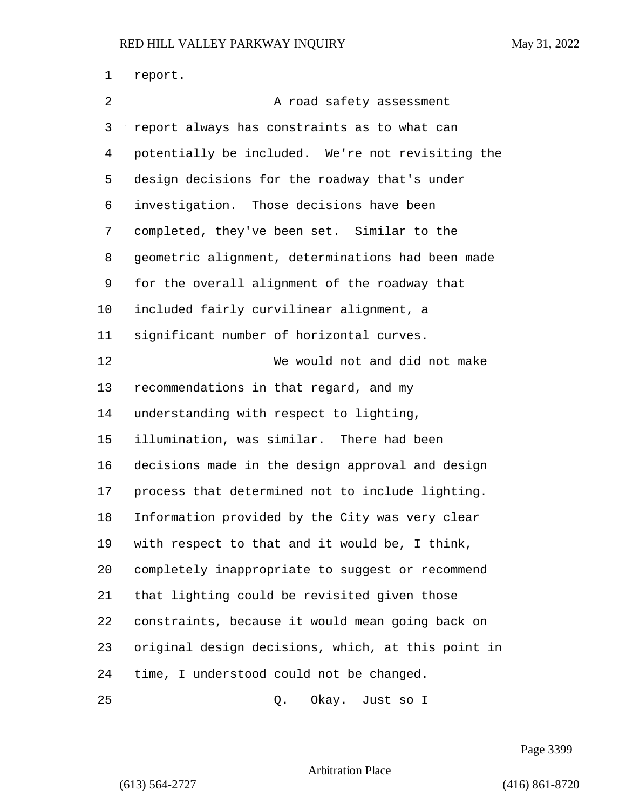report. 2 A road safety assessment report always has constraints as to what can potentially be included. We're not revisiting the design decisions for the roadway that's under investigation. Those decisions have been completed, they've been set. Similar to the geometric alignment, determinations had been made for the overall alignment of the roadway that included fairly curvilinear alignment, a significant number of horizontal curves. 12 We would not and did not make recommendations in that regard, and my understanding with respect to lighting, illumination, was similar. There had been decisions made in the design approval and design process that determined not to include lighting. Information provided by the City was very clear with respect to that and it would be, I think, completely inappropriate to suggest or recommend that lighting could be revisited given those constraints, because it would mean going back on original design decisions, which, at this point in time, I understood could not be changed. 25 Q. Okay. Just so I

Page 3399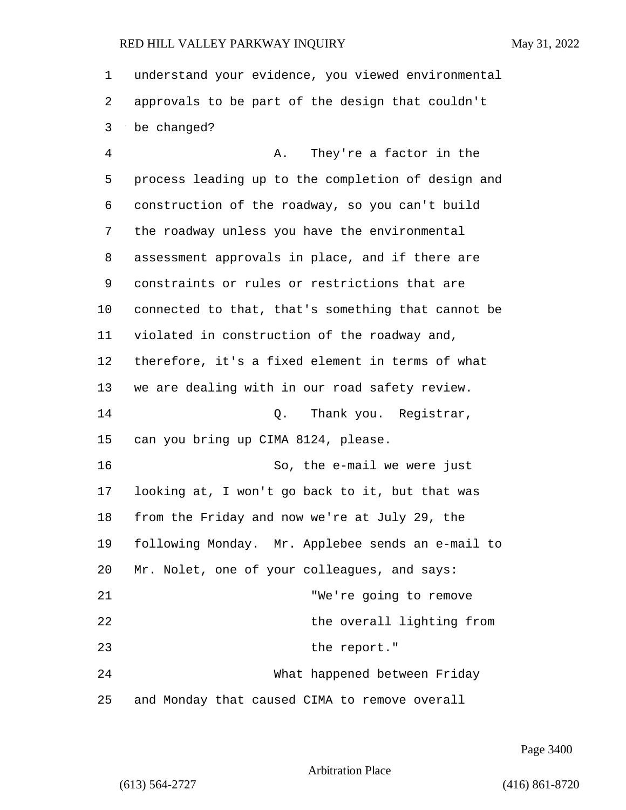understand your evidence, you viewed environmental approvals to be part of the design that couldn't be changed?

4 A. They're a factor in the process leading up to the completion of design and construction of the roadway, so you can't build the roadway unless you have the environmental assessment approvals in place, and if there are constraints or rules or restrictions that are connected to that, that's something that cannot be violated in construction of the roadway and, therefore, it's a fixed element in terms of what we are dealing with in our road safety review. 14 C. Thank you. Reqistrar, can you bring up CIMA 8124, please. 16 So, the e-mail we were just looking at, I won't go back to it, but that was from the Friday and now we're at July 29, the following Monday. Mr. Applebee sends an e-mail to Mr. Nolet, one of your colleagues, and says: 21 "We're going to remove 22 the overall lighting from 23 the report." 24 What happened between Friday and Monday that caused CIMA to remove overall

Page 3400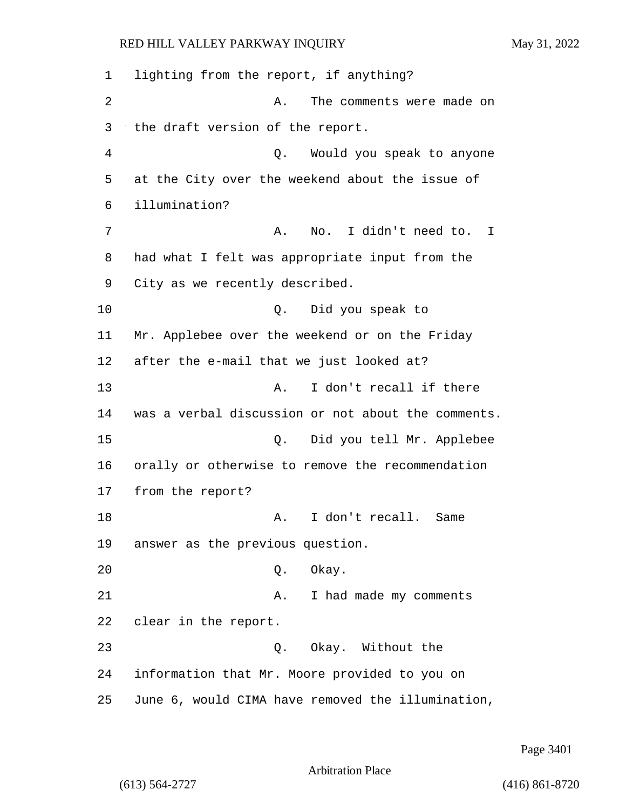6 illumination?

17 from the report?

RED HILL VALLEY PARKWAY INQUIRY May 31, 2022 1 lighting from the report, if anything? 2 A. The comments were made on 3 the draft version of the report. 4 Q. Would you speak to anyone 5 at the City over the weekend about the issue of 7 A. No. I didn't need to. I 8 had what I felt was appropriate input from the 9 City as we recently described. 10 Q. Did you speak to 11 Mr. Applebee over the weekend or on the Friday 12 after the e-mail that we just looked at? 13 A. I don't recall if there 14 was a verbal discussion or not about the comments. 15 Q. Did you tell Mr. Applebee 16 orally or otherwise to remove the recommendation 18 A. I don't recall. Same 19 answer as the previous question.

20 Q. Okay.

21 A. I had made my comments 22 clear in the report.

23 Q. Okay. Without the 24 information that Mr. Moore provided to you on 25 June 6, would CIMA have removed the illumination,

Page 3401

Arbitration Place

(613) 564-2727 (416) 861-8720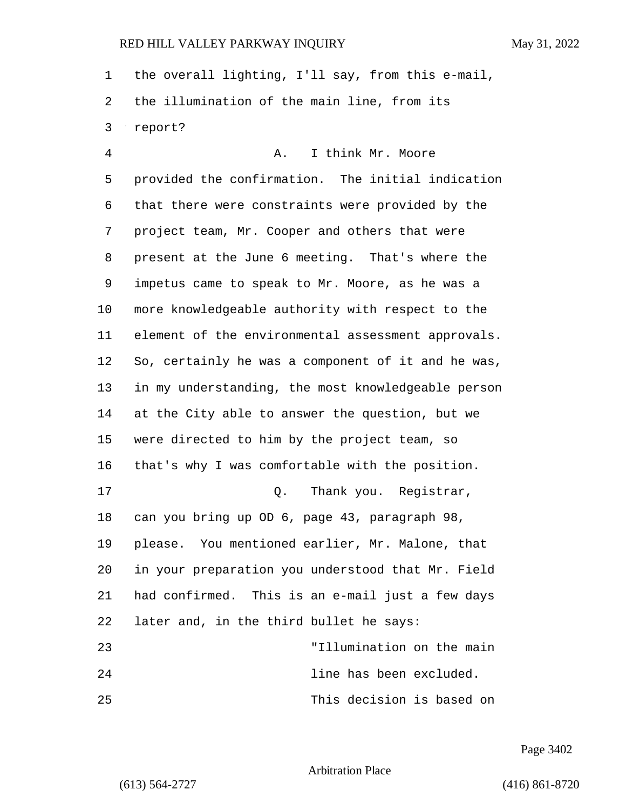the overall lighting, I'll say, from this e-mail, the illumination of the main line, from its report?

4 A. I think Mr. Moore provided the confirmation. The initial indication that there were constraints were provided by the project team, Mr. Cooper and others that were present at the June 6 meeting. That's where the impetus came to speak to Mr. Moore, as he was a more knowledgeable authority with respect to the element of the environmental assessment approvals. So, certainly he was a component of it and he was, in my understanding, the most knowledgeable person at the City able to answer the question, but we were directed to him by the project team, so that's why I was comfortable with the position. 17 and 0. Thank you. Reqistrar, can you bring up OD 6, page 43, paragraph 98, please. You mentioned earlier, Mr. Malone, that in your preparation you understood that Mr. Field had confirmed. This is an e-mail just a few days later and, in the third bullet he says: 23 "Illumination on the main 24 line has been excluded. 25 This decision is based on

Page 3402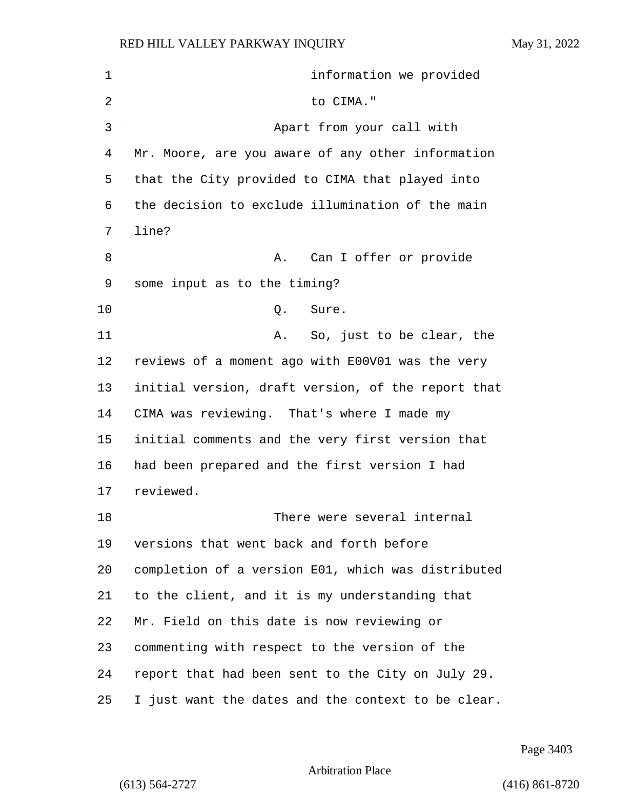1 information we provided 2 to CIMA." 3 Apart from your call with Mr. Moore, are you aware of any other information that the City provided to CIMA that played into the decision to exclude illumination of the main line? 8 A. Can I offer or provide some input as to the timing? 10 Q. Sure. 11 A. So, just to be clear, the reviews of a moment ago with E00V01 was the very initial version, draft version, of the report that CIMA was reviewing. That's where I made my initial comments and the very first version that had been prepared and the first version I had reviewed. 18 There were several internal versions that went back and forth before completion of a version E01, which was distributed to the client, and it is my understanding that Mr. Field on this date is now reviewing or commenting with respect to the version of the report that had been sent to the City on July 29. I just want the dates and the context to be clear.

Page 3403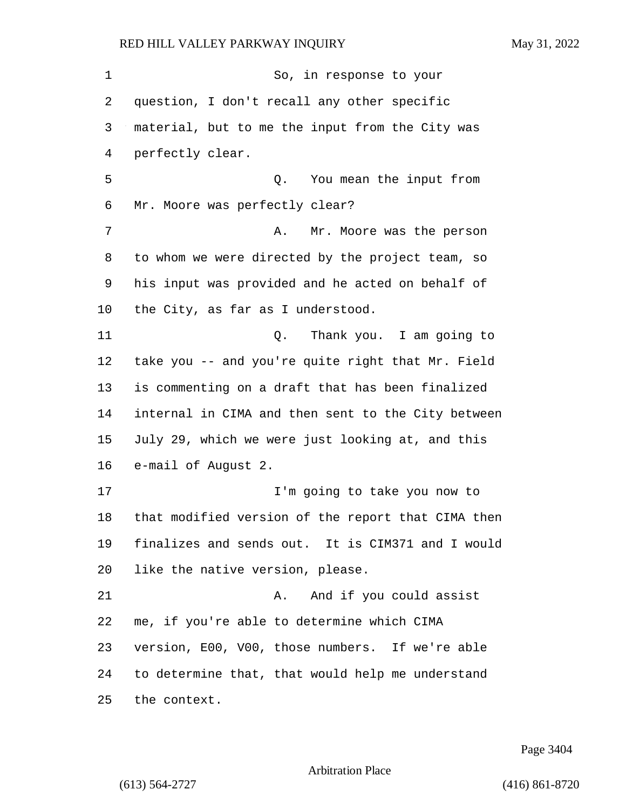| 1  | So, in response to your                            |
|----|----------------------------------------------------|
| 2  | question, I don't recall any other specific        |
| 3  | material, but to me the input from the City was    |
| 4  | perfectly clear.                                   |
| 5  | Q. You mean the input from                         |
| 6  | Mr. Moore was perfectly clear?                     |
| 7  | Mr. Moore was the person<br>Α.                     |
| 8  | to whom we were directed by the project team, so   |
| 9  | his input was provided and he acted on behalf of   |
| 10 | the City, as far as I understood.                  |
| 11 | Thank you. I am going to<br>Q.                     |
| 12 | take you -- and you're quite right that Mr. Field  |
| 13 | is commenting on a draft that has been finalized   |
| 14 | internal in CIMA and then sent to the City between |
| 15 | July 29, which we were just looking at, and this   |
| 16 | e-mail of August 2.                                |
| 17 | I'm going to take you now to                       |
| 18 | that modified version of the report that CIMA then |
| 19 | finalizes and sends out. It is CIM371 and I would  |
| 20 | like the native version, please.                   |
| 21 | And if you could assist<br>Α.                      |
| 22 | me, if you're able to determine which CIMA         |
| 23 | version, E00, V00, those numbers. If we're able    |
| 24 | to determine that, that would help me understand   |
| 25 | the context.                                       |

Page 3404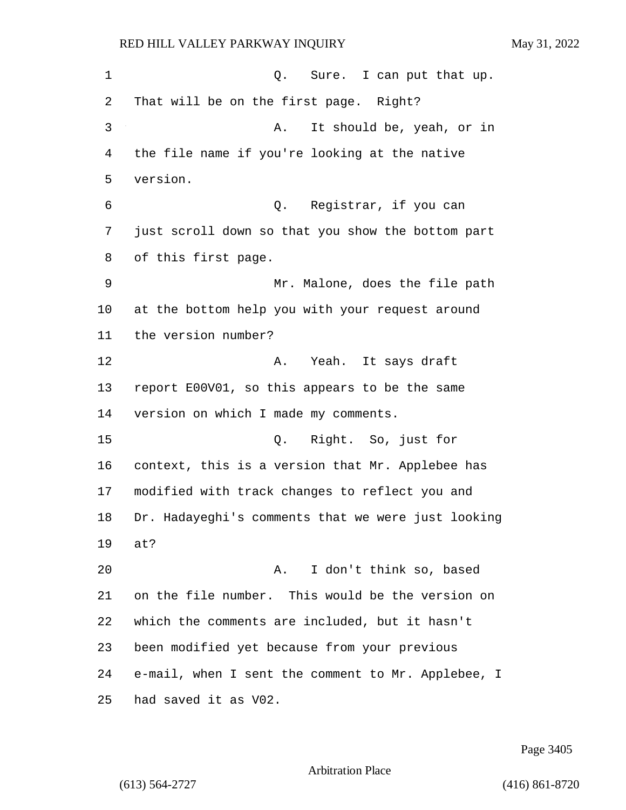1 Q. Sure. I can put that up. That will be on the first page. Right? 3 A. It should be, yeah, or in the file name if you're looking at the native version. 6 Q. Registrar, if you can just scroll down so that you show the bottom part of this first page. 9 Mr. Malone, does the file path at the bottom help you with your request around the version number? 12 A. Yeah. It says draft report E00V01, so this appears to be the same version on which I made my comments. 15 Q. Right. So, just for context, this is a version that Mr. Applebee has modified with track changes to reflect you and Dr. Hadayeghi's comments that we were just looking at? 20 A. I don't think so, based on the file number. This would be the version on which the comments are included, but it hasn't been modified yet because from your previous e-mail, when I sent the comment to Mr. Applebee, I had saved it as V02.

Page 3405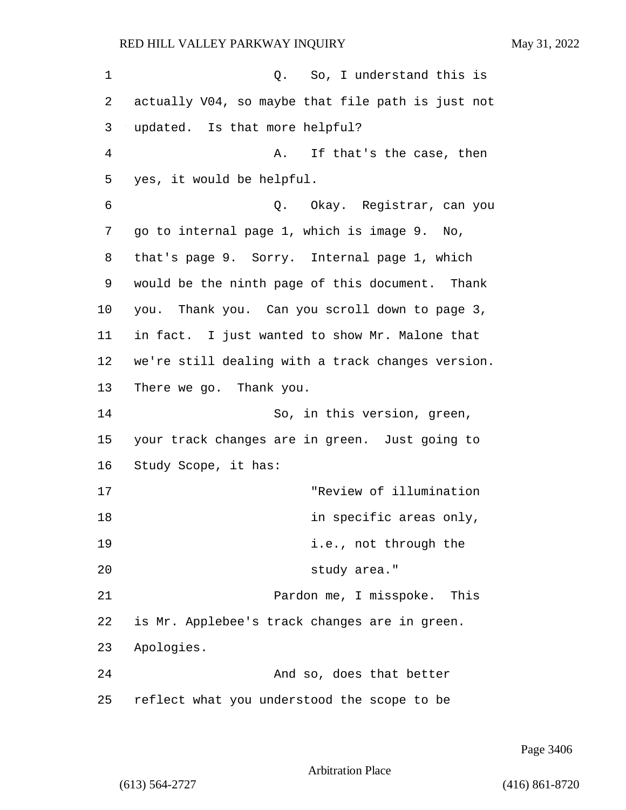1 C. So, I understand this is actually V04, so maybe that file path is just not updated. Is that more helpful? 4 A. If that's the case, then yes, it would be helpful. 6 Q. Okay. Registrar, can you go to internal page 1, which is image 9. No, that's page 9. Sorry. Internal page 1, which would be the ninth page of this document. Thank you. Thank you. Can you scroll down to page 3, in fact. I just wanted to show Mr. Malone that we're still dealing with a track changes version. There we go. Thank you. 14 So, in this version, green, your track changes are in green. Just going to Study Scope, it has: 17 "Review of illumination 18 in specific areas only, **i.e.**, not through the 20 study area." 21 Pardon me, I misspoke. This is Mr. Applebee's track changes are in green. Apologies. 24 And so, does that better reflect what you understood the scope to be

Arbitration Place

(613) 564-2727 (416) 861-8720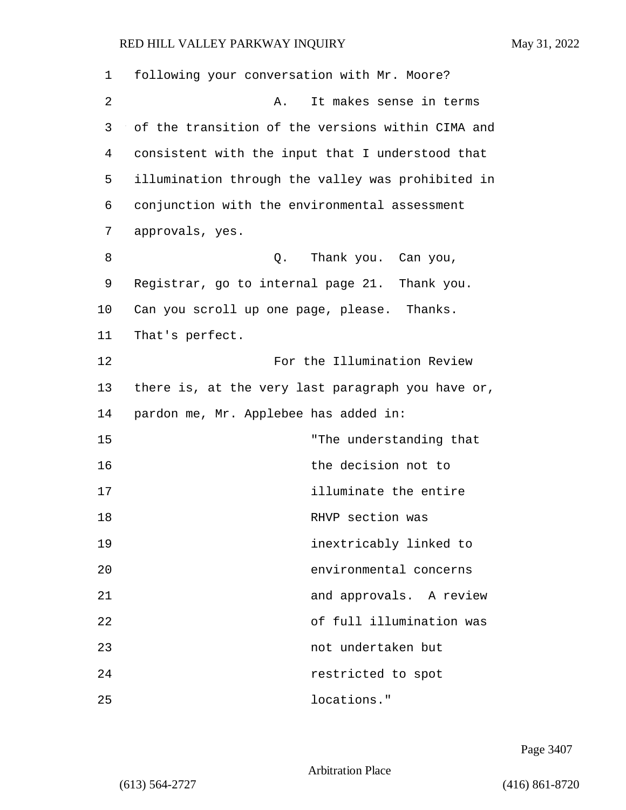| 1  | following your conversation with Mr. Moore?       |
|----|---------------------------------------------------|
| 2  | It makes sense in terms<br>Α.                     |
| 3  | of the transition of the versions within CIMA and |
| 4  | consistent with the input that I understood that  |
| 5  | illumination through the valley was prohibited in |
| 6  | conjunction with the environmental assessment     |
| 7  | approvals, yes.                                   |
| 8  | Thank you. Can you,<br>Q.                         |
| 9  | Registrar, go to internal page 21. Thank you.     |
| 10 | Can you scroll up one page, please. Thanks.       |
| 11 | That's perfect.                                   |
| 12 | For the Illumination Review                       |
| 13 | there is, at the very last paragraph you have or, |
| 14 | pardon me, Mr. Applebee has added in:             |
| 15 | "The understanding that                           |
| 16 | the decision not to                               |
| 17 | illuminate the entire                             |
| 18 | RHVP section was                                  |
| 19 | inextricably linked to                            |
| 20 | environmental concerns                            |
| 21 | and approvals. A review                           |
| 22 | of full illumination was                          |
| 23 | not undertaken but                                |
| 24 | restricted to spot                                |
| 25 | locations."                                       |

Page 3407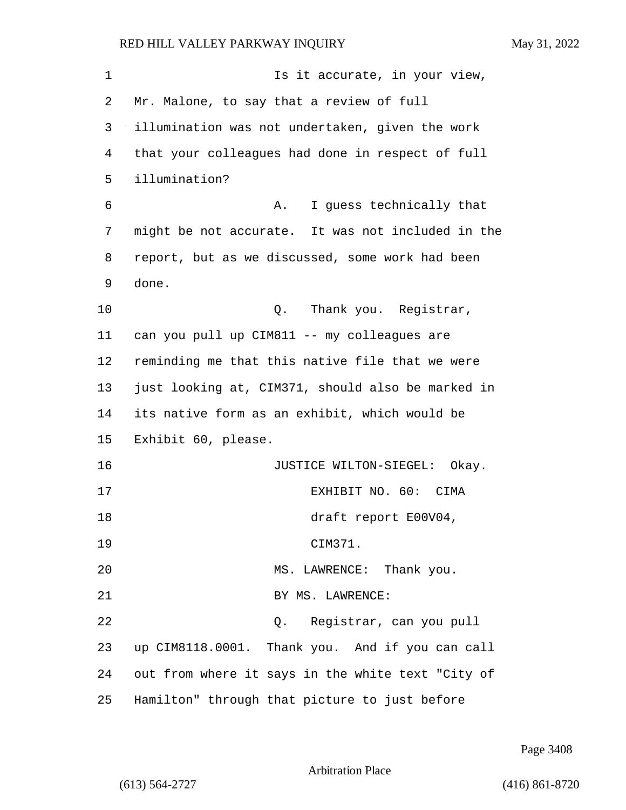| 1  | Is it accurate, in your view,                     |
|----|---------------------------------------------------|
| 2  | Mr. Malone, to say that a review of full          |
| 3  | illumination was not undertaken, given the work   |
| 4  | that your colleagues had done in respect of full  |
| 5  | illumination?                                     |
| 6  | I guess technically that<br>Α.                    |
| 7  | might be not accurate. It was not included in the |
| 8  | report, but as we discussed, some work had been   |
| 9  | done.                                             |
| 10 | Thank you. Registrar,<br>Q.                       |
| 11 | can you pull up CIM811 -- my colleagues are       |
| 12 | reminding me that this native file that we were   |
| 13 | just looking at, CIM371, should also be marked in |
| 14 | its native form as an exhibit, which would be     |
| 15 | Exhibit 60, please.                               |
| 16 | JUSTICE WILTON-SIEGEL: Okay.                      |
| 17 | EXHIBIT NO. 60: CIMA                              |
| 18 | draft report E00V04,                              |
| 19 | CIM371.                                           |
| 20 | MS. LAWRENCE: Thank you.                          |
| 21 | BY MS. LAWRENCE:                                  |
| 22 | Registrar, can you pull<br>Q.                     |
| 23 | up CIM8118.0001. Thank you. And if you can call   |
| 24 | out from where it says in the white text "City of |
| 25 | Hamilton" through that picture to just before     |

Page 3408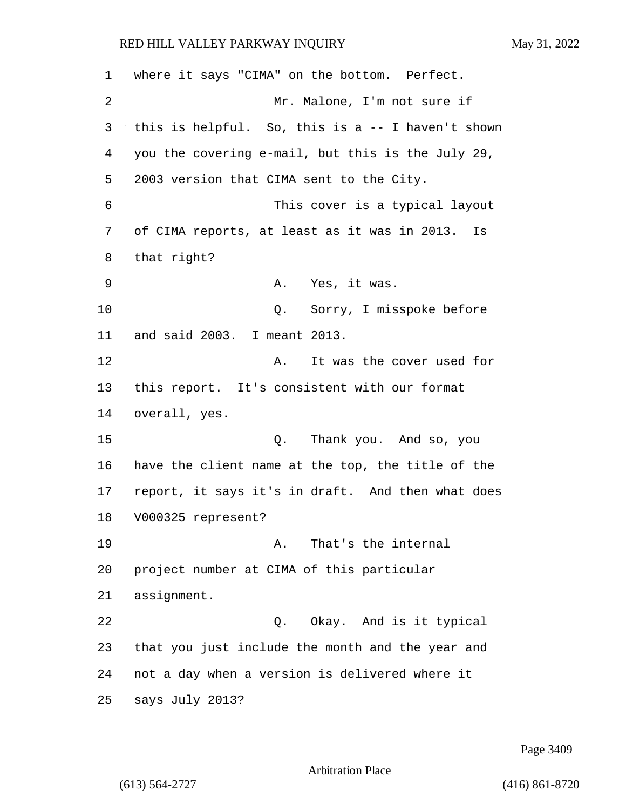where it says "CIMA" on the bottom. Perfect. 2 Mr. Malone, I'm not sure if this is helpful. So, this is a -- I haven't shown you the covering e-mail, but this is the July 29, 2003 version that CIMA sent to the City. 6 This cover is a typical layout of CIMA reports, at least as it was in 2013. Is that right? 9 A. Yes, it was. 10 0. Sorry, I misspoke before and said 2003. I meant 2013. 12 A. It was the cover used for this report. It's consistent with our format overall, yes. 15 Q. Thank you. And so, you have the client name at the top, the title of the report, it says it's in draft. And then what does V000325 represent? 19 A. That's the internal project number at CIMA of this particular assignment. 22 Q. Okay. And is it typical that you just include the month and the year and not a day when a version is delivered where it says July 2013?

Page 3409

Arbitration Place

(613) 564-2727 (416) 861-8720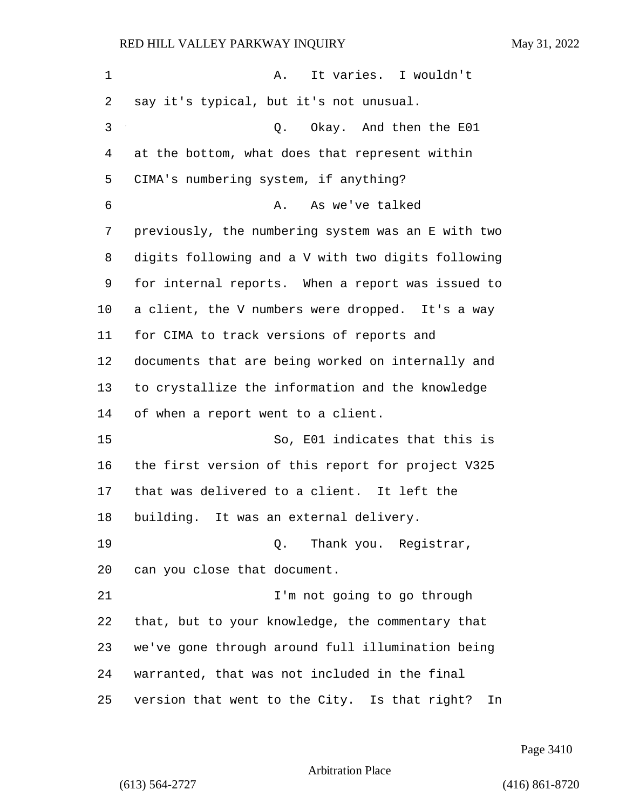| 1  | It varies. I wouldn't<br>Α.                        |
|----|----------------------------------------------------|
| 2  | say it's typical, but it's not unusual.            |
| 3  | Q. Okay. And then the E01                          |
| 4  | at the bottom, what does that represent within     |
| 5  | CIMA's numbering system, if anything?              |
| 6  | As we've talked<br>Α.                              |
| 7  | previously, the numbering system was an E with two |
| 8  | digits following and a V with two digits following |
| 9  | for internal reports. When a report was issued to  |
| 10 | a client, the V numbers were dropped. It's a way   |
| 11 | for CIMA to track versions of reports and          |
| 12 | documents that are being worked on internally and  |
| 13 | to crystallize the information and the knowledge   |
| 14 | of when a report went to a client.                 |
| 15 | So, E01 indicates that this is                     |
| 16 | the first version of this report for project V325  |
| 17 | that was delivered to a client. It left the        |
| 18 | building. It was an external delivery.             |
| 19 | Q. Thank you. Registrar,                           |
| 20 | can you close that document.                       |
| 21 | I'm not going to go through                        |
| 22 | that, but to your knowledge, the commentary that   |
| 23 | we've gone through around full illumination being  |
| 24 | warranted, that was not included in the final      |
| 25 | version that went to the City. Is that right? In   |

Page 3410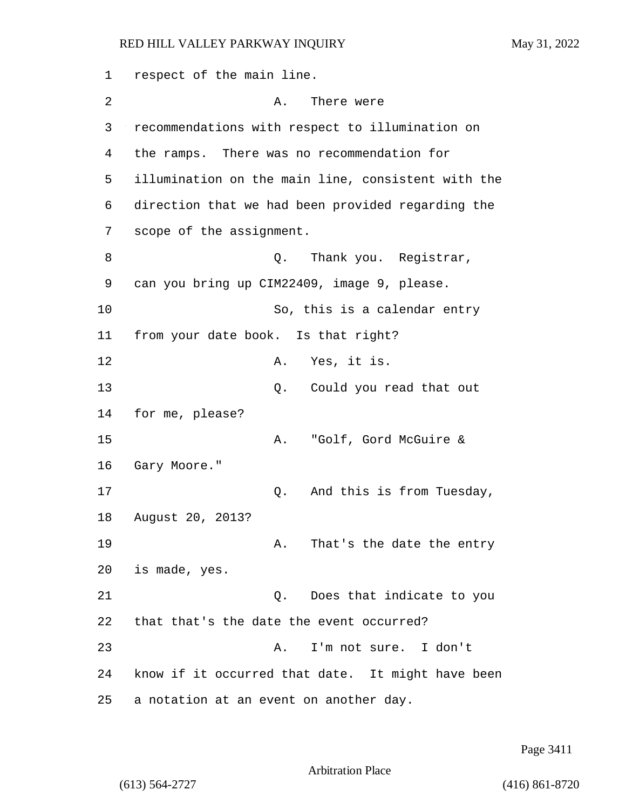1 respect of the main line. 2 A. There were 3 recommendations with respect to illumination on 4 the ramps. There was no recommendation for 5 illumination on the main line, consistent with the 6 direction that we had been provided regarding the 7 scope of the assignment. 8 a Q. Thank you. Registrar, 9 can you bring up CIM22409, image 9, please. 10 So, this is a calendar entry 11 from your date book. Is that right? 12 A. Yes, it is. 13 Q. Could you read that out 14 for me, please? 15 A. "Golf, Gord McGuire & 16 Gary Moore." 17 Q. And this is from Tuesday, 18 August 20, 2013? 19 A. That's the date the entry 20 is made, yes. 21 Q. Does that indicate to you 22 that that's the date the event occurred? 23 A. I'm not sure. I don't 24 know if it occurred that date. It might have been 25 a notation at an event on another day.

Page 3411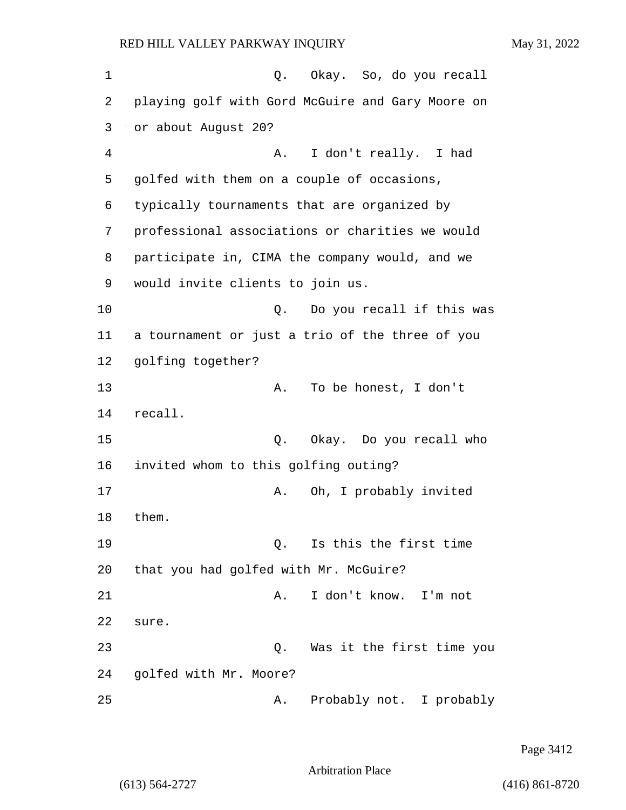| 1  | Q. Okay. So, do you recall                       |
|----|--------------------------------------------------|
| 2  | playing golf with Gord McGuire and Gary Moore on |
| 3  | or about August 20?                              |
| 4  | I don't really. I had<br>Α.                      |
| 5  | golfed with them on a couple of occasions,       |
| 6  | typically tournaments that are organized by      |
| 7  | professional associations or charities we would  |
| 8  | participate in, CIMA the company would, and we   |
| 9  | would invite clients to join us.                 |
| 10 | Do you recall if this was<br>Q.                  |
| 11 | a tournament or just a trio of the three of you  |
| 12 | golfing together?                                |
| 13 | To be honest, I don't<br>Α.                      |
| 14 | recall.                                          |
| 15 | Okay. Do you recall who<br>Q.                    |
| 16 | invited whom to this golfing outing?             |
| 17 | Oh, I probably invited<br>Α.                     |
| 18 | them.                                            |
| 19 | Is this the first time<br>Q.                     |
| 20 | that you had golfed with Mr. McGuire?            |
| 21 | I don't know.<br>Α.<br>I'm not                   |
| 22 | sure.                                            |
| 23 | Was it the first time you<br>Q.                  |
| 24 | golfed with Mr. Moore?                           |
| 25 | Probably not. I probably<br>Α.                   |

Page 3412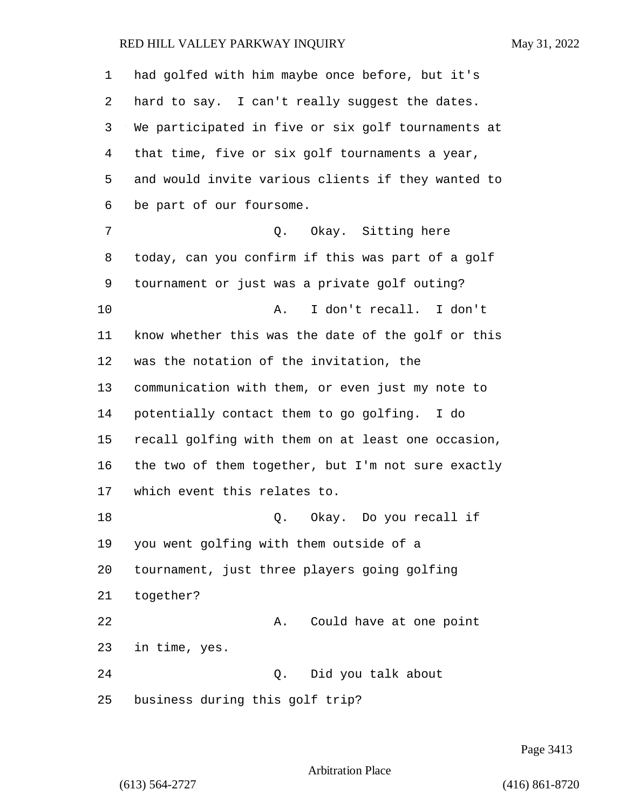| 1  | had golfed with him maybe once before, but it's    |
|----|----------------------------------------------------|
| 2  | hard to say. I can't really suggest the dates.     |
| 3  | We participated in five or six golf tournaments at |
| 4  | that time, five or six golf tournaments a year,    |
| 5  | and would invite various clients if they wanted to |
| 6  | be part of our foursome.                           |
| 7  | Q. Okay. Sitting here                              |
| 8  | today, can you confirm if this was part of a golf  |
| 9  | tournament or just was a private golf outing?      |
| 10 | I don't recall. I don't<br>Α.                      |
| 11 | know whether this was the date of the golf or this |
| 12 | was the notation of the invitation, the            |
| 13 | communication with them, or even just my note to   |
| 14 | potentially contact them to go golfing. I do       |
| 15 | recall golfing with them on at least one occasion, |
| 16 | the two of them together, but I'm not sure exactly |
| 17 | which event this relates to.                       |
| 18 | Q. Okay. Do you recall if                          |
| 19 | you went golfing with them outside of a            |
| 20 | tournament, just three players going golfing       |
| 21 | together?                                          |
| 22 | Could have at one point<br>Α.                      |
| 23 | in time, yes.                                      |
| 24 | Did you talk about<br>Q.                           |
| 25 | business during this golf trip?                    |

Page 3413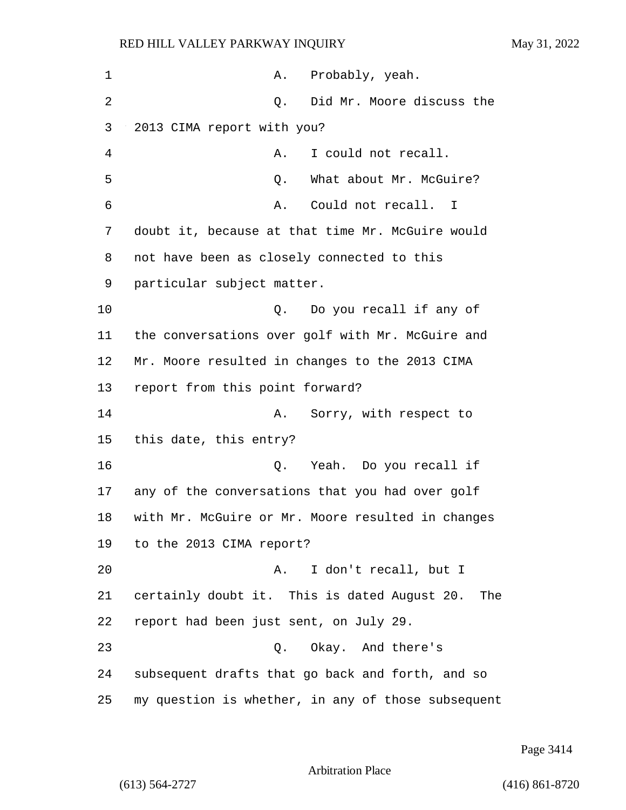| 1  | A. Probably, yeah.                                  |
|----|-----------------------------------------------------|
| 2  | Did Mr. Moore discuss the<br>Q.                     |
| 3  | 2013 CIMA report with you?                          |
| 4  | I could not recall.<br>Α.                           |
| 5  | What about Mr. McGuire?<br>Q.                       |
| 6  | Could not recall. I<br>Α.                           |
| 7  | doubt it, because at that time Mr. McGuire would    |
| 8  | not have been as closely connected to this          |
| 9  | particular subject matter.                          |
| 10 | Q. Do you recall if any of                          |
| 11 | the conversations over golf with Mr. McGuire and    |
| 12 | Mr. Moore resulted in changes to the 2013 CIMA      |
| 13 | report from this point forward?                     |
| 14 | Sorry, with respect to<br>Α.                        |
| 15 | this date, this entry?                              |
| 16 | Yeah. Do you recall if<br>Q.                        |
| 17 | any of the conversations that you had over golf     |
| 18 | with Mr. McGuire or Mr. Moore resulted in changes   |
| 19 | to the 2013 CIMA report?                            |
| 20 | I don't recall, but I<br>Α.                         |
| 21 | certainly doubt it. This is dated August 20.<br>The |
| 22 | report had been just sent, on July 29.              |
| 23 | Okay. And there's<br>Q.                             |
| 24 | subsequent drafts that go back and forth, and so    |
| 25 | my question is whether, in any of those subsequent  |

Page 3414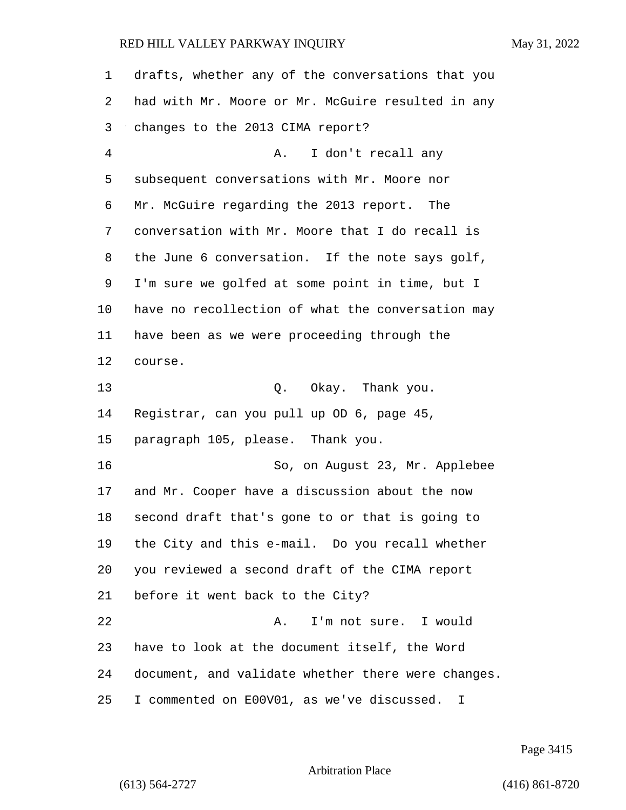| 1  | drafts, whether any of the conversations that you  |
|----|----------------------------------------------------|
| 2  | had with Mr. Moore or Mr. McGuire resulted in any  |
| 3  | changes to the 2013 CIMA report?                   |
| 4  | I don't recall any<br>Α.                           |
| 5  | subsequent conversations with Mr. Moore nor        |
| 6  | Mr. McGuire regarding the 2013 report. The         |
| 7  | conversation with Mr. Moore that I do recall is    |
| 8  | the June 6 conversation. If the note says golf,    |
| 9  | I'm sure we golfed at some point in time, but I    |
| 10 | have no recollection of what the conversation may  |
| 11 | have been as we were proceeding through the        |
| 12 | course.                                            |
| 13 | Q. Okay. Thank you.                                |
| 14 | Registrar, can you pull up OD 6, page 45,          |
| 15 | paragraph 105, please. Thank you.                  |
| 16 | So, on August 23, Mr. Applebee                     |
| 17 | and Mr. Cooper have a discussion about the now     |
| 18 | second draft that's gone to or that is going to    |
| 19 | the City and this e-mail. Do you recall whether    |
| 20 | you reviewed a second draft of the CIMA report     |
| 21 | before it went back to the City?                   |
| 22 | I'm not sure. I would<br>Α.                        |
| 23 | have to look at the document itself, the Word      |
| 24 | document, and validate whether there were changes. |
| 25 | I commented on E00V01, as we've discussed. I       |

Page 3415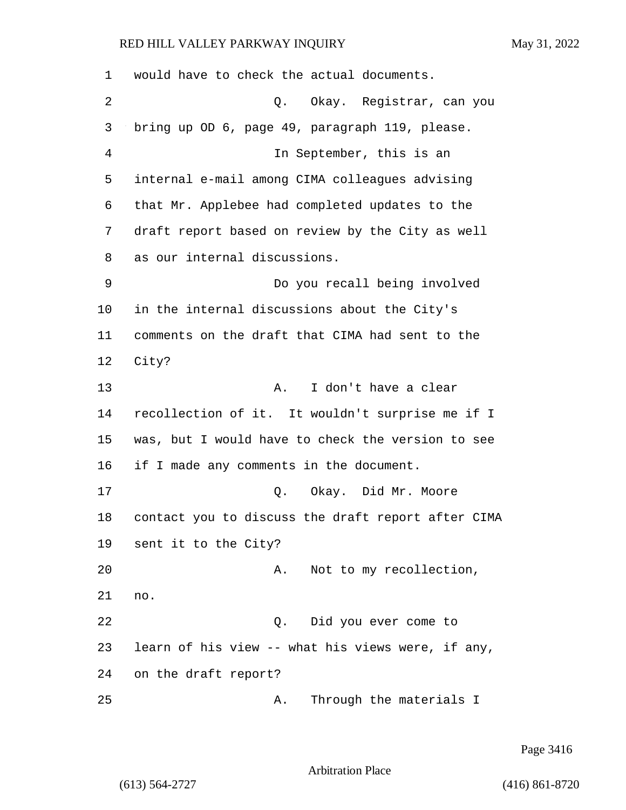| 1  | would have to check the actual documents.          |
|----|----------------------------------------------------|
| 2  | Okay. Registrar, can you<br>Q.                     |
| 3  | bring up OD 6, page 49, paragraph 119, please.     |
| 4  | In September, this is an                           |
| 5  | internal e-mail among CIMA colleagues advising     |
| 6  | that Mr. Applebee had completed updates to the     |
| 7  | draft report based on review by the City as well   |
| 8  | as our internal discussions.                       |
| 9  | Do you recall being involved                       |
| 10 | in the internal discussions about the City's       |
| 11 | comments on the draft that CIMA had sent to the    |
| 12 | City?                                              |
| 13 | I don't have a clear<br>Α.                         |
| 14 | recollection of it. It wouldn't surprise me if I   |
| 15 | was, but I would have to check the version to see  |
| 16 | if I made any comments in the document.            |
| 17 | Okay. Did Mr. Moore<br>Q.                          |
| 18 | contact you to discuss the draft report after CIMA |
| 19 | sent it to the City?                               |
| 20 | Not to my recollection,<br>Α.                      |
| 21 | no.                                                |
| 22 | Did you ever come to<br>Q.                         |
| 23 | learn of his view -- what his views were, if any,  |
| 24 | on the draft report?                               |
| 25 | Through the materials I<br>Α.                      |

Page 3416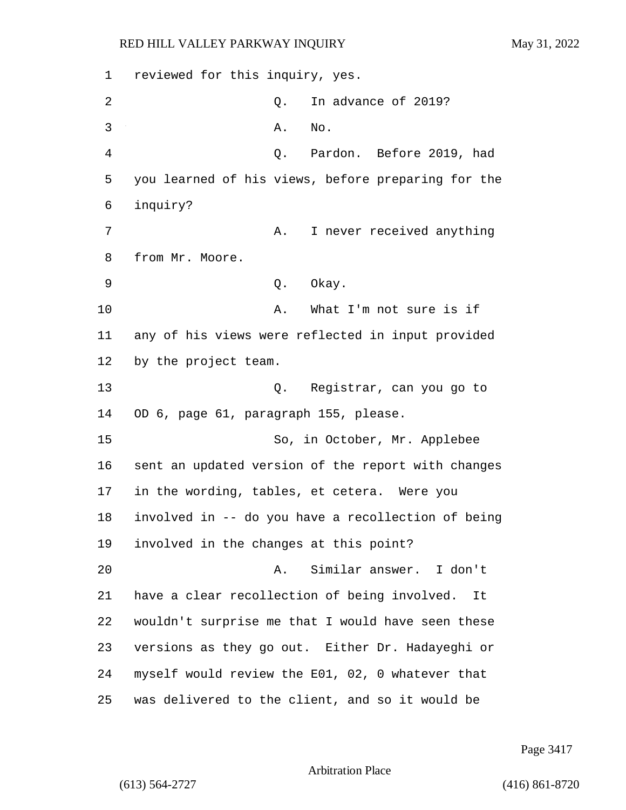1 reviewed for this inquiry, yes. 2 Q. In advance of 2019? 3 A. No. 4 Q. Pardon. Before 2019, had 5 you learned of his views, before preparing for the 6 inquiry? 7 A. I never received anything 8 from Mr. Moore. 9 Q. Okay. 10 A. What I'm not sure is if 11 any of his views were reflected in input provided 12 by the project team. 13 Q. Registrar, can you go to 14 OD 6, page 61, paragraph 155, please. 15 So, in October, Mr. Applebee 16 sent an updated version of the report with changes 17 in the wording, tables, et cetera. Were you 18 involved in -- do you have a recollection of being 19 involved in the changes at this point? 20 A. Similar answer. I don't 21 have a clear recollection of being involved. It 22 wouldn't surprise me that I would have seen these 23 versions as they go out. Either Dr. Hadayeghi or 24 myself would review the E01, 02, 0 whatever that 25 was delivered to the client, and so it would be

Page 3417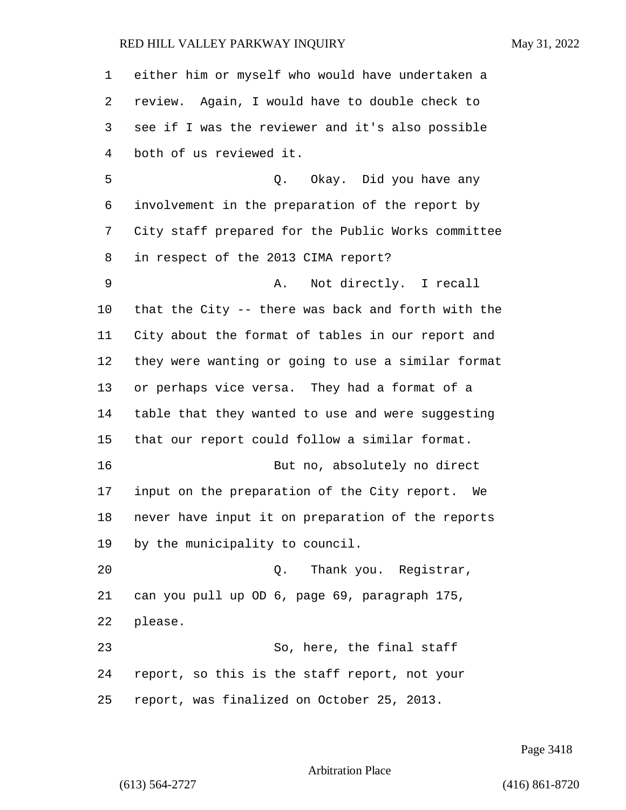either him or myself who would have undertaken a review. Again, I would have to double check to see if I was the reviewer and it's also possible both of us reviewed it. 5 Q. Okay. Did you have any involvement in the preparation of the report by City staff prepared for the Public Works committee in respect of the 2013 CIMA report? 9 A. Not directly. I recall that the City -- there was back and forth with the City about the format of tables in our report and they were wanting or going to use a similar format or perhaps vice versa. They had a format of a table that they wanted to use and were suggesting that our report could follow a similar format. 16 But no, absolutely no direct input on the preparation of the City report. We never have input it on preparation of the reports by the municipality to council. 20 Q. Thank you. Registrar, can you pull up OD 6, page 69, paragraph 175, please. 23 So, here, the final staff report, so this is the staff report, not your report, was finalized on October 25, 2013.

Page 3418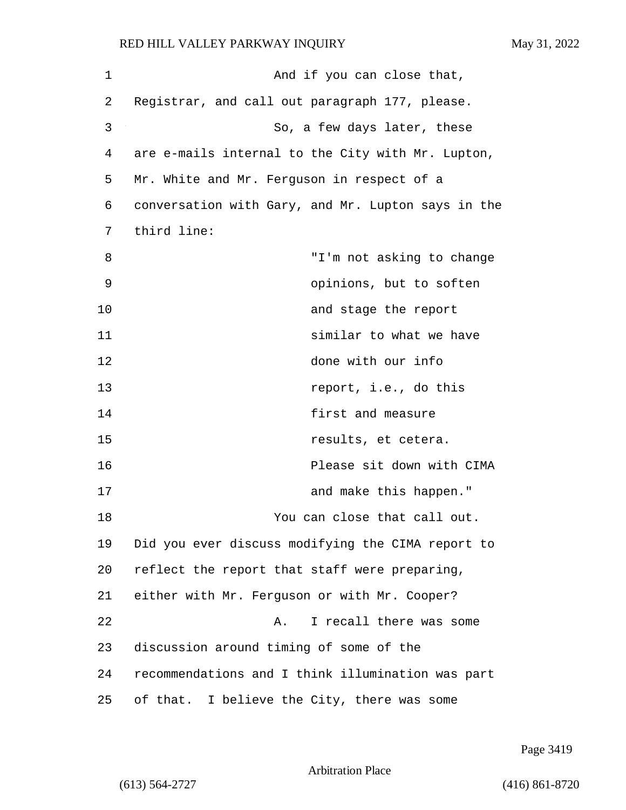| 1  | And if you can close that,                         |
|----|----------------------------------------------------|
| 2  | Registrar, and call out paragraph 177, please.     |
| 3  | So, a few days later, these                        |
| 4  | are e-mails internal to the City with Mr. Lupton,  |
| 5  | Mr. White and Mr. Ferguson in respect of a         |
| 6  | conversation with Gary, and Mr. Lupton says in the |
| 7  | third line:                                        |
| 8  | "I'm not asking to change                          |
| 9  | opinions, but to soften                            |
| 10 | and stage the report                               |
| 11 | similar to what we have                            |
| 12 | done with our info                                 |
| 13 | report, i.e., do this                              |
| 14 | first and measure                                  |
| 15 | results, et cetera.                                |
| 16 | Please sit down with CIMA                          |
| 17 | and make this happen."                             |
| 18 | You can close that call out.                       |
| 19 | Did you ever discuss modifying the CIMA report to  |
| 20 | reflect the report that staff were preparing,      |
| 21 | either with Mr. Ferguson or with Mr. Cooper?       |
| 22 | I recall there was some<br>Α.                      |
| 23 | discussion around timing of some of the            |
| 24 | recommendations and I think illumination was part  |
| 25 | of that. I believe the City, there was some        |

Page 3419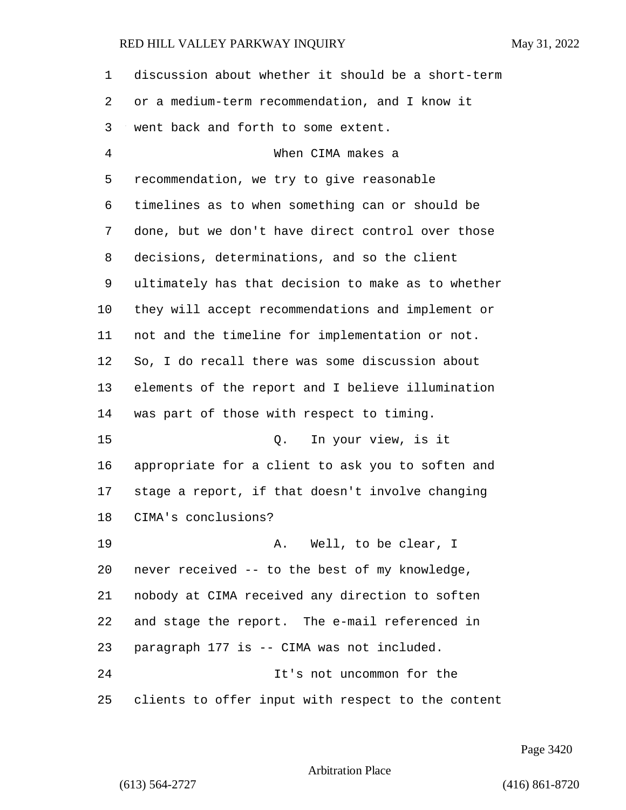| $\mathbf 1$ | discussion about whether it should be a short-term |
|-------------|----------------------------------------------------|
| 2           | or a medium-term recommendation, and I know it     |
| 3           | went back and forth to some extent.                |
| 4           | When CIMA makes a                                  |
| 5           | recommendation, we try to give reasonable          |
| 6           | timelines as to when something can or should be    |
| 7           | done, but we don't have direct control over those  |
| 8           | decisions, determinations, and so the client       |
| 9           | ultimately has that decision to make as to whether |
| 10          | they will accept recommendations and implement or  |
| 11          | not and the timeline for implementation or not.    |
| 12          | So, I do recall there was some discussion about    |
| 13          | elements of the report and I believe illumination  |
| 14          | was part of those with respect to timing.          |
| 15          | In your view, is it<br>Q.                          |
| 16          | appropriate for a client to ask you to soften and  |
| 17          | stage a report, if that doesn't involve changing   |
| 18          | CIMA's conclusions?                                |
| 19          | A. Well, to be clear, I                            |
| 20          | never received -- to the best of my knowledge,     |
| 21          | nobody at CIMA received any direction to soften    |
| 22          | and stage the report. The e-mail referenced in     |
| 23          | paragraph 177 is -- CIMA was not included.         |
| 24          | It's not uncommon for the                          |
| 25          | clients to offer input with respect to the content |

Page 3420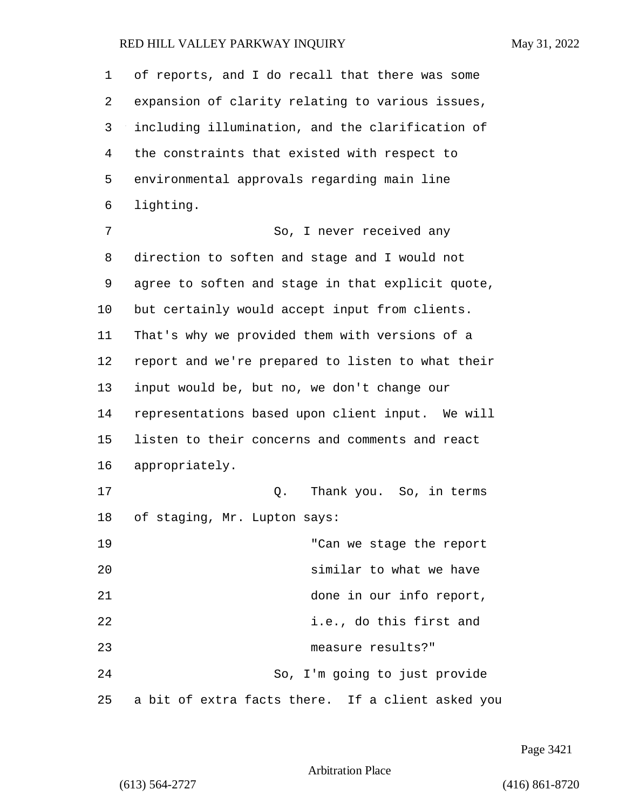of reports, and I do recall that there was some expansion of clarity relating to various issues, including illumination, and the clarification of the constraints that existed with respect to environmental approvals regarding main line lighting. 7 So, I never received any direction to soften and stage and I would not agree to soften and stage in that explicit quote, but certainly would accept input from clients. That's why we provided them with versions of a report and we're prepared to listen to what their input would be, but no, we don't change our representations based upon client input. We will listen to their concerns and comments and react appropriately. 17 Q. Thank you. So, in terms of staging, Mr. Lupton says: 19 "Can we stage the report 20 similar to what we have 21 done in our info report, 22 i.e., do this first and 23 measure results?" 24 So, I'm going to just provide a bit of extra facts there. If a client asked you

Page 3421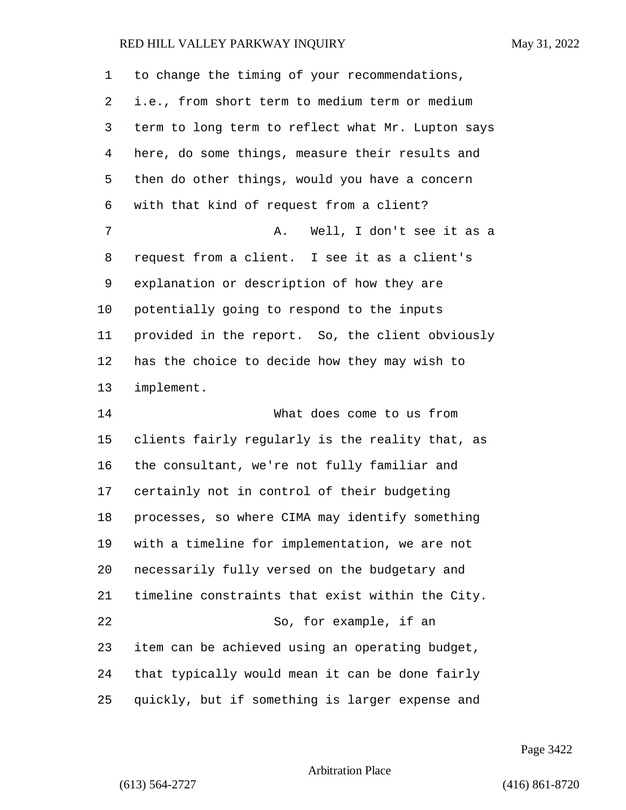| 1  | to change the timing of your recommendations,     |
|----|---------------------------------------------------|
| 2  | i.e., from short term to medium term or medium    |
| 3  | term to long term to reflect what Mr. Lupton says |
| 4  | here, do some things, measure their results and   |
| 5  | then do other things, would you have a concern    |
| 6  | with that kind of request from a client?          |
| 7  | Well, I don't see it as a<br>Α.                   |
| 8  | request from a client. I see it as a client's     |
| 9  | explanation or description of how they are        |
| 10 | potentially going to respond to the inputs        |
| 11 | provided in the report. So, the client obviously  |
| 12 | has the choice to decide how they may wish to     |
| 13 | implement.                                        |
| 14 | What does come to us from                         |
| 15 | clients fairly regularly is the reality that, as  |
| 16 | the consultant, we're not fully familiar and      |
| 17 | certainly not in control of their budgeting       |
| 18 | processes, so where CIMA may identify something   |
| 19 | with a timeline for implementation, we are not    |
| 20 | necessarily fully versed on the budgetary and     |
| 21 | timeline constraints that exist within the City.  |
| 22 | So, for example, if an                            |
| 23 | item can be achieved using an operating budget,   |
| 24 | that typically would mean it can be done fairly   |
| 25 | quickly, but if something is larger expense and   |

Page 3422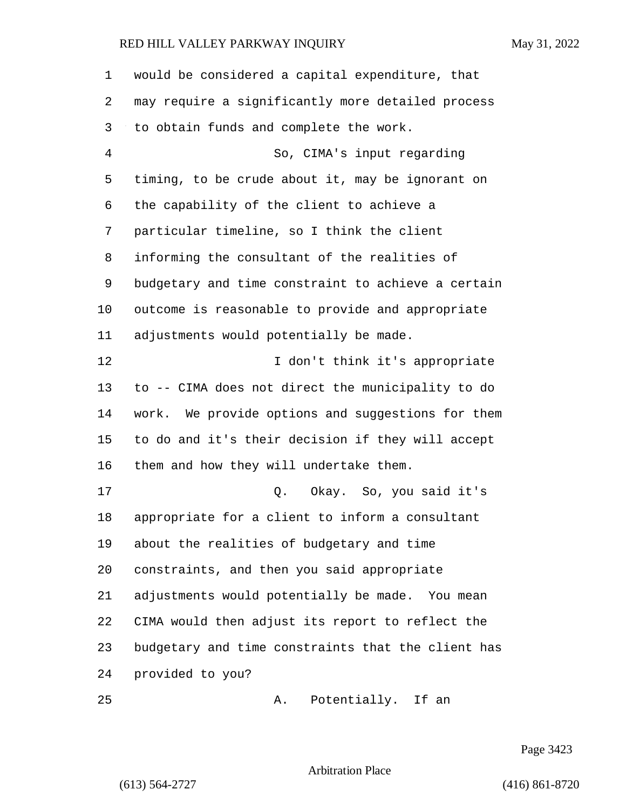| 1  | would be considered a capital expenditure, that      |
|----|------------------------------------------------------|
| 2  | may require a significantly more detailed process    |
| 3  | to obtain funds and complete the work.               |
| 4  | So, CIMA's input regarding                           |
| 5  | timing, to be crude about it, may be ignorant on     |
| 6  | the capability of the client to achieve a            |
| 7  | particular timeline, so I think the client           |
| 8  | informing the consultant of the realities of         |
| 9  | budgetary and time constraint to achieve a certain   |
| 10 | outcome is reasonable to provide and appropriate     |
| 11 | adjustments would potentially be made.               |
| 12 | I don't think it's appropriate                       |
| 13 | to -- CIMA does not direct the municipality to do    |
| 14 | We provide options and suggestions for them<br>work. |
| 15 | to do and it's their decision if they will accept    |
| 16 | them and how they will undertake them.               |
| 17 | Q. Okay. So, you said it's                           |
| 18 | appropriate for a client to inform a consultant      |
| 19 | about the realities of budgetary and time            |
| 20 | constraints, and then you said appropriate           |
| 21 | adjustments would potentially be made. You mean      |
| 22 | CIMA would then adjust its report to reflect the     |
| 23 | budgetary and time constraints that the client has   |
| 24 | provided to you?                                     |
| 25 | Potentially. If an<br>Α.                             |

Page 3423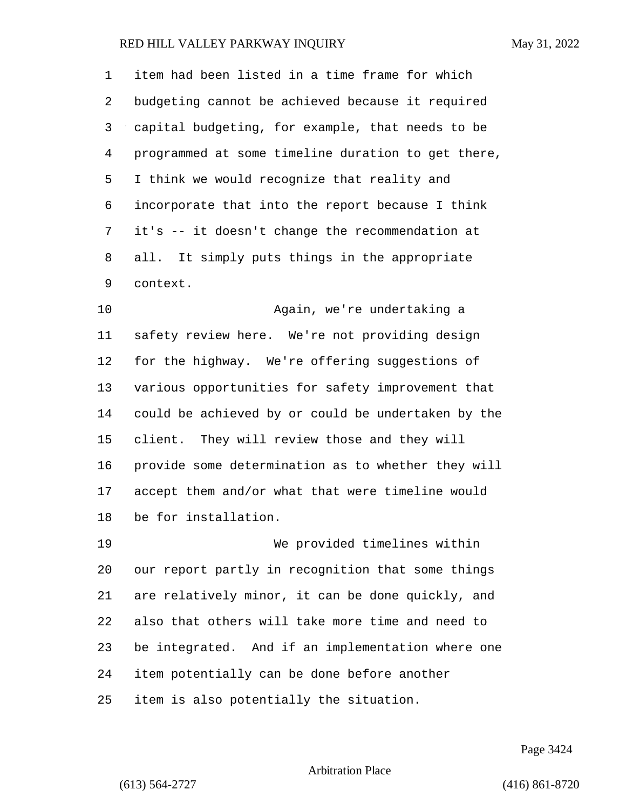item had been listed in a time frame for which budgeting cannot be achieved because it required capital budgeting, for example, that needs to be programmed at some timeline duration to get there, I think we would recognize that reality and incorporate that into the report because I think it's -- it doesn't change the recommendation at all. It simply puts things in the appropriate context.

10 Again, we're undertaking a safety review here. We're not providing design for the highway. We're offering suggestions of various opportunities for safety improvement that could be achieved by or could be undertaken by the client. They will review those and they will provide some determination as to whether they will accept them and/or what that were timeline would be for installation.

19 We provided timelines within our report partly in recognition that some things are relatively minor, it can be done quickly, and also that others will take more time and need to be integrated. And if an implementation where one item potentially can be done before another item is also potentially the situation.

Page 3424

## Arbitration Place

(613) 564-2727 (416) 861-8720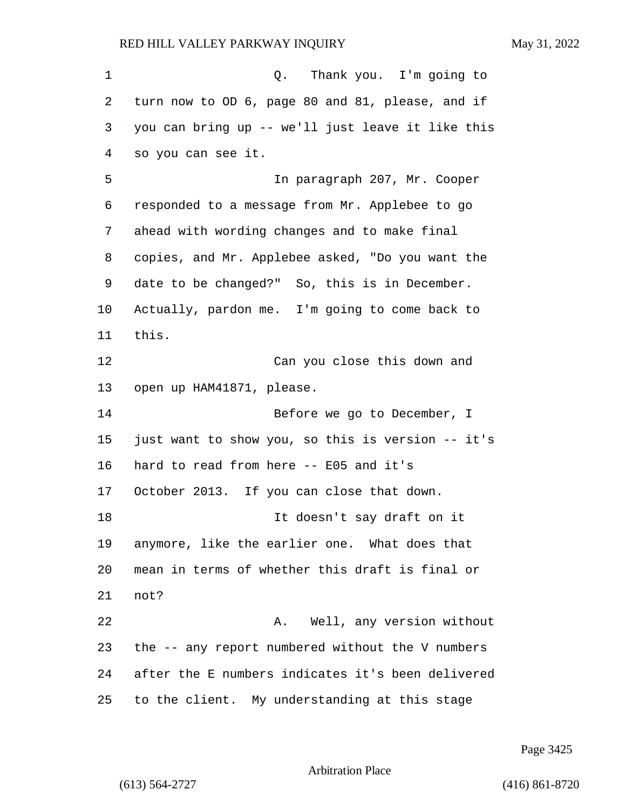1 C. Thank you. I'm going to turn now to OD 6, page 80 and 81, please, and if you can bring up -- we'll just leave it like this so you can see it. 5 In paragraph 207, Mr. Cooper responded to a message from Mr. Applebee to go ahead with wording changes and to make final copies, and Mr. Applebee asked, "Do you want the date to be changed?" So, this is in December. Actually, pardon me. I'm going to come back to this. 12 Can you close this down and open up HAM41871, please. 14 Before we go to December, I just want to show you, so this is version -- it's hard to read from here -- E05 and it's October 2013. If you can close that down. 18 It doesn't say draft on it anymore, like the earlier one. What does that mean in terms of whether this draft is final or not? 22 A. Well, any version without the -- any report numbered without the V numbers after the E numbers indicates it's been delivered to the client. My understanding at this stage

Page 3425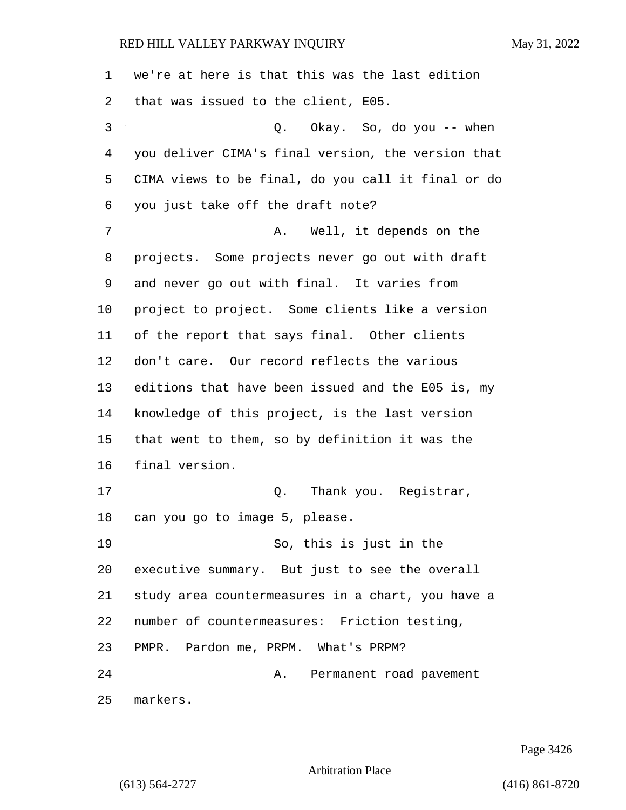we're at here is that this was the last edition that was issued to the client, E05. 3 Q. Okay. So, do you -- when you deliver CIMA's final version, the version that CIMA views to be final, do you call it final or do you just take off the draft note? 7 A. Well, it depends on the projects. Some projects never go out with draft and never go out with final. It varies from project to project. Some clients like a version of the report that says final. Other clients don't care. Our record reflects the various editions that have been issued and the E05 is, my knowledge of this project, is the last version that went to them, so by definition it was the final version. 17 and 0. Thank you. Reqistrar, can you go to image 5, please. 19 So, this is just in the executive summary. But just to see the overall study area countermeasures in a chart, you have a number of countermeasures: Friction testing, PMPR. Pardon me, PRPM. What's PRPM? 24 A. Permanent road pavement markers.

Page 3426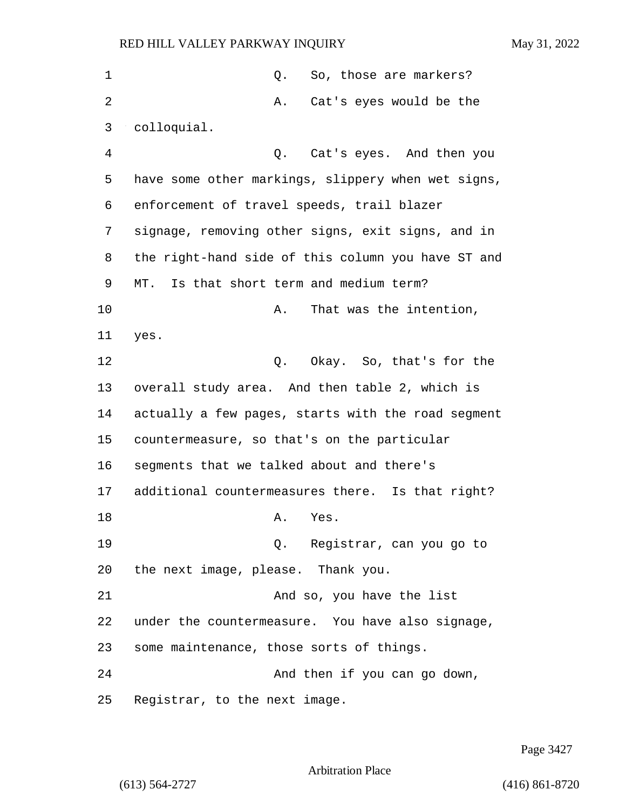| 1  | So, those are markers?<br>Q.                       |
|----|----------------------------------------------------|
| 2  | Cat's eyes would be the<br>Α.                      |
| 3  | colloquial.                                        |
| 4  | Cat's eyes. And then you<br>Q.                     |
| 5  | have some other markings, slippery when wet signs, |
| 6  | enforcement of travel speeds, trail blazer         |
| 7  | signage, removing other signs, exit signs, and in  |
| 8  | the right-hand side of this column you have ST and |
| 9  | MT. Is that short term and medium term?            |
| 10 | That was the intention,<br>Α.                      |
| 11 | yes.                                               |
| 12 | Q. Okay. So, that's for the                        |
| 13 | overall study area. And then table 2, which is     |
| 14 | actually a few pages, starts with the road segment |
| 15 | countermeasure, so that's on the particular        |
| 16 | segments that we talked about and there's          |
| 17 | additional countermeasures there. Is that right?   |
| 18 | Yes.<br>Α.                                         |
| 19 | Q. Registrar, can you go to                        |
| 20 | the next image, please. Thank you.                 |
| 21 | And so, you have the list                          |
| 22 | under the countermeasure. You have also signage,   |
| 23 | some maintenance, those sorts of things.           |
| 24 | And then if you can go down,                       |
| 25 | Registrar, to the next image.                      |

Page 3427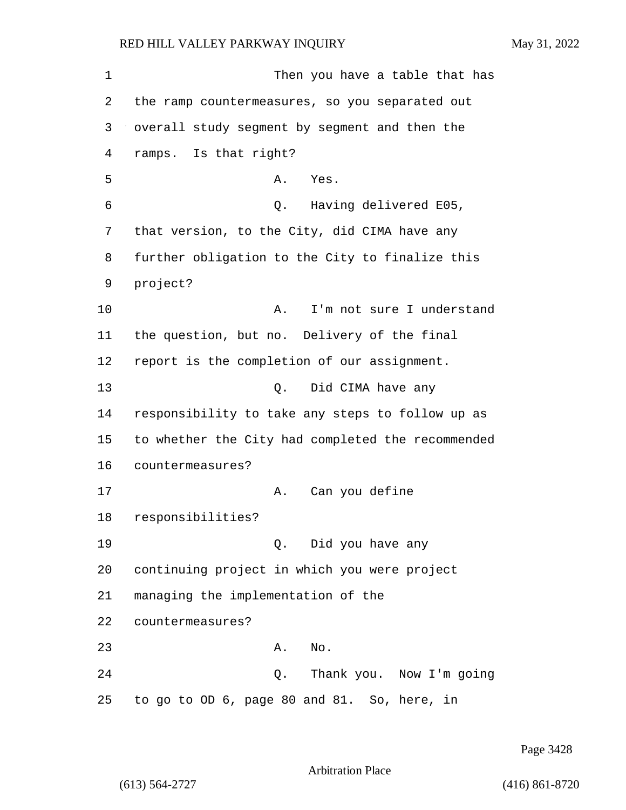1 Then you have a table that has 2 the ramp countermeasures, so you separated out 3 overall study segment by segment and then the 4 ramps. Is that right? 5 A. Yes. 6 Q. Having delivered E05, 7 that version, to the City, did CIMA have any 8 further obligation to the City to finalize this 9 project? 10 A. I'm not sure I understand 11 the question, but no. Delivery of the final 12 report is the completion of our assignment. 13 Q. Did CIMA have any 14 responsibility to take any steps to follow up as 15 to whether the City had completed the recommended 16 countermeasures? 17 A. Can you define 18 responsibilities? 19 Q. Did you have any 20 continuing project in which you were project 21 managing the implementation of the 22 countermeasures? 23 A. No. 24 Q. Thank you. Now I'm going 25 to go to OD 6, page 80 and 81. So, here, in

Page 3428

Arbitration Place

(613) 564-2727 (416) 861-8720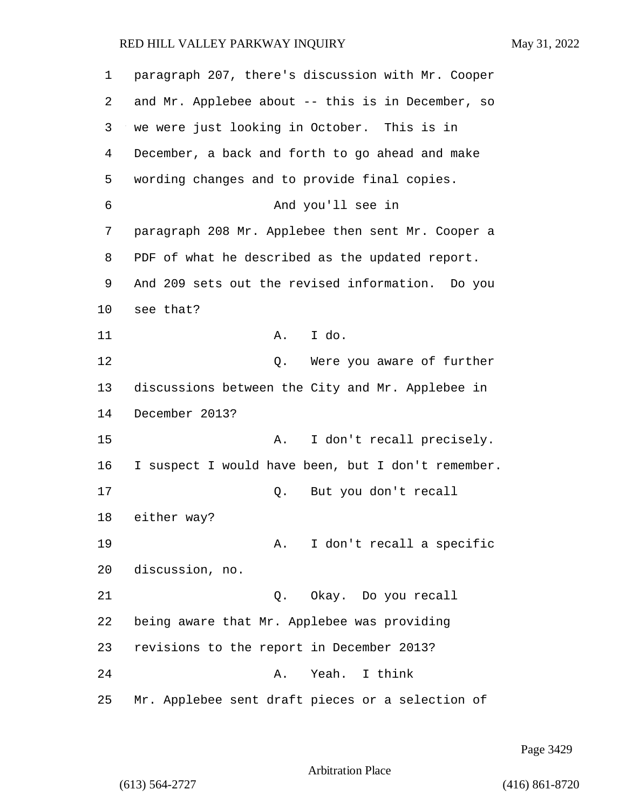| 1  | paragraph 207, there's discussion with Mr. Cooper  |
|----|----------------------------------------------------|
| 2  | and Mr. Applebee about -- this is in December, so  |
| 3  | we were just looking in October. This is in        |
| 4  | December, a back and forth to go ahead and make    |
| 5  | wording changes and to provide final copies.       |
| 6  | And you'll see in                                  |
| 7  | paragraph 208 Mr. Applebee then sent Mr. Cooper a  |
| 8  | PDF of what he described as the updated report.    |
| 9  | And 209 sets out the revised information. Do you   |
| 10 | see that?                                          |
| 11 | A. I do.                                           |
| 12 | Were you aware of further<br>Q.                    |
| 13 | discussions between the City and Mr. Applebee in   |
| 14 | December 2013?                                     |
| 15 | I don't recall precisely.<br>Α.                    |
| 16 | I suspect I would have been, but I don't remember. |
| 17 | But you don't recall<br>Q.                         |
| 18 | either way?                                        |
| 19 | I don't recall a specific<br>A.                    |
| 20 | discussion, no.                                    |
| 21 | Okay. Do you recall<br>Q.                          |
| 22 | being aware that Mr. Applebee was providing        |
| 23 | revisions to the report in December 2013?          |
| 24 | Yeah. I think<br>Α.                                |
| 25 | Mr. Applebee sent draft pieces or a selection of   |

Page 3429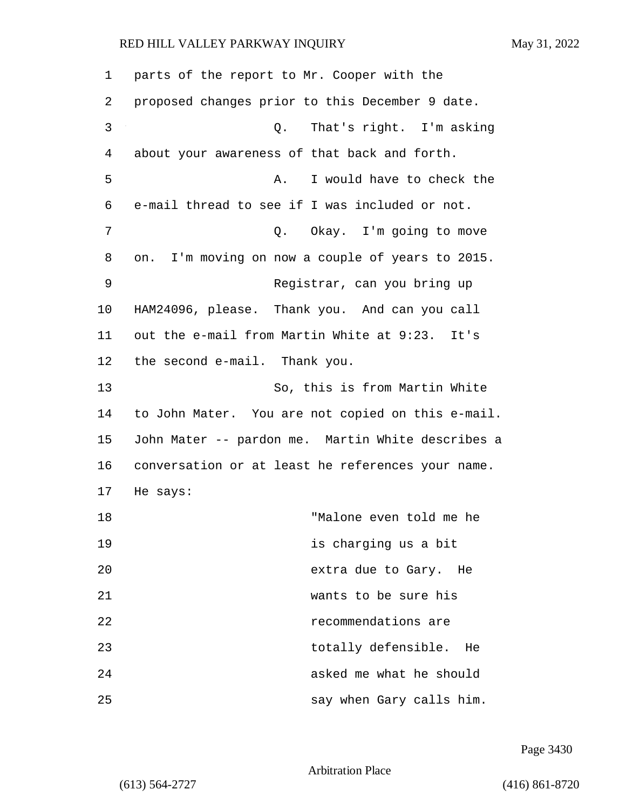| 1  | parts of the report to Mr. Cooper with the        |
|----|---------------------------------------------------|
| 2  | proposed changes prior to this December 9 date.   |
| 3  | That's right. I'm asking<br>Q.                    |
| 4  | about your awareness of that back and forth.      |
| 5  | I would have to check the<br>Α.                   |
| 6  | e-mail thread to see if I was included or not.    |
| 7  | Q. Okay. I'm going to move                        |
| 8  | on. I'm moving on now a couple of years to 2015.  |
| 9  | Registrar, can you bring up                       |
| 10 | HAM24096, please. Thank you. And can you call     |
| 11 | out the e-mail from Martin White at 9:23. It's    |
| 12 | the second e-mail. Thank you.                     |
| 13 | So, this is from Martin White                     |
| 14 | to John Mater. You are not copied on this e-mail. |
| 15 | John Mater -- pardon me. Martin White describes a |
| 16 | conversation or at least he references your name. |
| 17 | He says:                                          |
| 18 | "Malone even told me he                           |
| 19 | is charging us a bit                              |
| 20 | extra due to Gary. He                             |
| 21 | wants to be sure his                              |
| 22 | recommendations are                               |
| 23 | totally defensible.<br>He                         |
| 24 | asked me what he should                           |
| 25 | say when Gary calls him.                          |

Page 3430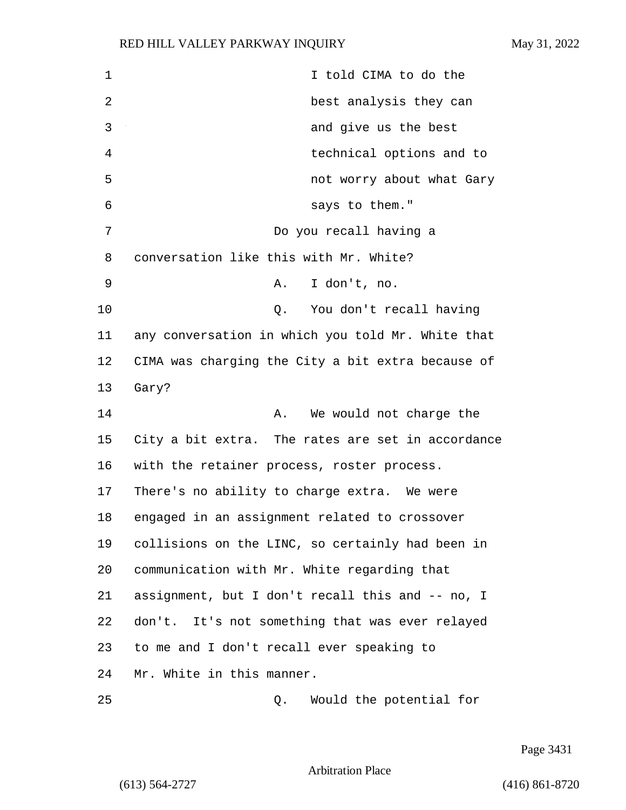1 I told CIMA to do the 2 best analysis they can 3 and give us the best 4 technical options and to 5 not worry about what Gary 6 says to them." 7 Do you recall having a 8 conversation like this with Mr. White? 9 A. I don't, no. 10 Q. You don't recall having 11 any conversation in which you told Mr. White that 12 CIMA was charging the City a bit extra because of 13 Gary? 14 A. We would not charge the 15 City a bit extra. The rates are set in accordance 16 with the retainer process, roster process. 17 There's no ability to charge extra. We were 18 engaged in an assignment related to crossover 19 collisions on the LINC, so certainly had been in 20 communication with Mr. White regarding that 21 assignment, but I don't recall this and -- no, I 22 don't. It's not something that was ever relayed 23 to me and I don't recall ever speaking to 24 Mr. White in this manner. 25 Q. Would the potential for

Page 3431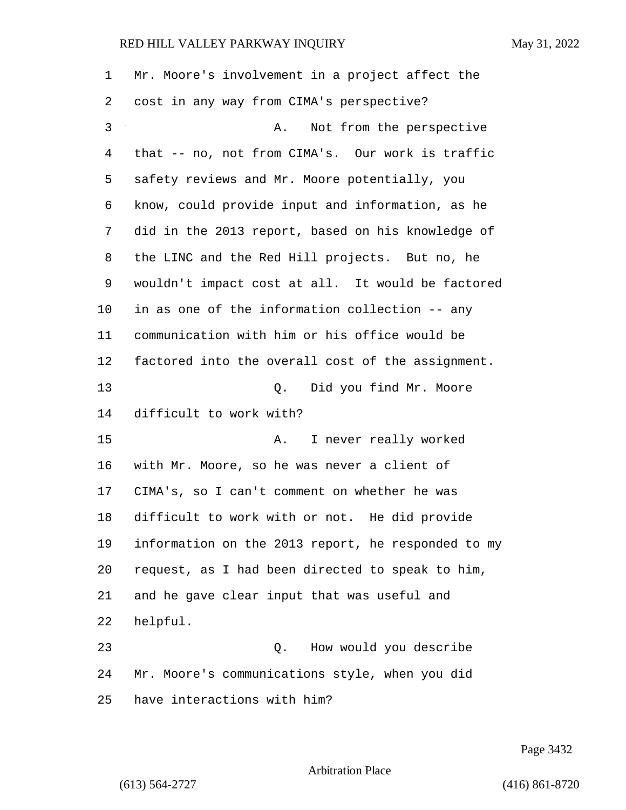| $\mathbf 1$    | Mr. Moore's involvement in a project affect the    |
|----------------|----------------------------------------------------|
| 2              | cost in any way from CIMA's perspective?           |
| $\mathfrak{Z}$ | Not from the perspective<br>Α.                     |
| 4              | that -- no, not from CIMA's. Our work is traffic   |
| 5              | safety reviews and Mr. Moore potentially, you      |
| 6              | know, could provide input and information, as he   |
| 7              | did in the 2013 report, based on his knowledge of  |
| 8              | the LINC and the Red Hill projects. But no, he     |
| 9              | wouldn't impact cost at all. It would be factored  |
| 10             | in as one of the information collection -- any     |
| 11             | communication with him or his office would be      |
| 12             | factored into the overall cost of the assignment.  |
| 13             | Did you find Mr. Moore<br>Q.                       |
| 14             | difficult to work with?                            |
| 15             | I never really worked<br>Α.                        |
| 16             | with Mr. Moore, so he was never a client of        |
| 17             | CIMA's, so I can't comment on whether he was       |
| 18             | difficult to work with or not. He did provide      |
| 19             | information on the 2013 report, he responded to my |
| 20             | request, as I had been directed to speak to him,   |
| 21             | and he gave clear input that was useful and        |
| 22             | helpful.                                           |
| 23             | How would you describe<br>Q.                       |
| 24             | Mr. Moore's communications style, when you did     |
| 25             | have interactions with him?                        |

Page 3432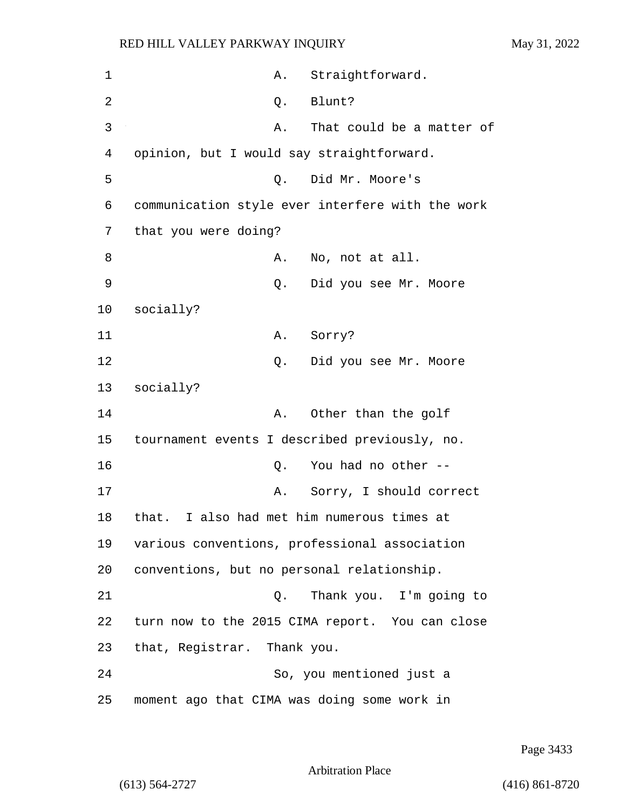1 A. Straightforward. 2 Q. Blunt? 3 A. That could be a matter of 4 opinion, but I would say straightforward. 5 Q. Did Mr. Moore's 6 communication style ever interfere with the work 7 that you were doing? 8 A. No, not at all. 9 Q. Did you see Mr. Moore 10 socially? 11 A. Sorry? 12 Q. Did you see Mr. Moore 13 socially? 14 A. Other than the golf 15 tournament events I described previously, no. 16 Q. You had no other -- 17 A. Sorry, I should correct 18 that. I also had met him numerous times at 19 various conventions, professional association 20 conventions, but no personal relationship. 21 Q. Thank you. I'm going to 22 turn now to the 2015 CIMA report. You can close 23 that, Registrar. Thank you. 24 So, you mentioned just a 25 moment ago that CIMA was doing some work in

Page 3433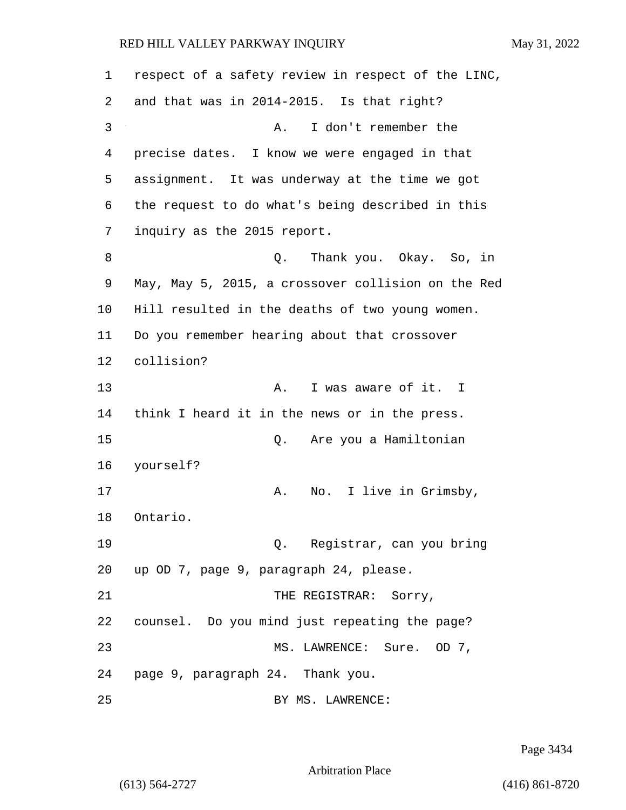| 1  | respect of a safety review in respect of the LINC, |
|----|----------------------------------------------------|
| 2  | and that was in 2014-2015. Is that right?          |
| 3  | I don't remember the<br>Α.                         |
| 4  | precise dates. I know we were engaged in that      |
| 5  | assignment. It was underway at the time we got     |
| 6  | the request to do what's being described in this   |
| 7  | inquiry as the 2015 report.                        |
| 8  | Thank you. Okay. So, in<br>Q.                      |
| 9  | May, May 5, 2015, a crossover collision on the Red |
| 10 | Hill resulted in the deaths of two young women.    |
| 11 | Do you remember hearing about that crossover       |
| 12 | collision?                                         |
| 13 | I was aware of it. I<br>Α.                         |
| 14 | think I heard it in the news or in the press.      |
| 15 | Are you a Hamiltonian<br>Q.                        |
| 16 | yourself?                                          |
| 17 | I live in Grimsby,<br>Α.<br>No.                    |
| 18 | Ontario.                                           |
| 19 | Q. Registrar, can you bring                        |
| 20 | up OD 7, page 9, paragraph 24, please.             |
| 21 | THE REGISTRAR: Sorry,                              |
| 22 | counsel. Do you mind just repeating the page?      |
| 23 | MS. LAWRENCE: Sure. OD 7,                          |
| 24 | page 9, paragraph 24. Thank you.                   |
| 25 | BY MS. LAWRENCE:                                   |

Page 3434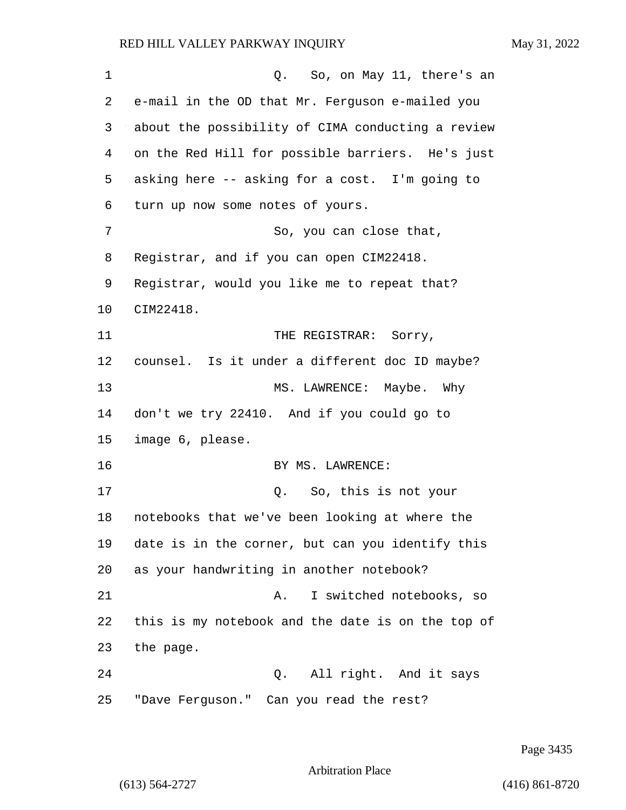| $\mathbf 1$ | So, on May 11, there's an<br>$Q$ .                |
|-------------|---------------------------------------------------|
| 2           | e-mail in the OD that Mr. Ferguson e-mailed you   |
| 3           | about the possibility of CIMA conducting a review |
| 4           | on the Red Hill for possible barriers. He's just  |
| 5           | asking here -- asking for a cost. I'm going to    |
| 6           | turn up now some notes of yours.                  |
| 7           | So, you can close that,                           |
| 8           | Registrar, and if you can open CIM22418.          |
| 9           | Registrar, would you like me to repeat that?      |
| 10          | CIM22418.                                         |
| 11          | THE REGISTRAR: Sorry,                             |
| 12          | counsel. Is it under a different doc ID maybe?    |
| 13          | MS. LAWRENCE: Maybe. Why                          |
| 14          | don't we try 22410. And if you could go to        |
| 15          | image 6, please.                                  |
| 16          | BY MS. LAWRENCE:                                  |
| 17          | So, this is not your<br>Q.                        |
| 18          | notebooks that we've been looking at where the    |
| 19          | date is in the corner, but can you identify this  |
| 20          | as your handwriting in another notebook?          |
| 21          | I switched notebooks, so<br>Α.                    |
| 22          | this is my notebook and the date is on the top of |
| 23          | the page.                                         |
| 24          | Q. All right. And it says                         |
| 25          | "Dave Ferguson." Can you read the rest?           |

Page 3435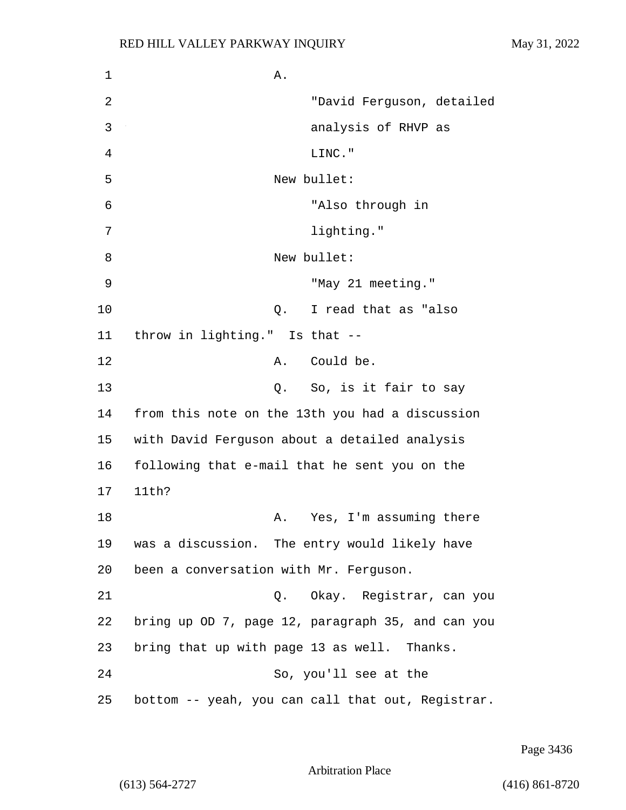$1$  A. 2 "David Ferguson, detailed 3 analysis of RHVP as 4 LINC." 5 New bullet: 6 "Also through in 7 lighting." 8 New bullet: 9 "May 21 meeting." 10 Q. I read that as "also 11 throw in lighting." Is that -- 12 A. Could be. 13 Q. So, is it fair to say 14 from this note on the 13th you had a discussion 15 with David Ferguson about a detailed analysis 16 following that e-mail that he sent you on the 17 11th? 18 A. Yes, I'm assuming there 19 was a discussion. The entry would likely have 20 been a conversation with Mr. Ferguson. 21 Q. Okay. Registrar, can you 22 bring up OD 7, page 12, paragraph 35, and can you 23 bring that up with page 13 as well. Thanks. 24 So, you'll see at the 25 bottom -- yeah, you can call that out, Registrar.

Page 3436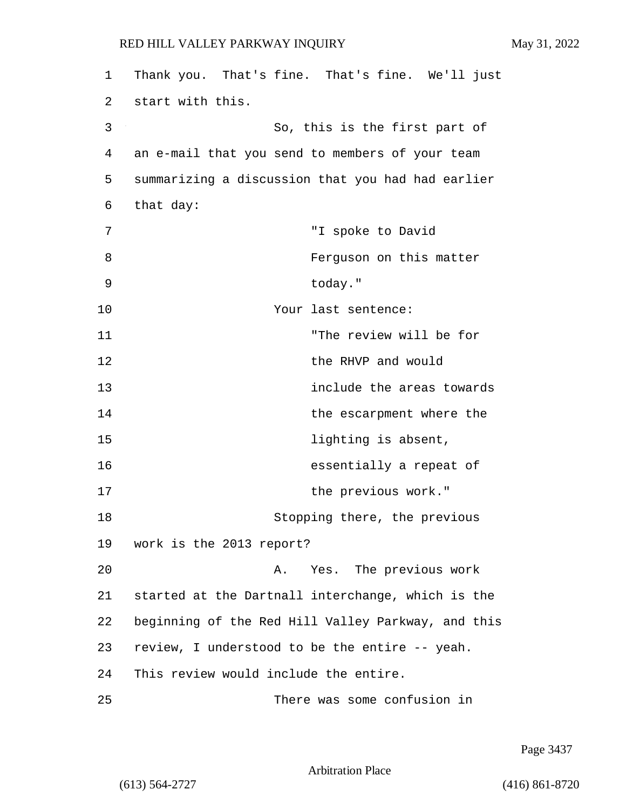| 1  | Thank you. That's fine. That's fine. We'll just    |
|----|----------------------------------------------------|
| 2  | start with this.                                   |
| 3  | So, this is the first part of                      |
| 4  | an e-mail that you send to members of your team    |
| 5  | summarizing a discussion that you had had earlier  |
| 6  | that day:                                          |
| 7  | "I spoke to David                                  |
| 8  | Ferguson on this matter                            |
| 9  | today."                                            |
| 10 | Your last sentence:                                |
| 11 | "The review will be for                            |
| 12 | the RHVP and would                                 |
| 13 | include the areas towards                          |
| 14 | the escarpment where the                           |
| 15 | lighting is absent,                                |
| 16 | essentially a repeat of                            |
| 17 | the previous work."                                |
| 18 | Stopping there, the previous                       |
| 19 | work is the 2013 report?                           |
| 20 | Yes. The previous work<br>Α.                       |
| 21 | started at the Dartnall interchange, which is the  |
| 22 | beginning of the Red Hill Valley Parkway, and this |
| 23 | review, I understood to be the entire -- yeah.     |
| 24 | This review would include the entire.              |
| 25 | There was some confusion in                        |

Page 3437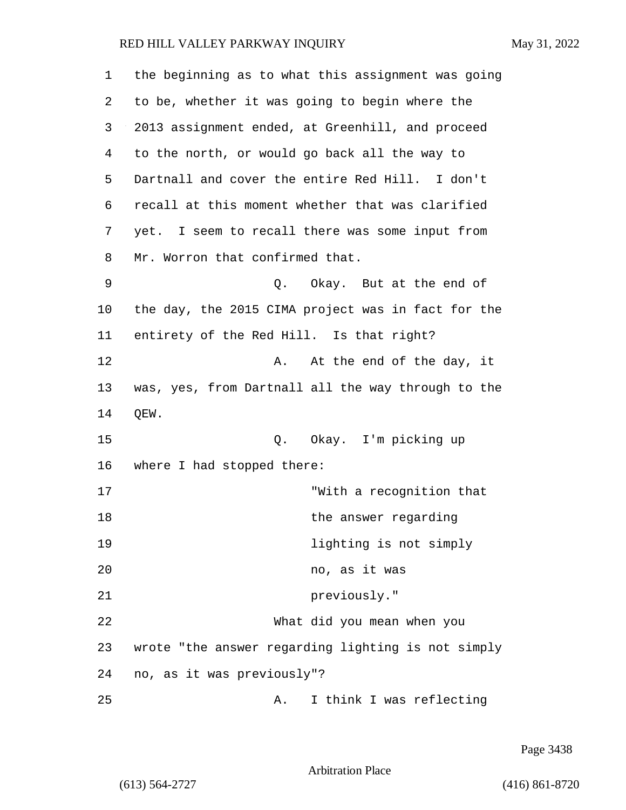| 1  | the beginning as to what this assignment was going |
|----|----------------------------------------------------|
| 2  | to be, whether it was going to begin where the     |
| 3  | 2013 assignment ended, at Greenhill, and proceed   |
| 4  | to the north, or would go back all the way to      |
| 5  | Dartnall and cover the entire Red Hill. I don't    |
| 6  | recall at this moment whether that was clarified   |
| 7  | yet. I seem to recall there was some input from    |
| 8  | Mr. Worron that confirmed that.                    |
| 9  | Q. Okay. But at the end of                         |
| 10 | the day, the 2015 CIMA project was in fact for the |
| 11 | entirety of the Red Hill. Is that right?           |
| 12 | At the end of the day, it<br>Α.                    |
| 13 | was, yes, from Dartnall all the way through to the |
| 14 | QEW.                                               |
| 15 | Q. Okay. I'm picking up                            |
| 16 | where I had stopped there:                         |
| 17 | "With a recognition that                           |
| 18 | the answer regarding                               |
| 19 | lighting is not simply                             |
| 20 | no, as it was                                      |
| 21 | previously."                                       |
| 22 | What did you mean when you                         |
| 23 | wrote "the answer regarding lighting is not simply |
| 24 | no, as it was previously"?                         |
| 25 | A. I think I was reflecting                        |

Page 3438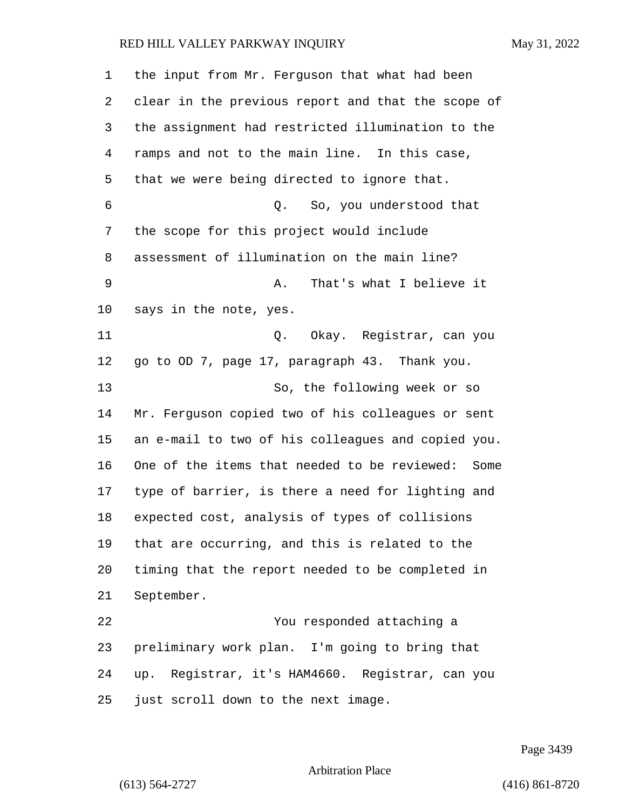| $\mathbf 1$ | the input from Mr. Ferguson that what had been     |
|-------------|----------------------------------------------------|
| 2           | clear in the previous report and that the scope of |
| 3           | the assignment had restricted illumination to the  |
| 4           | ramps and not to the main line. In this case,      |
| 5           | that we were being directed to ignore that.        |
| 6           | Q. So, you understood that                         |
| 7           | the scope for this project would include           |
| 8           | assessment of illumination on the main line?       |
| 9           | That's what I believe it<br>Α.                     |
| 10          | says in the note, yes.                             |
| 11          | Q. Okay. Registrar, can you                        |
| 12          | go to OD 7, page 17, paragraph 43. Thank you.      |
| 13          | So, the following week or so                       |
| 14          | Mr. Ferguson copied two of his colleagues or sent  |
| 15          | an e-mail to two of his colleagues and copied you. |
| 16          | One of the items that needed to be reviewed: Some  |
| 17          | type of barrier, is there a need for lighting and  |
| 18          | expected cost, analysis of types of collisions     |
| 19          | that are occurring, and this is related to the     |
| 20          | timing that the report needed to be completed in   |
| 21          | September.                                         |
| 22          | You responded attaching a                          |
| 23          | preliminary work plan. I'm going to bring that     |
| 24          | up. Registrar, it's HAM4660. Registrar, can you    |
| 25          | just scroll down to the next image.                |

Page 3439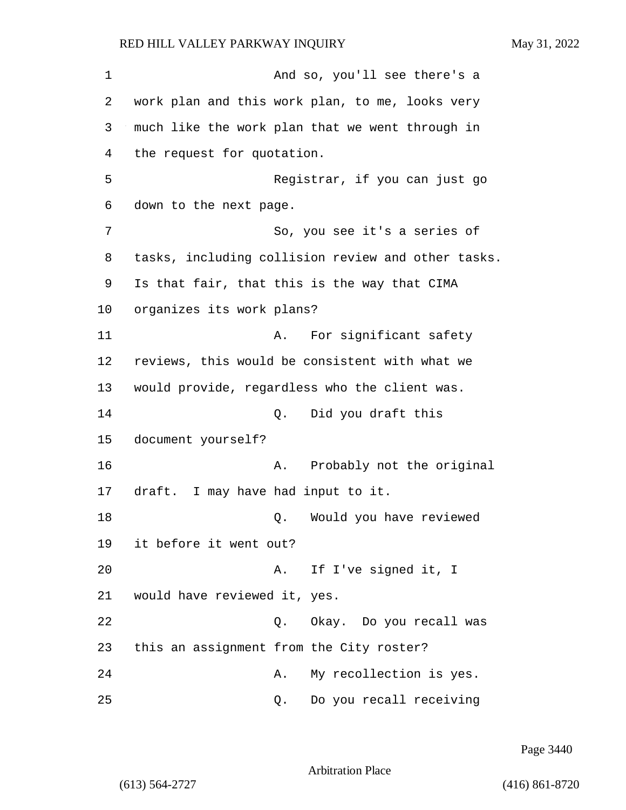1 And so, you'll see there's a 2 work plan and this work plan, to me, looks very 3 much like the work plan that we went through in 4 the request for quotation. 5 Registrar, if you can just go 6 down to the next page. 7 So, you see it's a series of 8 tasks, including collision review and other tasks. 9 Is that fair, that this is the way that CIMA 10 organizes its work plans? 11 A. For significant safety 12 reviews, this would be consistent with what we 13 would provide, regardless who the client was. 14 Q. Did you draft this 15 document yourself? 16 **A.** Probably not the original 17 draft. I may have had input to it. 18 Q. Would you have reviewed 19 it before it went out? 20 A. If I've signed it, I 21 would have reviewed it, yes. 22 Q. Okay. Do you recall was 23 this an assignment from the City roster? 24 A. My recollection is yes. 25 Q. Do you recall receiving

Page 3440

Arbitration Place

(613) 564-2727 (416) 861-8720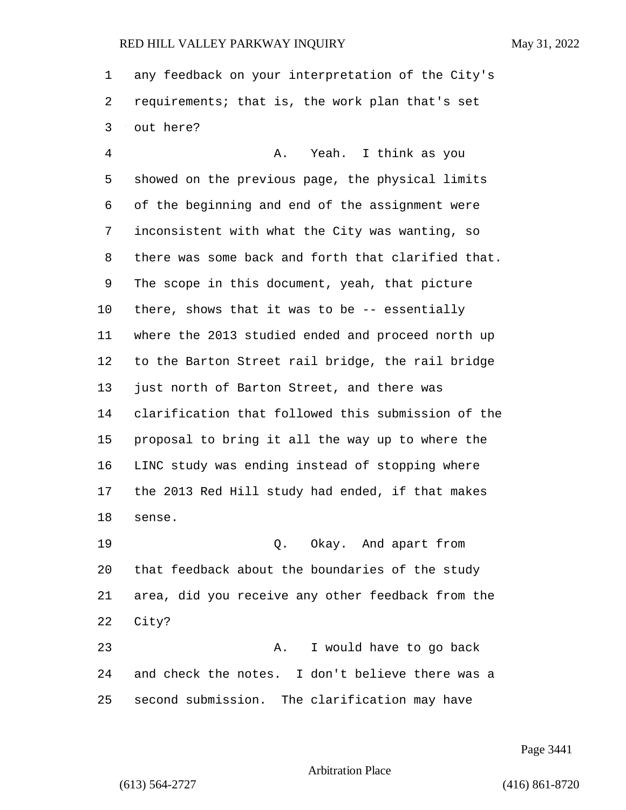any feedback on your interpretation of the City's requirements; that is, the work plan that's set out here?

4 A. Yeah. I think as you showed on the previous page, the physical limits of the beginning and end of the assignment were inconsistent with what the City was wanting, so there was some back and forth that clarified that. The scope in this document, yeah, that picture there, shows that it was to be -- essentially where the 2013 studied ended and proceed north up to the Barton Street rail bridge, the rail bridge just north of Barton Street, and there was clarification that followed this submission of the proposal to bring it all the way up to where the LINC study was ending instead of stopping where the 2013 Red Hill study had ended, if that makes sense.

19 Q. Okay. And apart from that feedback about the boundaries of the study area, did you receive any other feedback from the City?

23 A. I would have to go back and check the notes. I don't believe there was a second submission. The clarification may have

Page 3441

Arbitration Place

(613) 564-2727 (416) 861-8720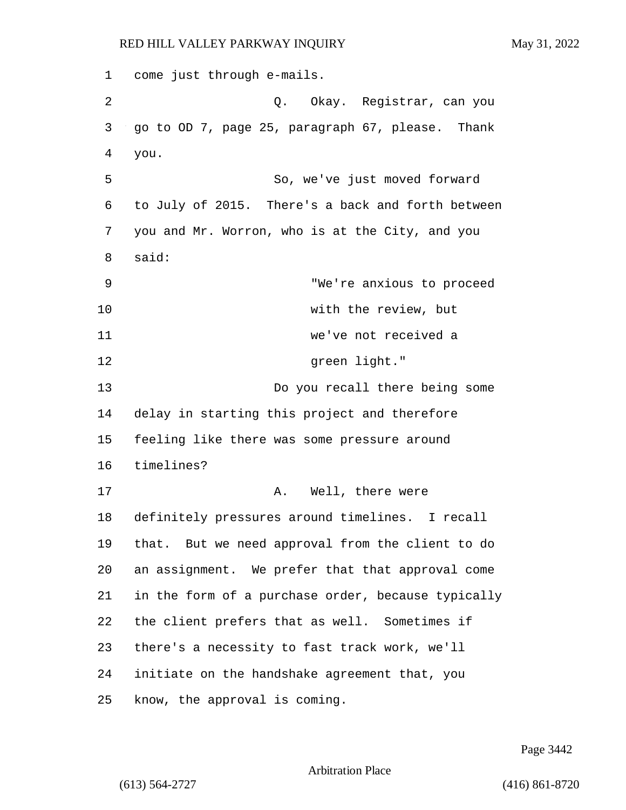1 come just through e-mails. 2 Q. Okay. Registrar, can you 3 go to OD 7, page 25, paragraph 67, please. Thank 4 you. 5 So, we've just moved forward 6 to July of 2015. There's a back and forth between 7 you and Mr. Worron, who is at the City, and you 8 said: 9 "We're anxious to proceed 10 with the review, but 11 we've not received a 12 Green light." 13 Do you recall there being some 14 delay in starting this project and therefore 15 feeling like there was some pressure around 16 timelines? 17 A. Well, there were 18 definitely pressures around timelines. I recall 19 that. But we need approval from the client to do 20 an assignment. We prefer that that approval come 21 in the form of a purchase order, because typically 22 the client prefers that as well. Sometimes if 23 there's a necessity to fast track work, we'll 24 initiate on the handshake agreement that, you 25 know, the approval is coming.

Page 3442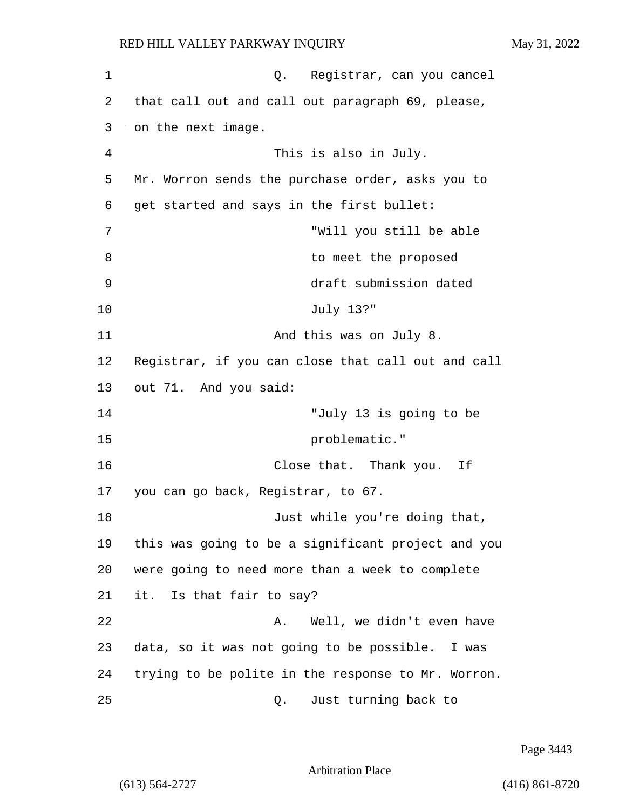| 1  | Registrar, can you cancel<br>Q.                    |
|----|----------------------------------------------------|
| 2  | that call out and call out paragraph 69, please,   |
| 3  | on the next image.                                 |
| 4  | This is also in July.                              |
| 5  | Mr. Worron sends the purchase order, asks you to   |
| 6  | get started and says in the first bullet:          |
| 7  | "Will you still be able                            |
| 8  | to meet the proposed                               |
| 9  | draft submission dated                             |
| 10 | July 13?"                                          |
| 11 | And this was on July 8.                            |
| 12 | Registrar, if you can close that call out and call |
| 13 | out 71. And you said:                              |
| 14 | "July 13 is going to be                            |
| 15 | problematic."                                      |
| 16 | Close that. Thank you.<br>Ιf                       |
| 17 | you can go back, Registrar, to 67.                 |
| 18 | Just while you're doing that,                      |
| 19 | this was going to be a significant project and you |
| 20 | were going to need more than a week to complete    |
| 21 | it. Is that fair to say?                           |
| 22 | Well, we didn't even have<br>Α.                    |
| 23 | data, so it was not going to be possible. I was    |
| 24 | trying to be polite in the response to Mr. Worron. |
| 25 | Just turning back to<br>Q.                         |

Page 3443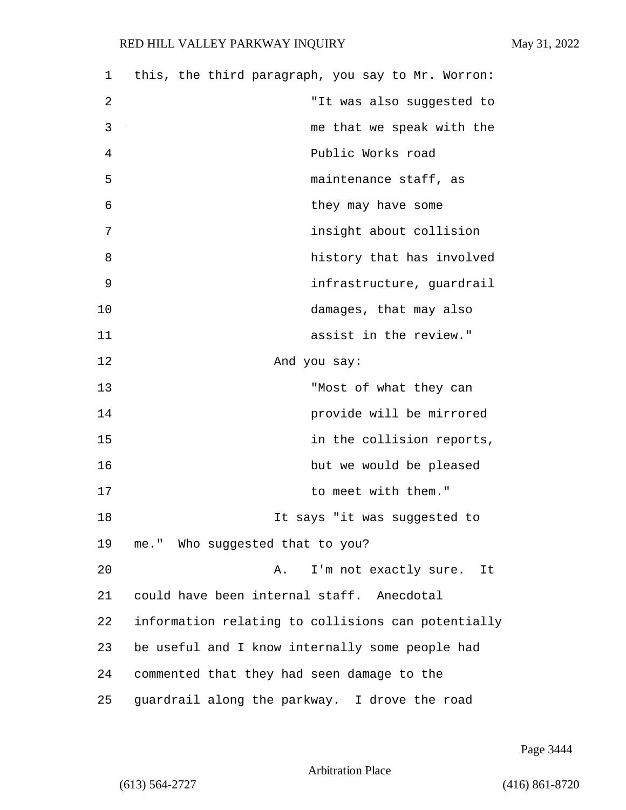| 1  | this, the third paragraph, you say to Mr. Worron:  |
|----|----------------------------------------------------|
| 2  | "It was also suggested to                          |
| 3  | me that we speak with the                          |
| 4  | Public Works road                                  |
| 5  | maintenance staff, as                              |
| 6  | they may have some                                 |
| 7  | insight about collision                            |
| 8  | history that has involved                          |
| 9  | infrastructure, guardrail                          |
| 10 | damages, that may also                             |
| 11 | assist in the review."                             |
| 12 | And you say:                                       |
| 13 | "Most of what they can                             |
| 14 | provide will be mirrored                           |
| 15 | in the collision reports,                          |
| 16 | but we would be pleased                            |
| 17 | to meet with them."                                |
| 18 | It says "it was suggested to                       |
| 19 | me." Who suggested that to you?                    |
| 20 | I'm not exactly sure. It<br>Α.                     |
| 21 | could have been internal staff. Anecdotal          |
| 22 | information relating to collisions can potentially |
| 23 | be useful and I know internally some people had    |
| 24 | commented that they had seen damage to the         |
| 25 | guardrail along the parkway. I drove the road      |

Page 3444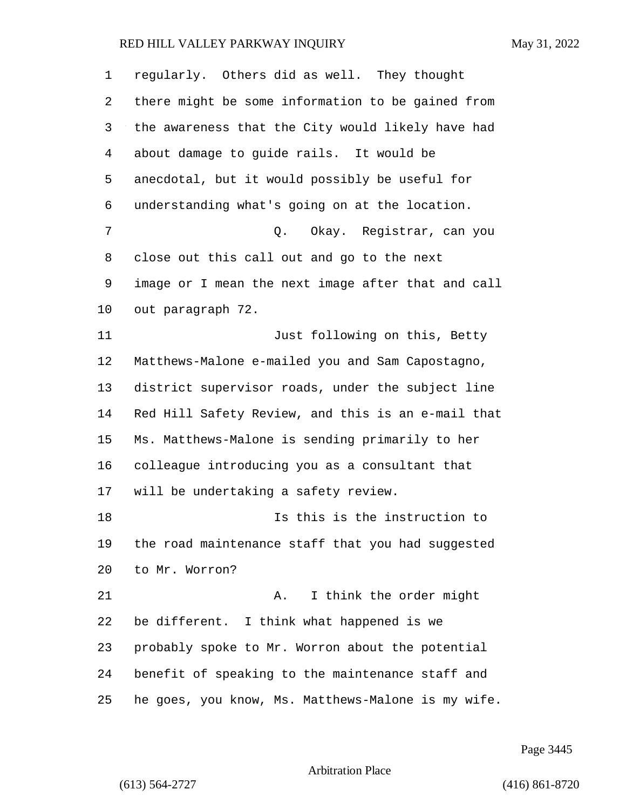| 1  | regularly. Others did as well. They thought        |
|----|----------------------------------------------------|
| 2  | there might be some information to be gained from  |
| 3  | the awareness that the City would likely have had  |
| 4  | about damage to guide rails. It would be           |
| 5  | anecdotal, but it would possibly be useful for     |
| 6  | understanding what's going on at the location.     |
| 7  | Okay. Registrar, can you<br>Q.                     |
| 8  | close out this call out and go to the next         |
| 9  | image or I mean the next image after that and call |
| 10 | out paragraph 72.                                  |
| 11 | Just following on this, Betty                      |
| 12 | Matthews-Malone e-mailed you and Sam Capostagno,   |
| 13 | district supervisor roads, under the subject line  |
| 14 | Red Hill Safety Review, and this is an e-mail that |
| 15 | Ms. Matthews-Malone is sending primarily to her    |
| 16 | colleague introducing you as a consultant that     |
| 17 | will be undertaking a safety review.               |
| 18 | Is this is the instruction to                      |
| 19 | the road maintenance staff that you had suggested  |
| 20 | to Mr. Worron?                                     |
| 21 | I think the order might<br>Α.                      |
| 22 | be different. I think what happened is we          |
| 23 | probably spoke to Mr. Worron about the potential   |
| 24 | benefit of speaking to the maintenance staff and   |
| 25 | he goes, you know, Ms. Matthews-Malone is my wife. |

Page 3445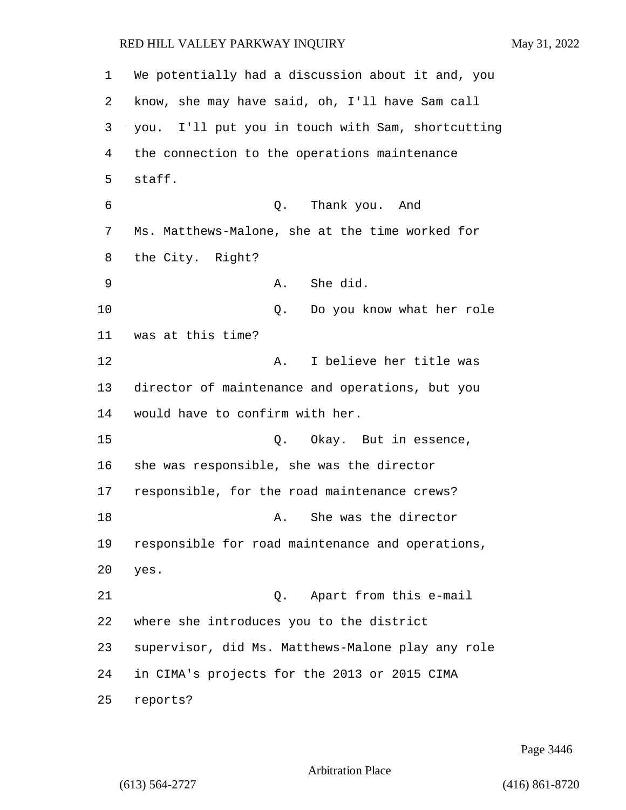We potentially had a discussion about it and, you know, she may have said, oh, I'll have Sam call you. I'll put you in touch with Sam, shortcutting the connection to the operations maintenance staff. 6 Q. Thank you. And Ms. Matthews-Malone, she at the time worked for the City. Right? 9 A. She did. 10 Q. Do you know what her role was at this time? 12 A. I believe her title was director of maintenance and operations, but you would have to confirm with her. 15 0. Okay. But in essence, she was responsible, she was the director responsible, for the road maintenance crews? 18 A. She was the director responsible for road maintenance and operations, yes. 21 Q. Apart from this e-mail where she introduces you to the district supervisor, did Ms. Matthews-Malone play any role in CIMA's projects for the 2013 or 2015 CIMA reports?

Page 3446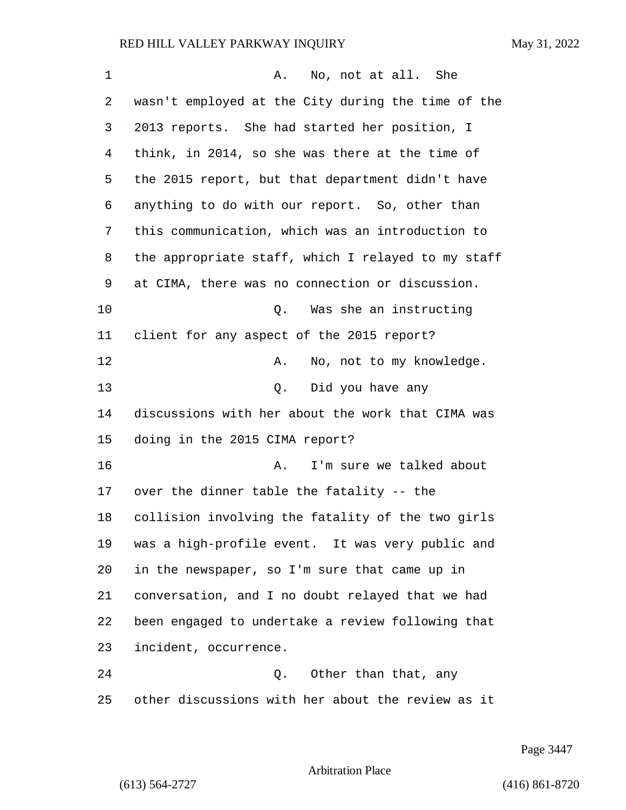| 1  | No, not at all. She<br>Α.                          |
|----|----------------------------------------------------|
| 2  | wasn't employed at the City during the time of the |
| 3  | 2013 reports. She had started her position, I      |
| 4  | think, in 2014, so she was there at the time of    |
| 5  | the 2015 report, but that department didn't have   |
| 6  | anything to do with our report. So, other than     |
| 7  | this communication, which was an introduction to   |
| 8  | the appropriate staff, which I relayed to my staff |
| 9  | at CIMA, there was no connection or discussion.    |
| 10 | Was she an instructing<br>Q.                       |
| 11 | client for any aspect of the 2015 report?          |
| 12 | No, not to my knowledge.<br>Α.                     |
| 13 | Did you have any<br>Q.                             |
| 14 | discussions with her about the work that CIMA was  |
| 15 | doing in the 2015 CIMA report?                     |
| 16 | I'm sure we talked about<br>Α.                     |
| 17 | over the dinner table the fatality -- the          |
| 18 | collision involving the fatality of the two girls  |
| 19 | was a high-profile event. It was very public and   |
| 20 | in the newspaper, so I'm sure that came up in      |
| 21 | conversation, and I no doubt relayed that we had   |
| 22 | been engaged to undertake a review following that  |
| 23 | incident, occurrence.                              |
| 24 | Other than that, any<br>Q.                         |
| 25 | other discussions with her about the review as it  |

Page 3447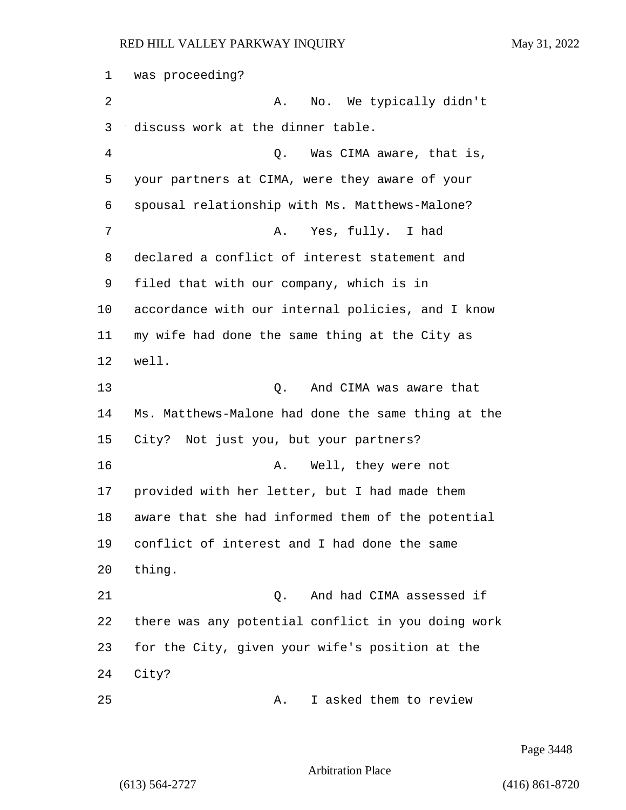was proceeding? 2 A. No. We typically didn't discuss work at the dinner table. 4 Q. Was CIMA aware, that is, your partners at CIMA, were they aware of your spousal relationship with Ms. Matthews-Malone? 7 A. Yes, fully. I had declared a conflict of interest statement and filed that with our company, which is in accordance with our internal policies, and I know my wife had done the same thing at the City as well. 13 C. And CIMA was aware that Ms. Matthews-Malone had done the same thing at the City? Not just you, but your partners? 16 A. Well, they were not provided with her letter, but I had made them aware that she had informed them of the potential conflict of interest and I had done the same thing. 21 Q. And had CIMA assessed if there was any potential conflict in you doing work for the City, given your wife's position at the City? 25 A. I asked them to review

Page 3448

Arbitration Place

(613) 564-2727 (416) 861-8720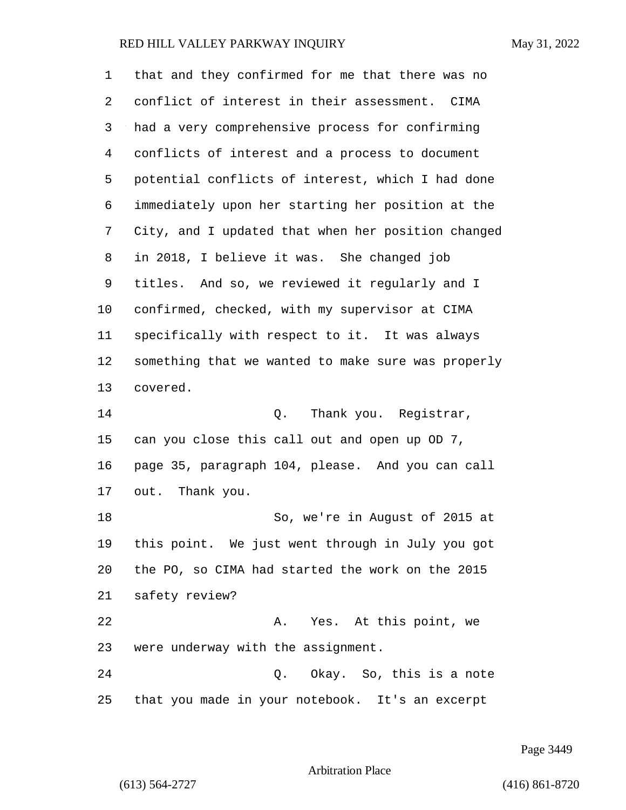| 1  | that and they confirmed for me that there was no   |
|----|----------------------------------------------------|
| 2  | conflict of interest in their assessment. CIMA     |
| 3  | had a very comprehensive process for confirming    |
| 4  | conflicts of interest and a process to document    |
| 5  | potential conflicts of interest, which I had done  |
| 6  | immediately upon her starting her position at the  |
| 7  | City, and I updated that when her position changed |
| 8  | in 2018, I believe it was. She changed job         |
| 9  | titles. And so, we reviewed it regularly and I     |
| 10 | confirmed, checked, with my supervisor at CIMA     |
| 11 | specifically with respect to it. It was always     |
| 12 | something that we wanted to make sure was properly |
| 13 | covered.                                           |
| 14 | Thank you. Registrar,<br>Q.                        |
| 15 | can you close this call out and open up OD 7,      |
| 16 | page 35, paragraph 104, please. And you can call   |
| 17 | out. Thank you.                                    |
| 18 | So, we're in August of 2015 at                     |
| 19 | this point. We just went through in July you got   |
| 20 | the PO, so CIMA had started the work on the 2015   |
| 21 | safety review?                                     |
| 22 | Yes. At this point, we<br>Α.                       |
| 23 | were underway with the assignment.                 |
| 24 | Q. Okay. So, this is a note                        |
| 25 | that you made in your notebook. It's an excerpt    |

Page 3449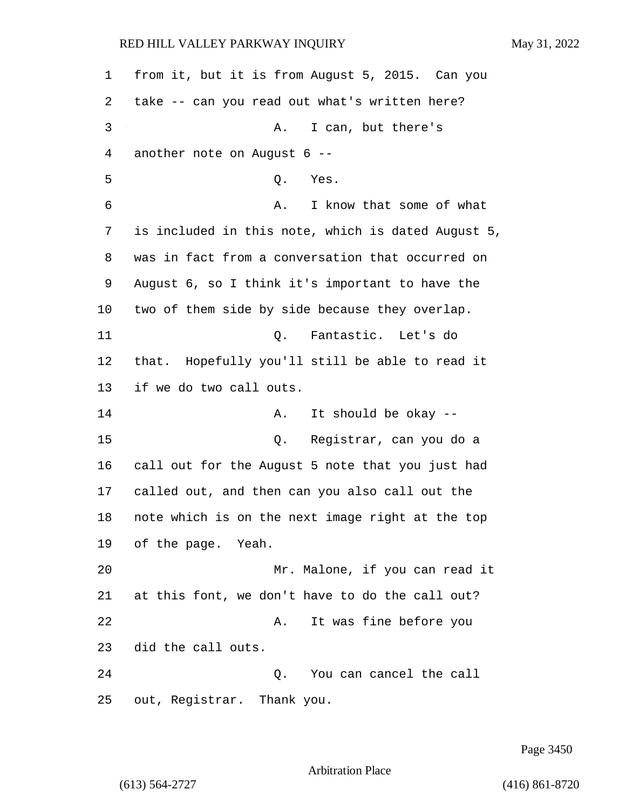from it, but it is from August 5, 2015. Can you take -- can you read out what's written here? 3 A. I can, but there's another note on August 6 -- 5 Q. Yes. 6 A. I know that some of what is included in this note, which is dated August 5, was in fact from a conversation that occurred on August 6, so I think it's important to have the two of them side by side because they overlap. 11 Q. Fantastic. Let's do that. Hopefully you'll still be able to read it if we do two call outs. 14 A. It should be okay --15 Q. Registrar, can you do a call out for the August 5 note that you just had called out, and then can you also call out the note which is on the next image right at the top of the page. Yeah. 20 Mr. Malone, if you can read it at this font, we don't have to do the call out? 22 A. It was fine before you did the call outs. 24 Q. You can cancel the call out, Registrar. Thank you.

Page 3450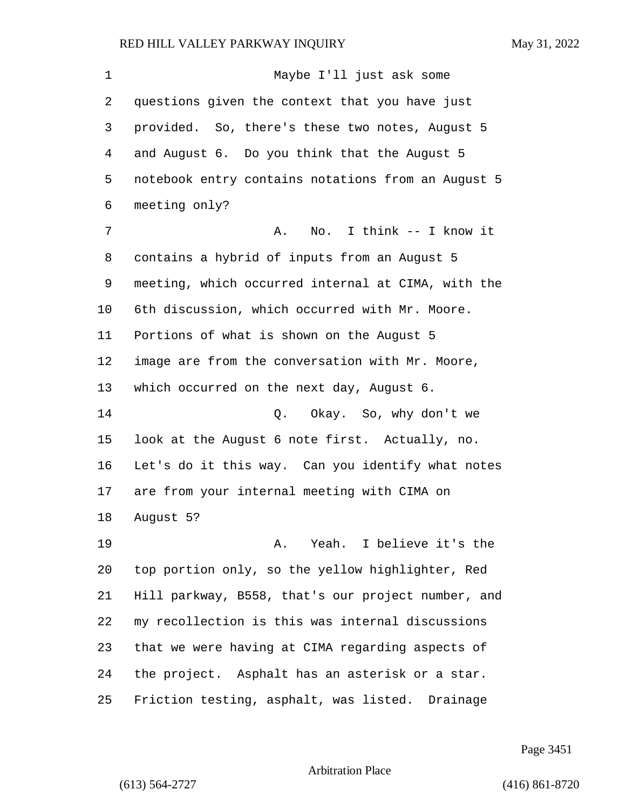1 Maybe I'll just ask some questions given the context that you have just provided. So, there's these two notes, August 5 and August 6. Do you think that the August 5 notebook entry contains notations from an August 5 meeting only? 7 A. No. I think -- I know it contains a hybrid of inputs from an August 5 meeting, which occurred internal at CIMA, with the 6th discussion, which occurred with Mr. Moore. Portions of what is shown on the August 5 image are from the conversation with Mr. Moore, which occurred on the next day, August 6. 14 Q. Okay. So, why don't we look at the August 6 note first. Actually, no. Let's do it this way. Can you identify what notes are from your internal meeting with CIMA on August 5? 19 A. Yeah. I believe it's the top portion only, so the yellow highlighter, Red Hill parkway, B558, that's our project number, and my recollection is this was internal discussions that we were having at CIMA regarding aspects of the project. Asphalt has an asterisk or a star. Friction testing, asphalt, was listed. Drainage

Page 3451

Arbitration Place

(613) 564-2727 (416) 861-8720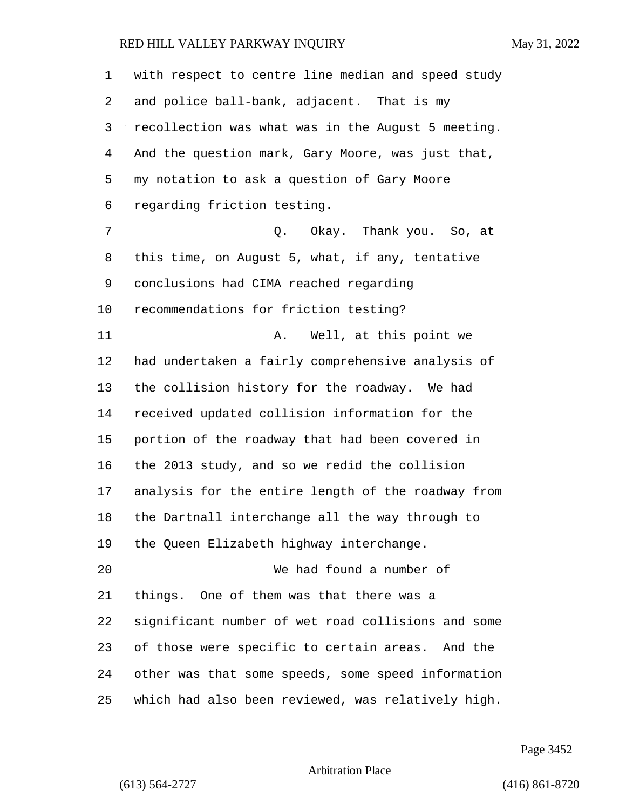with respect to centre line median and speed study and police ball-bank, adjacent. That is my recollection was what was in the August 5 meeting. And the question mark, Gary Moore, was just that, my notation to ask a question of Gary Moore regarding friction testing. 7 C. O. Okay. Thank you. So, at this time, on August 5, what, if any, tentative conclusions had CIMA reached regarding recommendations for friction testing? 11 A. Well, at this point we had undertaken a fairly comprehensive analysis of the collision history for the roadway. We had received updated collision information for the portion of the roadway that had been covered in the 2013 study, and so we redid the collision analysis for the entire length of the roadway from the Dartnall interchange all the way through to the Queen Elizabeth highway interchange. 20 We had found a number of things. One of them was that there was a significant number of wet road collisions and some of those were specific to certain areas. And the other was that some speeds, some speed information which had also been reviewed, was relatively high.

Page 3452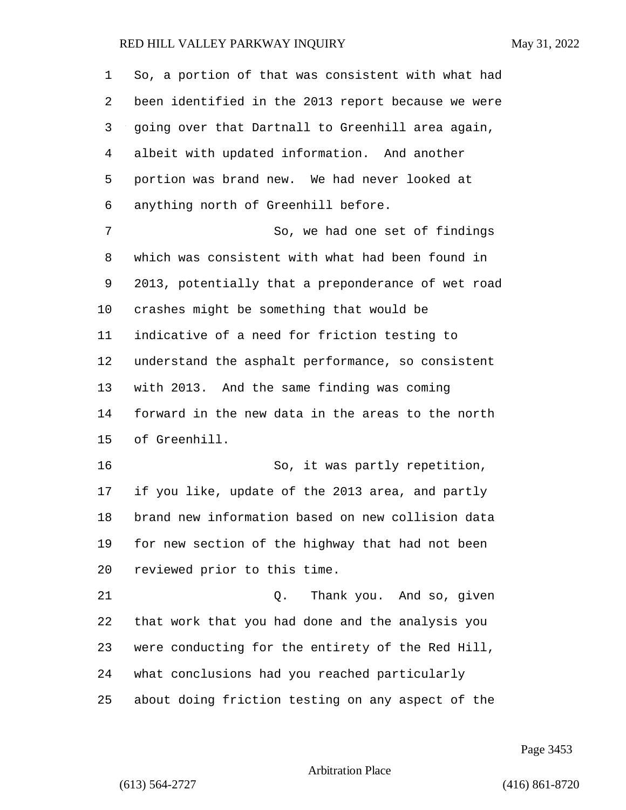| 1  | So, a portion of that was consistent with what had |
|----|----------------------------------------------------|
| 2  | been identified in the 2013 report because we were |
| 3  | going over that Dartnall to Greenhill area again,  |
| 4  | albeit with updated information. And another       |
| 5  | portion was brand new. We had never looked at      |
| 6  | anything north of Greenhill before.                |
| 7  | So, we had one set of findings                     |
| 8  | which was consistent with what had been found in   |
| 9  | 2013, potentially that a preponderance of wet road |
| 10 | crashes might be something that would be           |
| 11 | indicative of a need for friction testing to       |
| 12 | understand the asphalt performance, so consistent  |
| 13 | with 2013. And the same finding was coming         |
| 14 | forward in the new data in the areas to the north  |
| 15 | of Greenhill.                                      |
| 16 | So, it was partly repetition,                      |
| 17 | if you like, update of the 2013 area, and partly   |
| 18 | brand new information based on new collision data  |
| 19 | for new section of the highway that had not been   |
| 20 | reviewed prior to this time.                       |
| 21 | Thank you. And so, given<br>Q.                     |
| 22 | that work that you had done and the analysis you   |
| 23 | were conducting for the entirety of the Red Hill,  |
| 24 | what conclusions had you reached particularly      |
| 25 | about doing friction testing on any aspect of the  |

Page 3453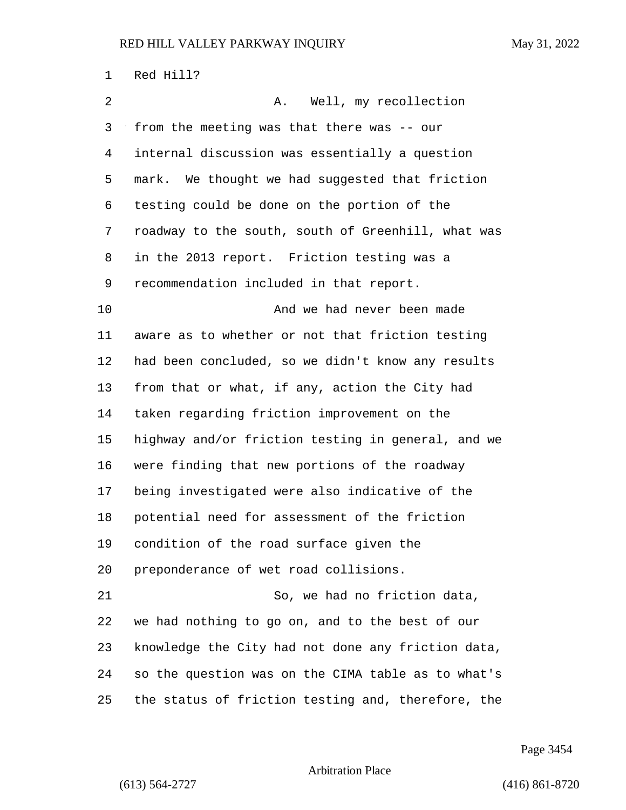| 1  | Red Hill?                                          |
|----|----------------------------------------------------|
| 2  | Well, my recollection<br>Α.                        |
| 3  | from the meeting was that there was -- our         |
| 4  | internal discussion was essentially a question     |
| 5  | mark. We thought we had suggested that friction    |
| 6  | testing could be done on the portion of the        |
| 7  | roadway to the south, south of Greenhill, what was |
| 8  | in the 2013 report. Friction testing was a         |
| 9  | recommendation included in that report.            |
| 10 | And we had never been made                         |
| 11 | aware as to whether or not that friction testing   |
| 12 | had been concluded, so we didn't know any results  |
| 13 | from that or what, if any, action the City had     |
| 14 | taken regarding friction improvement on the        |
| 15 | highway and/or friction testing in general, and we |
| 16 | were finding that new portions of the roadway      |
| 17 | being investigated were also indicative of the     |
| 18 | potential need for assessment of the friction      |
| 19 | condition of the road surface given the            |
| 20 | preponderance of wet road collisions.              |
| 21 | So, we had no friction data,                       |
| 22 | we had nothing to go on, and to the best of our    |
| 23 | knowledge the City had not done any friction data, |
| 24 | so the question was on the CIMA table as to what's |
| 25 | the status of friction testing and, therefore, the |

Page 3454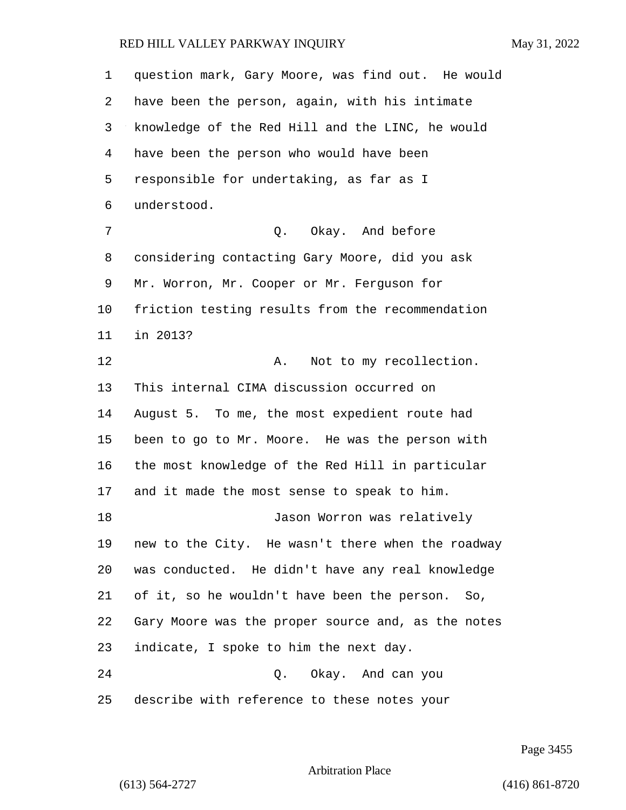question mark, Gary Moore, was find out. He would have been the person, again, with his intimate knowledge of the Red Hill and the LINC, he would have been the person who would have been responsible for undertaking, as far as I understood. 7 C. Okay. And before considering contacting Gary Moore, did you ask Mr. Worron, Mr. Cooper or Mr. Ferguson for friction testing results from the recommendation in 2013? 12 A. Not to my recollection. This internal CIMA discussion occurred on August 5. To me, the most expedient route had been to go to Mr. Moore. He was the person with the most knowledge of the Red Hill in particular and it made the most sense to speak to him. 18 Jason Worron was relatively new to the City. He wasn't there when the roadway was conducted. He didn't have any real knowledge of it, so he wouldn't have been the person. So, Gary Moore was the proper source and, as the notes indicate, I spoke to him the next day. 24 Q. Okay. And can you describe with reference to these notes your

Page 3455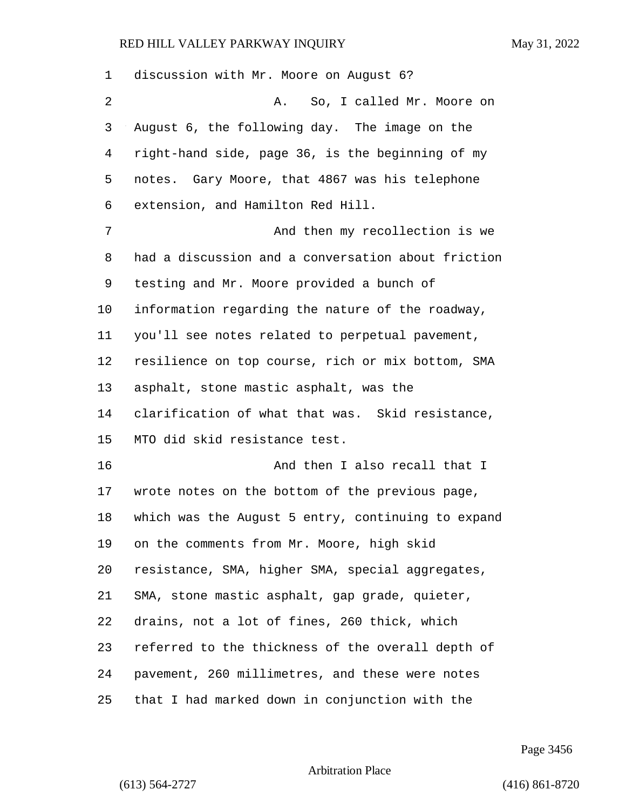| 1  | discussion with Mr. Moore on August 6?             |
|----|----------------------------------------------------|
| 2  | So, I called Mr. Moore on<br>Α.                    |
| 3  | August 6, the following day. The image on the      |
| 4  | right-hand side, page 36, is the beginning of my   |
| 5  | notes. Gary Moore, that 4867 was his telephone     |
| 6  | extension, and Hamilton Red Hill.                  |
| 7  | And then my recollection is we                     |
| 8  | had a discussion and a conversation about friction |
| 9  | testing and Mr. Moore provided a bunch of          |
| 10 | information regarding the nature of the roadway,   |
| 11 | you'll see notes related to perpetual pavement,    |
| 12 | resilience on top course, rich or mix bottom, SMA  |
| 13 | asphalt, stone mastic asphalt, was the             |
| 14 | clarification of what that was. Skid resistance,   |
| 15 | MTO did skid resistance test.                      |
| 16 | And then I also recall that I                      |
| 17 | wrote notes on the bottom of the previous page,    |
| 18 | which was the August 5 entry, continuing to expand |
| 19 | on the comments from Mr. Moore, high skid          |
| 20 | resistance, SMA, higher SMA, special aggregates,   |
| 21 | SMA, stone mastic asphalt, gap grade, quieter,     |
| 22 | drains, not a lot of fines, 260 thick, which       |
| 23 | referred to the thickness of the overall depth of  |
| 24 | pavement, 260 millimetres, and these were notes    |
| 25 | that I had marked down in conjunction with the     |

Page 3456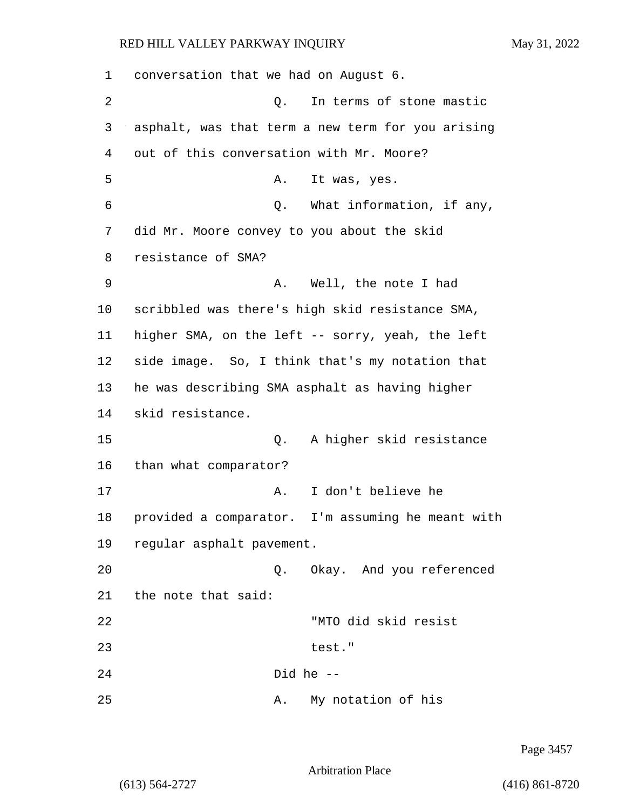1 conversation that we had on August 6. 2 Q. In terms of stone mastic 3 asphalt, was that term a new term for you arising 4 out of this conversation with Mr. Moore? 5 A. It was, yes. 6 Q. What information, if any, 7 did Mr. Moore convey to you about the skid 8 resistance of SMA? 9 A. Well, the note I had 10 scribbled was there's high skid resistance SMA, 11 higher SMA, on the left -- sorry, yeah, the left 12 side image. So, I think that's my notation that 13 he was describing SMA asphalt as having higher 14 skid resistance. 15 Q. A higher skid resistance 16 than what comparator? 17 A. I don't believe he 18 provided a comparator. I'm assuming he meant with 19 regular asphalt pavement. 20 Q. Okay. And you referenced 21 the note that said: 22 "MTO did skid resist 23 test." 24 Did he -- 25 A. My notation of his

Page 3457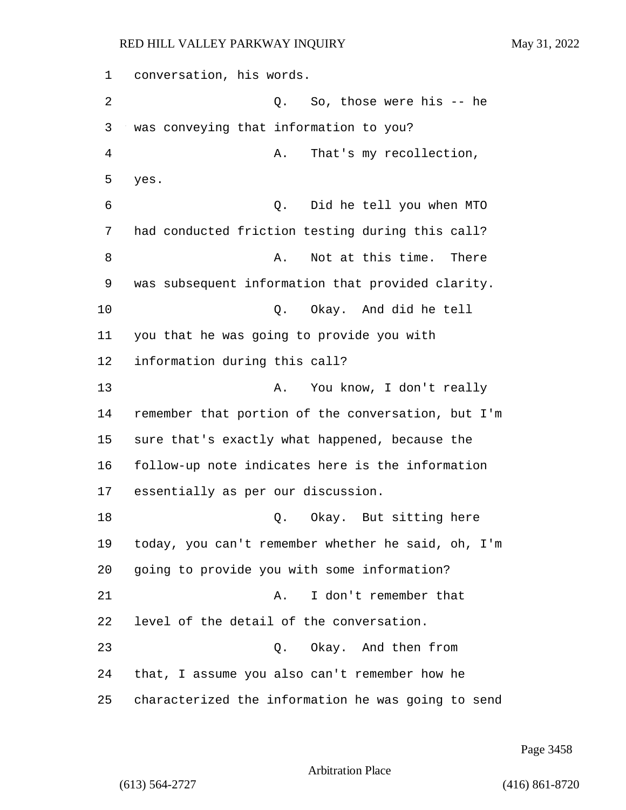1 conversation, his words. 2 Q. So, those were his -- he 3 was conveying that information to you? 4 A. That's my recollection, 5 yes. 6 Q. Did he tell you when MTO 7 had conducted friction testing during this call? 8 a. Not at this time. There 9 was subsequent information that provided clarity. 10 Q. Okay. And did he tell 11 you that he was going to provide you with 12 information during this call? 13 A. You know, I don't really 14 remember that portion of the conversation, but I'm 15 sure that's exactly what happened, because the 16 follow-up note indicates here is the information 17 essentially as per our discussion. 18 C. Okay. But sitting here 19 today, you can't remember whether he said, oh, I'm 20 going to provide you with some information? 21 A. I don't remember that 22 level of the detail of the conversation. 23 Q. Okay. And then from 24 that, I assume you also can't remember how he 25 characterized the information he was going to send

Page 3458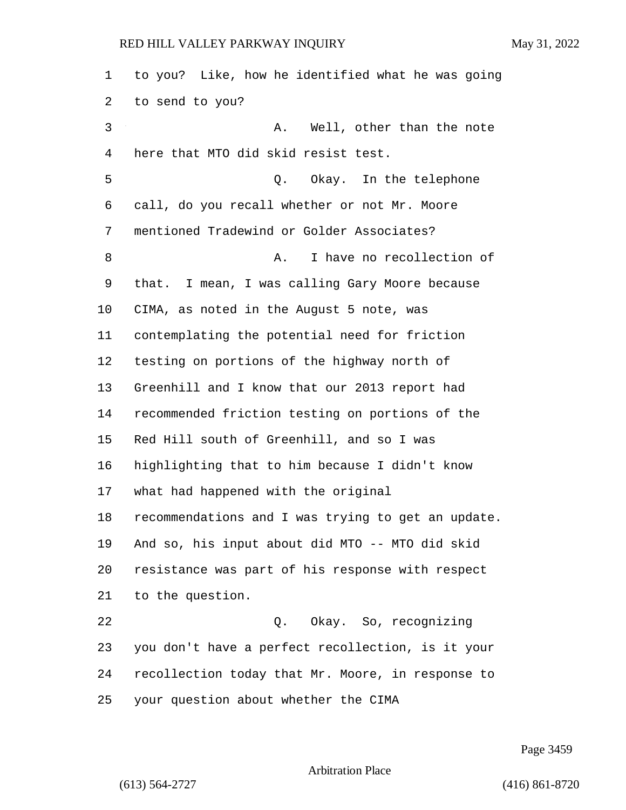| 1  | to you? Like, how he identified what he was going  |
|----|----------------------------------------------------|
| 2  | to send to you?                                    |
| 3  | Well, other than the note<br>Α.                    |
| 4  | here that MTO did skid resist test.                |
| 5  | Q. Okay. In the telephone                          |
| 6  | call, do you recall whether or not Mr. Moore       |
| 7  | mentioned Tradewind or Golder Associates?          |
| 8  | I have no recollection of<br>Α.                    |
| 9  | that. I mean, I was calling Gary Moore because     |
| 10 | CIMA, as noted in the August 5 note, was           |
| 11 | contemplating the potential need for friction      |
| 12 | testing on portions of the highway north of        |
| 13 | Greenhill and I know that our 2013 report had      |
| 14 | recommended friction testing on portions of the    |
| 15 | Red Hill south of Greenhill, and so I was          |
| 16 | highlighting that to him because I didn't know     |
| 17 | what had happened with the original                |
| 18 | recommendations and I was trying to get an update. |
| 19 | And so, his input about did MTO -- MTO did skid    |
| 20 | resistance was part of his response with respect   |
| 21 | to the question.                                   |
| 22 | Q. Okay. So, recognizing                           |
| 23 | you don't have a perfect recollection, is it your  |
| 24 | recollection today that Mr. Moore, in response to  |
| 25 | your question about whether the CIMA               |

Page 3459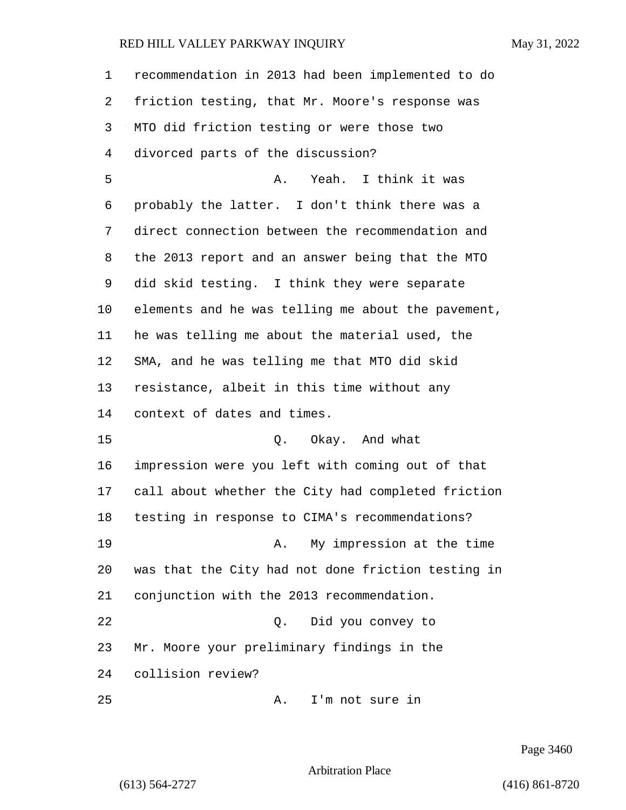| $\mathbf{1}$ | recommendation in 2013 had been implemented to do  |
|--------------|----------------------------------------------------|
| 2            | friction testing, that Mr. Moore's response was    |
| 3            | MTO did friction testing or were those two         |
| 4            | divorced parts of the discussion?                  |
| 5            | Yeah. I think it was<br>Α.                         |
| 6            | probably the latter. I don't think there was a     |
| 7            | direct connection between the recommendation and   |
| 8            | the 2013 report and an answer being that the MTO   |
| 9            | did skid testing. I think they were separate       |
| $10 \,$      | elements and he was telling me about the pavement, |
| 11           | he was telling me about the material used, the     |
| 12           | SMA, and he was telling me that MTO did skid       |
| 13           | resistance, albeit in this time without any        |
| 14           | context of dates and times.                        |
| 15           | Q. Okay. And what                                  |
| 16           | impression were you left with coming out of that   |
| 17           | call about whether the City had completed friction |
| 18           | testing in response to CIMA's recommendations?     |
| 19           | My impression at the time<br>Α.                    |
| 20           | was that the City had not done friction testing in |
| 21           | conjunction with the 2013 recommendation.          |
| 22           | Did you convey to<br>Q.                            |
| 23           | Mr. Moore your preliminary findings in the         |
| 24           | collision review?                                  |
| 25           | I'm not sure in<br>Α.                              |

Page 3460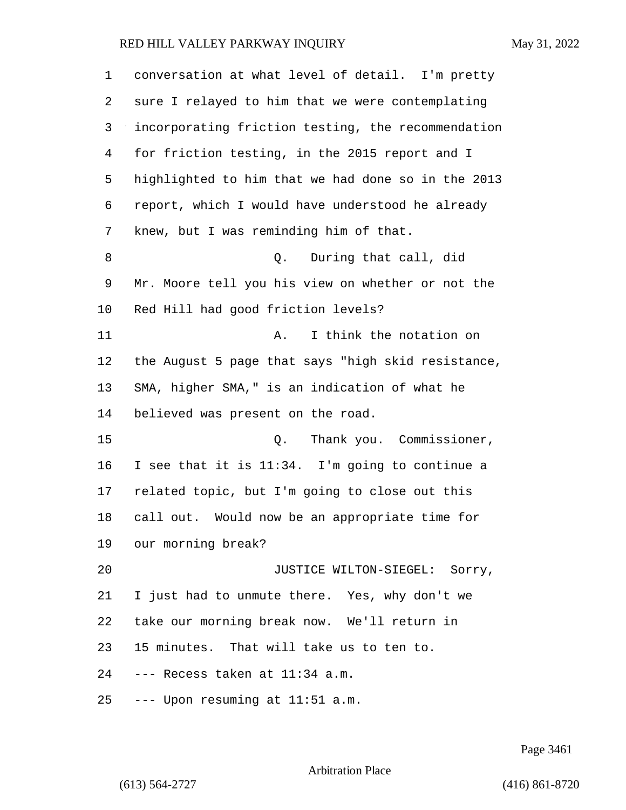| $\mathbf 1$ | conversation at what level of detail. I'm pretty   |
|-------------|----------------------------------------------------|
| 2           | sure I relayed to him that we were contemplating   |
| 3           | incorporating friction testing, the recommendation |
| 4           | for friction testing, in the 2015 report and I     |
| 5           | highlighted to him that we had done so in the 2013 |
| 6           | report, which I would have understood he already   |
| 7           | knew, but I was reminding him of that.             |
| 8           | During that call, did<br>Q.                        |
| 9           | Mr. Moore tell you his view on whether or not the  |
| 10          | Red Hill had good friction levels?                 |
| 11          | I think the notation on<br>Α.                      |
| 12          | the August 5 page that says "high skid resistance, |
| 13          | SMA, higher SMA," is an indication of what he      |
| 14          | believed was present on the road.                  |
| 15          | Thank you. Commissioner,<br>Q.                     |
| 16          | I see that it is 11:34. I'm going to continue a    |
| 17          | related topic, but I'm going to close out this     |
| 18          | call out. Would now be an appropriate time for     |
| 19          | our morning break?                                 |
| 20          | JUSTICE WILTON-SIEGEL: Sorry,                      |
| 21          | I just had to unmute there. Yes, why don't we      |
| 22          | take our morning break now. We'll return in        |
| 23          | 15 minutes. That will take us to ten to.           |
| 24          | --- Recess taken at 11:34 a.m.                     |
| 25          | --- Upon resuming at 11:51 a.m.                    |

Page 3461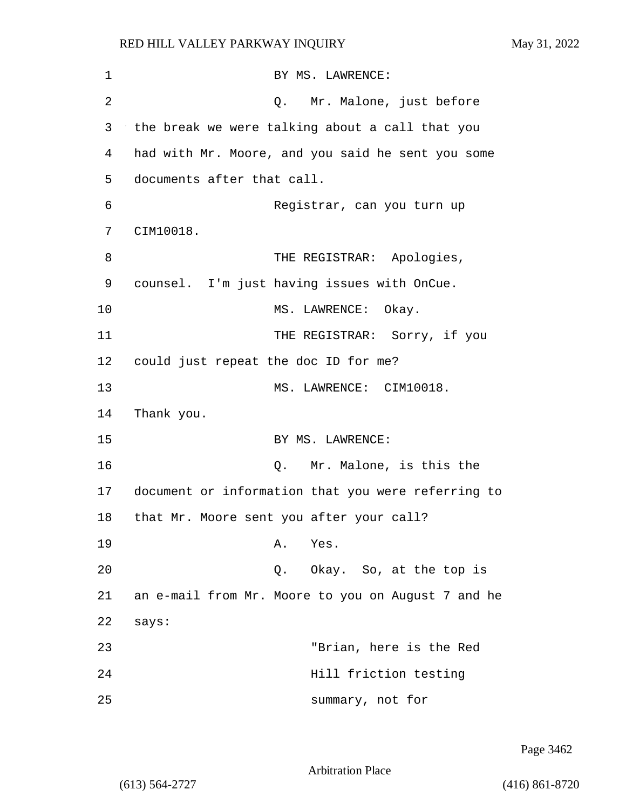| 1  | BY MS. LAWRENCE:                                   |
|----|----------------------------------------------------|
| 2  | Q. Mr. Malone, just before                         |
| 3  | the break we were talking about a call that you    |
| 4  | had with Mr. Moore, and you said he sent you some  |
| 5  | documents after that call.                         |
| 6  | Registrar, can you turn up                         |
| 7  | CIM10018.                                          |
| 8  | THE REGISTRAR: Apologies,                          |
| 9  | counsel. I'm just having issues with OnCue.        |
| 10 | MS. LAWRENCE: Okay.                                |
| 11 | THE REGISTRAR: Sorry, if you                       |
| 12 | could just repeat the doc ID for me?               |
| 13 | MS. LAWRENCE: CIM10018.                            |
| 14 | Thank you.                                         |
| 15 | BY MS. LAWRENCE:                                   |
| 16 | Q. Mr. Malone, is this the                         |
| 17 | document or information that you were referring to |
| 18 | that Mr. Moore sent you after your call?           |
| 19 | Α.<br>Yes.                                         |
| 20 | Q. Okay. So, at the top is                         |
| 21 | an e-mail from Mr. Moore to you on August 7 and he |
| 22 | says:                                              |
| 23 | "Brian, here is the Red                            |
| 24 | Hill friction testing                              |
| 25 | summary, not for                                   |

Page 3462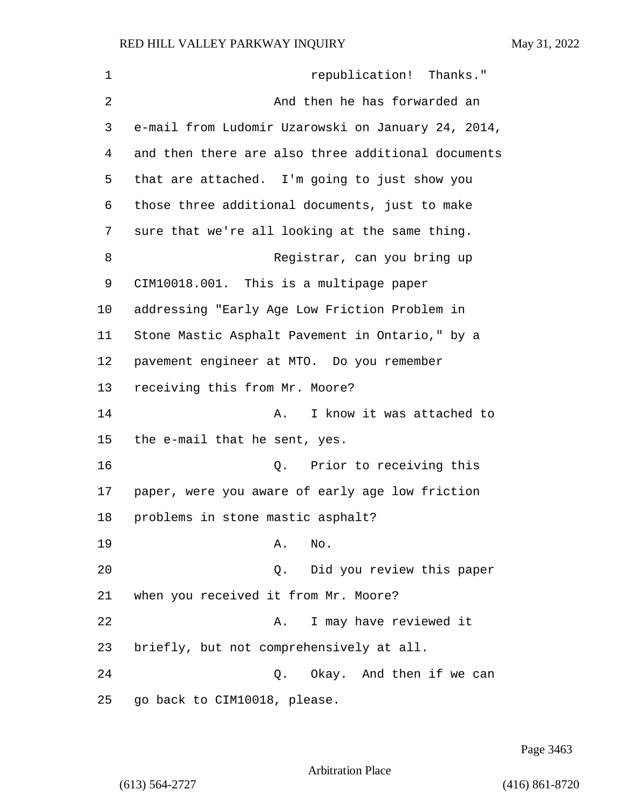| $\mathbf 1$ | republication! Thanks."                            |
|-------------|----------------------------------------------------|
| 2           | And then he has forwarded an                       |
| 3           | e-mail from Ludomir Uzarowski on January 24, 2014, |
| 4           | and then there are also three additional documents |
| 5           | that are attached. I'm going to just show you      |
| 6           | those three additional documents, just to make     |
| 7           | sure that we're all looking at the same thing.     |
| 8           | Registrar, can you bring up                        |
| 9           | CIM10018.001. This is a multipage paper            |
| 10          | addressing "Early Age Low Friction Problem in      |
| 11          | Stone Mastic Asphalt Pavement in Ontario," by a    |
| 12          | pavement engineer at MTO. Do you remember          |
| 13          | receiving this from Mr. Moore?                     |
| 14          | I know it was attached to<br>Α.                    |
| 15          | the e-mail that he sent, yes.                      |
| 16          | Prior to receiving this<br>Q.                      |
| 17          | paper, were you aware of early age low friction    |
| 18          | problems in stone mastic asphalt?                  |
| 19          | Α.<br>No.                                          |
| 20          | Did you review this paper<br>Q.                    |
| 21          | when you received it from Mr. Moore?               |
| 22          | I may have reviewed it<br>Α.                       |
| 23          | briefly, but not comprehensively at all.           |
| 24          | Q.<br>Okay. And then if we can                     |
| 25          | go back to CIM10018, please.                       |

Page 3463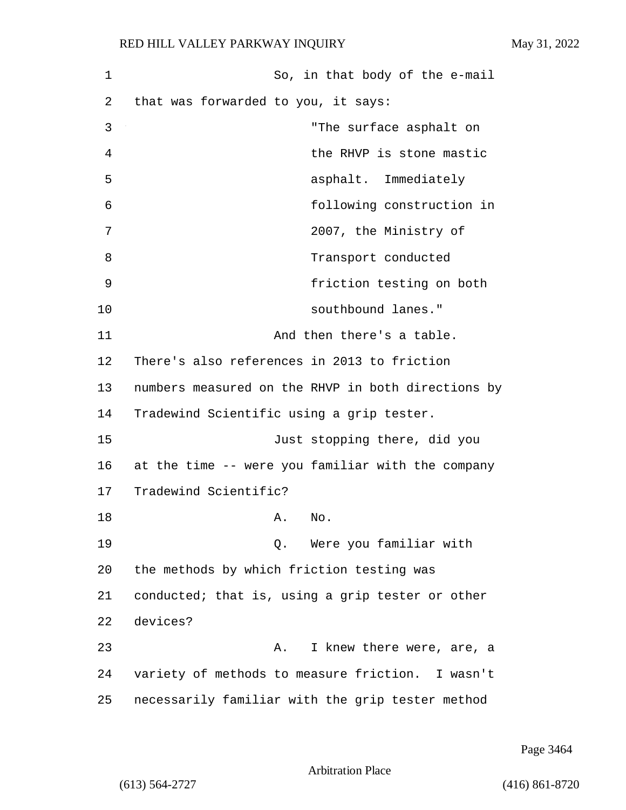| 1  | So, in that body of the e-mail                     |
|----|----------------------------------------------------|
| 2  | that was forwarded to you, it says:                |
| 3  | "The surface asphalt on                            |
| 4  | the RHVP is stone mastic                           |
| 5  | asphalt. Immediately                               |
| 6  | following construction in                          |
| 7  | 2007, the Ministry of                              |
| 8  | Transport conducted                                |
| 9  | friction testing on both                           |
| 10 | southbound lanes."                                 |
| 11 | And then there's a table.                          |
| 12 | There's also references in 2013 to friction        |
| 13 | numbers measured on the RHVP in both directions by |
| 14 | Tradewind Scientific using a grip tester.          |
| 15 | Just stopping there, did you                       |
| 16 | at the time -- were you familiar with the company  |
| 17 | Tradewind Scientific?                              |
| 18 | No.<br>Α.                                          |
| 19 | Were you familiar with<br>О.                       |
| 20 | the methods by which friction testing was          |
| 21 | conducted; that is, using a grip tester or other   |
| 22 | devices?                                           |
| 23 | I knew there were, are, a<br>Α.                    |
| 24 | variety of methods to measure friction. I wasn't   |
| 25 | necessarily familiar with the grip tester method   |

Page 3464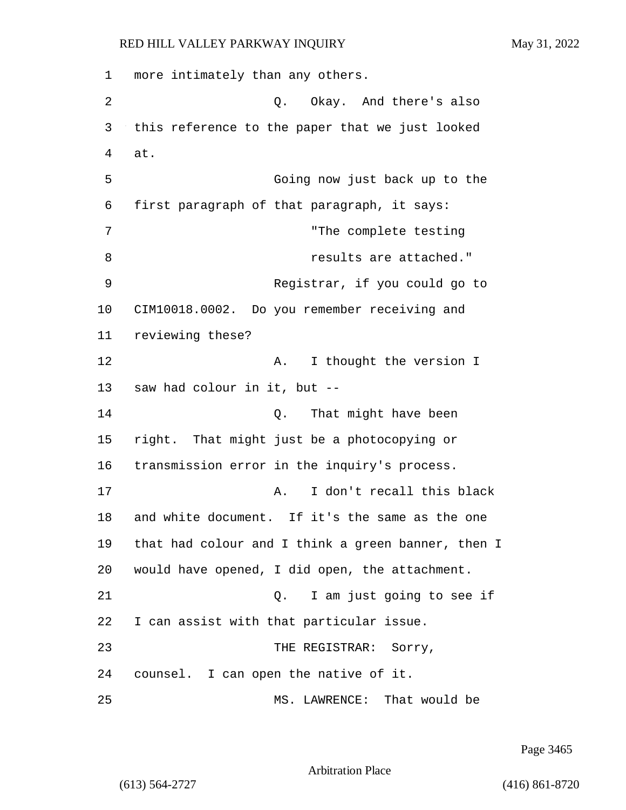1 more intimately than any others. 2 Q. Okay. And there's also 3 this reference to the paper that we just looked 4 at. 5 Going now just back up to the 6 first paragraph of that paragraph, it says: 7 "The complete testing 8 **8 results** are attached." 9 Registrar, if you could go to 10 CIM10018.0002. Do you remember receiving and 11 reviewing these? 12 A. I thought the version I 13 saw had colour in it, but -- 14 Q. That might have been 15 right. That might just be a photocopying or 16 transmission error in the inquiry's process. 17 A. I don't recall this black 18 and white document. If it's the same as the one 19 that had colour and I think a green banner, then I 20 would have opened, I did open, the attachment. 21 Q. I am just going to see if 22 I can assist with that particular issue. 23 THE REGISTRAR: Sorry, 24 counsel. I can open the native of it. 25 MS. LAWRENCE: That would be

Page 3465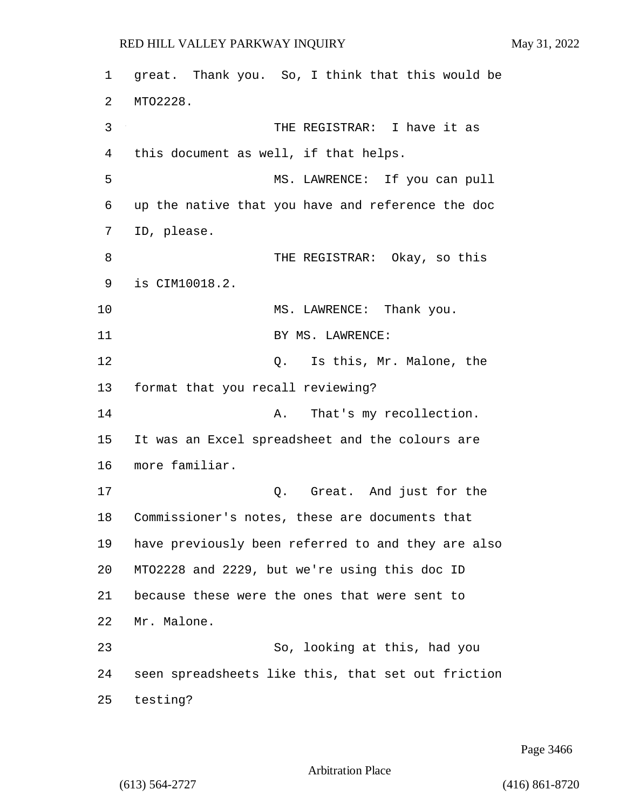1 great. Thank you. So, I think that this would be 2 MTO2228. 3 THE REGISTRAR: I have it as 4 this document as well, if that helps. 5 MS. LAWRENCE: If you can pull 6 up the native that you have and reference the doc 7 ID, please. 8 THE REGISTRAR: Okay, so this 9 is CIM10018.2. 10 MS. LAWRENCE: Thank you. 11 BY MS. LAWRENCE: 12 C. Is this, Mr. Malone, the 13 format that you recall reviewing? 14 A. That's my recollection. 15 It was an Excel spreadsheet and the colours are 16 more familiar. 17 Q. Great. And just for the 18 Commissioner's notes, these are documents that 19 have previously been referred to and they are also 20 MTO2228 and 2229, but we're using this doc ID 21 because these were the ones that were sent to 22 Mr. Malone. 23 So, looking at this, had you 24 seen spreadsheets like this, that set out friction 25 testing?

Page 3466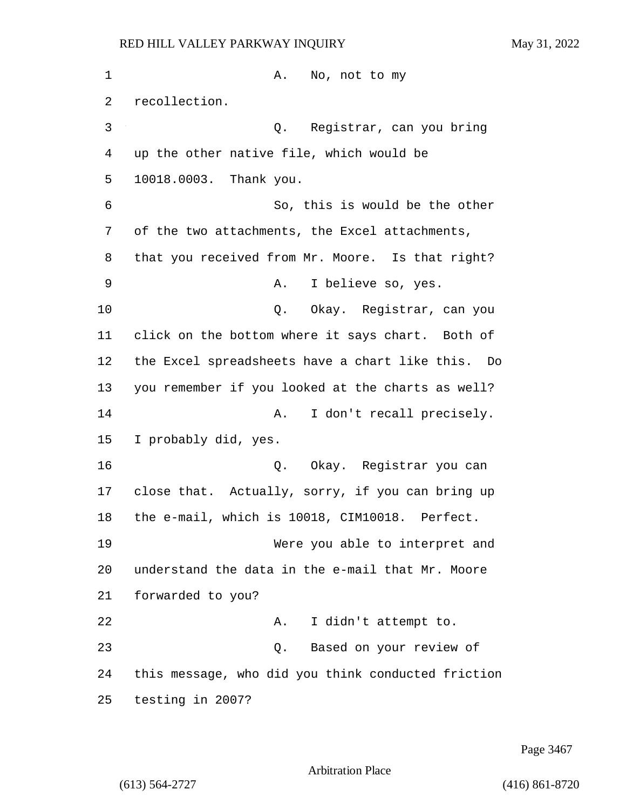1 A. No, not to my recollection. 3 Q. Registrar, can you bring up the other native file, which would be 10018.0003. Thank you. 6 So, this is would be the other of the two attachments, the Excel attachments, that you received from Mr. Moore. Is that right? 9 A. I believe so, yes. 10 Q. Okay. Registrar, can you click on the bottom where it says chart. Both of the Excel spreadsheets have a chart like this. Do you remember if you looked at the charts as well? **A.** I don't recall precisely. I probably did, yes. 16 Q. Okay. Registrar you can close that. Actually, sorry, if you can bring up the e-mail, which is 10018, CIM10018. Perfect. 19 Were you able to interpret and understand the data in the e-mail that Mr. Moore forwarded to you? 22 A. I didn't attempt to. 23 Q. Based on your review of this message, who did you think conducted friction testing in 2007?

Page 3467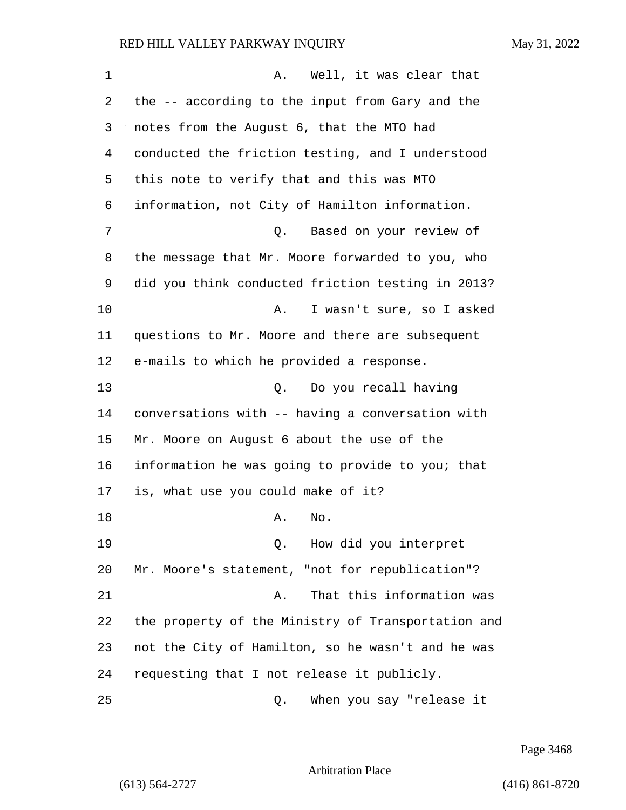| 1  | Well, it was clear that<br>Α.                      |
|----|----------------------------------------------------|
| 2  | the -- according to the input from Gary and the    |
| 3  | notes from the August 6, that the MTO had          |
| 4  | conducted the friction testing, and I understood   |
| 5  | this note to verify that and this was MTO          |
| 6  | information, not City of Hamilton information.     |
| 7  | Based on your review of<br>Q.                      |
| 8  | the message that Mr. Moore forwarded to you, who   |
| 9  | did you think conducted friction testing in 2013?  |
| 10 | I wasn't sure, so I asked<br>Α.                    |
| 11 | questions to Mr. Moore and there are subsequent    |
| 12 | e-mails to which he provided a response.           |
| 13 | Do you recall having<br>Q.                         |
| 14 | conversations with -- having a conversation with   |
| 15 | Mr. Moore on August 6 about the use of the         |
| 16 | information he was going to provide to you; that   |
| 17 | is, what use you could make of it?                 |
| 18 | No.<br>Α.                                          |
| 19 | How did you interpret<br>Q.                        |
| 20 | Mr. Moore's statement, "not for republication"?    |
| 21 | That this information was<br>Α.                    |
| 22 | the property of the Ministry of Transportation and |
| 23 | not the City of Hamilton, so he wasn't and he was  |
| 24 | requesting that I not release it publicly.         |
| 25 | When you say "release it<br>Q.                     |

Page 3468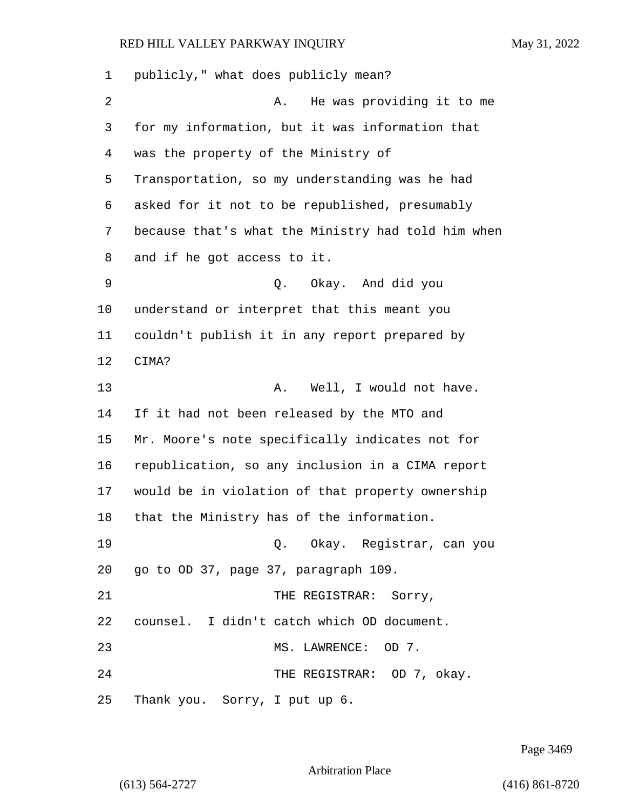| 1  | publicly," what does publicly mean?                |
|----|----------------------------------------------------|
| 2  | He was providing it to me<br>Α.                    |
| 3  | for my information, but it was information that    |
| 4  | was the property of the Ministry of                |
| 5  | Transportation, so my understanding was he had     |
| 6  | asked for it not to be republished, presumably     |
| 7  | because that's what the Ministry had told him when |
| 8  | and if he got access to it.                        |
| 9  | Q. Okay. And did you                               |
| 10 | understand or interpret that this meant you        |
| 11 | couldn't publish it in any report prepared by      |
| 12 | CIMA?                                              |
| 13 | Well, I would not have.<br>Α.                      |
| 14 | If it had not been released by the MTO and         |
| 15 | Mr. Moore's note specifically indicates not for    |
| 16 | republication, so any inclusion in a CIMA report   |
| 17 | would be in violation of that property ownership   |
| 18 | that the Ministry has of the information.          |
| 19 | Q. Okay. Registrar, can you                        |
| 20 | go to OD 37, page 37, paragraph 109.               |
| 21 | THE REGISTRAR: Sorry,                              |
| 22 | counsel. I didn't catch which OD document.         |
| 23 | MS. LAWRENCE: OD 7.                                |
| 24 | THE REGISTRAR: OD 7, okay.                         |
| 25 | Thank you. Sorry, I put up 6.                      |

Page 3469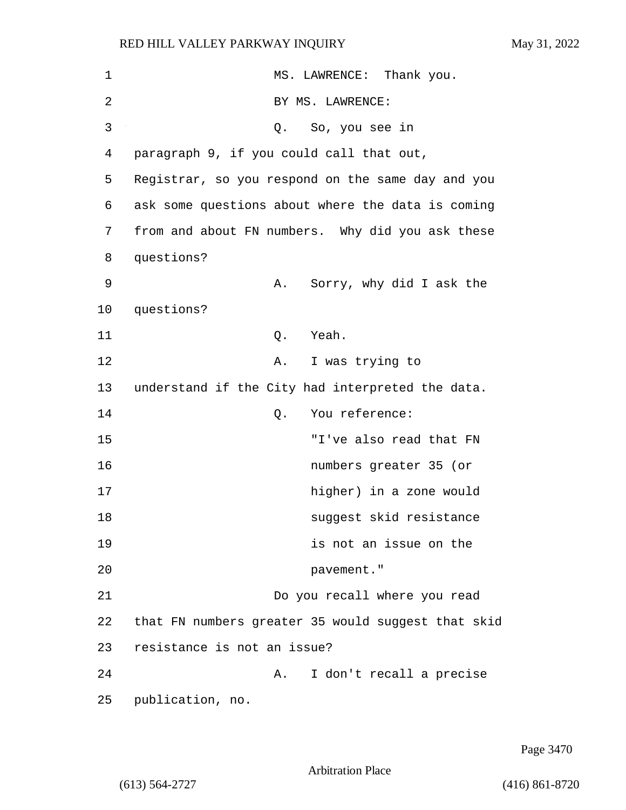| 1  | MS. LAWRENCE: Thank you.                           |
|----|----------------------------------------------------|
| 2  | BY MS. LAWRENCE:                                   |
| 3  | Q. So, you see in                                  |
| 4  | paragraph 9, if you could call that out,           |
| 5  | Registrar, so you respond on the same day and you  |
| 6  | ask some questions about where the data is coming  |
| 7  | from and about FN numbers. Why did you ask these   |
| 8  | questions?                                         |
| 9  | Sorry, why did I ask the<br>Α.                     |
| 10 | questions?                                         |
| 11 | Yeah.<br>Q.                                        |
| 12 | I was trying to<br>Α.                              |
| 13 | understand if the City had interpreted the data.   |
| 14 | You reference:<br>Q.                               |
| 15 | "I've also read that FN                            |
| 16 | numbers greater 35 (or                             |
| 17 | higher) in a zone would                            |
| 18 | suggest skid resistance                            |
| 19 | is not an issue on the                             |
| 20 | pavement."                                         |
| 21 | Do you recall where you read                       |
| 22 | that FN numbers greater 35 would suggest that skid |
| 23 | resistance is not an issue?                        |
| 24 | I don't recall a precise<br>Α.                     |
| 25 | publication, no.                                   |

Page 3470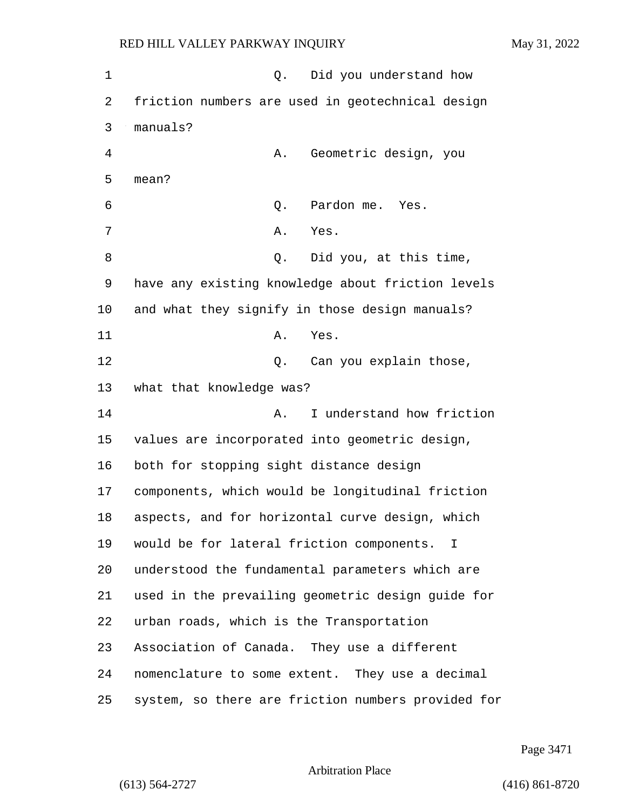1 and 0. Did you understand how 2 friction numbers are used in geotechnical design 3 manuals? 4 A. Geometric design, you 5 mean? 6 Q. Pardon me. Yes. 7 A. Yes. 8 and 2. Did you, at this time, 9 have any existing knowledge about friction levels 10 and what they signify in those design manuals? 11 A. Yes. 12 Can you explain those, 13 what that knowledge was? 14 A. I understand how friction 15 values are incorporated into geometric design, 16 both for stopping sight distance design 17 components, which would be longitudinal friction 18 aspects, and for horizontal curve design, which 19 would be for lateral friction components. I 20 understood the fundamental parameters which are 21 used in the prevailing geometric design guide for 22 urban roads, which is the Transportation 23 Association of Canada. They use a different 24 nomenclature to some extent. They use a decimal 25 system, so there are friction numbers provided for

Page 3471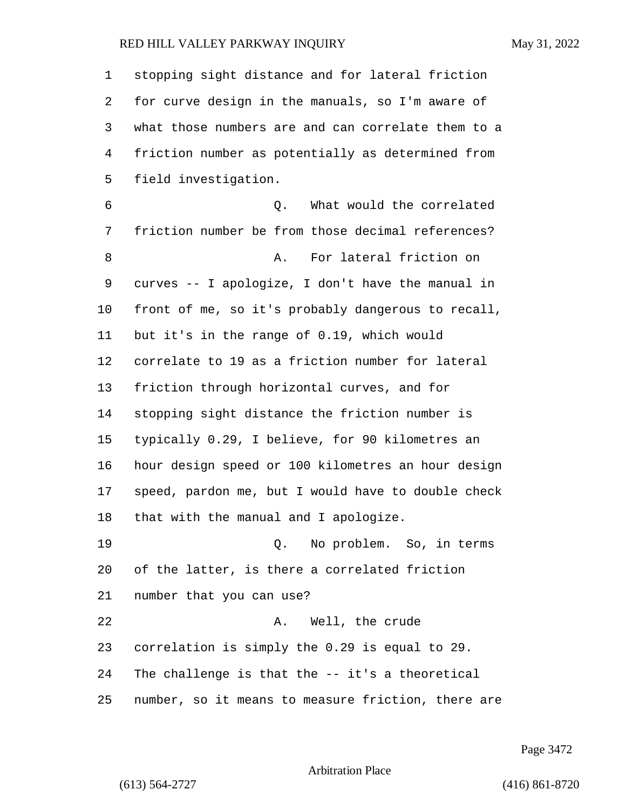| $\mathbf 1$ | stopping sight distance and for lateral friction   |
|-------------|----------------------------------------------------|
| 2           | for curve design in the manuals, so I'm aware of   |
| 3           | what those numbers are and can correlate them to a |
| 4           | friction number as potentially as determined from  |
| 5           | field investigation.                               |
| 6           | What would the correlated<br>О.                    |
| 7           | friction number be from those decimal references?  |
| 8           | For lateral friction on<br>Α.                      |
| 9           | curves -- I apologize, I don't have the manual in  |
| 10          | front of me, so it's probably dangerous to recall, |
| 11          | but it's in the range of 0.19, which would         |
| 12          | correlate to 19 as a friction number for lateral   |
| 13          | friction through horizontal curves, and for        |
| 14          | stopping sight distance the friction number is     |
| 15          | typically 0.29, I believe, for 90 kilometres an    |
| 16          | hour design speed or 100 kilometres an hour design |
| 17          | speed, pardon me, but I would have to double check |
| 18          | that with the manual and I apologize.              |
| 19          | Q. No problem. So, in terms                        |
| 20          | of the latter, is there a correlated friction      |
| 21          | number that you can use?                           |
| 22          | Well, the crude<br>Α.                              |
| 23          | correlation is simply the 0.29 is equal to 29.     |
| 24          | The challenge is that the -- it's a theoretical    |
| 25          | number, so it means to measure friction, there are |

Page 3472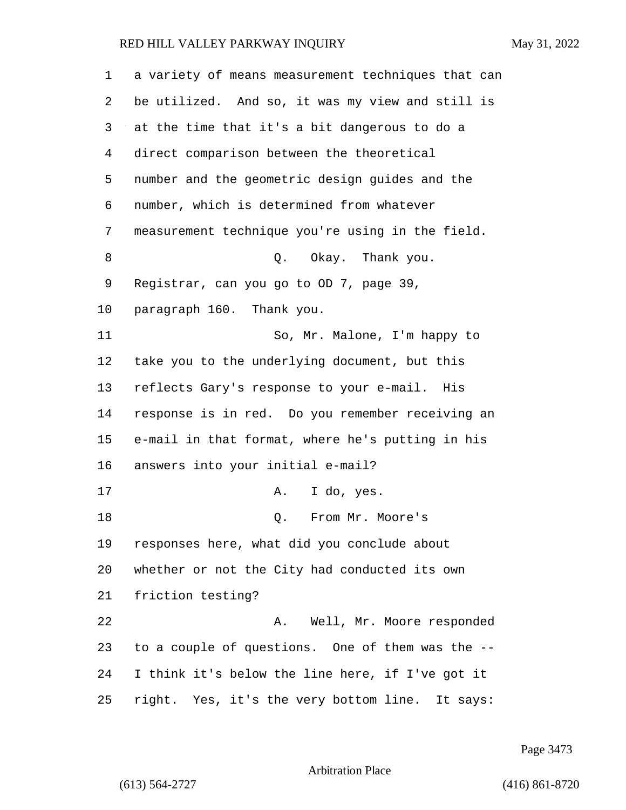| 1  | a variety of means measurement techniques that can |
|----|----------------------------------------------------|
| 2  | be utilized. And so, it was my view and still is   |
| 3  | at the time that it's a bit dangerous to do a      |
| 4  | direct comparison between the theoretical          |
| 5  | number and the geometric design guides and the     |
| 6  | number, which is determined from whatever          |
| 7  | measurement technique you're using in the field.   |
| 8  | Q. Okay. Thank you.                                |
| 9  | Registrar, can you go to OD 7, page 39,            |
| 10 | paragraph 160. Thank you.                          |
| 11 | So, Mr. Malone, I'm happy to                       |
| 12 | take you to the underlying document, but this      |
| 13 | reflects Gary's response to your e-mail. His       |
| 14 | response is in red. Do you remember receiving an   |
| 15 | e-mail in that format, where he's putting in his   |
| 16 | answers into your initial e-mail?                  |
| 17 | I do, yes.<br>Α.                                   |
| 18 | From Mr. Moore's<br>Q.                             |
| 19 | responses here, what did you conclude about        |
| 20 | whether or not the City had conducted its own      |
| 21 | friction testing?                                  |
| 22 | Well, Mr. Moore responded<br>Α.                    |
| 23 | to a couple of questions. One of them was the --   |
| 24 | I think it's below the line here, if I've got it   |
| 25 | right. Yes, it's the very bottom line. It says:    |

Page 3473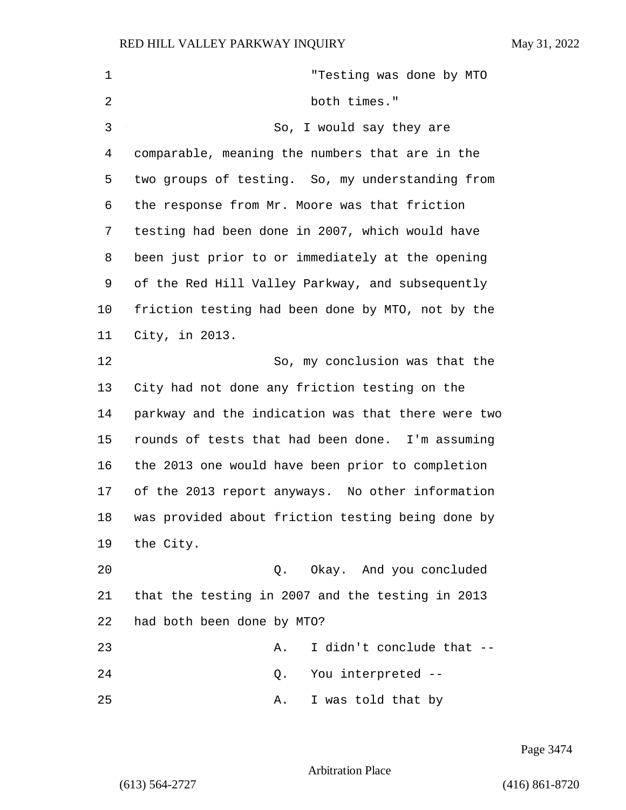| $\mathbf 1$ | "Testing was done by MTO                           |
|-------------|----------------------------------------------------|
| 2           | both times."                                       |
| 3           | So, I would say they are                           |
| 4           | comparable, meaning the numbers that are in the    |
| 5           | two groups of testing. So, my understanding from   |
| 6           | the response from Mr. Moore was that friction      |
| 7           | testing had been done in 2007, which would have    |
| 8           | been just prior to or immediately at the opening   |
| 9           | of the Red Hill Valley Parkway, and subsequently   |
| 10          | friction testing had been done by MTO, not by the  |
| 11          | City, in 2013.                                     |
| 12          | So, my conclusion was that the                     |
| 13          | City had not done any friction testing on the      |
| 14          | parkway and the indication was that there were two |
| 15          | rounds of tests that had been done. I'm assuming   |
| 16          | the 2013 one would have been prior to completion   |
| 17          | of the 2013 report anyways. No other information   |
| 18          | was provided about friction testing being done by  |
| 19          | the City.                                          |
| 20          | Q. Okay. And you concluded                         |
| 21          | that the testing in 2007 and the testing in 2013   |
| 22          | had both been done by MTO?                         |
| 23          | I didn't conclude that --<br>Α.                    |
| 24          | You interpreted --<br>Q.                           |
| 25          | I was told that by<br>Α.                           |

Page 3474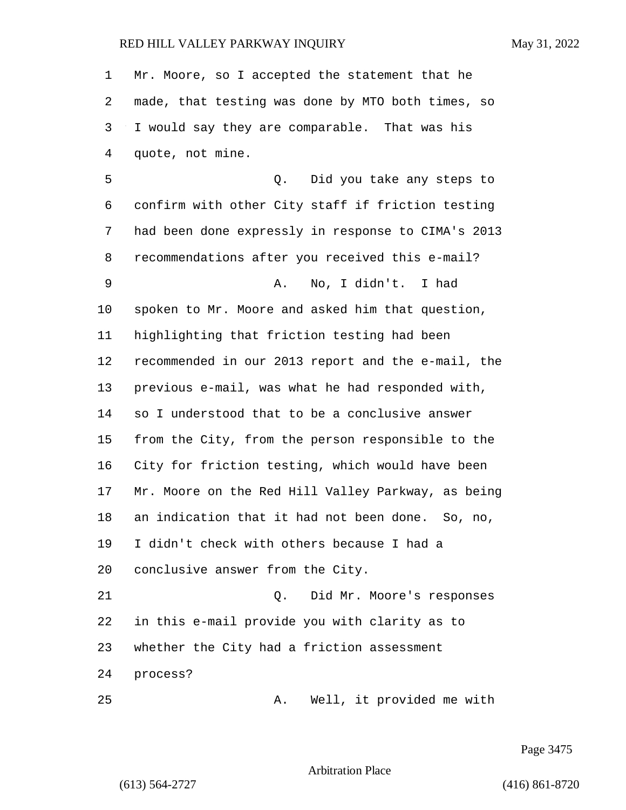Mr. Moore, so I accepted the statement that he made, that testing was done by MTO both times, so I would say they are comparable. That was his quote, not mine. 5 Q. Did you take any steps to confirm with other City staff if friction testing had been done expressly in response to CIMA's 2013 recommendations after you received this e-mail? 9 A. No, I didn't. I had spoken to Mr. Moore and asked him that question, highlighting that friction testing had been recommended in our 2013 report and the e-mail, the previous e-mail, was what he had responded with, so I understood that to be a conclusive answer from the City, from the person responsible to the City for friction testing, which would have been Mr. Moore on the Red Hill Valley Parkway, as being an indication that it had not been done. So, no, I didn't check with others because I had a conclusive answer from the City. 21 Q. Did Mr. Moore's responses in this e-mail provide you with clarity as to whether the City had a friction assessment process? 25 A. Well, it provided me with

Page 3475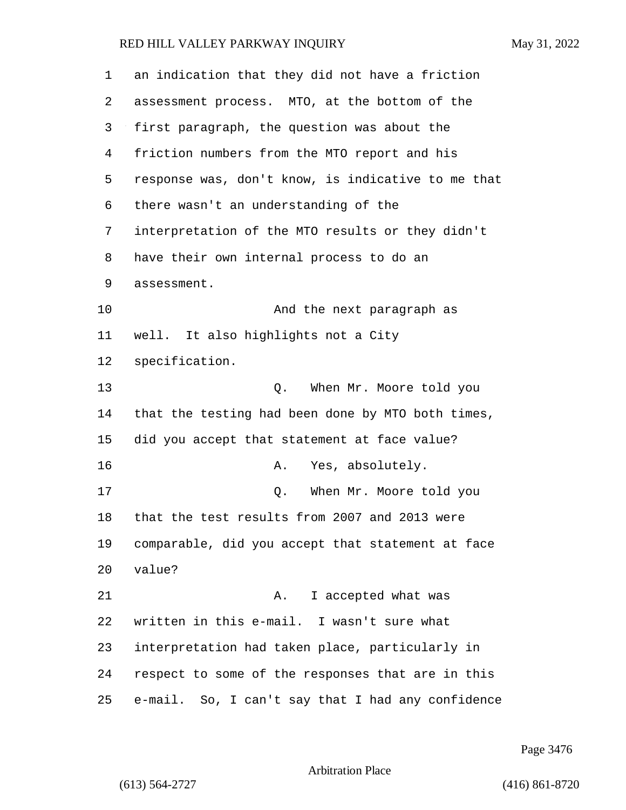| 1  | an indication that they did not have a friction    |
|----|----------------------------------------------------|
| 2  | assessment process. MTO, at the bottom of the      |
| 3  | first paragraph, the question was about the        |
| 4  | friction numbers from the MTO report and his       |
| 5  | response was, don't know, is indicative to me that |
| 6  | there wasn't an understanding of the               |
| 7  | interpretation of the MTO results or they didn't   |
| 8  | have their own internal process to do an           |
| 9  | assessment.                                        |
| 10 | And the next paragraph as                          |
| 11 | well. It also highlights not a City                |
| 12 | specification.                                     |
| 13 | When Mr. Moore told you<br>Q.                      |
| 14 | that the testing had been done by MTO both times,  |
| 15 | did you accept that statement at face value?       |
| 16 | Yes, absolutely.<br>Α.                             |
| 17 | When Mr. Moore told you<br>Q.                      |
| 18 | that the test results from 2007 and 2013 were      |
| 19 | comparable, did you accept that statement at face  |
| 20 | value?                                             |
| 21 | I accepted what was<br>Α.                          |
| 22 | written in this e-mail. I wasn't sure what         |
| 23 | interpretation had taken place, particularly in    |
| 24 | respect to some of the responses that are in this  |
| 25 | e-mail. So, I can't say that I had any confidence  |

Page 3476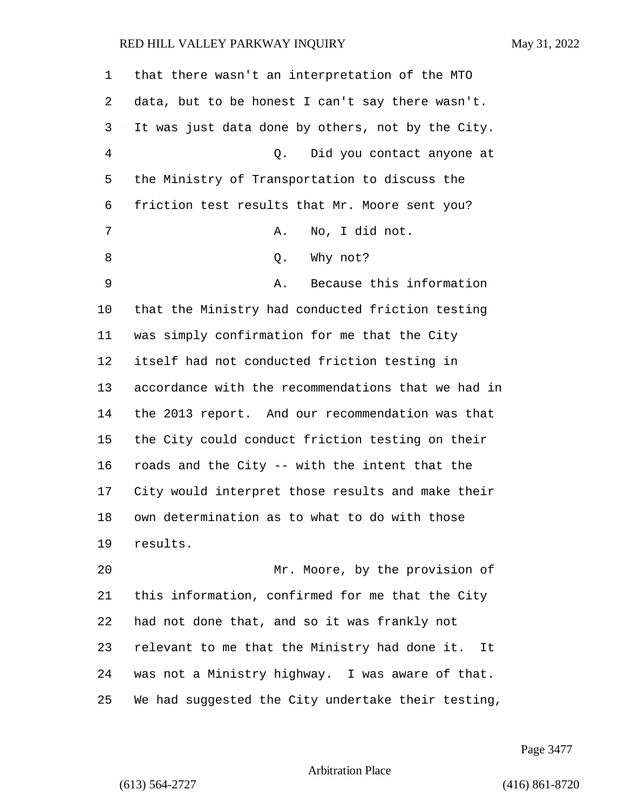| 1  | that there wasn't an interpretation of the MTO     |
|----|----------------------------------------------------|
| 2  | data, but to be honest I can't say there wasn't.   |
| 3  | It was just data done by others, not by the City.  |
| 4  | Did you contact anyone at<br>Q.                    |
| 5  | the Ministry of Transportation to discuss the      |
| 6  | friction test results that Mr. Moore sent you?     |
| 7  | No, I did not.<br>Α.                               |
| 8  | Why not?<br>Q.                                     |
| 9  | Because this information<br>Α.                     |
| 10 | that the Ministry had conducted friction testing   |
| 11 | was simply confirmation for me that the City       |
| 12 | itself had not conducted friction testing in       |
| 13 | accordance with the recommendations that we had in |
| 14 | the 2013 report. And our recommendation was that   |
| 15 | the City could conduct friction testing on their   |
| 16 | roads and the City -- with the intent that the     |
| 17 | City would interpret those results and make their  |
| 18 | own determination as to what to do with those      |
| 19 | results.                                           |
| 20 | Mr. Moore, by the provision of                     |
| 21 | this information, confirmed for me that the City   |
| 22 | had not done that, and so it was frankly not       |
| 23 | relevant to me that the Ministry had done it. It   |
| 24 | was not a Ministry highway. I was aware of that.   |
| 25 | We had suggested the City undertake their testing, |

Page 3477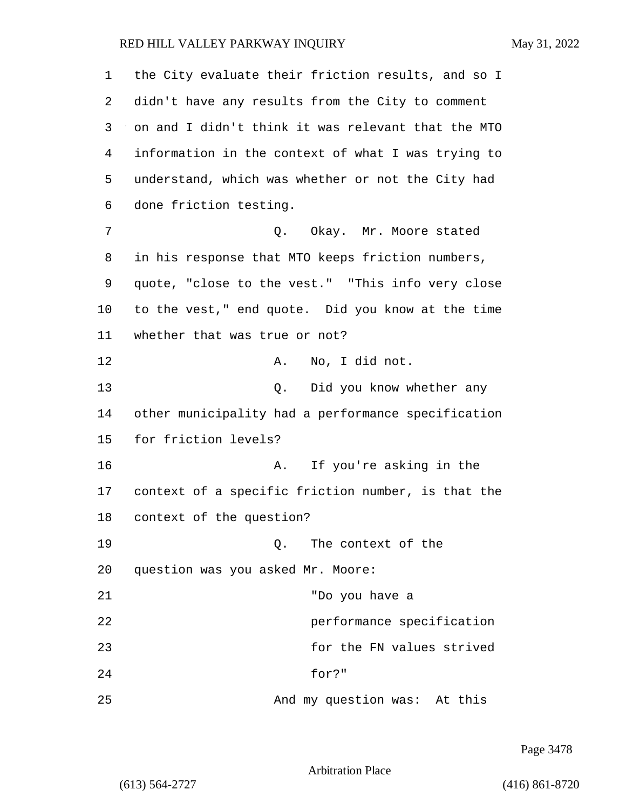1 the City evaluate their friction results, and so I 2 didn't have any results from the City to comment 3 on and I didn't think it was relevant that the MTO 4 information in the context of what I was trying to 5 understand, which was whether or not the City had 6 done friction testing. 7 C. Okay. Mr. Moore stated 8 in his response that MTO keeps friction numbers, 9 quote, "close to the vest." "This info very close 10 to the vest," end quote. Did you know at the time 11 whether that was true or not? 12 A. No, I did not. 13 Q. Did you know whether any 14 other municipality had a performance specification 15 for friction levels? 16 A. If you're asking in the 17 context of a specific friction number, is that the 18 context of the question? 19 Q. The context of the 20 question was you asked Mr. Moore: 21 "Do you have a 22 performance specification 23 for the FN values strived 24 for?" 25 And my question was: At this

Page 3478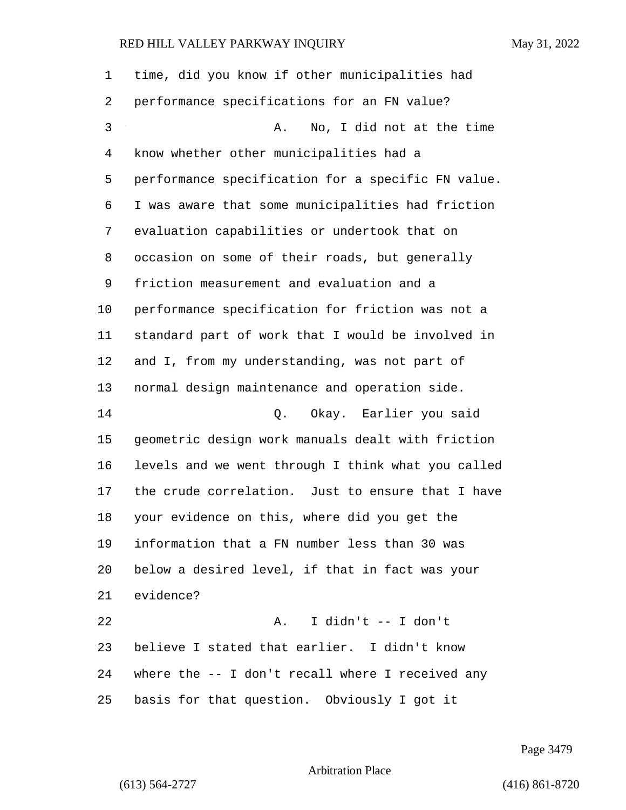| 1  | time, did you know if other municipalities had     |
|----|----------------------------------------------------|
| 2  | performance specifications for an FN value?        |
| 3  | No, I did not at the time<br>Α.                    |
| 4  | know whether other municipalities had a            |
| 5  | performance specification for a specific FN value. |
| 6  | I was aware that some municipalities had friction  |
| 7  | evaluation capabilities or undertook that on       |
| 8  | occasion on some of their roads, but generally     |
| 9  | friction measurement and evaluation and a          |
| 10 | performance specification for friction was not a   |
| 11 | standard part of work that I would be involved in  |
| 12 | and I, from my understanding, was not part of      |
| 13 | normal design maintenance and operation side.      |
| 14 | Q. Okay. Earlier you said                          |
| 15 | geometric design work manuals dealt with friction  |
| 16 | levels and we went through I think what you called |
| 17 | the crude correlation. Just to ensure that I have  |
| 18 | your evidence on this, where did you get the       |
| 19 | information that a FN number less than 30 was      |
| 20 | below a desired level, if that in fact was your    |
| 21 | evidence?                                          |
| 22 | I didn't -- I don't<br>Α.                          |
| 23 | believe I stated that earlier. I didn't know       |
| 24 | where the -- I don't recall where I received any   |
| 25 | basis for that question. Obviously I got it        |

Page 3479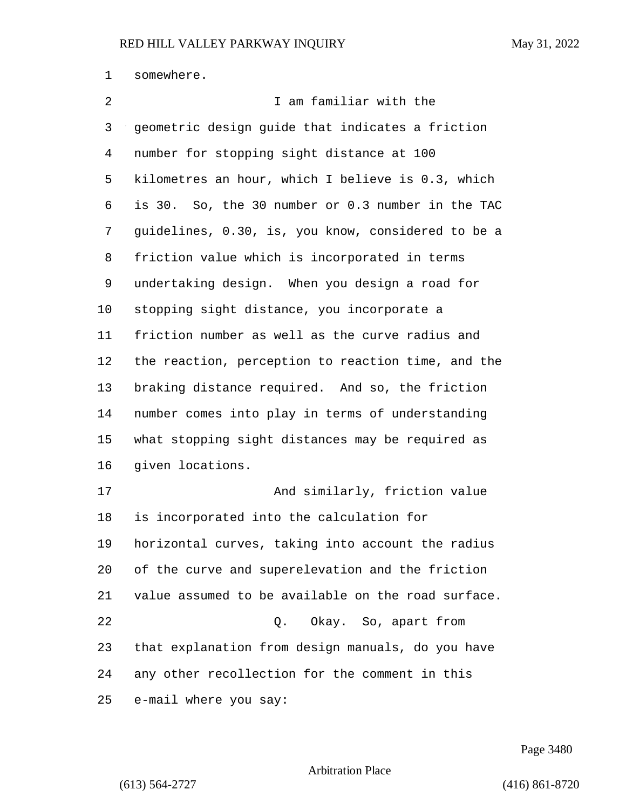somewhere.

| $\overline{2}$ | I am familiar with the                             |
|----------------|----------------------------------------------------|
| 3              | geometric design guide that indicates a friction   |
| 4              | number for stopping sight distance at 100          |
| 5              | kilometres an hour, which I believe is 0.3, which  |
| 6              | is 30. So, the 30 number or 0.3 number in the TAC  |
| 7              | guidelines, 0.30, is, you know, considered to be a |
| 8              | friction value which is incorporated in terms      |
| 9              | undertaking design. When you design a road for     |
| 10             | stopping sight distance, you incorporate a         |
| 11             | friction number as well as the curve radius and    |
| 12             | the reaction, perception to reaction time, and the |
| 13             | braking distance required. And so, the friction    |
| 14             | number comes into play in terms of understanding   |
| 15             | what stopping sight distances may be required as   |
| 16             | given locations.                                   |
| 17             | And similarly, friction value                      |
| 18             | is incorporated into the calculation for           |
| 19             | horizontal curves, taking into account the radius  |
| 20             | of the curve and superelevation and the friction   |
| 21             | value assumed to be available on the road surface. |
| 22             | Q. Okay. So, apart from                            |
| 23             | that explanation from design manuals, do you have  |
| 24             | any other recollection for the comment in this     |
| 25             | e-mail where you say:                              |

Page 3480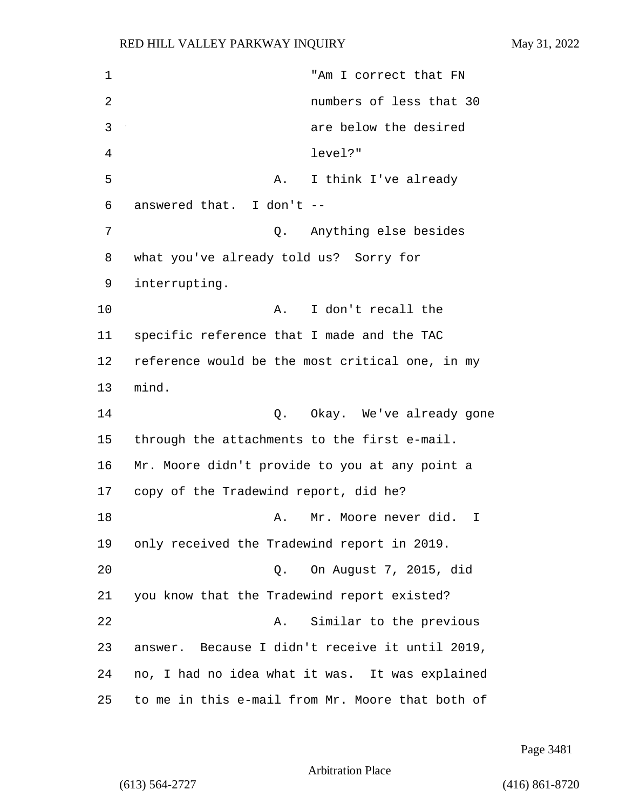1 "Am I correct that FN 2 numbers of less that 30 3 are below the desired 4 level?" 5 A. I think I've already 6 answered that. I don't -- 7 Q. Anything else besides 8 what you've already told us? Sorry for 9 interrupting. 10 A. I don't recall the 11 specific reference that I made and the TAC 12 reference would be the most critical one, in my 13 mind. 14 Q. Okay. We've already gone 15 through the attachments to the first e-mail. 16 Mr. Moore didn't provide to you at any point a 17 copy of the Tradewind report, did he? 18 A. Mr. Moore never did. I 19 only received the Tradewind report in 2019. 20 Q. On August 7, 2015, did 21 you know that the Tradewind report existed? 22 A. Similar to the previous 23 answer. Because I didn't receive it until 2019, 24 no, I had no idea what it was. It was explained 25 to me in this e-mail from Mr. Moore that both of

Page 3481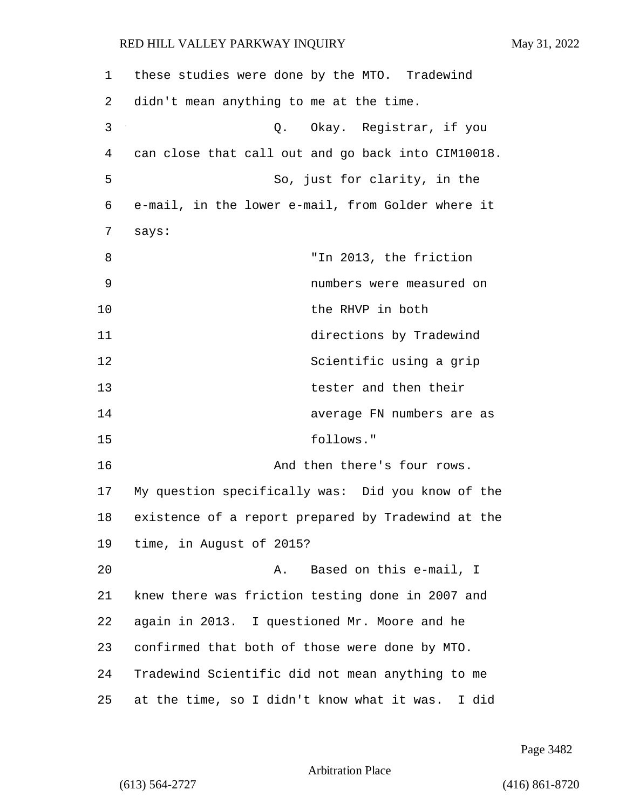| 1  | these studies were done by the MTO. Tradewind       |
|----|-----------------------------------------------------|
| 2  | didn't mean anything to me at the time.             |
| 3  | Okay. Registrar, if you<br>Q.                       |
| 4  | can close that call out and go back into CIM10018.  |
| 5  | So, just for clarity, in the                        |
| 6  | e-mail, in the lower e-mail, from Golder where it   |
| 7  | says:                                               |
| 8  | "In 2013, the friction                              |
| 9  | numbers were measured on                            |
| 10 | the RHVP in both                                    |
| 11 | directions by Tradewind                             |
| 12 | Scientific using a grip                             |
| 13 | tester and then their                               |
| 14 | average FN numbers are as                           |
| 15 | follows."                                           |
| 16 | And then there's four rows.                         |
| 17 | My question specifically was: Did you know of the   |
| 18 | existence of a report prepared by Tradewind at the  |
| 19 | time, in August of 2015?                            |
| 20 | Based on this e-mail, I<br>Α.                       |
| 21 | knew there was friction testing done in 2007 and    |
| 22 | again in 2013. I questioned Mr. Moore and he        |
| 23 | confirmed that both of those were done by MTO.      |
| 24 | Tradewind Scientific did not mean anything to me    |
| 25 | at the time, so I didn't know what it was.<br>I did |

Page 3482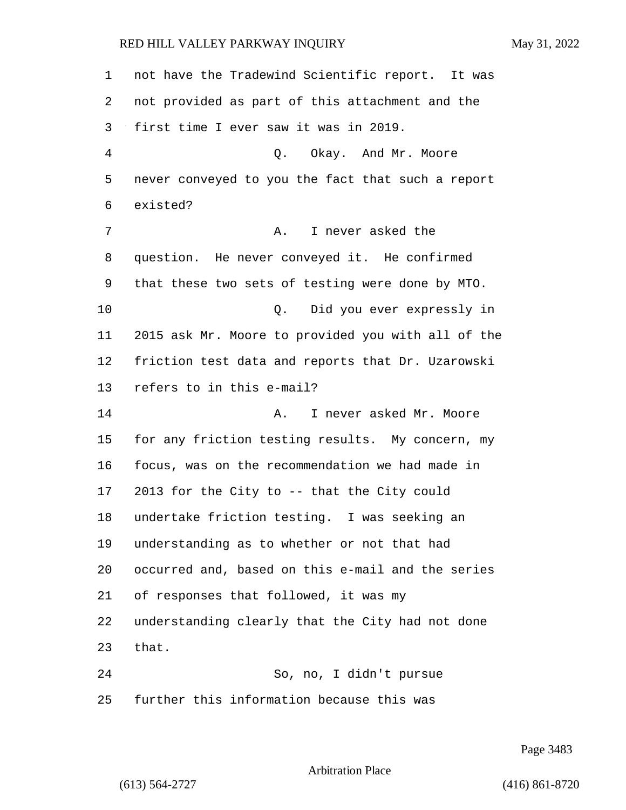not have the Tradewind Scientific report. It was not provided as part of this attachment and the first time I ever saw it was in 2019. 4 Q. Okay. And Mr. Moore never conveyed to you the fact that such a report existed? 7 A. I never asked the question. He never conveyed it. He confirmed that these two sets of testing were done by MTO. 10 Q. Did you ever expressly in 2015 ask Mr. Moore to provided you with all of the friction test data and reports that Dr. Uzarowski refers to in this e-mail? **A.** I never asked Mr. Moore for any friction testing results. My concern, my focus, was on the recommendation we had made in 2013 for the City to -- that the City could undertake friction testing. I was seeking an understanding as to whether or not that had occurred and, based on this e-mail and the series of responses that followed, it was my understanding clearly that the City had not done that. 24 So, no, I didn't pursue further this information because this was

Page 3483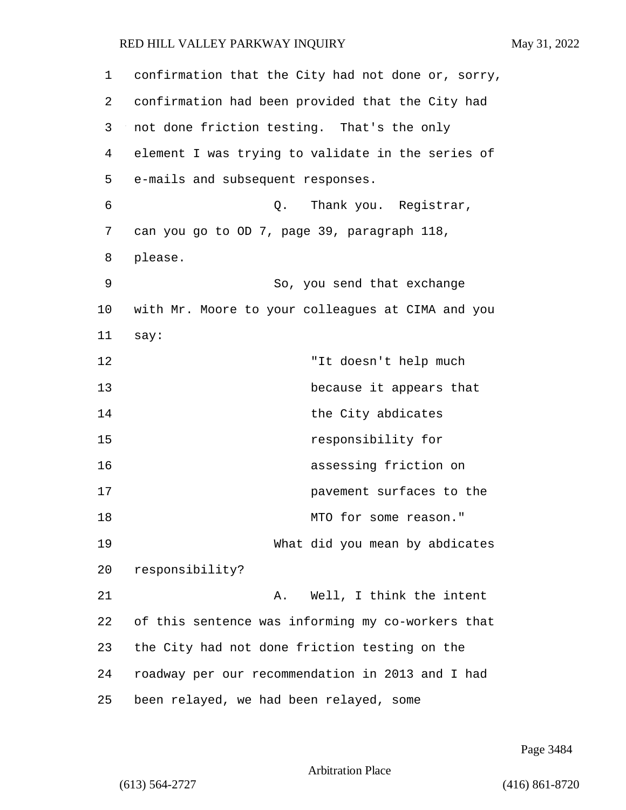| 1  | confirmation that the City had not done or, sorry, |
|----|----------------------------------------------------|
| 2  | confirmation had been provided that the City had   |
| 3  | not done friction testing. That's the only         |
| 4  | element I was trying to validate in the series of  |
| 5  | e-mails and subsequent responses.                  |
| 6  | Thank you. Registrar,<br>Q.                        |
| 7  | can you go to OD 7, page 39, paragraph 118,        |
| 8  | please.                                            |
| 9  | So, you send that exchange                         |
| 10 | with Mr. Moore to your colleagues at CIMA and you  |
| 11 | say:                                               |
| 12 | "It doesn't help much                              |
| 13 | because it appears that                            |
| 14 | the City abdicates                                 |
| 15 | responsibility for                                 |
| 16 | assessing friction on                              |
| 17 | pavement surfaces to the                           |
| 18 | MTO for some reason."                              |
| 19 | What did you mean by abdicates                     |
| 20 | responsibility?                                    |
| 21 | Well, I think the intent<br>Α.                     |
| 22 | of this sentence was informing my co-workers that  |
| 23 | the City had not done friction testing on the      |
| 24 | roadway per our recommendation in 2013 and I had   |
| 25 | been relayed, we had been relayed, some            |

Page 3484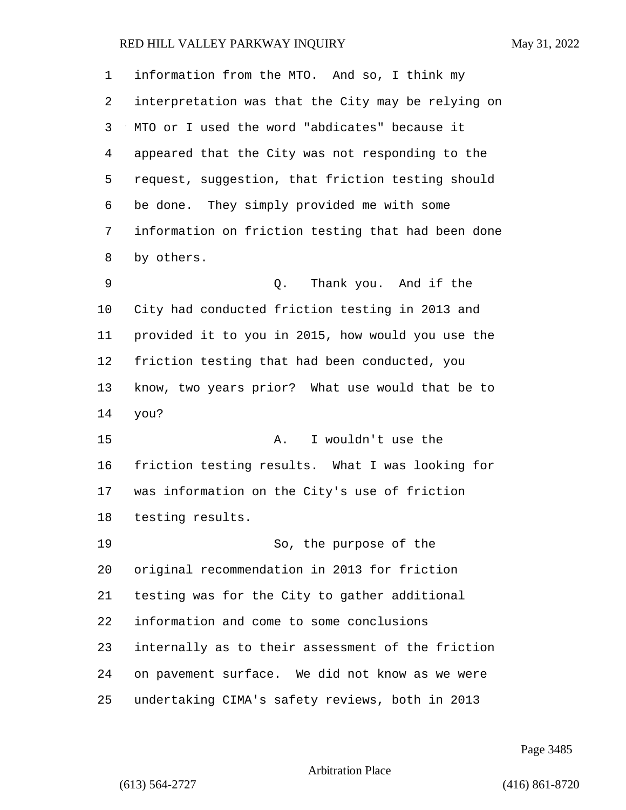| 1  | information from the MTO. And so, I think my       |
|----|----------------------------------------------------|
| 2  | interpretation was that the City may be relying on |
| 3  | MTO or I used the word "abdicates" because it      |
| 4  | appeared that the City was not responding to the   |
| 5  | request, suggestion, that friction testing should  |
| 6  | be done. They simply provided me with some         |
| 7  | information on friction testing that had been done |
| 8  | by others.                                         |
| 9  | Thank you. And if the<br>Q.                        |
| 10 | City had conducted friction testing in 2013 and    |
| 11 | provided it to you in 2015, how would you use the  |
| 12 | friction testing that had been conducted, you      |
| 13 | know, two years prior? What use would that be to   |
| 14 | you?                                               |
| 15 | I wouldn't use the<br>Α.                           |
| 16 | friction testing results. What I was looking for   |
| 17 | was information on the City's use of friction      |
| 18 | testing results.                                   |
| 19 | So, the purpose of the                             |
| 20 | original recommendation in 2013 for friction       |
| 21 | testing was for the City to gather additional      |
| 22 | information and come to some conclusions           |
| 23 | internally as to their assessment of the friction  |
| 24 | on pavement surface. We did not know as we were    |
| 25 | undertaking CIMA's safety reviews, both in 2013    |

Page 3485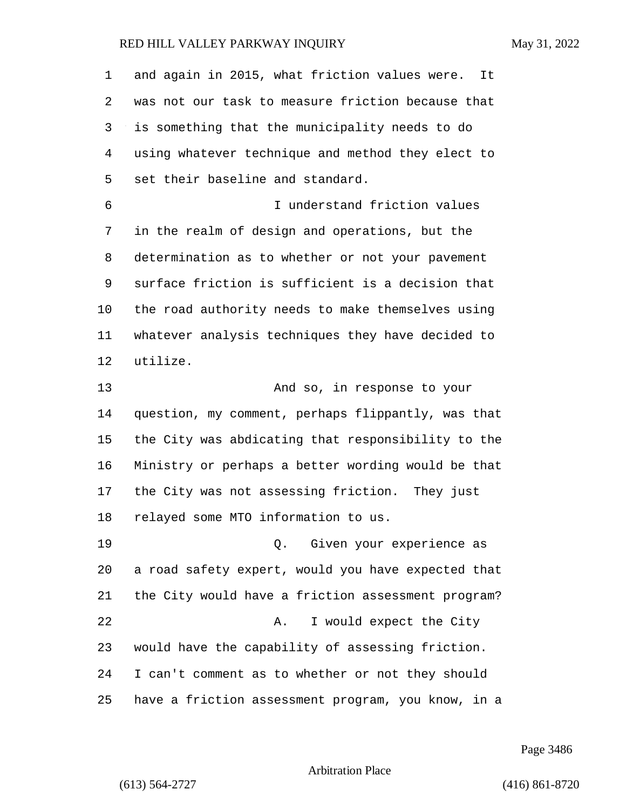and again in 2015, what friction values were. It was not our task to measure friction because that is something that the municipality needs to do using whatever technique and method they elect to set their baseline and standard. 6 I understand friction values in the realm of design and operations, but the determination as to whether or not your pavement surface friction is sufficient is a decision that the road authority needs to make themselves using whatever analysis techniques they have decided to utilize. 13 And so, in response to your question, my comment, perhaps flippantly, was that the City was abdicating that responsibility to the Ministry or perhaps a better wording would be that the City was not assessing friction. They just relayed some MTO information to us. 19 Q. Given your experience as a road safety expert, would you have expected that the City would have a friction assessment program? 22 A. I would expect the City would have the capability of assessing friction. I can't comment as to whether or not they should have a friction assessment program, you know, in a

Page 3486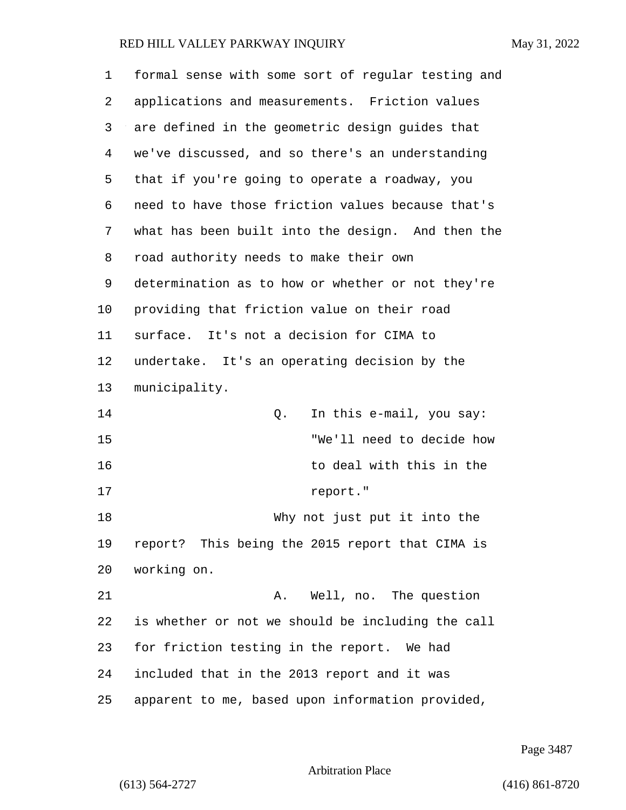| 1  | formal sense with some sort of regular testing and |
|----|----------------------------------------------------|
| 2  | applications and measurements. Friction values     |
| 3  | are defined in the geometric design guides that    |
| 4  | we've discussed, and so there's an understanding   |
| 5  | that if you're going to operate a roadway, you     |
| 6  | need to have those friction values because that's  |
| 7  | what has been built into the design. And then the  |
| 8  | road authority needs to make their own             |
| 9  | determination as to how or whether or not they're  |
| 10 | providing that friction value on their road        |
| 11 | surface. It's not a decision for CIMA to           |
| 12 | undertake. It's an operating decision by the       |
| 13 | municipality.                                      |
| 14 | In this e-mail, you say:<br>Q.                     |
| 15 | "We'll need to decide how                          |
| 16 | to deal with this in the                           |
| 17 | report."                                           |
| 18 | Why not just put it into the                       |
| 19 | report? This being the 2015 report that CIMA is    |
| 20 | working on.                                        |
| 21 | Well, no. The question<br>Α.                       |
| 22 | is whether or not we should be including the call  |
| 23 | for friction testing in the report. We had         |
| 24 | included that in the 2013 report and it was        |
| 25 | apparent to me, based upon information provided,   |

Page 3487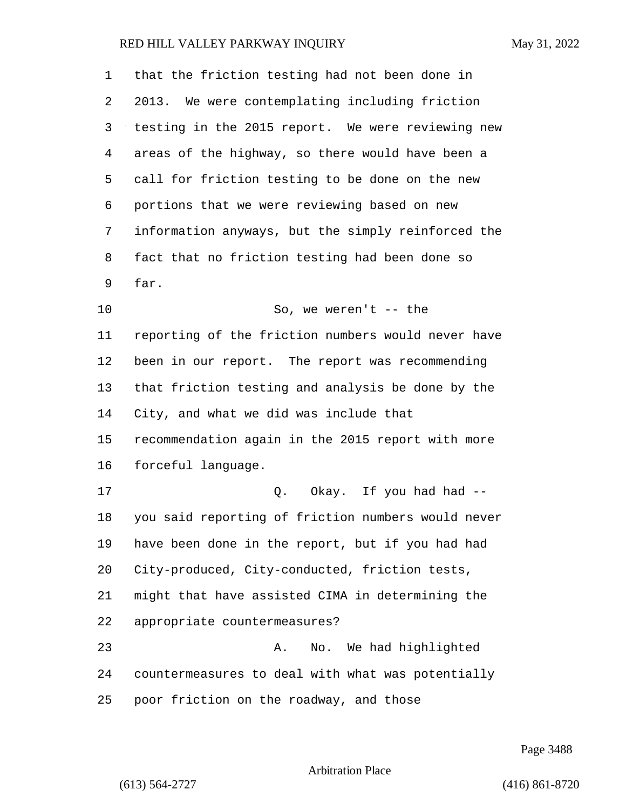| 1  | that the friction testing had not been done in     |
|----|----------------------------------------------------|
| 2  | 2013. We were contemplating including friction     |
| 3  | testing in the 2015 report. We were reviewing new  |
| 4  | areas of the highway, so there would have been a   |
| 5  | call for friction testing to be done on the new    |
| 6  | portions that we were reviewing based on new       |
| 7  | information anyways, but the simply reinforced the |
| 8  | fact that no friction testing had been done so     |
| 9  | far.                                               |
| 10 | So, we weren't $--$ the                            |
| 11 | reporting of the friction numbers would never have |
| 12 | been in our report. The report was recommending    |
| 13 | that friction testing and analysis be done by the  |
| 14 | City, and what we did was include that             |
| 15 | recommendation again in the 2015 report with more  |
| 16 | forceful language.                                 |
| 17 | Okay. If you had had --<br>Q.                      |
| 18 | you said reporting of friction numbers would never |
| 19 | have been done in the report, but if you had had   |
| 20 | City-produced, City-conducted, friction tests,     |
| 21 | might that have assisted CIMA in determining the   |
| 22 | appropriate countermeasures?                       |
| 23 | No. We had highlighted<br>Α.                       |
| 24 | countermeasures to deal with what was potentially  |
| 25 | poor friction on the roadway, and those            |

Page 3488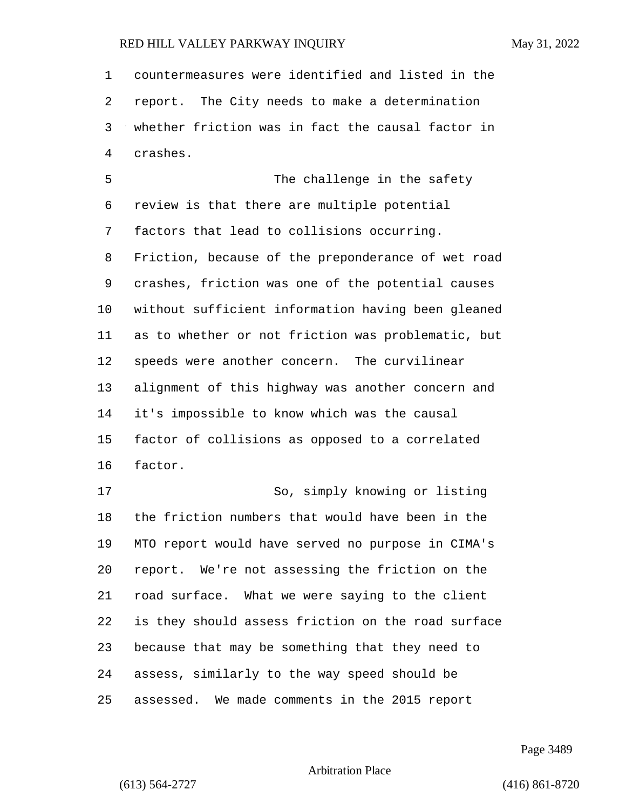countermeasures were identified and listed in the report. The City needs to make a determination whether friction was in fact the causal factor in crashes. 5 The challenge in the safety review is that there are multiple potential factors that lead to collisions occurring. Friction, because of the preponderance of wet road crashes, friction was one of the potential causes without sufficient information having been gleaned as to whether or not friction was problematic, but speeds were another concern. The curvilinear alignment of this highway was another concern and it's impossible to know which was the causal factor of collisions as opposed to a correlated factor. 17 So, simply knowing or listing the friction numbers that would have been in the MTO report would have served no purpose in CIMA's report. We're not assessing the friction on the road surface. What we were saying to the client is they should assess friction on the road surface because that may be something that they need to assess, similarly to the way speed should be

assessed. We made comments in the 2015 report

Page 3489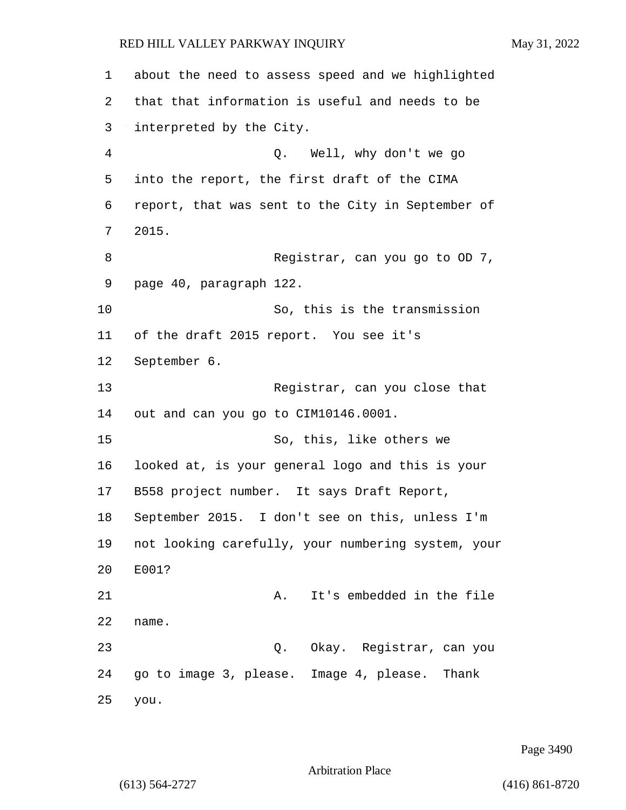about the need to assess speed and we highlighted that that information is useful and needs to be interpreted by the City. 4 Q. Well, why don't we go into the report, the first draft of the CIMA report, that was sent to the City in September of 2015. 8 Registrar, can you go to OD 7, page 40, paragraph 122. 10 So, this is the transmission of the draft 2015 report. You see it's September 6. 13 Registrar, can you close that out and can you go to CIM10146.0001. 15 So, this, like others we looked at, is your general logo and this is your B558 project number. It says Draft Report, September 2015. I don't see on this, unless I'm not looking carefully, your numbering system, your E001? 21 A. It's embedded in the file name. 23 Q. Okay. Registrar, can you go to image 3, please. Image 4, please. Thank you.

Page 3490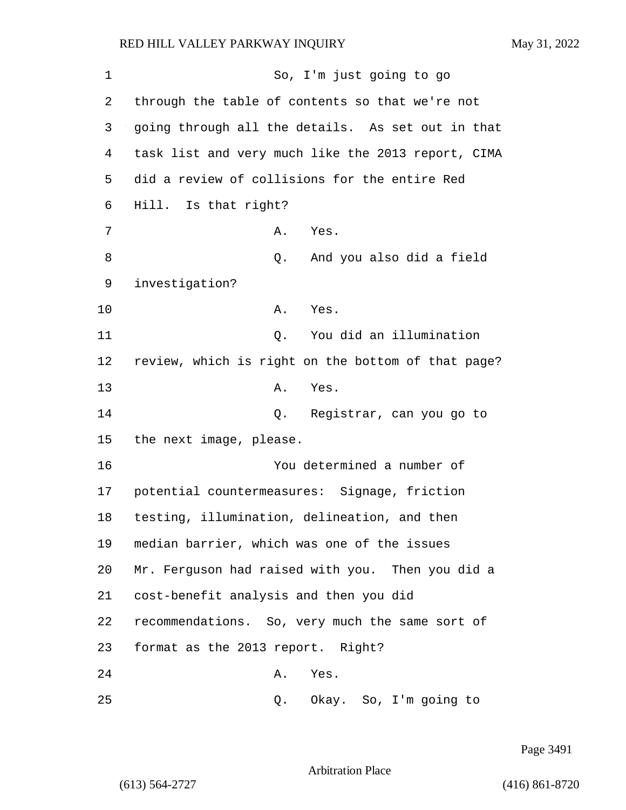1 So, I'm just going to go 2 through the table of contents so that we're not 3 going through all the details. As set out in that 4 task list and very much like the 2013 report, CIMA 5 did a review of collisions for the entire Red 6 Hill. Is that right? 7 A. Yes. 8 Q. And you also did a field 9 investigation? 10 A. Yes. 11 Q. You did an illumination 12 review, which is right on the bottom of that page? 13 A. Yes. 14 Q. Registrar, can you go to 15 the next image, please. 16 You determined a number of 17 potential countermeasures: Signage, friction 18 testing, illumination, delineation, and then 19 median barrier, which was one of the issues 20 Mr. Ferguson had raised with you. Then you did a 21 cost-benefit analysis and then you did 22 recommendations. So, very much the same sort of 23 format as the 2013 report. Right? 24 A. Yes. 25 Q. Okay. So, I'm going to

Page 3491

Arbitration Place

(613) 564-2727 (416) 861-8720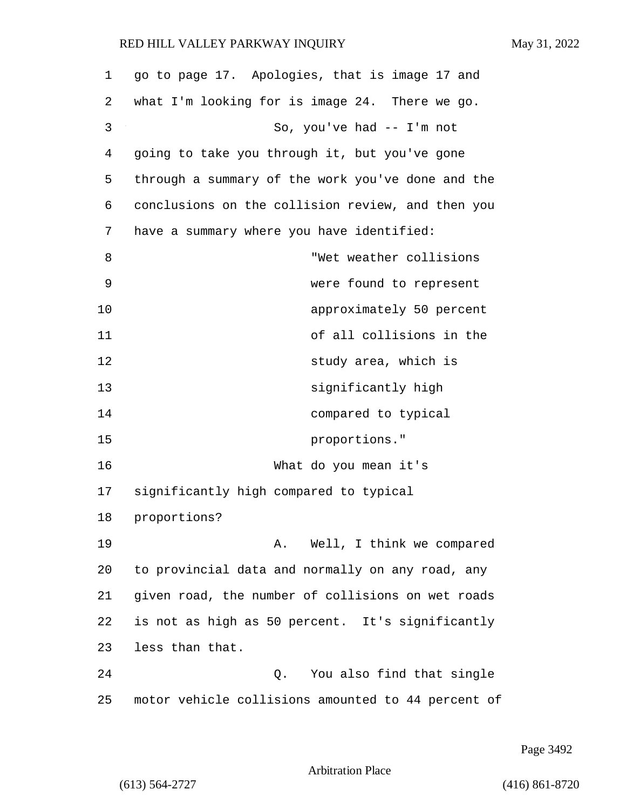| 1  | go to page 17. Apologies, that is image 17 and     |
|----|----------------------------------------------------|
| 2  | what I'm looking for is image 24. There we go.     |
| 3  | So, you've had -- I'm not                          |
| 4  | going to take you through it, but you've gone      |
| 5  | through a summary of the work you've done and the  |
| 6  | conclusions on the collision review, and then you  |
| 7  | have a summary where you have identified:          |
| 8  | "Wet weather collisions                            |
| 9  | were found to represent                            |
| 10 | approximately 50 percent                           |
| 11 | of all collisions in the                           |
| 12 | study area, which is                               |
| 13 | significantly high                                 |
| 14 | compared to typical                                |
| 15 | proportions."                                      |
| 16 | What do you mean it's                              |
| 17 | significantly high compared to typical             |
| 18 | proportions?                                       |
| 19 | A. Well, I think we compared                       |
| 20 | to provincial data and normally on any road, any   |
| 21 | given road, the number of collisions on wet roads  |
| 22 | is not as high as 50 percent. It's significantly   |
| 23 | less than that.                                    |
| 24 | You also find that single<br>Q.                    |
| 25 | motor vehicle collisions amounted to 44 percent of |

Page 3492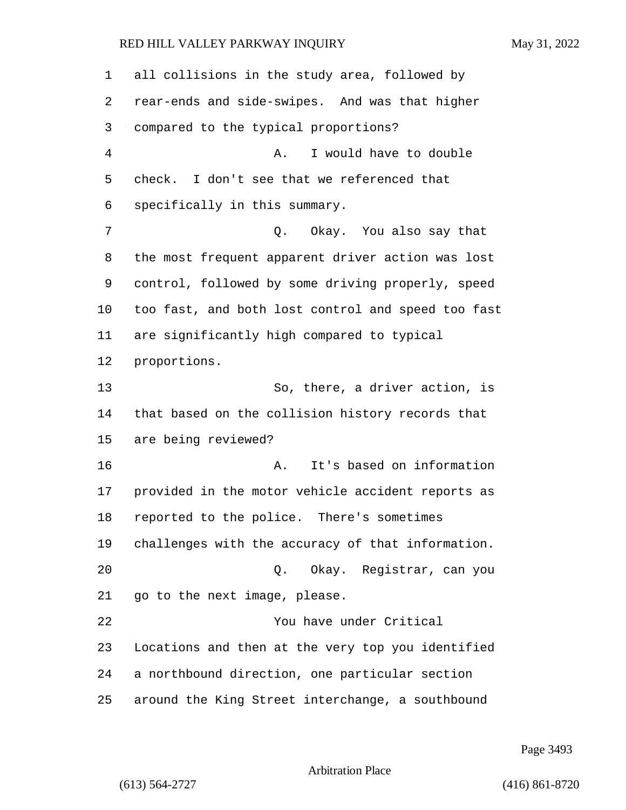all collisions in the study area, followed by rear-ends and side-swipes. And was that higher compared to the typical proportions? 4 A. I would have to double check. I don't see that we referenced that specifically in this summary. 7 C. Okay. You also say that the most frequent apparent driver action was lost control, followed by some driving properly, speed too fast, and both lost control and speed too fast are significantly high compared to typical proportions. 13 So, there, a driver action, is that based on the collision history records that are being reviewed? 16 A. It's based on information provided in the motor vehicle accident reports as reported to the police. There's sometimes challenges with the accuracy of that information. 20 Q. Okay. Registrar, can you go to the next image, please. 22 You have under Critical Locations and then at the very top you identified a northbound direction, one particular section around the King Street interchange, a southbound

Page 3493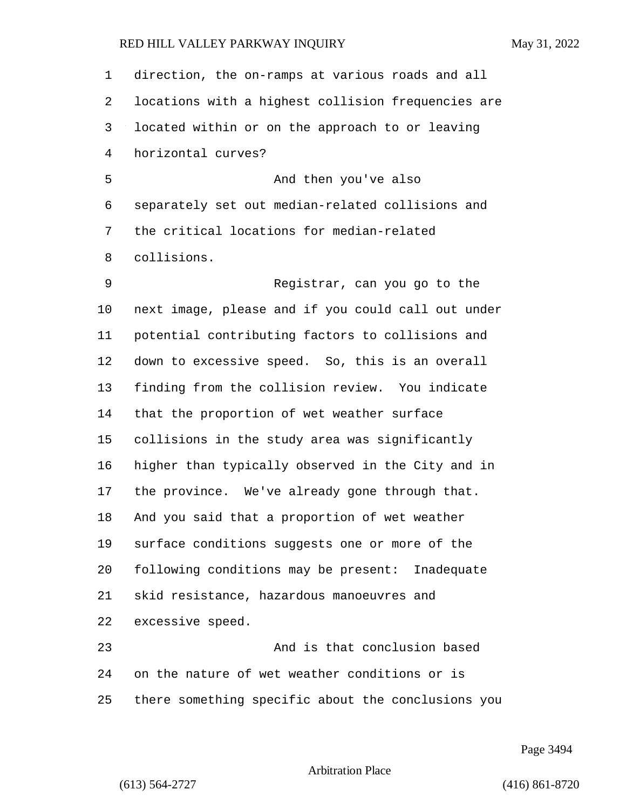direction, the on-ramps at various roads and all locations with a highest collision frequencies are located within or on the approach to or leaving horizontal curves? 5 And then you've also separately set out median-related collisions and the critical locations for median-related collisions. 9 Registrar, can you go to the next image, please and if you could call out under potential contributing factors to collisions and down to excessive speed. So, this is an overall finding from the collision review. You indicate that the proportion of wet weather surface collisions in the study area was significantly higher than typically observed in the City and in the province. We've already gone through that. And you said that a proportion of wet weather surface conditions suggests one or more of the following conditions may be present: Inadequate skid resistance, hazardous manoeuvres and excessive speed. 23 And is that conclusion based on the nature of wet weather conditions or is there something specific about the conclusions you

Page 3494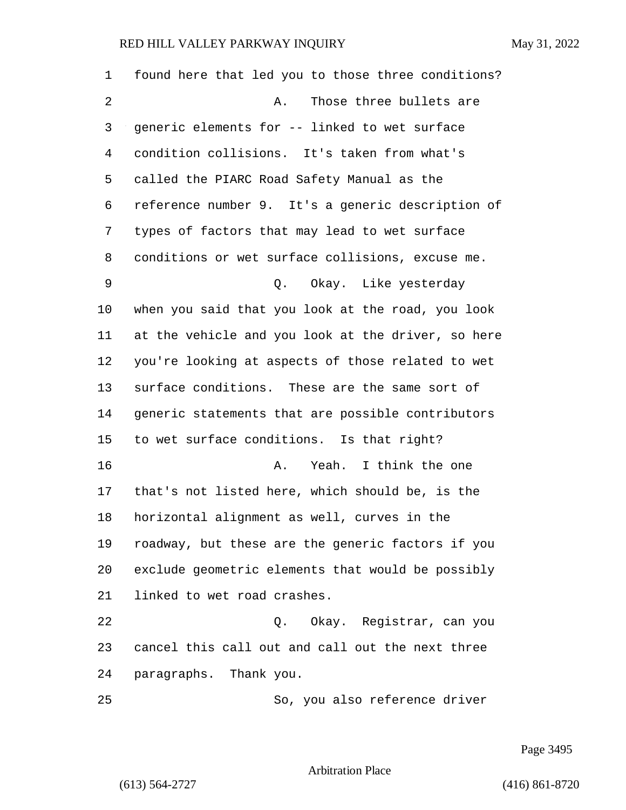| 1  | found here that led you to those three conditions? |
|----|----------------------------------------------------|
| 2  | Those three bullets are<br>Α.                      |
| 3  | generic elements for -- linked to wet surface      |
| 4  | condition collisions. It's taken from what's       |
| 5  | called the PIARC Road Safety Manual as the         |
| 6  | reference number 9. It's a generic description of  |
| 7  | types of factors that may lead to wet surface      |
| 8  | conditions or wet surface collisions, excuse me.   |
| 9  | Q. Okay. Like yesterday                            |
| 10 | when you said that you look at the road, you look  |
| 11 | at the vehicle and you look at the driver, so here |
| 12 | you're looking at aspects of those related to wet  |
| 13 | surface conditions. These are the same sort of     |
| 14 | generic statements that are possible contributors  |
| 15 | to wet surface conditions. Is that right?          |
| 16 | A. Yeah. I think the one                           |
| 17 | that's not listed here, which should be, is the    |
| 18 | horizontal alignment as well, curves in the        |
| 19 | roadway, but these are the generic factors if you  |
| 20 | exclude geometric elements that would be possibly  |
| 21 | linked to wet road crashes.                        |
| 22 | Q. Okay. Registrar, can you                        |
| 23 | cancel this call out and call out the next three   |
| 24 | paragraphs. Thank you.                             |
| 25 | So, you also reference driver                      |

Page 3495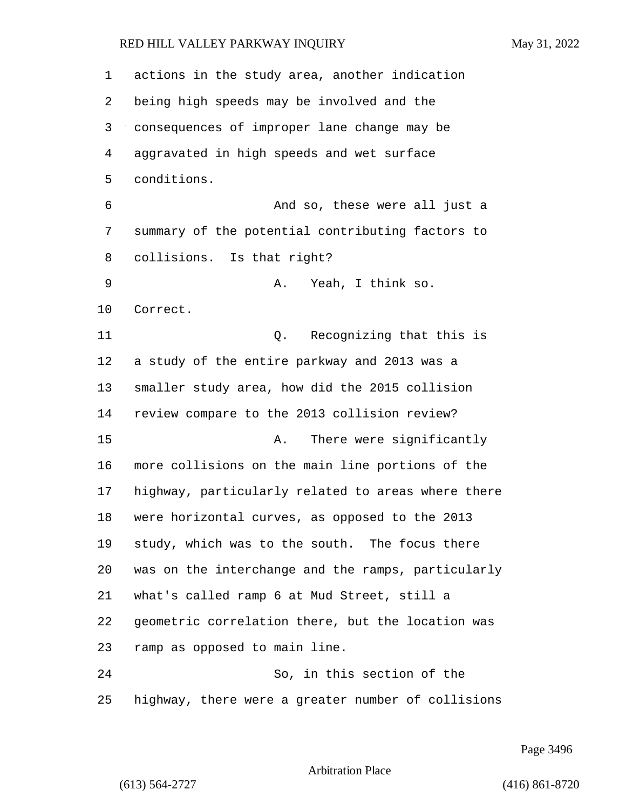| $\mathbf 1$ | actions in the study area, another indication      |
|-------------|----------------------------------------------------|
| 2           | being high speeds may be involved and the          |
| 3           | consequences of improper lane change may be        |
| 4           | aggravated in high speeds and wet surface          |
| 5           | conditions.                                        |
| 6           | And so, these were all just a                      |
| 7           | summary of the potential contributing factors to   |
| 8           | collisions. Is that right?                         |
| 9           | Yeah, I think so.<br>Α.                            |
| 10          | Correct.                                           |
| 11          | Recognizing that this is<br>Q.                     |
| 12          | a study of the entire parkway and 2013 was a       |
| 13          | smaller study area, how did the 2015 collision     |
| 14          | review compare to the 2013 collision review?       |
| 15          | There were significantly<br>Α.                     |
| 16          | more collisions on the main line portions of the   |
| 17          | highway, particularly related to areas where there |
| 18          | were horizontal curves, as opposed to the 2013     |
| 19          | study, which was to the south. The focus there     |
| 20          | was on the interchange and the ramps, particularly |
| 21          | what's called ramp 6 at Mud Street, still a        |
| 22          | geometric correlation there, but the location was  |
| 23          | ramp as opposed to main line.                      |
| 24          | So, in this section of the                         |
| 25          | highway, there were a greater number of collisions |

Page 3496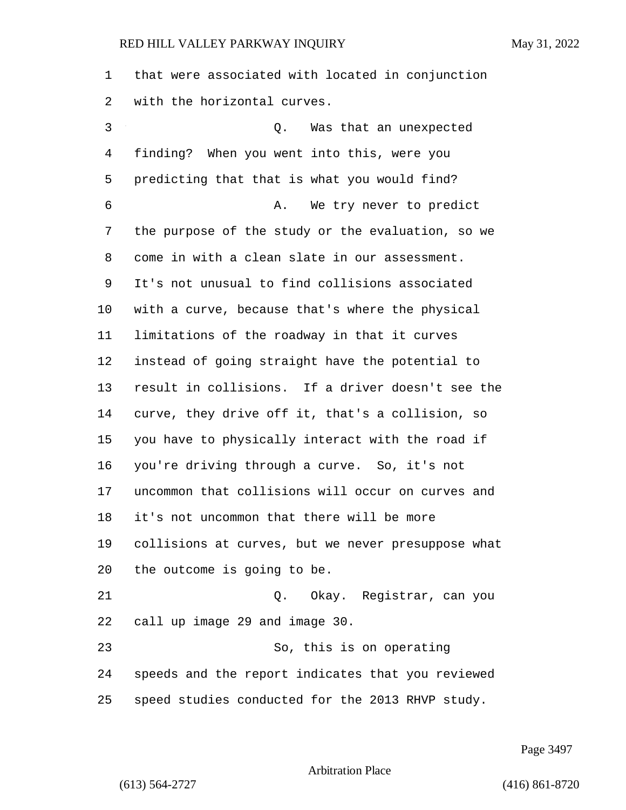that were associated with located in conjunction with the horizontal curves.

3 Q. Was that an unexpected finding? When you went into this, were you predicting that that is what you would find? 6 A. We try never to predict the purpose of the study or the evaluation, so we come in with a clean slate in our assessment. It's not unusual to find collisions associated with a curve, because that's where the physical limitations of the roadway in that it curves instead of going straight have the potential to result in collisions. If a driver doesn't see the curve, they drive off it, that's a collision, so you have to physically interact with the road if you're driving through a curve. So, it's not uncommon that collisions will occur on curves and it's not uncommon that there will be more collisions at curves, but we never presuppose what the outcome is going to be. 21 Q. Okay. Registrar, can you call up image 29 and image 30. 23 So, this is on operating speeds and the report indicates that you reviewed speed studies conducted for the 2013 RHVP study.

Page 3497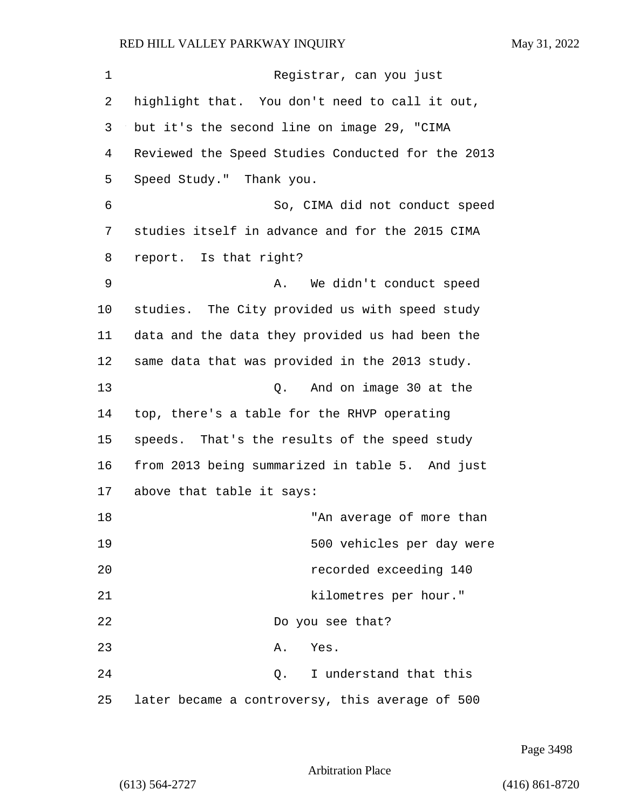| $\mathbf 1$ | Registrar, can you just                           |
|-------------|---------------------------------------------------|
| 2           | highlight that. You don't need to call it out,    |
| 3           | but it's the second line on image 29, "CIMA       |
| 4           | Reviewed the Speed Studies Conducted for the 2013 |
| 5           | Speed Study." Thank you.                          |
| 6           | So, CIMA did not conduct speed                    |
| 7           | studies itself in advance and for the 2015 CIMA   |
| 8           | report. Is that right?                            |
| 9           | We didn't conduct speed<br>A.                     |
| 10          | studies. The City provided us with speed study    |
| 11          | data and the data they provided us had been the   |
| 12          | same data that was provided in the 2013 study.    |
| 13          | And on image 30 at the<br>Q.                      |
| 14          | top, there's a table for the RHVP operating       |
| 15          | speeds. That's the results of the speed study     |
| 16          | from 2013 being summarized in table 5. And just   |
| 17          | above that table it says:                         |
| 18          | "An average of more than                          |
| 19          | 500 vehicles per day were                         |
| 20          | recorded exceeding 140                            |
| 21          | kilometres per hour."                             |
| 22          | Do you see that?                                  |
| 23          | Α.<br>Yes.                                        |
| 24          | Q. I understand that this                         |
| 25          | later became a controversy, this average of 500   |

Page 3498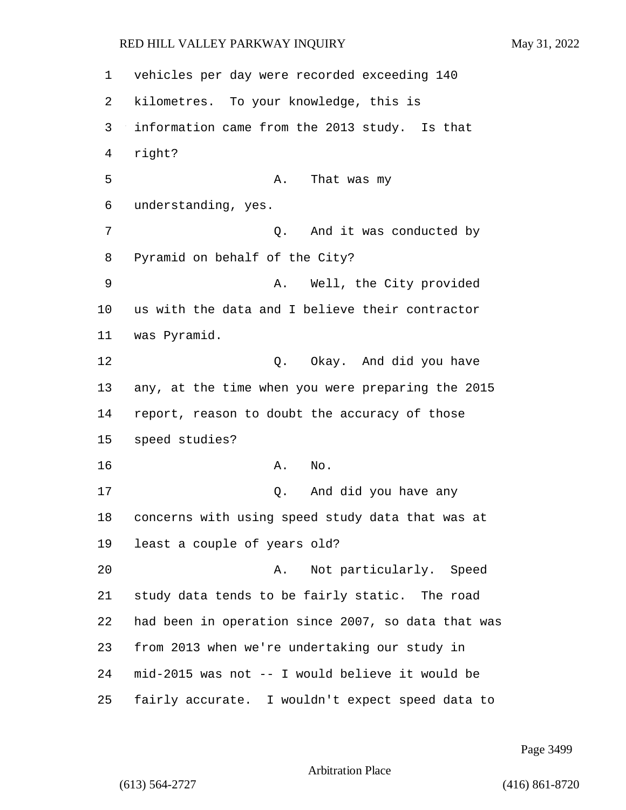vehicles per day were recorded exceeding 140 kilometres. To your knowledge, this is information came from the 2013 study. Is that right? 5 A. That was my understanding, yes. 7 0. And it was conducted by Pyramid on behalf of the City? 9 A. Well, the City provided us with the data and I believe their contractor was Pyramid. 12 O. Okay. And did you have any, at the time when you were preparing the 2015 report, reason to doubt the accuracy of those speed studies? 16 A. No. 17 Q. And did you have any concerns with using speed study data that was at least a couple of years old? 20 A. Not particularly. Speed study data tends to be fairly static. The road had been in operation since 2007, so data that was from 2013 when we're undertaking our study in mid-2015 was not -- I would believe it would be fairly accurate. I wouldn't expect speed data to

Page 3499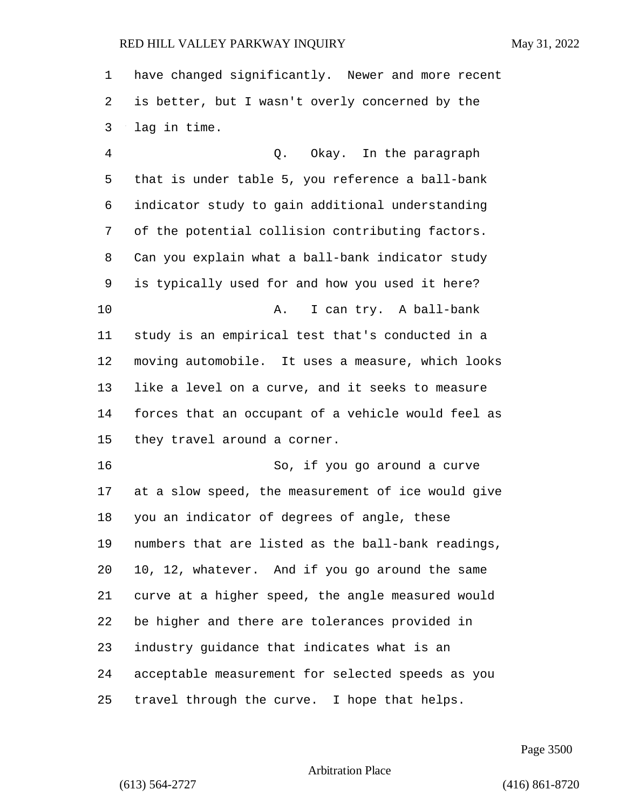have changed significantly. Newer and more recent is better, but I wasn't overly concerned by the lag in time.

4 Q. Okay. In the paragraph that is under table 5, you reference a ball-bank indicator study to gain additional understanding of the potential collision contributing factors. Can you explain what a ball-bank indicator study is typically used for and how you used it here? 10 A. I can try. A ball-bank study is an empirical test that's conducted in a moving automobile. It uses a measure, which looks like a level on a curve, and it seeks to measure forces that an occupant of a vehicle would feel as they travel around a corner. 16 So, if you go around a curve at a slow speed, the measurement of ice would give you an indicator of degrees of angle, these numbers that are listed as the ball-bank readings, 10, 12, whatever. And if you go around the same curve at a higher speed, the angle measured would be higher and there are tolerances provided in industry guidance that indicates what is an acceptable measurement for selected speeds as you travel through the curve. I hope that helps.

Page 3500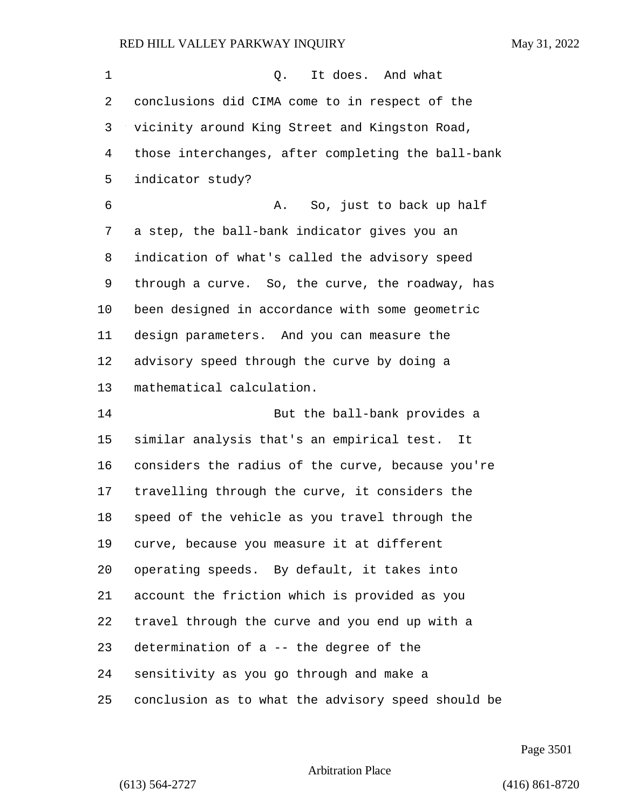| 1  | It does. And what<br>Q.                            |
|----|----------------------------------------------------|
| 2  | conclusions did CIMA come to in respect of the     |
| 3  | vicinity around King Street and Kingston Road,     |
| 4  | those interchanges, after completing the ball-bank |
| 5  | indicator study?                                   |
| 6  | So, just to back up half<br>Α.                     |
| 7  | a step, the ball-bank indicator gives you an       |
| 8  | indication of what's called the advisory speed     |
| 9  | through a curve. So, the curve, the roadway, has   |
| 10 | been designed in accordance with some geometric    |
| 11 | design parameters. And you can measure the         |
| 12 | advisory speed through the curve by doing a        |
| 13 | mathematical calculation.                          |
| 14 | But the ball-bank provides a                       |
| 15 | similar analysis that's an empirical test.<br>It   |
| 16 | considers the radius of the curve, because you're  |
| 17 | travelling through the curve, it considers the     |
| 18 | speed of the vehicle as you travel through the     |
| 19 | curve, because you measure it at different         |
| 20 | operating speeds. By default, it takes into        |
| 21 | account the friction which is provided as you      |
| 22 | travel through the curve and you end up with a     |
| 23 | determination of a -- the degree of the            |
| 24 | sensitivity as you go through and make a           |
| 25 | conclusion as to what the advisory speed should be |

Page 3501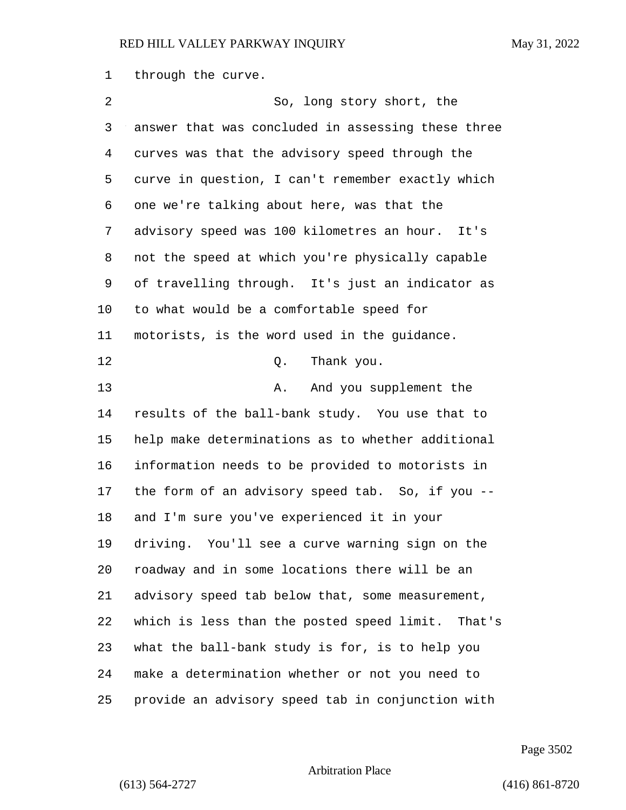through the curve.

| 2      | So, long story short, the                          |
|--------|----------------------------------------------------|
| 3      | answer that was concluded in assessing these three |
| 4      | curves was that the advisory speed through the     |
| 5      | curve in question, I can't remember exactly which  |
| 6      | one we're talking about here, was that the         |
| 7      | advisory speed was 100 kilometres an hour. It's    |
| 8      | not the speed at which you're physically capable   |
| 9      | of travelling through. It's just an indicator as   |
| 10     | to what would be a comfortable speed for           |
| 11     | motorists, is the word used in the guidance.       |
| 12     | Thank you.<br>Q.                                   |
| 13     | And you supplement the<br>Α.                       |
| 14     | results of the ball-bank study. You use that to    |
| 15     | help make determinations as to whether additional  |
| 16     | information needs to be provided to motorists in   |
| 17     | the form of an advisory speed tab. So, if you --   |
| $18\,$ | and I'm sure you've experienced it in your         |
| 19     | driving. You'll see a curve warning sign on the    |
| 20     | roadway and in some locations there will be an     |
| 21     | advisory speed tab below that, some measurement,   |
| 22     | which is less than the posted speed limit. That's  |
| 23     | what the ball-bank study is for, is to help you    |
| 24     | make a determination whether or not you need to    |
| 25     | provide an advisory speed tab in conjunction with  |

Page 3502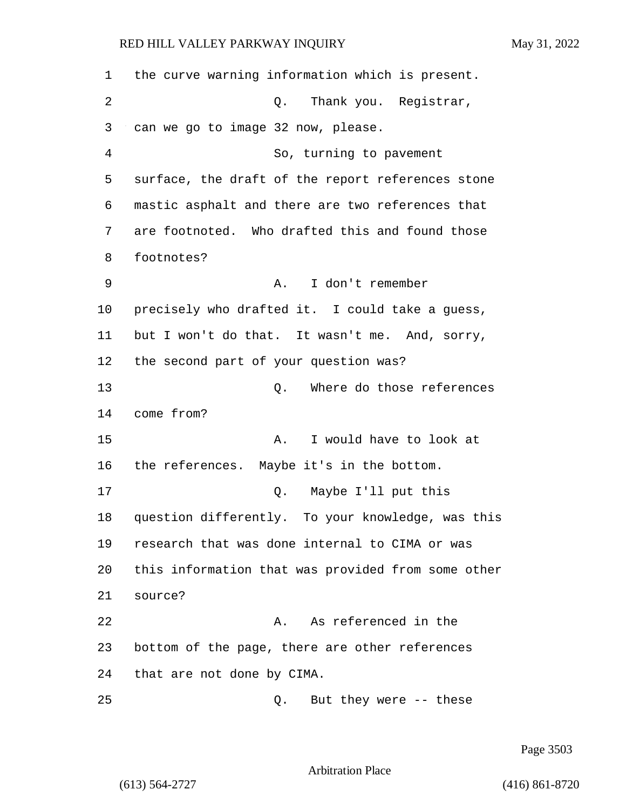the curve warning information which is present. 2 Q. Thank you. Registrar, can we go to image 32 now, please. 4 So, turning to pavement surface, the draft of the report references stone mastic asphalt and there are two references that are footnoted. Who drafted this and found those footnotes? 9 A. I don't remember precisely who drafted it. I could take a guess, but I won't do that. It wasn't me. And, sorry, the second part of your question was? 13 and 13 Q. Where do those references come from? 15 A. I would have to look at the references. Maybe it's in the bottom. 17 Q. Maybe I'll put this question differently. To your knowledge, was this research that was done internal to CIMA or was this information that was provided from some other 21 source? 22 A. As referenced in the bottom of the page, there are other references that are not done by CIMA. 25 Q. But they were -- these

Page 3503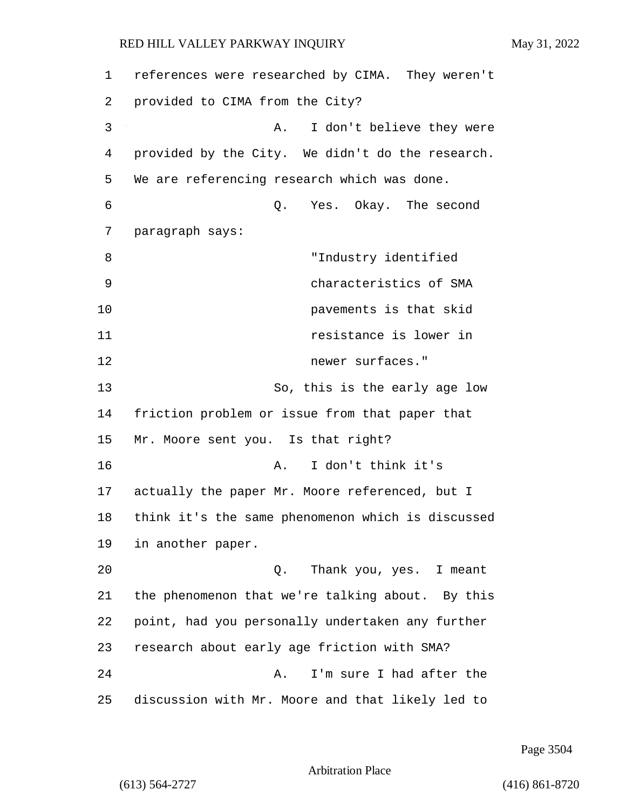| 1  | references were researched by CIMA. They weren't  |
|----|---------------------------------------------------|
| 2  | provided to CIMA from the City?                   |
| 3  | I don't believe they were<br>Α.                   |
| 4  | provided by the City. We didn't do the research.  |
| 5  | We are referencing research which was done.       |
| 6  | Yes. Okay. The second<br>Q.                       |
| 7  | paragraph says:                                   |
| 8  | "Industry identified                              |
| 9  | characteristics of SMA                            |
| 10 | pavements is that skid                            |
| 11 | resistance is lower in                            |
| 12 | newer surfaces."                                  |
| 13 | So, this is the early age low                     |
| 14 | friction problem or issue from that paper that    |
| 15 | Mr. Moore sent you. Is that right?                |
| 16 | I don't think it's<br>Α.                          |
| 17 | actually the paper Mr. Moore referenced, but I    |
| 18 | think it's the same phenomenon which is discussed |
| 19 | in another paper.                                 |
| 20 | Thank you, yes. I meant<br>Q.                     |
| 21 | the phenomenon that we're talking about. By this  |
| 22 | point, had you personally undertaken any further  |
| 23 | research about early age friction with SMA?       |
| 24 | I'm sure I had after the<br>Α.                    |
| 25 | discussion with Mr. Moore and that likely led to  |

Page 3504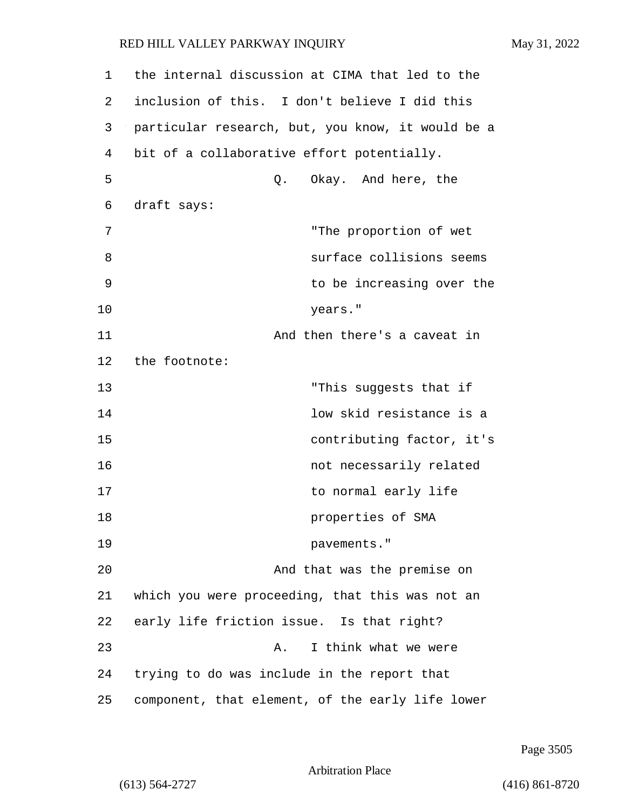| 1  | the internal discussion at CIMA that led to the   |
|----|---------------------------------------------------|
| 2  | inclusion of this. I don't believe I did this     |
| 3  | particular research, but, you know, it would be a |
| 4  | bit of a collaborative effort potentially.        |
| 5  | Okay. And here, the<br>Q.                         |
| 6  | draft says:                                       |
| 7  | "The proportion of wet                            |
| 8  | surface collisions seems                          |
| 9  | to be increasing over the                         |
| 10 | years."                                           |
| 11 | And then there's a caveat in                      |
| 12 | the footnote:                                     |
| 13 | "This suggests that if                            |
| 14 | low skid resistance is a                          |
| 15 | contributing factor, it's                         |
| 16 | not necessarily related                           |
| 17 | to normal early life                              |
| 18 | properties of SMA                                 |
| 19 | pavements."                                       |
| 20 | And that was the premise on                       |
| 21 | which you were proceeding, that this was not an   |
| 22 | early life friction issue. Is that right?         |
| 23 | I think what we were<br>Α.                        |
| 24 | trying to do was include in the report that       |
| 25 | component, that element, of the early life lower  |

Page 3505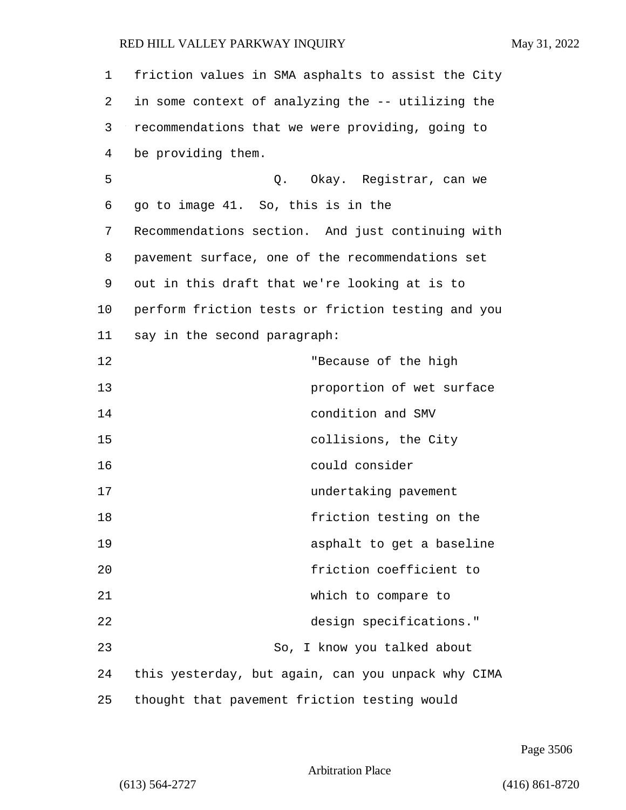| 1  | friction values in SMA asphalts to assist the City |
|----|----------------------------------------------------|
| 2  | in some context of analyzing the -- utilizing the  |
| 3  | recommendations that we were providing, going to   |
| 4  | be providing them.                                 |
| 5  | Q. Okay. Registrar, can we                         |
| 6  | go to image 41. So, this is in the                 |
| 7  | Recommendations section. And just continuing with  |
| 8  | pavement surface, one of the recommendations set   |
| 9  | out in this draft that we're looking at is to      |
| 10 | perform friction tests or friction testing and you |
| 11 | say in the second paragraph:                       |
| 12 | "Because of the high                               |
| 13 | proportion of wet surface                          |
| 14 | condition and SMV                                  |
| 15 | collisions, the City                               |
| 16 | could consider                                     |
| 17 | undertaking pavement                               |
| 18 | friction testing on the                            |
| 19 | asphalt to get a baseline                          |
| 20 | friction coefficient to                            |
| 21 | which to compare to                                |
| 22 | design specifications."                            |
| 23 | So, I know you talked about                        |
| 24 | this yesterday, but again, can you unpack why CIMA |
| 25 | thought that pavement friction testing would       |

Page 3506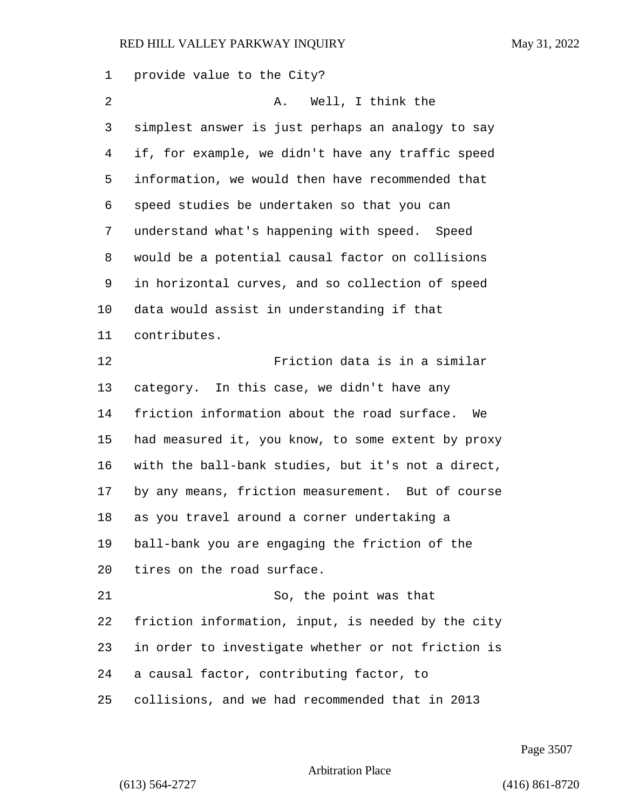provide value to the City? 2 A. Well, I think the simplest answer is just perhaps an analogy to say if, for example, we didn't have any traffic speed information, we would then have recommended that speed studies be undertaken so that you can understand what's happening with speed. Speed would be a potential causal factor on collisions in horizontal curves, and so collection of speed data would assist in understanding if that contributes. 12 Friction data is in a similar category. In this case, we didn't have any friction information about the road surface. We had measured it, you know, to some extent by proxy with the ball-bank studies, but it's not a direct, by any means, friction measurement. But of course as you travel around a corner undertaking a ball-bank you are engaging the friction of the tires on the road surface. 21 So, the point was that friction information, input, is needed by the city in order to investigate whether or not friction is a causal factor, contributing factor, to collisions, and we had recommended that in 2013

Page 3507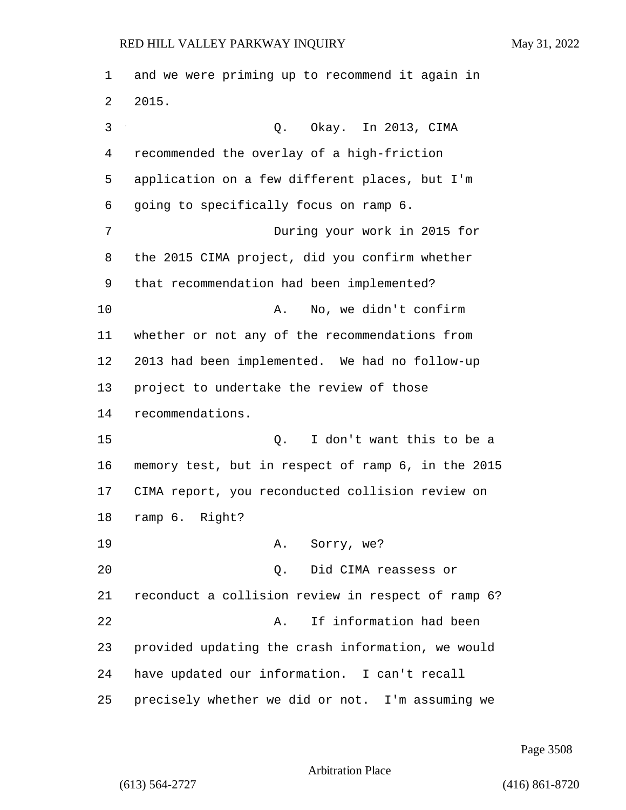and we were priming up to recommend it again in 2015. 3 Q. Okay. In 2013, CIMA recommended the overlay of a high-friction application on a few different places, but I'm going to specifically focus on ramp 6. 7 During your work in 2015 for the 2015 CIMA project, did you confirm whether that recommendation had been implemented? 10 A. No, we didn't confirm whether or not any of the recommendations from 2013 had been implemented. We had no follow-up project to undertake the review of those recommendations. 15 Q. I don't want this to be a memory test, but in respect of ramp 6, in the 2015 CIMA report, you reconducted collision review on ramp 6. Right? 19 A. Sorry, we? 20 Q. Did CIMA reassess or reconduct a collision review in respect of ramp 6? 22 A. If information had been provided updating the crash information, we would have updated our information. I can't recall precisely whether we did or not. I'm assuming we

Page 3508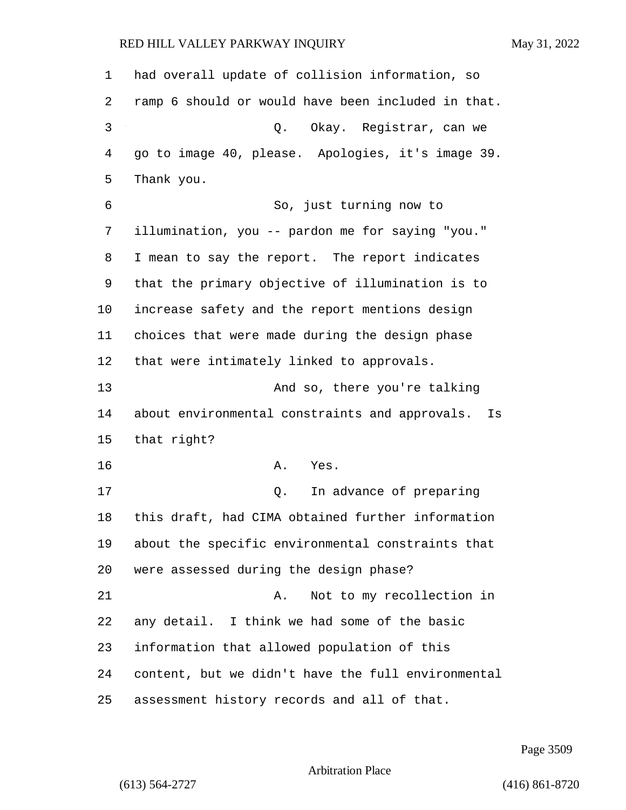| $\mathbf{1}$ | had overall update of collision information, so      |
|--------------|------------------------------------------------------|
| 2            | ramp 6 should or would have been included in that.   |
| 3            | Okay. Registrar, can we<br>Q.                        |
| 4            | go to image 40, please. Apologies, it's image 39.    |
| 5            | Thank you.                                           |
| 6            | So, just turning now to                              |
| 7            | illumination, you -- pardon me for saying "you."     |
| 8            | I mean to say the report. The report indicates       |
| 9            | that the primary objective of illumination is to     |
| 10           | increase safety and the report mentions design       |
| 11           | choices that were made during the design phase       |
| 12           | that were intimately linked to approvals.            |
| 13           | And so, there you're talking                         |
| 14           | about environmental constraints and approvals.<br>Is |
| 15           | that right?                                          |
| 16           | Α.<br>Yes.                                           |
| 17           | In advance of preparing<br>Q.                        |
| 18           | this draft, had CIMA obtained further information    |
| 19           | about the specific environmental constraints that    |
| 20           | were assessed during the design phase?               |
| 21           | Not to my recollection in<br>Α.                      |
| 22           | any detail. I think we had some of the basic         |
| 23           | information that allowed population of this          |
| 24           | content, but we didn't have the full environmental   |
| 25           | assessment history records and all of that.          |

Page 3509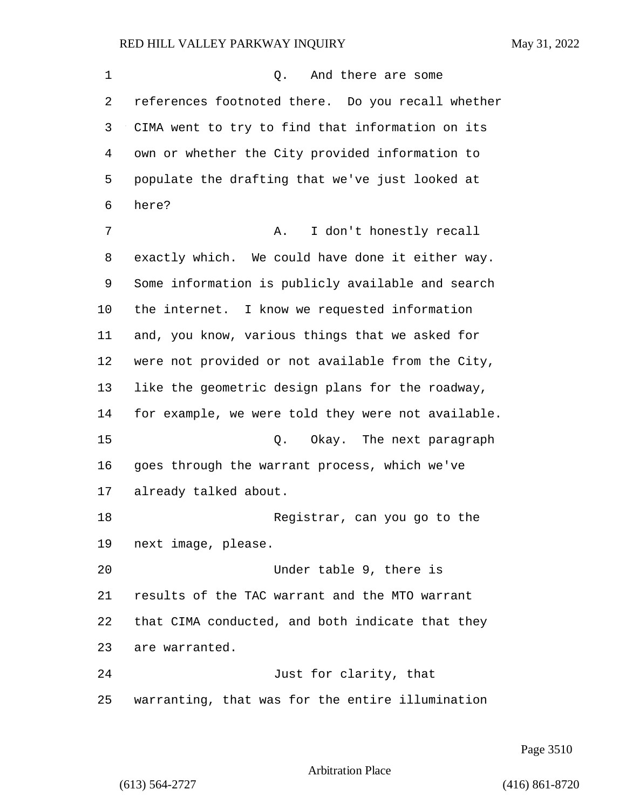1 and there are some references footnoted there. Do you recall whether CIMA went to try to find that information on its own or whether the City provided information to populate the drafting that we've just looked at here? 7 A. I don't honestly recall exactly which. We could have done it either way. Some information is publicly available and search the internet. I know we requested information and, you know, various things that we asked for were not provided or not available from the City, like the geometric design plans for the roadway, for example, we were told they were not available. 15 Q. Okay. The next paragraph goes through the warrant process, which we've already talked about. 18 Registrar, can you go to the next image, please. 20 Under table 9, there is results of the TAC warrant and the MTO warrant that CIMA conducted, and both indicate that they are warranted. 24 Just for clarity, that warranting, that was for the entire illumination

Page 3510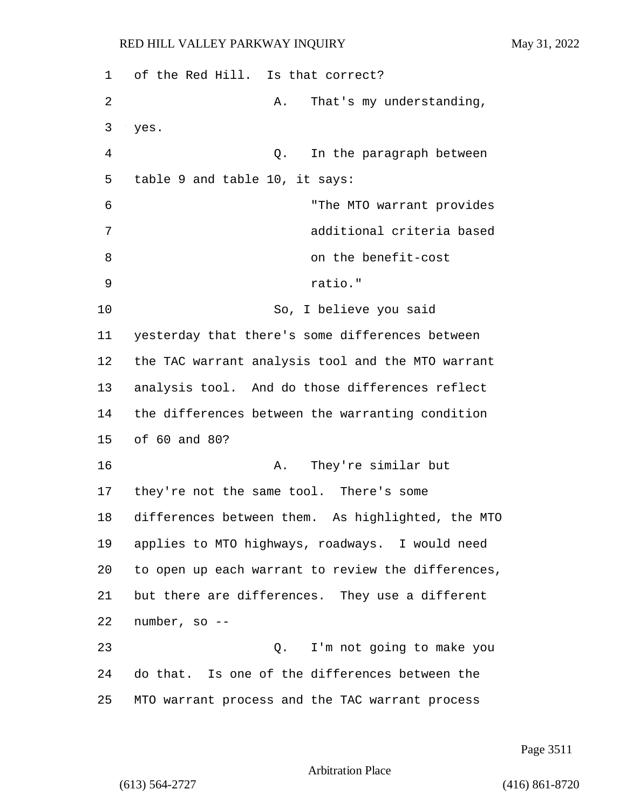| 1  | of the Red Hill. Is that correct?                  |
|----|----------------------------------------------------|
| 2  | That's my understanding,<br>Α.                     |
| 3  | yes.                                               |
| 4  | In the paragraph between<br>Q.                     |
| 5  | table 9 and table 10, it says:                     |
| 6  | "The MTO warrant provides                          |
| 7  | additional criteria based                          |
| 8  | on the benefit-cost                                |
| 9  | ratio."                                            |
| 10 | So, I believe you said                             |
| 11 | yesterday that there's some differences between    |
| 12 | the TAC warrant analysis tool and the MTO warrant  |
| 13 | analysis tool. And do those differences reflect    |
| 14 | the differences between the warranting condition   |
| 15 | of 60 and 80?                                      |
| 16 | They're similar but<br>Α.                          |
| 17 | they're not the same tool. There's some            |
| 18 | differences between them. As highlighted, the MTO  |
| 19 | applies to MTO highways, roadways. I would need    |
| 20 | to open up each warrant to review the differences, |
| 21 | but there are differences. They use a different    |
| 22 | number, so --                                      |
| 23 | I'm not going to make you<br>Q.                    |
| 24 | do that. Is one of the differences between the     |
| 25 | MTO warrant process and the TAC warrant process    |

Page 3511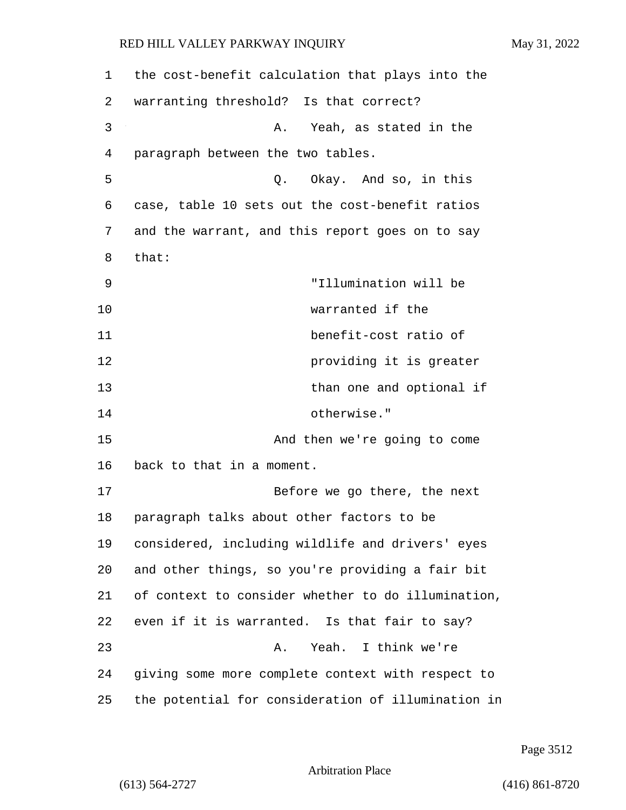| 1  | the cost-benefit calculation that plays into the   |
|----|----------------------------------------------------|
| 2  | warranting threshold? Is that correct?             |
| 3  | Yeah, as stated in the<br>Α.                       |
| 4  | paragraph between the two tables.                  |
| 5  | Okay. And so, in this<br>Q.                        |
| 6  | case, table 10 sets out the cost-benefit ratios    |
| 7  | and the warrant, and this report goes on to say    |
| 8  | that:                                              |
| 9  | "Illumination will be                              |
| 10 | warranted if the                                   |
| 11 | benefit-cost ratio of                              |
| 12 | providing it is greater                            |
| 13 | than one and optional if                           |
| 14 | otherwise."                                        |
| 15 | And then we're going to come                       |
| 16 | back to that in a moment.                          |
| 17 | Before we go there, the next                       |
| 18 | paragraph talks about other factors to be          |
| 19 | considered, including wildlife and drivers' eyes   |
| 20 | and other things, so you're providing a fair bit   |
| 21 | of context to consider whether to do illumination, |
| 22 | even if it is warranted. Is that fair to say?      |
| 23 | Yeah. I think we're<br>Α.                          |
| 24 | giving some more complete context with respect to  |
| 25 | the potential for consideration of illumination in |

Page 3512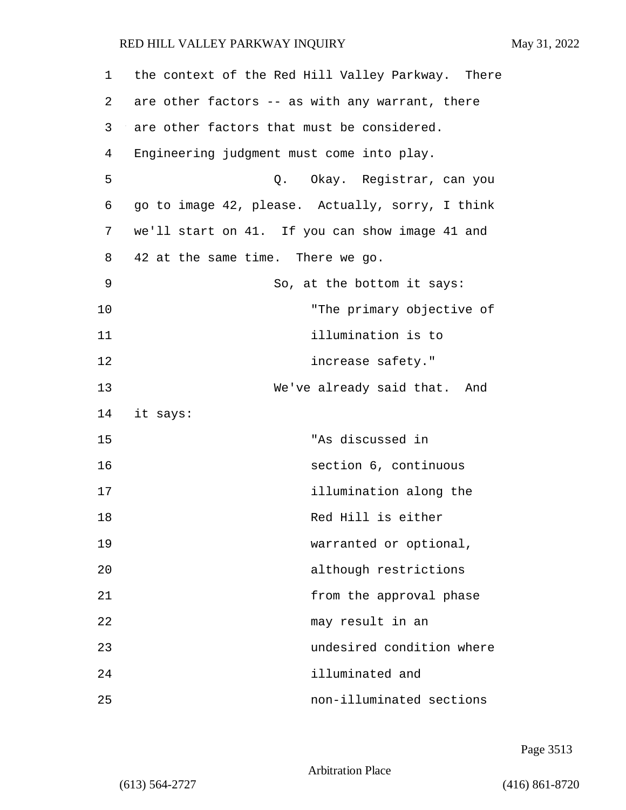| $\mathbf 1$ | the context of the Red Hill Valley Parkway. There |
|-------------|---------------------------------------------------|
| 2           | are other factors -- as with any warrant, there   |
| 3           | are other factors that must be considered.        |
| 4           | Engineering judgment must come into play.         |
| 5           | Q. Okay. Registrar, can you                       |
| 6           | go to image 42, please. Actually, sorry, I think  |
| 7           | we'll start on 41. If you can show image 41 and   |
| 8           | 42 at the same time. There we go.                 |
| 9           | So, at the bottom it says:                        |
| 10          | "The primary objective of                         |
| 11          | illumination is to                                |
| 12          | increase safety."                                 |
| 13          | We've already said that. And                      |
| 14          | it says:                                          |
| 15          | "As discussed in                                  |
| 16          | section 6, continuous                             |
| 17          | illumination along the                            |
| 18          | Red Hill is either                                |
| 19          | warranted or optional,                            |
| 20          | although restrictions                             |
| 21          | from the approval phase                           |
| 22          | may result in an                                  |
| 23          | undesired condition where                         |
| 24          | illuminated and                                   |
| 25          | non-illuminated sections                          |

Page 3513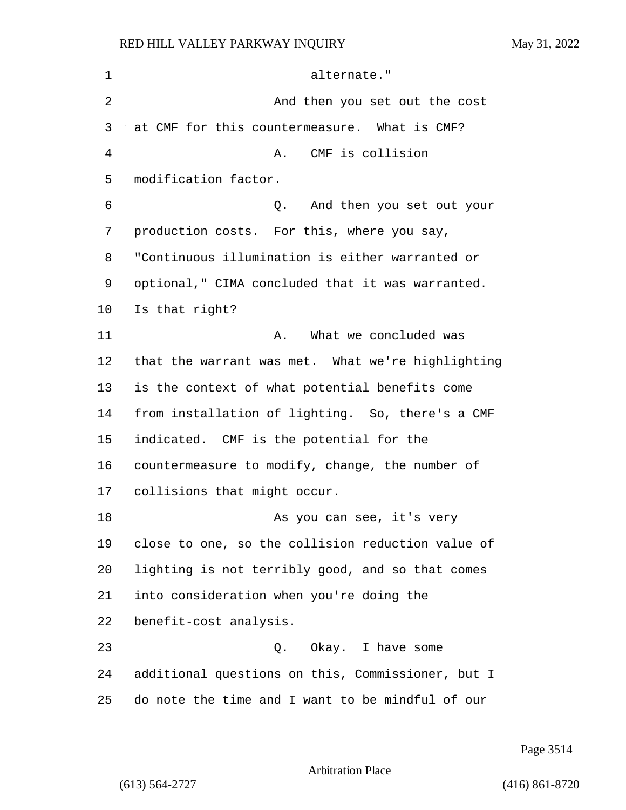1 alternate." 2 And then you set out the cost at CMF for this countermeasure. What is CMF? 4 A. CMF is collision modification factor. 6 Q. And then you set out your production costs. For this, where you say, "Continuous illumination is either warranted or optional," CIMA concluded that it was warranted. Is that right? 11 A. What we concluded was that the warrant was met. What we're highlighting is the context of what potential benefits come from installation of lighting. So, there's a CMF indicated. CMF is the potential for the countermeasure to modify, change, the number of collisions that might occur. 18 As you can see, it's very close to one, so the collision reduction value of lighting is not terribly good, and so that comes into consideration when you're doing the benefit-cost analysis. 23 Q. Okay. I have some additional questions on this, Commissioner, but I do note the time and I want to be mindful of our

Page 3514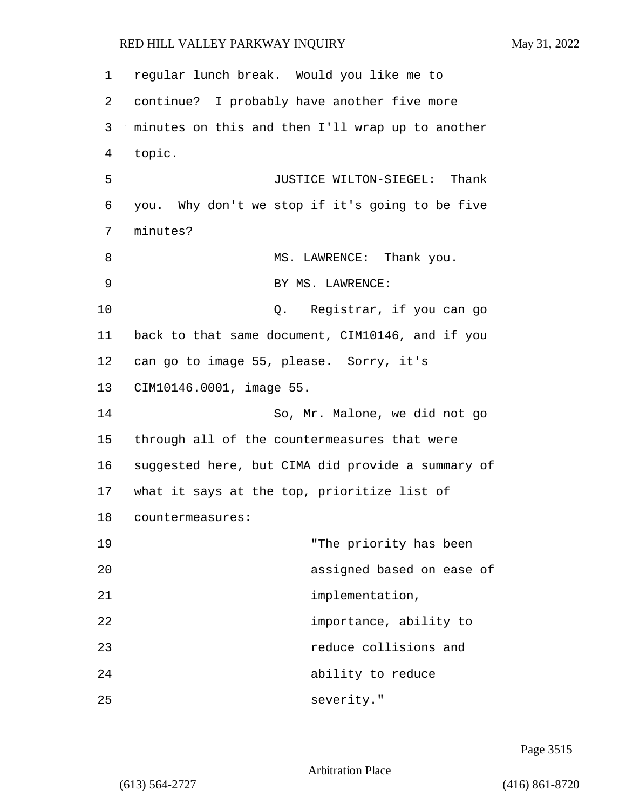1 regular lunch break. Would you like me to 2 continue? I probably have another five more 3 minutes on this and then I'll wrap up to another 4 topic. 5 JUSTICE WILTON-SIEGEL: Thank 6 you. Why don't we stop if it's going to be five 7 minutes? 8 MS. LAWRENCE: Thank you. 9 BY MS. LAWRENCE: 10 Q. Registrar, if you can go 11 back to that same document, CIM10146, and if you 12 can go to image 55, please. Sorry, it's 13 CIM10146.0001, image 55. 14 So, Mr. Malone, we did not go 15 through all of the countermeasures that were 16 suggested here, but CIMA did provide a summary of 17 what it says at the top, prioritize list of 18 countermeasures: 19 The priority has been 20 assigned based on ease of 21 implementation, 22 importance, ability to 23 reduce collisions and 24 ability to reduce 25 severity."

Page 3515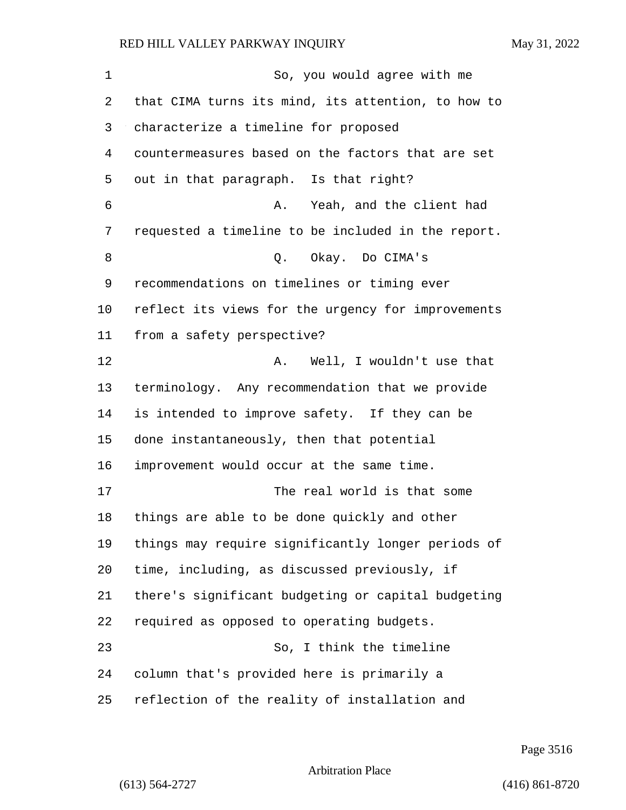1 So, you would agree with me that CIMA turns its mind, its attention, to how to characterize a timeline for proposed countermeasures based on the factors that are set out in that paragraph. Is that right? 6 A. Yeah, and the client had requested a timeline to be included in the report. 8 O. Okay. Do CIMA's recommendations on timelines or timing ever reflect its views for the urgency for improvements from a safety perspective? 12 A. Well, I wouldn't use that terminology. Any recommendation that we provide is intended to improve safety. If they can be done instantaneously, then that potential improvement would occur at the same time. 17 The real world is that some things are able to be done quickly and other things may require significantly longer periods of time, including, as discussed previously, if there's significant budgeting or capital budgeting required as opposed to operating budgets. 23 So, I think the timeline column that's provided here is primarily a reflection of the reality of installation and

Page 3516

Arbitration Place

(613) 564-2727 (416) 861-8720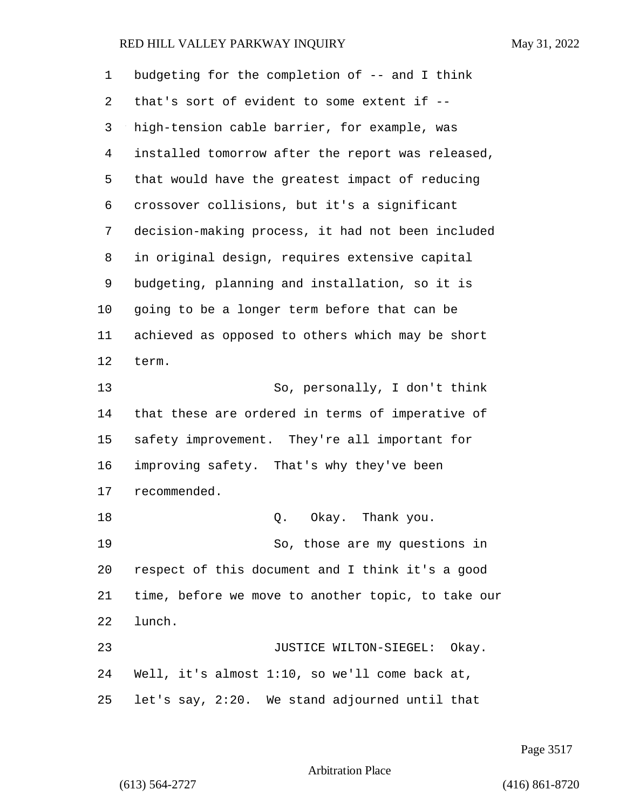| 1  | budgeting for the completion of -- and I think     |
|----|----------------------------------------------------|
| 2  | that's sort of evident to some extent if --        |
| 3  | high-tension cable barrier, for example, was       |
| 4  | installed tomorrow after the report was released,  |
| 5  | that would have the greatest impact of reducing    |
| 6  | crossover collisions, but it's a significant       |
| 7  | decision-making process, it had not been included  |
| 8  | in original design, requires extensive capital     |
| 9  | budgeting, planning and installation, so it is     |
| 10 | going to be a longer term before that can be       |
| 11 | achieved as opposed to others which may be short   |
| 12 | term.                                              |
| 13 | So, personally, I don't think                      |
| 14 | that these are ordered in terms of imperative of   |
| 15 | safety improvement. They're all important for      |
| 16 | improving safety. That's why they've been          |
| 17 | recommended.                                       |
| 18 | Q. Okay. Thank you.                                |
| 19 | So, those are my questions in                      |
| 20 | respect of this document and I think it's a good   |
| 21 | time, before we move to another topic, to take our |
| 22 | lunch.                                             |
| 23 | JUSTICE WILTON-SIEGEL: Okay.                       |
| 24 | Well, it's almost 1:10, so we'll come back at,     |
| 25 | let's say, 2:20. We stand adjourned until that     |

Page 3517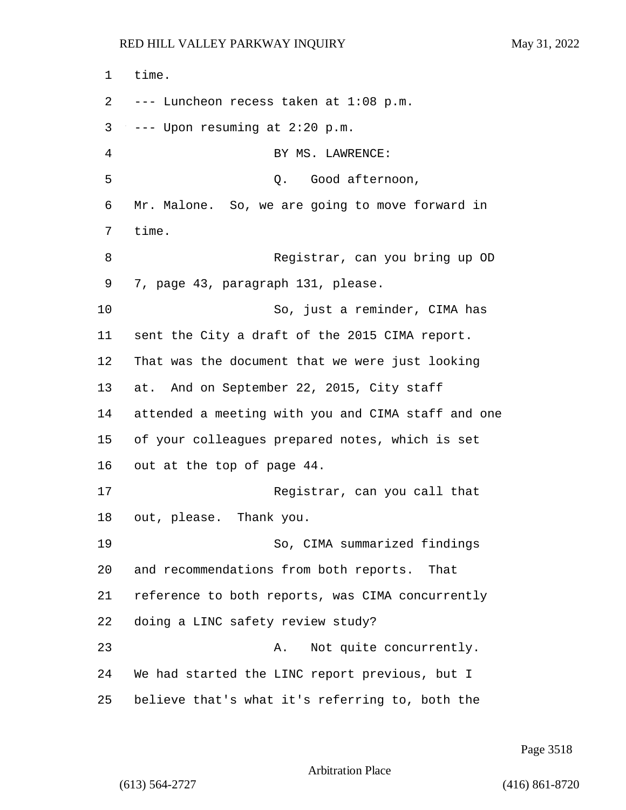1 time. 2 --- Luncheon recess taken at 1:08 p.m.  $3 \rightarrow -$ - Upon resuming at 2:20 p.m. 4 BY MS. LAWRENCE: 5 Q. Good afternoon, 6 Mr. Malone. So, we are going to move forward in 7 time. 8 Registrar, can you bring up OD 9 7, page 43, paragraph 131, please. 10 So, just a reminder, CIMA has 11 sent the City a draft of the 2015 CIMA report. 12 That was the document that we were just looking 13 at. And on September 22, 2015, City staff 14 attended a meeting with you and CIMA staff and one 15 of your colleagues prepared notes, which is set 16 out at the top of page 44. 17 Registrar, can you call that 18 out, please. Thank you. 19 So, CIMA summarized findings 20 and recommendations from both reports. That 21 reference to both reports, was CIMA concurrently 22 doing a LINC safety review study? 23 A. Not quite concurrently. 24 We had started the LINC report previous, but I 25 believe that's what it's referring to, both the

Page 3518

Arbitration Place

(613) 564-2727 (416) 861-8720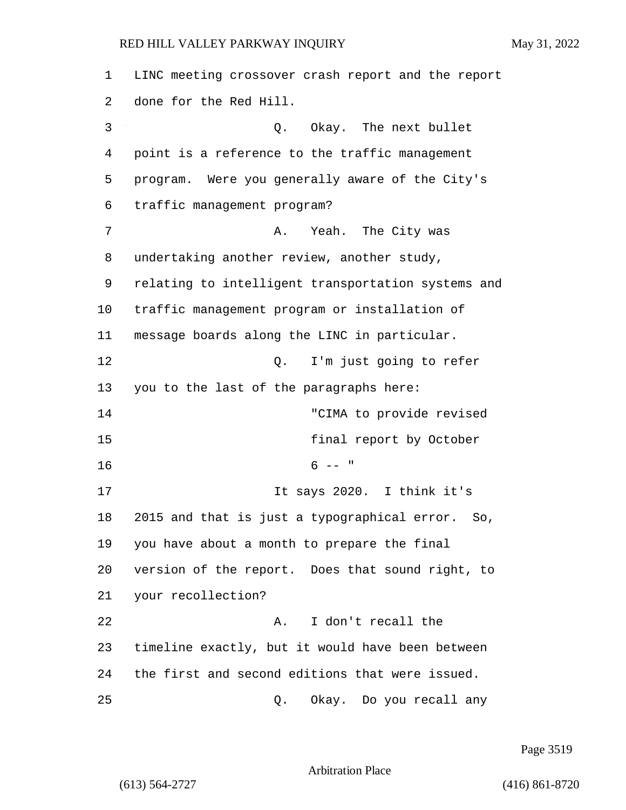LINC meeting crossover crash report and the report done for the Red Hill. 3 Q. Okay. The next bullet point is a reference to the traffic management program. Were you generally aware of the City's traffic management program? 7 A. Yeah. The City was undertaking another review, another study, relating to intelligent transportation systems and traffic management program or installation of message boards along the LINC in particular. 12 O. I'm just going to refer you to the last of the paragraphs here: 14 "CIMA to provide revised 15 final report by October  $16$  6 -- " 17 17 It says 2020. I think it's 2015 and that is just a typographical error. So, you have about a month to prepare the final version of the report. Does that sound right, to your recollection? 22 A. I don't recall the timeline exactly, but it would have been between the first and second editions that were issued. 25 Q. Okay. Do you recall any

Page 3519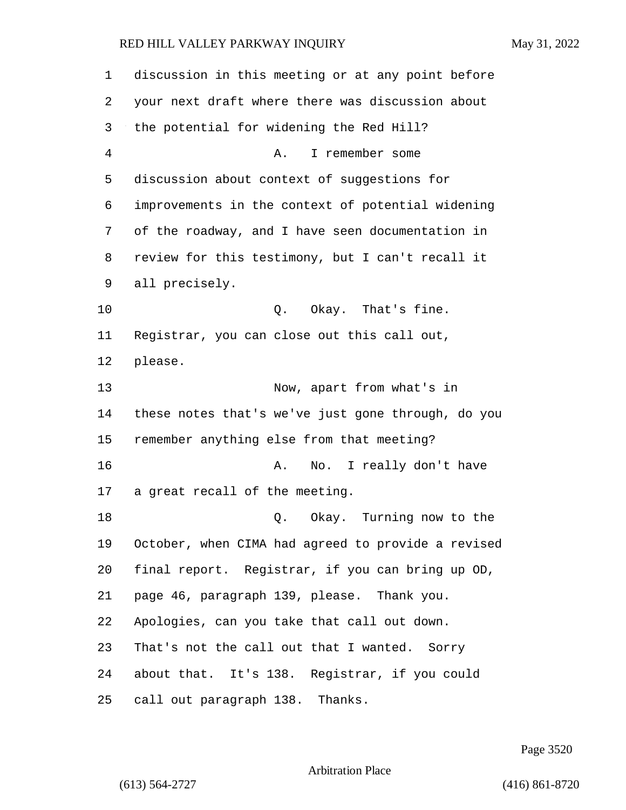discussion in this meeting or at any point before your next draft where there was discussion about the potential for widening the Red Hill? 4 A. I remember some discussion about context of suggestions for improvements in the context of potential widening of the roadway, and I have seen documentation in review for this testimony, but I can't recall it all precisely. 10 Q. Okay. That's fine. Registrar, you can close out this call out, please. 13 Now, apart from what's in these notes that's we've just gone through, do you remember anything else from that meeting? **A.** No. I really don't have a great recall of the meeting. 18 and 18 Q. Okay. Turning now to the October, when CIMA had agreed to provide a revised final report. Registrar, if you can bring up OD, page 46, paragraph 139, please. Thank you. Apologies, can you take that call out down. That's not the call out that I wanted. Sorry about that. It's 138. Registrar, if you could call out paragraph 138. Thanks.

Page 3520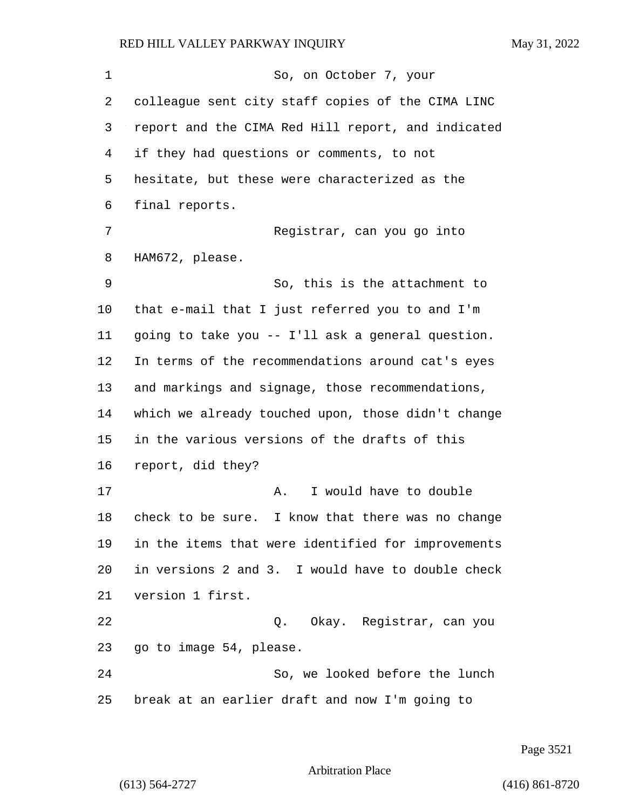1 So, on October 7, your colleague sent city staff copies of the CIMA LINC report and the CIMA Red Hill report, and indicated if they had questions or comments, to not hesitate, but these were characterized as the final reports. 7 Registrar, can you go into HAM672, please. 9 So, this is the attachment to that e-mail that I just referred you to and I'm going to take you -- I'll ask a general question. In terms of the recommendations around cat's eyes and markings and signage, those recommendations, which we already touched upon, those didn't change in the various versions of the drafts of this report, did they? 17 A. I would have to double check to be sure. I know that there was no change in the items that were identified for improvements in versions 2 and 3. I would have to double check version 1 first. 22 Q. Okay. Registrar, can you go to image 54, please. 24 So, we looked before the lunch break at an earlier draft and now I'm going to

Page 3521

Arbitration Place

(613) 564-2727 (416) 861-8720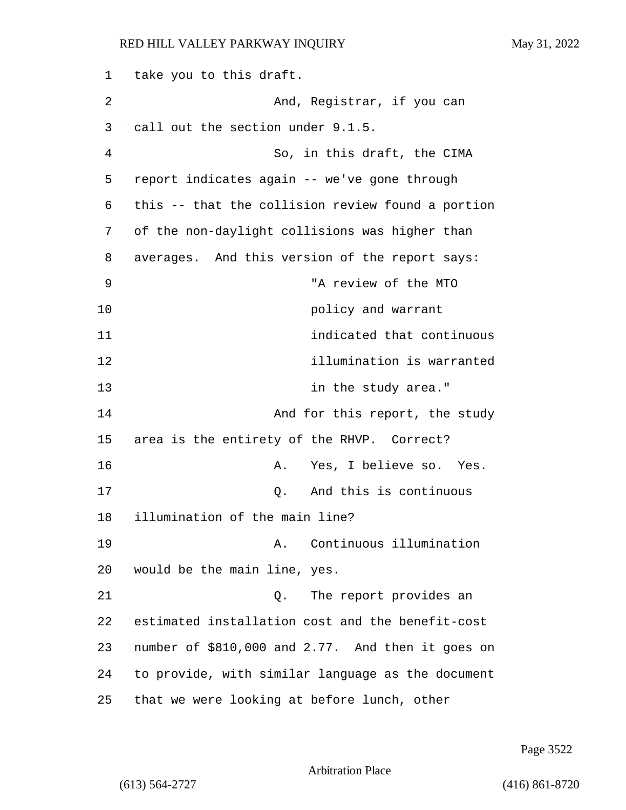take you to this draft. 2 And, Registrar, if you can call out the section under 9.1.5. 4 So, in this draft, the CIMA report indicates again -- we've gone through this -- that the collision review found a portion of the non-daylight collisions was higher than averages. And this version of the report says: 9 "A review of the MTO **policy** and warrant 11 indicated that continuous 12 illumination is warranted **in the study area.**" **And for this report, the study**  area is the entirety of the RHVP. Correct? 16 A. Yes, I believe so. Yes. 17 Q. And this is continuous illumination of the main line? 19 A. Continuous illumination would be the main line, yes. 21 Q. The report provides an estimated installation cost and the benefit-cost number of \$810,000 and 2.77. And then it goes on to provide, with similar language as the document that we were looking at before lunch, other

Page 3522

```
Arbitration Place
```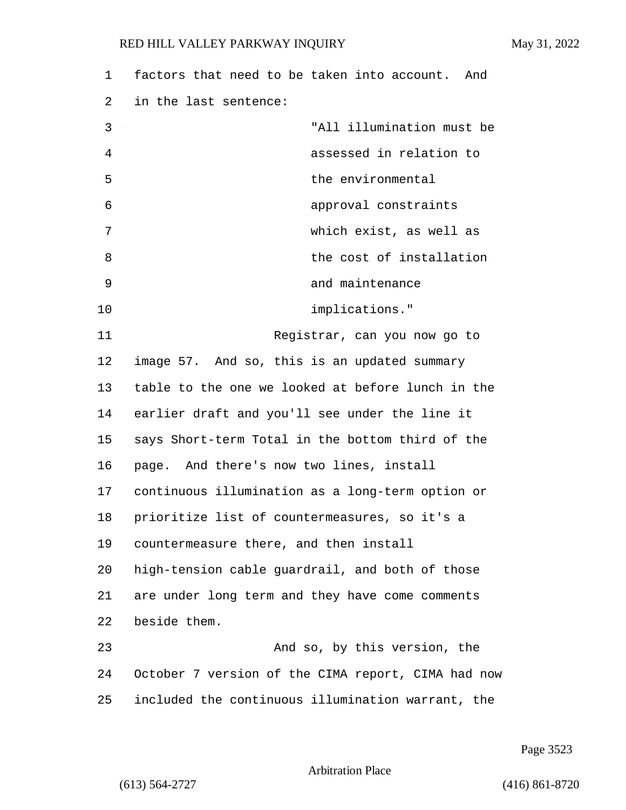| 1  | factors that need to be taken into account. And    |
|----|----------------------------------------------------|
| 2  | in the last sentence:                              |
| 3  | "All illumination must be                          |
| 4  | assessed in relation to                            |
| 5  | the environmental                                  |
| 6  | approval constraints                               |
| 7  | which exist, as well as                            |
| 8  | the cost of installation                           |
| 9  | and maintenance                                    |
| 10 | implications."                                     |
| 11 | Registrar, can you now go to                       |
| 12 | image 57. And so, this is an updated summary       |
| 13 | table to the one we looked at before lunch in the  |
| 14 | earlier draft and you'll see under the line it     |
| 15 | says Short-term Total in the bottom third of the   |
| 16 | page. And there's now two lines, install           |
| 17 | continuous illumination as a long-term option or   |
| 18 | prioritize list of countermeasures, so it's a      |
| 19 | countermeasure there, and then install             |
| 20 | high-tension cable guardrail, and both of those    |
| 21 | are under long term and they have come comments    |
| 22 | beside them.                                       |
| 23 | And so, by this version, the                       |
| 24 | October 7 version of the CIMA report, CIMA had now |
| 25 | included the continuous illumination warrant, the  |

Page 3523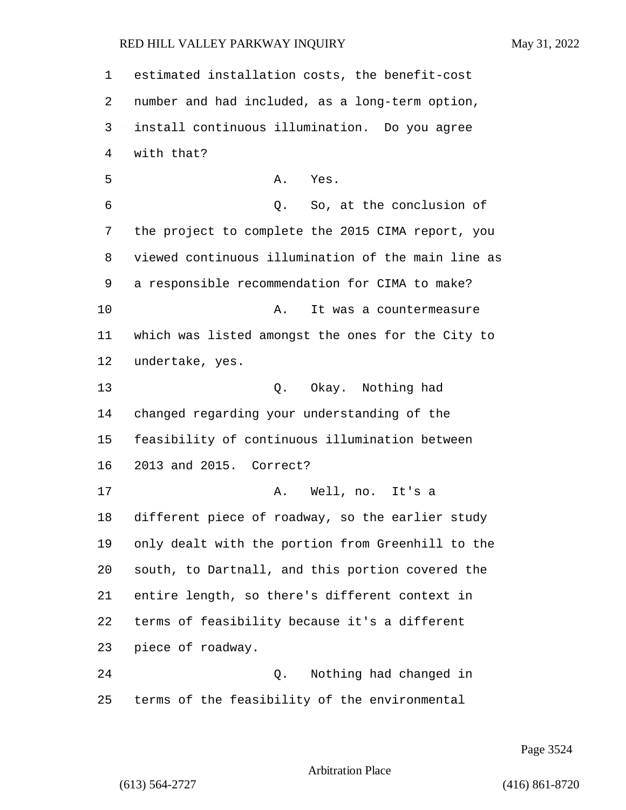estimated installation costs, the benefit-cost number and had included, as a long-term option, install continuous illumination. Do you agree with that? 5 A. Yes. 6 Q. So, at the conclusion of the project to complete the 2015 CIMA report, you viewed continuous illumination of the main line as a responsible recommendation for CIMA to make? 10 A. It was a countermeasure which was listed amongst the ones for the City to undertake, yes. 13 Q. Okay. Nothing had changed regarding your understanding of the feasibility of continuous illumination between 2013 and 2015. Correct? 17 A. Well, no. It's a different piece of roadway, so the earlier study only dealt with the portion from Greenhill to the south, to Dartnall, and this portion covered the entire length, so there's different context in terms of feasibility because it's a different piece of roadway. 24 Q. Nothing had changed in terms of the feasibility of the environmental

Page 3524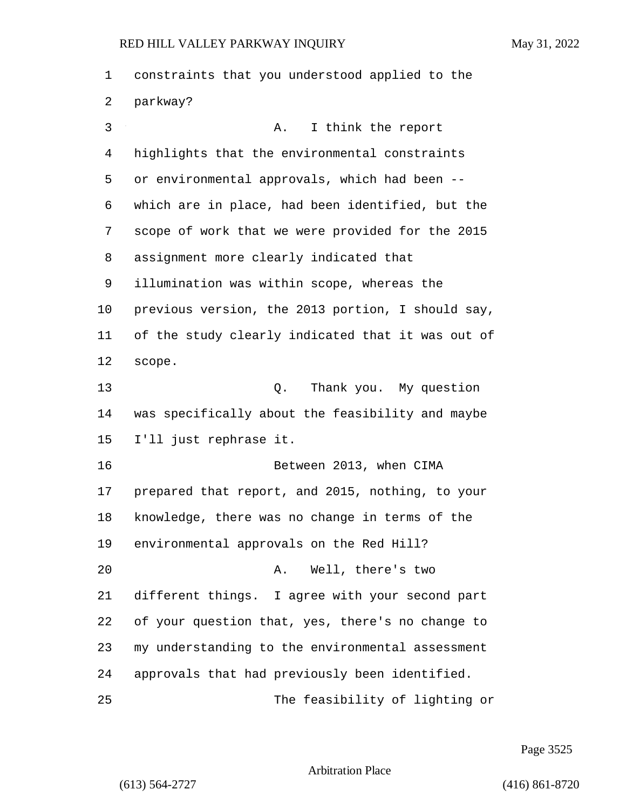constraints that you understood applied to the parkway? 3 A. I think the report highlights that the environmental constraints or environmental approvals, which had been -- which are in place, had been identified, but the scope of work that we were provided for the 2015 assignment more clearly indicated that illumination was within scope, whereas the previous version, the 2013 portion, I should say, of the study clearly indicated that it was out of scope. 13 Q. Thank you. My question was specifically about the feasibility and maybe I'll just rephrase it. 16 Between 2013, when CIMA prepared that report, and 2015, nothing, to your knowledge, there was no change in terms of the environmental approvals on the Red Hill? 20 A. Well, there's two different things. I agree with your second part of your question that, yes, there's no change to my understanding to the environmental assessment approvals that had previously been identified. 25 The feasibility of lighting or

Page 3525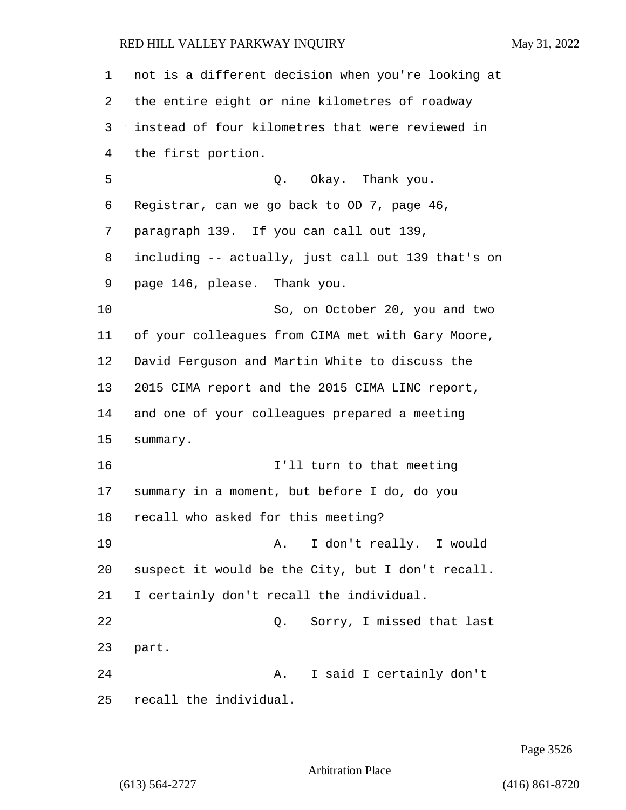not is a different decision when you're looking at the entire eight or nine kilometres of roadway instead of four kilometres that were reviewed in the first portion. 5 Q. Okay. Thank you. Registrar, can we go back to OD 7, page 46, paragraph 139. If you can call out 139, including -- actually, just call out 139 that's on page 146, please. Thank you. 10 So, on October 20, you and two of your colleagues from CIMA met with Gary Moore, David Ferguson and Martin White to discuss the 2015 CIMA report and the 2015 CIMA LINC report, and one of your colleagues prepared a meeting summary. 16 I'll turn to that meeting summary in a moment, but before I do, do you recall who asked for this meeting? 19 A. I don't really. I would suspect it would be the City, but I don't recall. I certainly don't recall the individual. 22 Q. Sorry, I missed that last part. 24 A. I said I certainly don't recall the individual.

Page 3526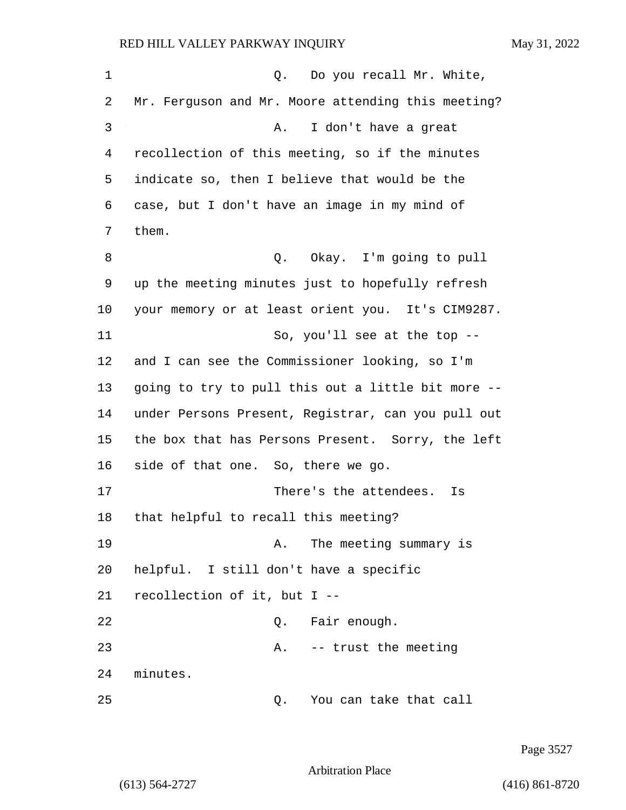1 0. Do you recall Mr. White, 2 Mr. Ferguson and Mr. Moore attending this meeting? 3 A. I don't have a great 4 recollection of this meeting, so if the minutes 5 indicate so, then I believe that would be the 6 case, but I don't have an image in my mind of 7 them. 8 Q. Okay. I'm going to pull 9 up the meeting minutes just to hopefully refresh 10 your memory or at least orient you. It's CIM9287. 11 So, you'll see at the top --12 and I can see the Commissioner looking, so I'm 13 going to try to pull this out a little bit more -- 14 under Persons Present, Registrar, can you pull out 15 the box that has Persons Present. Sorry, the left 16 side of that one. So, there we go. 17 There's the attendees. Is 18 that helpful to recall this meeting? 19 The meeting summary is 20 helpful. I still don't have a specific 21 recollection of it, but I -- 22 Q. Fair enough. 23 A. -- trust the meeting 24 minutes. 25 Q. You can take that call

Page 3527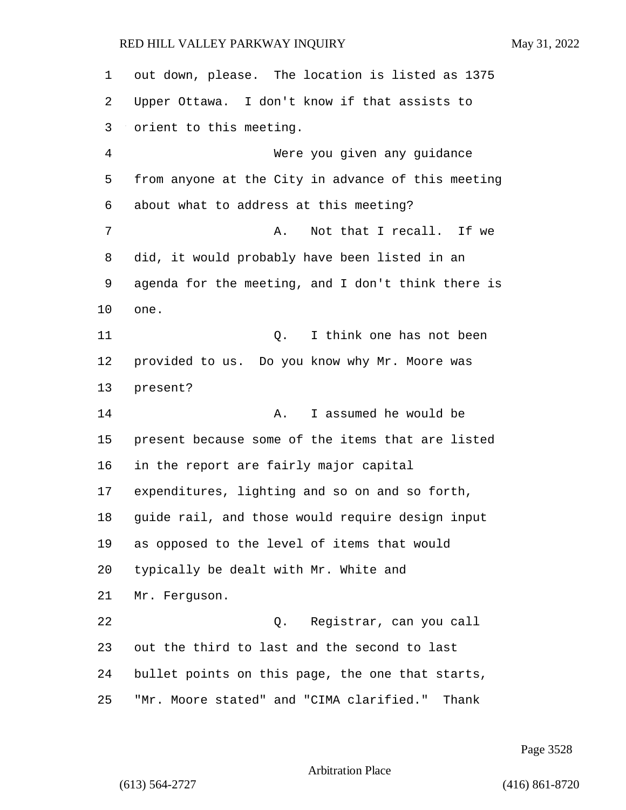out down, please. The location is listed as 1375 Upper Ottawa. I don't know if that assists to orient to this meeting. 4 Were you given any guidance from anyone at the City in advance of this meeting about what to address at this meeting? 7 A. Not that I recall. If we did, it would probably have been listed in an agenda for the meeting, and I don't think there is one. 11 Q. I think one has not been provided to us. Do you know why Mr. Moore was present? 14 A. I assumed he would be present because some of the items that are listed in the report are fairly major capital expenditures, lighting and so on and so forth, guide rail, and those would require design input as opposed to the level of items that would typically be dealt with Mr. White and Mr. Ferguson. 22 Q. Registrar, can you call out the third to last and the second to last bullet points on this page, the one that starts, "Mr. Moore stated" and "CIMA clarified." Thank

Page 3528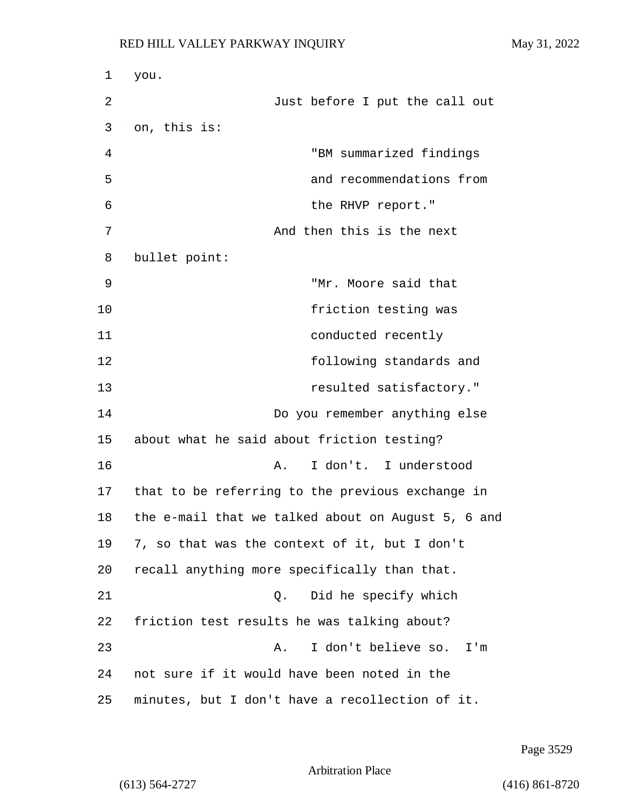1 you. 2 Just before I put the call out 3 on, this is: 4 "BM summarized findings 5 and recommendations from 6 the RHVP report." 7 And then this is the next 8 bullet point: 9 "Mr. Moore said that 10 friction testing was 11 conducted recently 12 following standards and 13 resulted satisfactory." 14 Do you remember anything else 15 about what he said about friction testing? 16 A. I don't. I understood 17 that to be referring to the previous exchange in 18 the e-mail that we talked about on August 5, 6 and 19 7, so that was the context of it, but I don't 20 recall anything more specifically than that. 21 Q. Did he specify which 22 friction test results he was talking about? 23 A. I don't believe so. I'm 24 not sure if it would have been noted in the 25 minutes, but I don't have a recollection of it.

Page 3529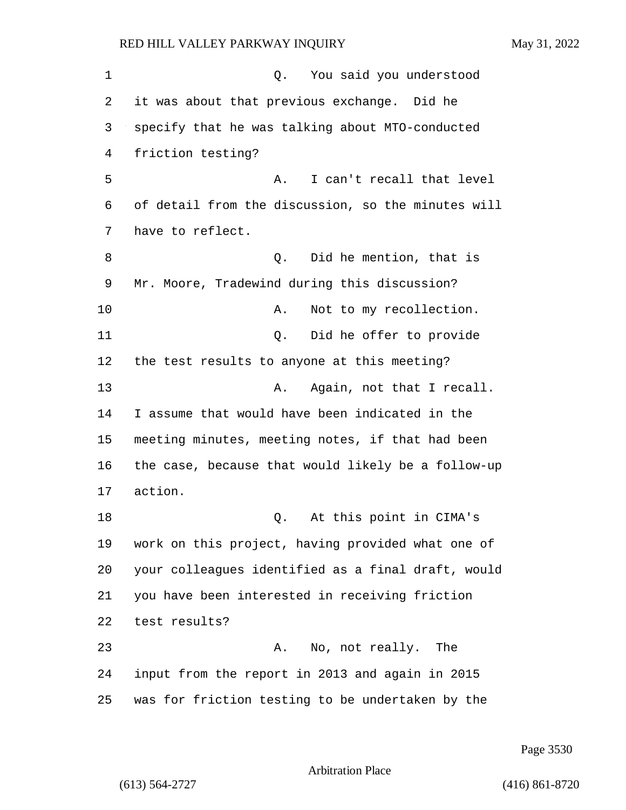1 and 0. You said you understood it was about that previous exchange. Did he specify that he was talking about MTO-conducted friction testing? 5 A. I can't recall that level of detail from the discussion, so the minutes will have to reflect. 8 and 1 Q. Did he mention, that is Mr. Moore, Tradewind during this discussion? 10 A. Not to my recollection. 11 Q. Did he offer to provide the test results to anyone at this meeting? 13 A. Again, not that I recall. I assume that would have been indicated in the meeting minutes, meeting notes, if that had been the case, because that would likely be a follow-up 17 action. 18 Q. At this point in CIMA's work on this project, having provided what one of your colleagues identified as a final draft, would you have been interested in receiving friction test results? 23 A. No, not really. The input from the report in 2013 and again in 2015 was for friction testing to be undertaken by the

Page 3530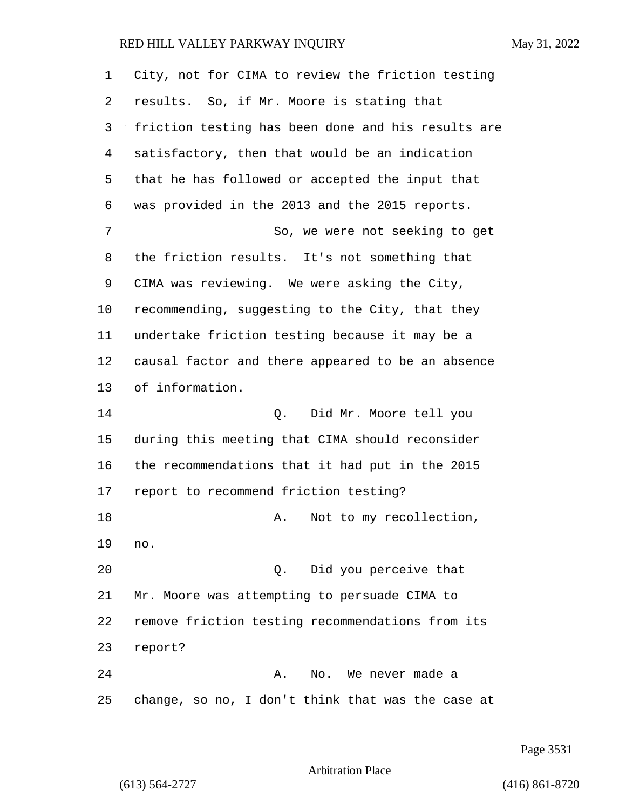| $\mathbf 1$ | City, not for CIMA to review the friction testing  |
|-------------|----------------------------------------------------|
| 2           | results. So, if Mr. Moore is stating that          |
| 3           | friction testing has been done and his results are |
| 4           | satisfactory, then that would be an indication     |
| 5           | that he has followed or accepted the input that    |
| 6           | was provided in the 2013 and the 2015 reports.     |
| 7           | So, we were not seeking to get                     |
| 8           | the friction results. It's not something that      |
| 9           | CIMA was reviewing. We were asking the City,       |
| 10          | recommending, suggesting to the City, that they    |
| 11          | undertake friction testing because it may be a     |
| 12          | causal factor and there appeared to be an absence  |
| 13          | of information.                                    |
| 14          | Q. Did Mr. Moore tell you                          |
| 15          | during this meeting that CIMA should reconsider    |
| 16          | the recommendations that it had put in the 2015    |
| 17          | report to recommend friction testing?              |
| 18          | Not to my recollection,<br>Α.                      |
| 19          | no.                                                |
| 20          | Did you perceive that<br>$\circ$ .                 |
| 21          | Mr. Moore was attempting to persuade CIMA to       |
| 22          | remove friction testing recommendations from its   |
| 23          | report?                                            |
| 24          | No. We never made a<br>Α.                          |
| 25          | change, so no, I don't think that was the case at  |

Page 3531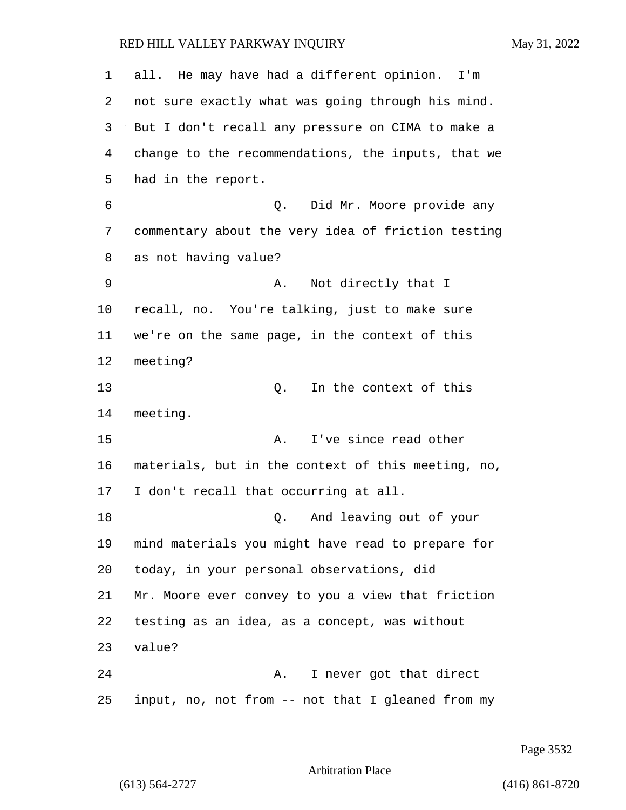| 1       | all. He may have had a different opinion. I'm      |
|---------|----------------------------------------------------|
| 2       | not sure exactly what was going through his mind.  |
| 3       | But I don't recall any pressure on CIMA to make a  |
| 4       | change to the recommendations, the inputs, that we |
| 5       | had in the report.                                 |
| 6       | Did Mr. Moore provide any<br>Q.                    |
| 7       | commentary about the very idea of friction testing |
| 8       | as not having value?                               |
| 9       | Not directly that I<br>Α.                          |
| $10 \,$ | recall, no. You're talking, just to make sure      |
| 11      | we're on the same page, in the context of this     |
| 12      | meeting?                                           |
| 13      | In the context of this<br>Q.                       |
| 14      | meeting.                                           |
| 15      | I've since read other<br>Α.                        |
| 16      | materials, but in the context of this meeting, no, |
| 17      | I don't recall that occurring at all.              |
| 18      | And leaving out of your<br>Q.                      |
| 19      | mind materials you might have read to prepare for  |
| 20      | today, in your personal observations, did          |
| 21      | Mr. Moore ever convey to you a view that friction  |
| 22      | testing as an idea, as a concept, was without      |
| 23      | value?                                             |
| 24      | I never got that direct<br>Α.                      |
| 25      | input, no, not from -- not that I gleaned from my  |

Page 3532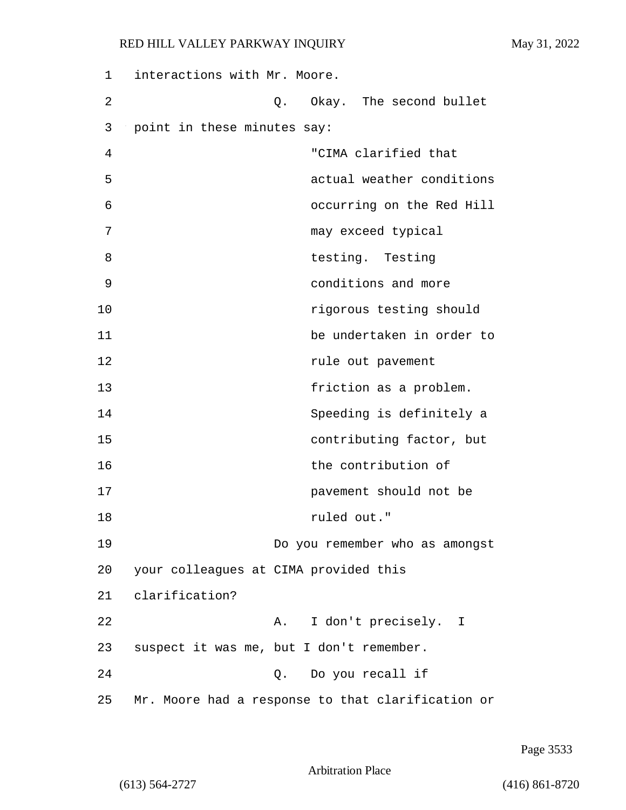| 1  | interactions with Mr. Moore.             |                                                   |
|----|------------------------------------------|---------------------------------------------------|
| 2  |                                          | Q. Okay. The second bullet                        |
| 3  | point in these minutes say:              |                                                   |
| 4  |                                          | "CIMA clarified that                              |
| 5  |                                          | actual weather conditions                         |
| 6  |                                          | occurring on the Red Hill                         |
| 7  |                                          | may exceed typical                                |
| 8  |                                          | testing. Testing                                  |
| 9  |                                          | conditions and more                               |
| 10 |                                          | rigorous testing should                           |
| 11 |                                          | be undertaken in order to                         |
| 12 |                                          | rule out pavement                                 |
| 13 |                                          | friction as a problem.                            |
| 14 |                                          | Speeding is definitely a                          |
| 15 |                                          | contributing factor, but                          |
| 16 |                                          | the contribution of                               |
| 17 |                                          | pavement should not be                            |
| 18 |                                          | ruled out."                                       |
| 19 |                                          | Do you remember who as amongst                    |
| 20 | your colleagues at CIMA provided this    |                                                   |
| 21 | clarification?                           |                                                   |
| 22 |                                          | I don't precisely. I<br>A.                        |
| 23 | suspect it was me, but I don't remember. |                                                   |
| 24 |                                          | Q. Do you recall if                               |
| 25 |                                          | Mr. Moore had a response to that clarification or |

Page 3533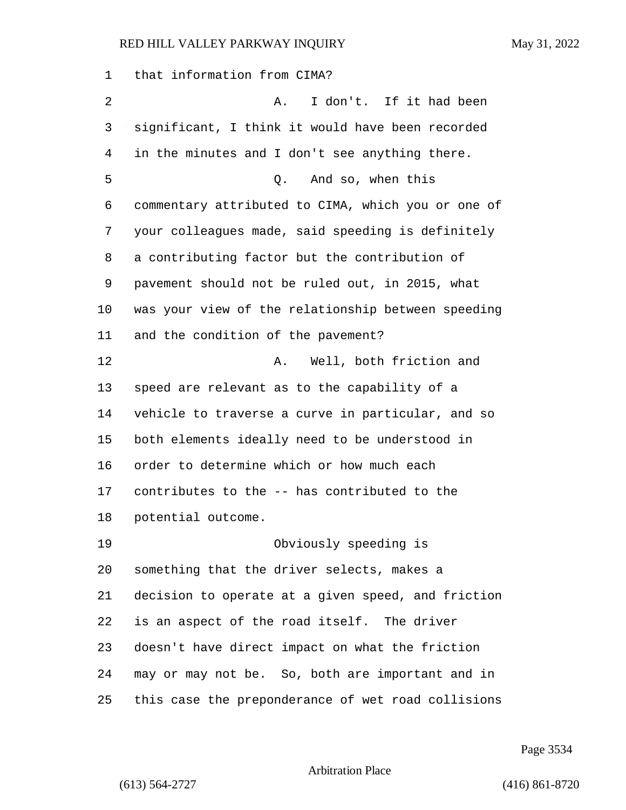that information from CIMA? 2 A. I don't. If it had been significant, I think it would have been recorded in the minutes and I don't see anything there. 5 Q. And so, when this commentary attributed to CIMA, which you or one of your colleagues made, said speeding is definitely a contributing factor but the contribution of pavement should not be ruled out, in 2015, what was your view of the relationship between speeding and the condition of the pavement? 12 A. Well, both friction and speed are relevant as to the capability of a vehicle to traverse a curve in particular, and so both elements ideally need to be understood in order to determine which or how much each contributes to the -- has contributed to the potential outcome. 19 Obviously speeding is something that the driver selects, makes a decision to operate at a given speed, and friction is an aspect of the road itself. The driver doesn't have direct impact on what the friction may or may not be. So, both are important and in this case the preponderance of wet road collisions

Page 3534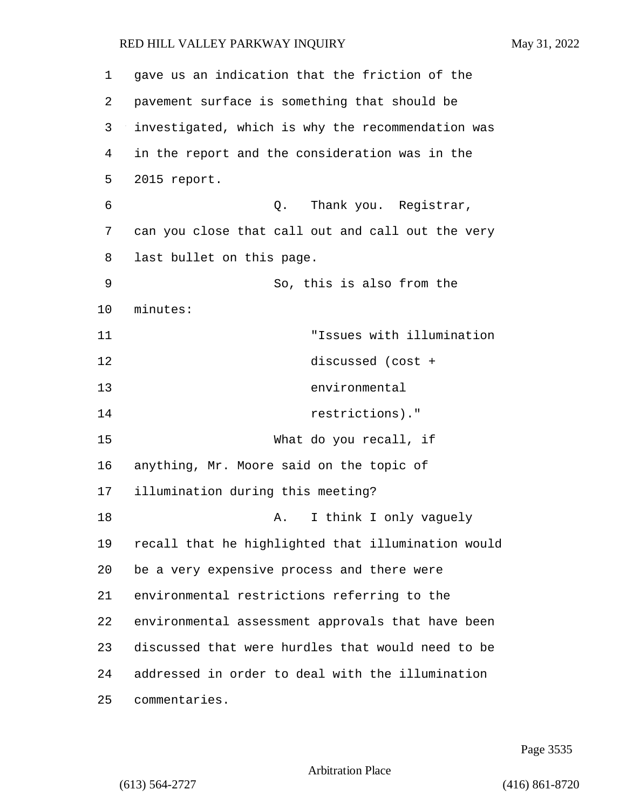gave us an indication that the friction of the pavement surface is something that should be investigated, which is why the recommendation was in the report and the consideration was in the 2015 report. 6 Q. Thank you. Registrar, can you close that call out and call out the very last bullet on this page. 9 So, this is also from the 10 minutes: 11 "Issues with illumination 12 discussed (cost + 13 environmental 14 restrictions)." 15 What do you recall, if anything, Mr. Moore said on the topic of illumination during this meeting? 18 A. I think I only vaguely recall that he highlighted that illumination would be a very expensive process and there were environmental restrictions referring to the environmental assessment approvals that have been discussed that were hurdles that would need to be addressed in order to deal with the illumination commentaries.

Page 3535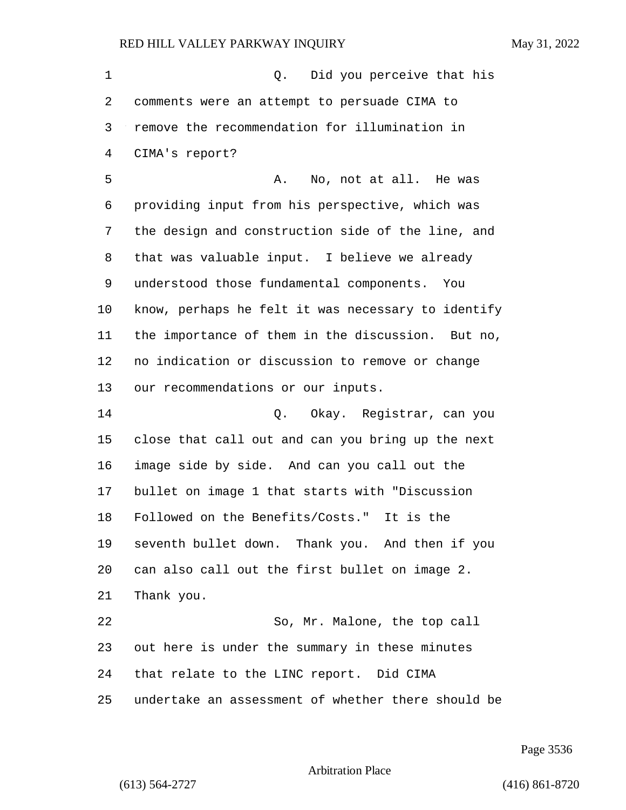| 1  | Did you perceive that his<br>Q.                    |
|----|----------------------------------------------------|
| 2  | comments were an attempt to persuade CIMA to       |
| 3  | remove the recommendation for illumination in      |
| 4  | CIMA's report?                                     |
| 5  | No, not at all. He was<br>Α.                       |
| 6  | providing input from his perspective, which was    |
| 7  | the design and construction side of the line, and  |
| 8  | that was valuable input. I believe we already      |
| 9  | understood those fundamental components. You       |
| 10 | know, perhaps he felt it was necessary to identify |
| 11 | the importance of them in the discussion. But no,  |
| 12 | no indication or discussion to remove or change    |
| 13 | our recommendations or our inputs.                 |
| 14 | Q. Okay. Registrar, can you                        |
| 15 | close that call out and can you bring up the next  |
| 16 | image side by side. And can you call out the       |
| 17 | bullet on image 1 that starts with "Discussion     |
| 18 | Followed on the Benefits/Costs." It is the         |
| 19 | seventh bullet down. Thank you. And then if you    |
| 20 | can also call out the first bullet on image 2.     |
| 21 | Thank you.                                         |
| 22 | So, Mr. Malone, the top call                       |
| 23 | out here is under the summary in these minutes     |
| 24 | that relate to the LINC report. Did CIMA           |
| 25 | undertake an assessment of whether there should be |

Page 3536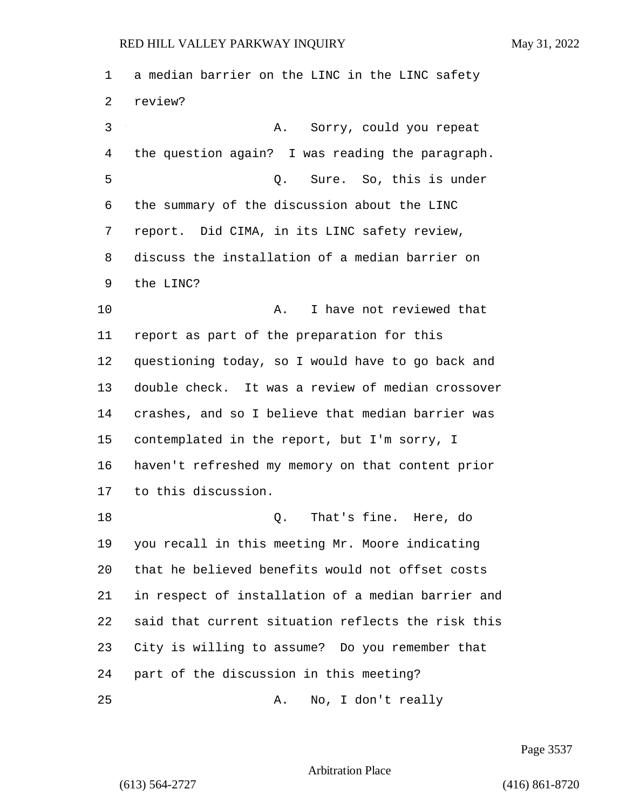a median barrier on the LINC in the LINC safety review? 3 A. Sorry, could you repeat the question again? I was reading the paragraph. 5 Q. Sure. So, this is under the summary of the discussion about the LINC report. Did CIMA, in its LINC safety review, discuss the installation of a median barrier on the LINC? 10 A. I have not reviewed that report as part of the preparation for this questioning today, so I would have to go back and double check. It was a review of median crossover crashes, and so I believe that median barrier was contemplated in the report, but I'm sorry, I haven't refreshed my memory on that content prior to this discussion. 18 Q. That's fine. Here, do you recall in this meeting Mr. Moore indicating that he believed benefits would not offset costs in respect of installation of a median barrier and said that current situation reflects the risk this City is willing to assume? Do you remember that part of the discussion in this meeting? 25 A. No, I don't really

Page 3537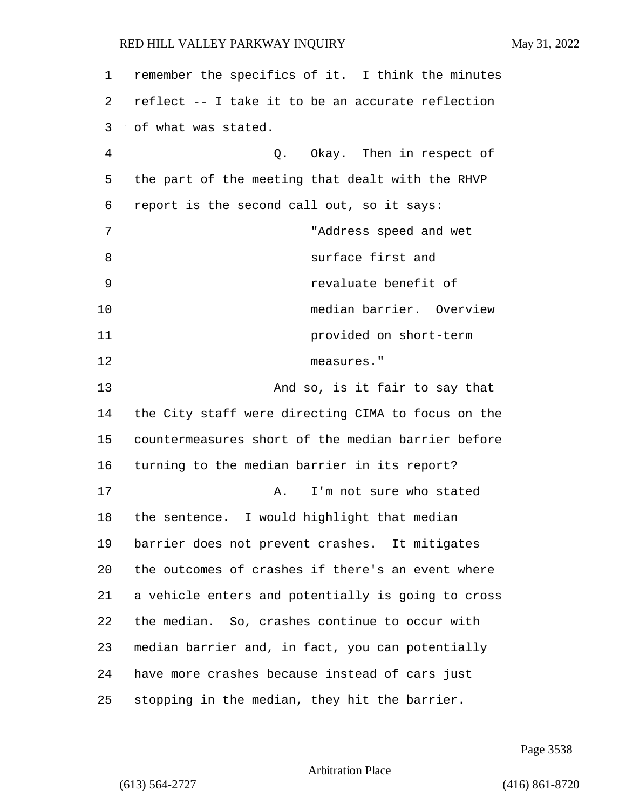| 1  | remember the specifics of it. I think the minutes  |
|----|----------------------------------------------------|
| 2  | reflect -- I take it to be an accurate reflection  |
| 3  | of what was stated.                                |
| 4  | Q. Okay. Then in respect of                        |
| 5  | the part of the meeting that dealt with the RHVP   |
| 6  | report is the second call out, so it says:         |
| 7  | "Address speed and wet                             |
| 8  | surface first and                                  |
| 9  | revaluate benefit of                               |
| 10 | median barrier. Overview                           |
| 11 | provided on short-term                             |
| 12 | measures."                                         |
| 13 | And so, is it fair to say that                     |
| 14 | the City staff were directing CIMA to focus on the |
| 15 | countermeasures short of the median barrier before |
| 16 | turning to the median barrier in its report?       |
| 17 | I'm not sure who stated<br>Α.                      |
| 18 | the sentence. I would highlight that median        |
| 19 | barrier does not prevent crashes. It mitigates     |
| 20 | the outcomes of crashes if there's an event where  |
| 21 | a vehicle enters and potentially is going to cross |
| 22 | the median. So, crashes continue to occur with     |
| 23 | median barrier and, in fact, you can potentially   |
| 24 | have more crashes because instead of cars just     |
| 25 | stopping in the median, they hit the barrier.      |

Page 3538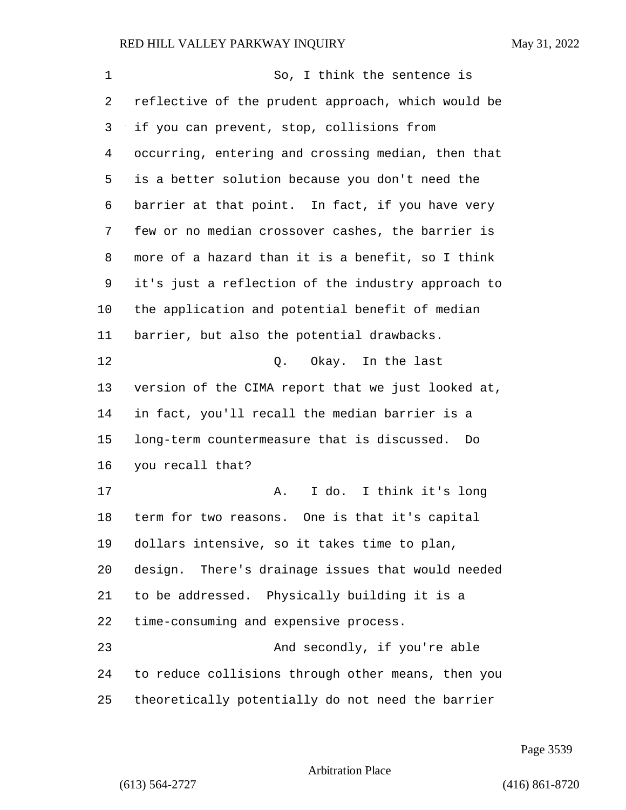| 1  | So, I think the sentence is                        |
|----|----------------------------------------------------|
| 2  | reflective of the prudent approach, which would be |
| 3  | if you can prevent, stop, collisions from          |
| 4  | occurring, entering and crossing median, then that |
| 5  | is a better solution because you don't need the    |
| 6  | barrier at that point. In fact, if you have very   |
| 7  | few or no median crossover cashes, the barrier is  |
| 8  | more of a hazard than it is a benefit, so I think  |
| 9  | it's just a reflection of the industry approach to |
| 10 | the application and potential benefit of median    |
| 11 | barrier, but also the potential drawbacks.         |
| 12 | Q. Okay. In the last                               |
| 13 | version of the CIMA report that we just looked at, |
| 14 | in fact, you'll recall the median barrier is a     |
| 15 | long-term countermeasure that is discussed.<br>Do  |
| 16 | you recall that?                                   |
| 17 | I do. I think it's long<br>Α.                      |
| 18 | term for two reasons. One is that it's capital     |
| 19 | dollars intensive, so it takes time to plan,       |
| 20 | design. There's drainage issues that would needed  |
| 21 | to be addressed. Physically building it is a       |
| 22 | time-consuming and expensive process.              |
| 23 | And secondly, if you're able                       |
| 24 | to reduce collisions through other means, then you |
| 25 | theoretically potentially do not need the barrier  |

Page 3539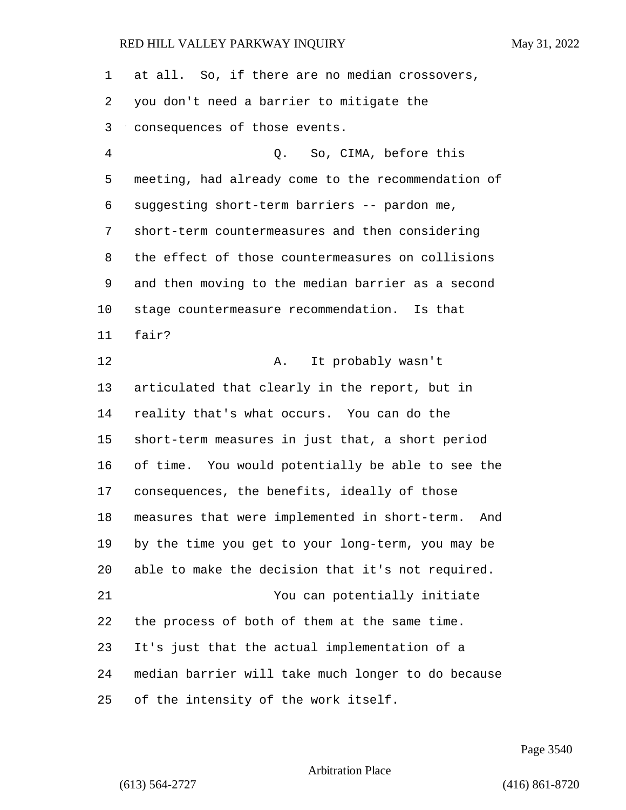| $\mathbf 1$ | at all. So, if there are no median crossovers,       |
|-------------|------------------------------------------------------|
| 2           | you don't need a barrier to mitigate the             |
| 3           | consequences of those events.                        |
| 4           | Q. So, CIMA, before this                             |
| 5           | meeting, had already come to the recommendation of   |
| 6           | suggesting short-term barriers -- pardon me,         |
| 7           | short-term countermeasures and then considering      |
| 8           | the effect of those countermeasures on collisions    |
| 9           | and then moving to the median barrier as a second    |
| $10 \,$     | stage countermeasure recommendation. Is that         |
| 11          | fair?                                                |
| 12          | It probably wasn't<br>A.                             |
| 13          | articulated that clearly in the report, but in       |
| 14          | reality that's what occurs. You can do the           |
| 15          | short-term measures in just that, a short period     |
| 16          | of time. You would potentially be able to see the    |
| 17          | consequences, the benefits, ideally of those         |
| 18          | measures that were implemented in short-term.<br>And |
| 19          | by the time you get to your long-term, you may be    |
| 20          | able to make the decision that it's not required.    |
| 21          | You can potentially initiate                         |
| 22          | the process of both of them at the same time.        |
| 23          | It's just that the actual implementation of a        |
| 24          | median barrier will take much longer to do because   |
| 25          | of the intensity of the work itself.                 |

Page 3540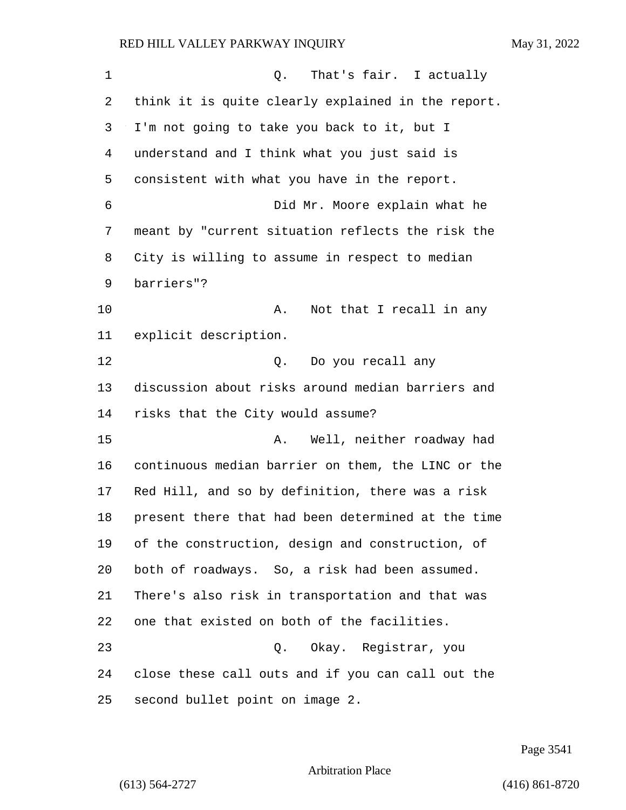| 1  | That's fair. I actually<br>Q.                      |
|----|----------------------------------------------------|
| 2  | think it is quite clearly explained in the report. |
| 3  | I'm not going to take you back to it, but I        |
| 4  | understand and I think what you just said is       |
| 5  | consistent with what you have in the report.       |
| 6  | Did Mr. Moore explain what he                      |
| 7  | meant by "current situation reflects the risk the  |
| 8  | City is willing to assume in respect to median     |
| 9  | barriers"?                                         |
| 10 | Not that I recall in any<br>Α.                     |
| 11 | explicit description.                              |
| 12 | Do you recall any<br>Q.                            |
| 13 | discussion about risks around median barriers and  |
| 14 | risks that the City would assume?                  |
| 15 | Well, neither roadway had<br>Α.                    |
| 16 | continuous median barrier on them, the LINC or the |
| 17 | Red Hill, and so by definition, there was a risk   |
| 18 | present there that had been determined at the time |
| 19 | of the construction, design and construction, of   |
| 20 | both of roadways. So, a risk had been assumed.     |
| 21 | There's also risk in transportation and that was   |
| 22 | one that existed on both of the facilities.        |
| 23 | Okay. Registrar, you<br>Q.                         |
| 24 | close these call outs and if you can call out the  |
| 25 | second bullet point on image 2.                    |

Page 3541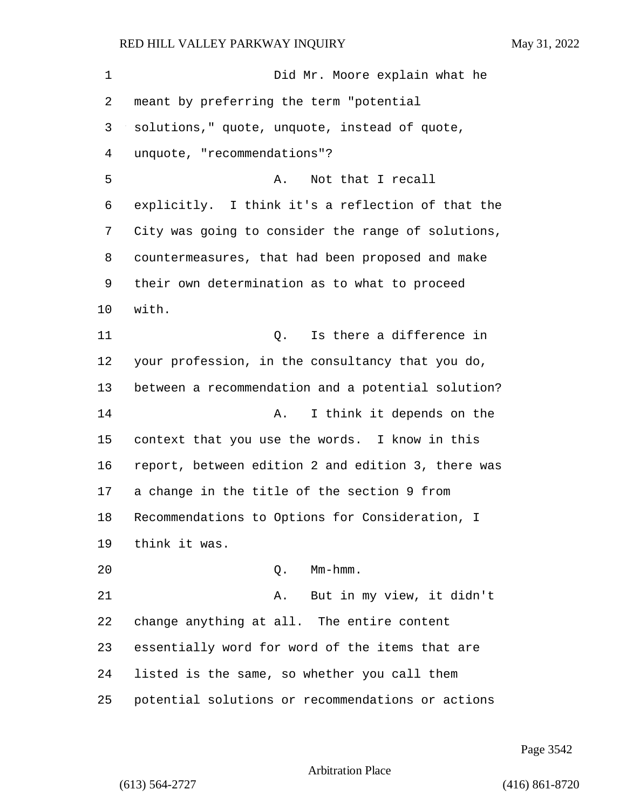1 Did Mr. Moore explain what he meant by preferring the term "potential solutions," quote, unquote, instead of quote, unquote, "recommendations"? 5 A. Not that I recall explicitly. I think it's a reflection of that the City was going to consider the range of solutions, countermeasures, that had been proposed and make their own determination as to what to proceed with. 11 Q. Is there a difference in your profession, in the consultancy that you do, between a recommendation and a potential solution? **A.** I think it depends on the context that you use the words. I know in this report, between edition 2 and edition 3, there was a change in the title of the section 9 from Recommendations to Options for Consideration, I think it was. 20 Q. Mm-hmm. 21 A. But in my view, it didn't change anything at all. The entire content essentially word for word of the items that are listed is the same, so whether you call them potential solutions or recommendations or actions

Arbitration Place

(613) 564-2727 (416) 861-8720

Page 3542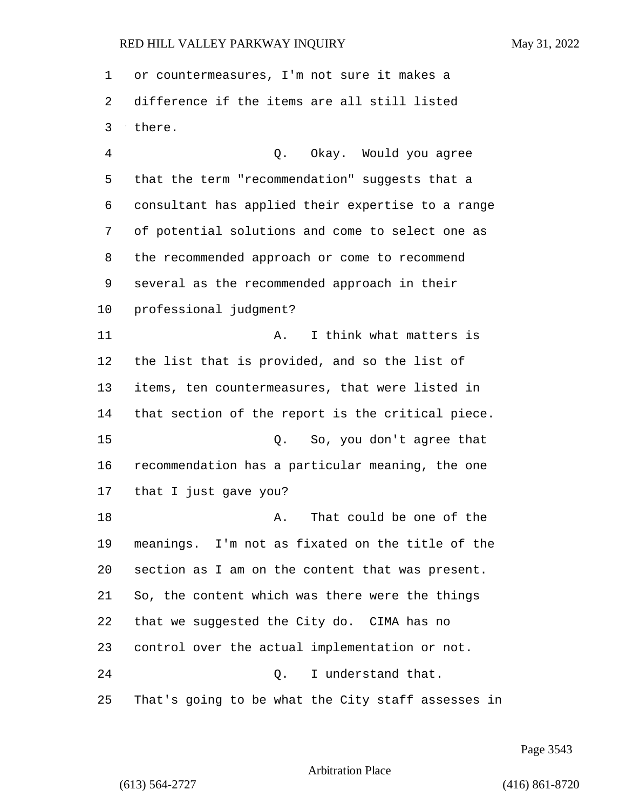or countermeasures, I'm not sure it makes a difference if the items are all still listed there.

4 Q. Okay. Would you agree that the term "recommendation" suggests that a consultant has applied their expertise to a range of potential solutions and come to select one as the recommended approach or come to recommend several as the recommended approach in their professional judgment? 11 A. I think what matters is the list that is provided, and so the list of items, ten countermeasures, that were listed in that section of the report is the critical piece. 15 Q. So, you don't agree that recommendation has a particular meaning, the one that I just gave you? 18 A. That could be one of the meanings. I'm not as fixated on the title of the section as I am on the content that was present. So, the content which was there were the things that we suggested the City do. CIMA has no control over the actual implementation or not. 24 Q. I understand that. That's going to be what the City staff assesses in

Page 3543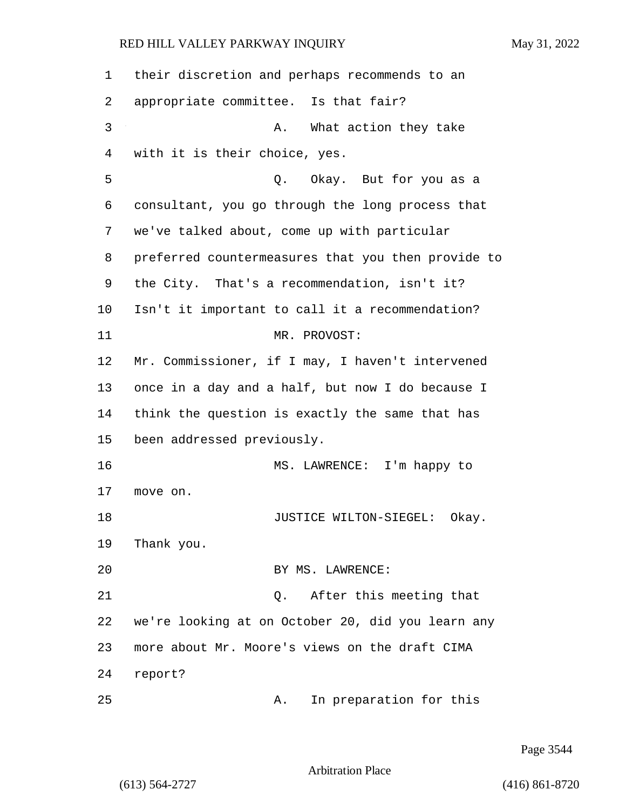| 1       | their discretion and perhaps recommends to an      |
|---------|----------------------------------------------------|
| 2       | appropriate committee. Is that fair?               |
| 3       | What action they take<br>Α.                        |
| 4       | with it is their choice, yes.                      |
| 5       | Q. Okay. But for you as a                          |
| 6       | consultant, you go through the long process that   |
| 7       | we've talked about, come up with particular        |
| 8       | preferred countermeasures that you then provide to |
| 9       | the City. That's a recommendation, isn't it?       |
| 10      | Isn't it important to call it a recommendation?    |
| 11      | MR. PROVOST:                                       |
| $12 \,$ | Mr. Commissioner, if I may, I haven't intervened   |
| 13      | once in a day and a half, but now I do because I   |
| 14      | think the question is exactly the same that has    |
| 15      | been addressed previously.                         |
| 16      | MS. LAWRENCE: I'm happy to                         |
| 17      | move on.                                           |
| 18      | JUSTICE WILTON-SIEGEL:<br>Okay.                    |
| 19      | Thank you.                                         |
| 20      | BY MS. LAWRENCE:                                   |
| 21      | After this meeting that<br>Q.                      |
| 22      | we're looking at on October 20, did you learn any  |
| 23      | more about Mr. Moore's views on the draft CIMA     |
| 24      | report?                                            |
| 25      | In preparation for this<br>Α.                      |

Page 3544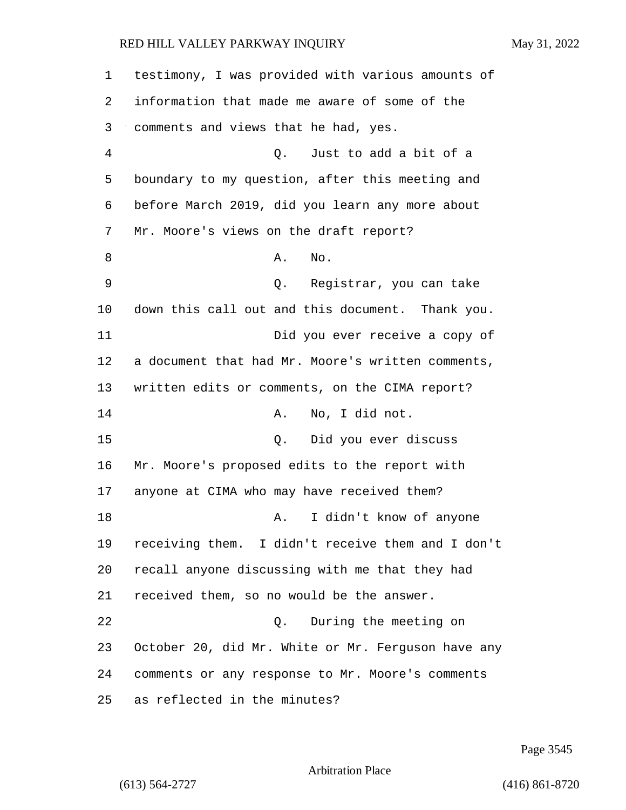testimony, I was provided with various amounts of information that made me aware of some of the comments and views that he had, yes. 4 Q. Just to add a bit of a boundary to my question, after this meeting and before March 2019, did you learn any more about Mr. Moore's views on the draft report? 8 A. No. 9 Q. Registrar, you can take down this call out and this document. Thank you. 11 Did you ever receive a copy of a document that had Mr. Moore's written comments, written edits or comments, on the CIMA report? 14 A. No, I did not. 15 Q. Did you ever discuss Mr. Moore's proposed edits to the report with anyone at CIMA who may have received them? 18 A. I didn't know of anyone receiving them. I didn't receive them and I don't recall anyone discussing with me that they had received them, so no would be the answer. 22 Q. During the meeting on October 20, did Mr. White or Mr. Ferguson have any comments or any response to Mr. Moore's comments as reflected in the minutes?

Page 3545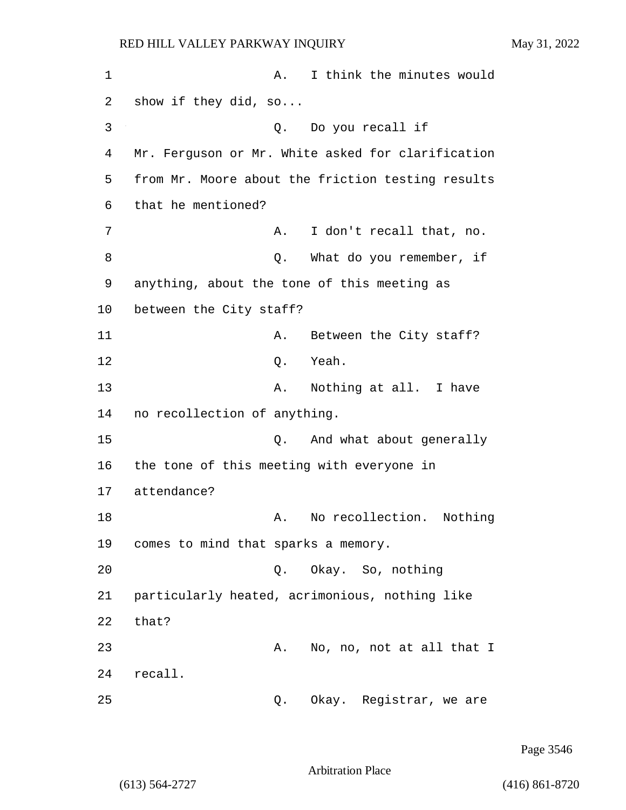1 A. I think the minutes would 2 show if they did, so... 3 Q. Do you recall if 4 Mr. Ferguson or Mr. White asked for clarification 5 from Mr. Moore about the friction testing results 6 that he mentioned? 7 A. I don't recall that, no. 8 and 9. What do you remember, if 9 anything, about the tone of this meeting as 10 between the City staff? 11 A. Between the City staff? 12 Q. Yeah. 13 A. Nothing at all. I have 14 no recollection of anything. 15 C. And what about generally 16 the tone of this meeting with everyone in 17 attendance? 18 A. No recollection. Nothing 19 comes to mind that sparks a memory. 20 Q. Okay. So, nothing 21 particularly heated, acrimonious, nothing like 22 that? 23 A. No, no, not at all that I 24 recall. 25 Q. Okay. Registrar, we are

Page 3546

Arbitration Place

(613) 564-2727 (416) 861-8720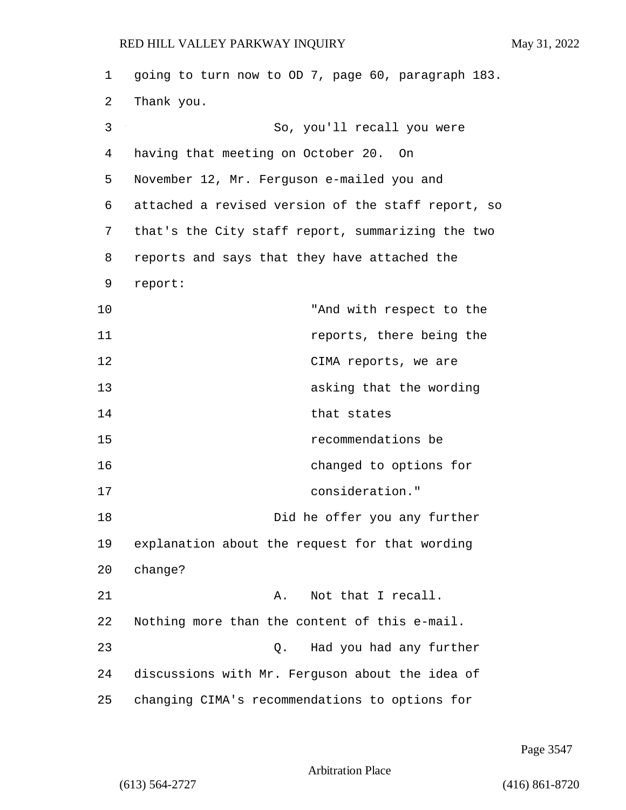| 1  | going to turn now to OD 7, page 60, paragraph 183. |
|----|----------------------------------------------------|
| 2  | Thank you.                                         |
| 3  | So, you'll recall you were                         |
| 4  | having that meeting on October 20. On              |
| 5  | November 12, Mr. Ferguson e-mailed you and         |
| 6  | attached a revised version of the staff report, so |
| 7  | that's the City staff report, summarizing the two  |
| 8  | reports and says that they have attached the       |
| 9  | report:                                            |
| 10 | "And with respect to the                           |
| 11 | reports, there being the                           |
| 12 | CIMA reports, we are                               |
| 13 | asking that the wording                            |
| 14 | that states                                        |
| 15 | recommendations be                                 |
| 16 | changed to options for                             |
| 17 | consideration."                                    |
| 18 | Did he offer you any further                       |
| 19 | explanation about the request for that wording     |
| 20 | change?                                            |
| 21 | Not that I recall.<br>Α.                           |
| 22 | Nothing more than the content of this e-mail.      |
| 23 | Had you had any further<br>Q.                      |
| 24 | discussions with Mr. Ferguson about the idea of    |
| 25 | changing CIMA's recommendations to options for     |

Page 3547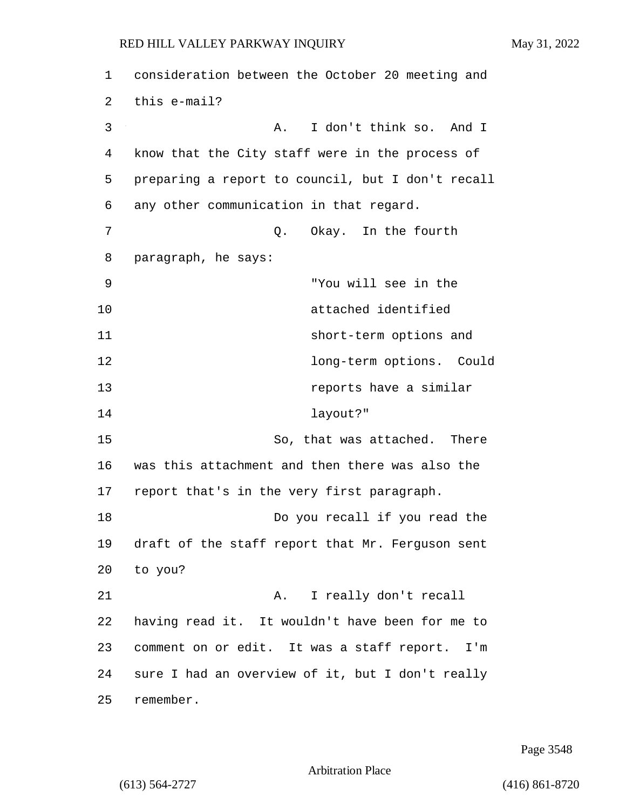| 1  | consideration between the October 20 meeting and  |
|----|---------------------------------------------------|
| 2  | this e-mail?                                      |
| 3  | I don't think so. And I<br>Α.                     |
| 4  | know that the City staff were in the process of   |
| 5  | preparing a report to council, but I don't recall |
| 6  | any other communication in that regard.           |
| 7  | Okay. In the fourth<br>Q.                         |
| 8  | paragraph, he says:                               |
| 9  | "You will see in the                              |
| 10 | attached identified                               |
| 11 | short-term options and                            |
| 12 | long-term options. Could                          |
| 13 | reports have a similar                            |
| 14 | layout?"                                          |
| 15 | So, that was attached. There                      |
| 16 | was this attachment and then there was also the   |
| 17 | report that's in the very first paragraph.        |
| 18 | Do you recall if you read the                     |
| 19 | draft of the staff report that Mr. Ferguson sent  |
| 20 | to you?                                           |
| 21 | I really don't recall<br>A.                       |
| 22 | having read it. It wouldn't have been for me to   |
| 23 | comment on or edit. It was a staff report. I'm    |
| 24 | sure I had an overview of it, but I don't really  |
| 25 | remember.                                         |

Page 3548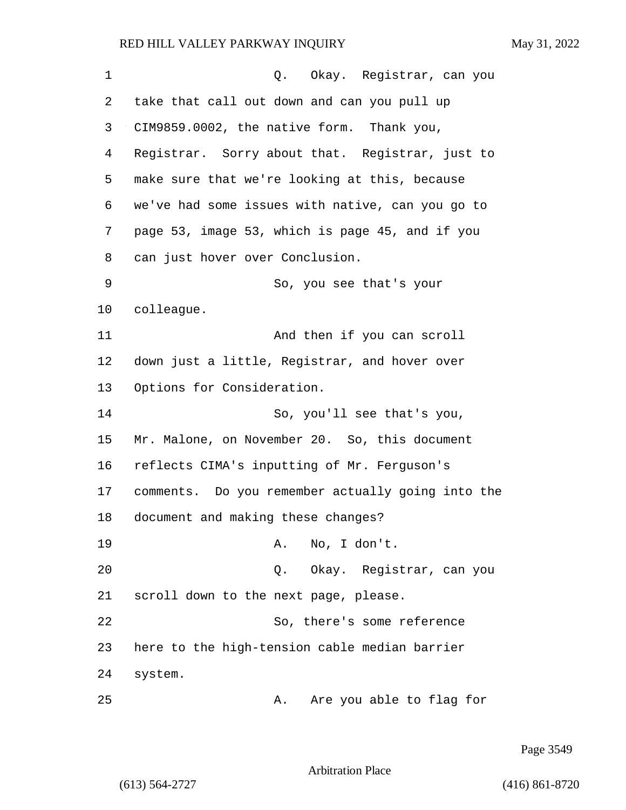| $\mathbf 1$ | Q. Okay. Registrar, can you                       |
|-------------|---------------------------------------------------|
| 2           | take that call out down and can you pull up       |
| 3           | CIM9859.0002, the native form. Thank you,         |
| 4           | Registrar. Sorry about that. Registrar, just to   |
| 5           | make sure that we're looking at this, because     |
| 6           | we've had some issues with native, can you go to  |
| 7           | page 53, image 53, which is page 45, and if you   |
| 8           | can just hover over Conclusion.                   |
| 9           | So, you see that's your                           |
| 10          | colleague.                                        |
| 11          | And then if you can scroll                        |
| 12          | down just a little, Registrar, and hover over     |
| 13          | Options for Consideration.                        |
| 14          | So, you'll see that's you,                        |
| 15          | Mr. Malone, on November 20. So, this document     |
| 16          | reflects CIMA's inputting of Mr. Ferguson's       |
| 17          | comments. Do you remember actually going into the |
| 18          | document and making these changes?                |
| 19          | A. No, I don't.                                   |
| 20          | Q. Okay. Registrar, can you                       |
| 21          | scroll down to the next page, please.             |
| 22          | So, there's some reference                        |
| 23          | here to the high-tension cable median barrier     |
| 24          | system.                                           |
| 25          | Are you able to flag for<br>Α.                    |

Page 3549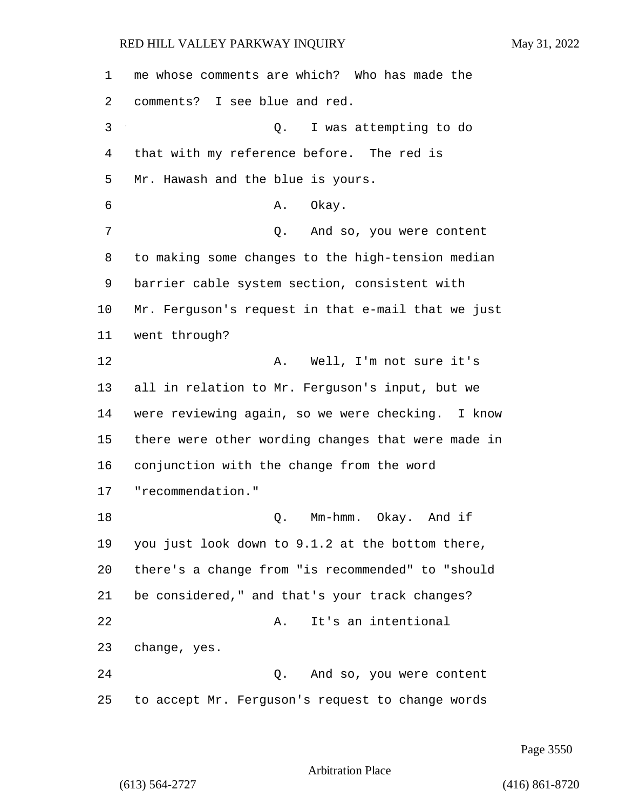| 1  | me whose comments are which? Who has made the      |
|----|----------------------------------------------------|
| 2  | comments? I see blue and red.                      |
| 3  | I was attempting to do<br>Q.                       |
| 4  | that with my reference before. The red is          |
| 5  | Mr. Hawash and the blue is yours.                  |
| 6  | Okay.<br>Α.                                        |
| 7  | And so, you were content<br>Q.                     |
| 8  | to making some changes to the high-tension median  |
| 9  | barrier cable system section, consistent with      |
| 10 | Mr. Ferguson's request in that e-mail that we just |
| 11 | went through?                                      |
| 12 | A. Well, I'm not sure it's                         |
| 13 | all in relation to Mr. Ferguson's input, but we    |
| 14 | were reviewing again, so we were checking. I know  |
| 15 | there were other wording changes that were made in |
| 16 | conjunction with the change from the word          |
| 17 | "recommendation."                                  |
| 18 | Mm-hmm. Okay. And if<br>Q.                         |
| 19 | you just look down to 9.1.2 at the bottom there,   |
| 20 | there's a change from "is recommended" to "should  |
| 21 | be considered," and that's your track changes?     |
| 22 | It's an intentional<br>Α.                          |
| 23 | change, yes.                                       |
| 24 | And so, you were content<br>Q.                     |
| 25 | to accept Mr. Ferguson's request to change words   |

Page 3550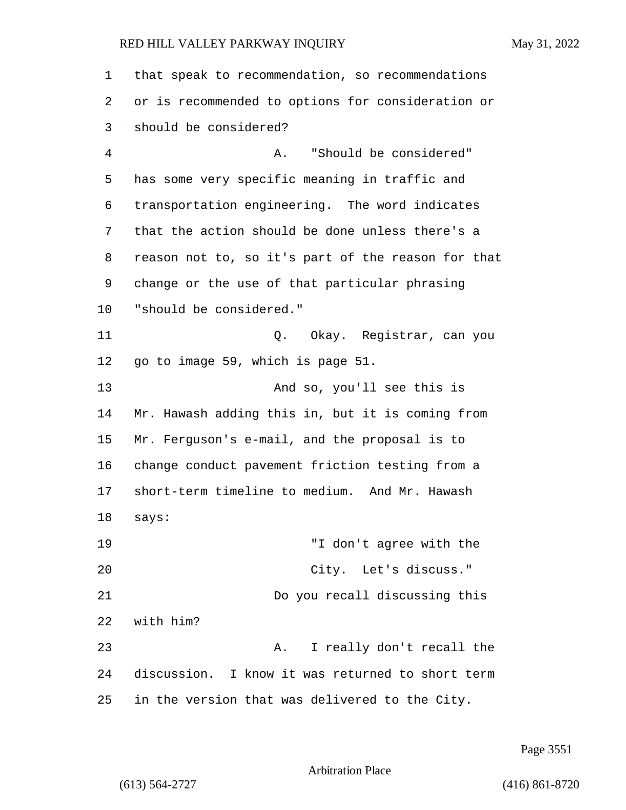| 1  | that speak to recommendation, so recommendations   |
|----|----------------------------------------------------|
| 2  | or is recommended to options for consideration or  |
| 3  | should be considered?                              |
| 4  | "Should be considered"<br>Α.                       |
| 5  | has some very specific meaning in traffic and      |
| 6  | transportation engineering. The word indicates     |
| 7  | that the action should be done unless there's a    |
| 8  | reason not to, so it's part of the reason for that |
| 9  | change or the use of that particular phrasing      |
| 10 | "should be considered."                            |
| 11 | Q. Okay. Registrar, can you                        |
| 12 | go to image 59, which is page 51.                  |
| 13 | And so, you'll see this is                         |
| 14 | Mr. Hawash adding this in, but it is coming from   |
| 15 | Mr. Ferguson's e-mail, and the proposal is to      |
| 16 | change conduct pavement friction testing from a    |
| 17 | short-term timeline to medium. And Mr. Hawash      |
| 18 | says:                                              |
| 19 | "I don't agree with the                            |
| 20 | City. Let's discuss."                              |
| 21 | Do you recall discussing this                      |
| 22 | with him?                                          |
| 23 | I really don't recall the<br>Α.                    |
| 24 | discussion. I know it was returned to short term   |
| 25 | in the version that was delivered to the City.     |

Page 3551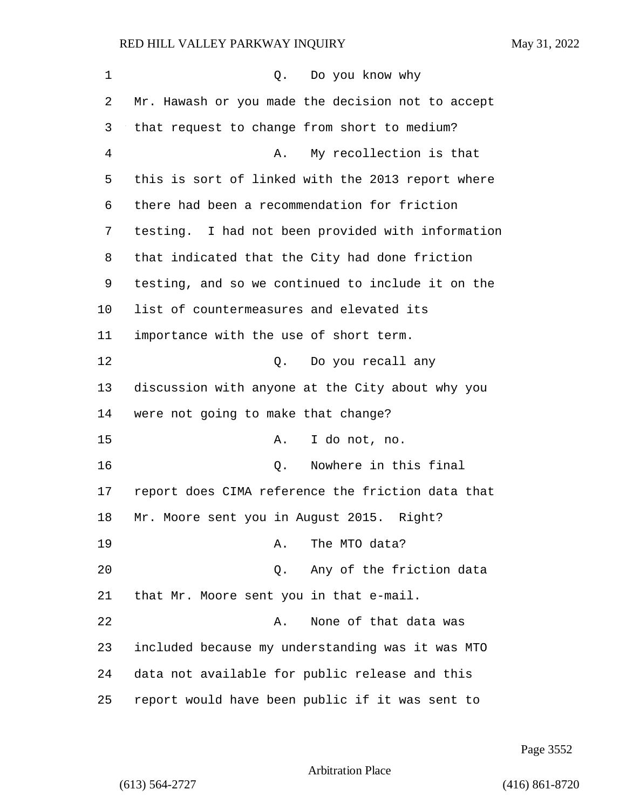1 Q. Do you know why Mr. Hawash or you made the decision not to accept that request to change from short to medium? 4 A. My recollection is that this is sort of linked with the 2013 report where there had been a recommendation for friction testing. I had not been provided with information that indicated that the City had done friction testing, and so we continued to include it on the list of countermeasures and elevated its importance with the use of short term. 12 O. Do you recall any discussion with anyone at the City about why you were not going to make that change? 15 A. I do not, no. 16 Q. Nowhere in this final report does CIMA reference the friction data that Mr. Moore sent you in August 2015. Right? 19 A. The MTO data? 20 Q. Any of the friction data that Mr. Moore sent you in that e-mail. 22 A. None of that data was included because my understanding was it was MTO data not available for public release and this report would have been public if it was sent to

Page 3552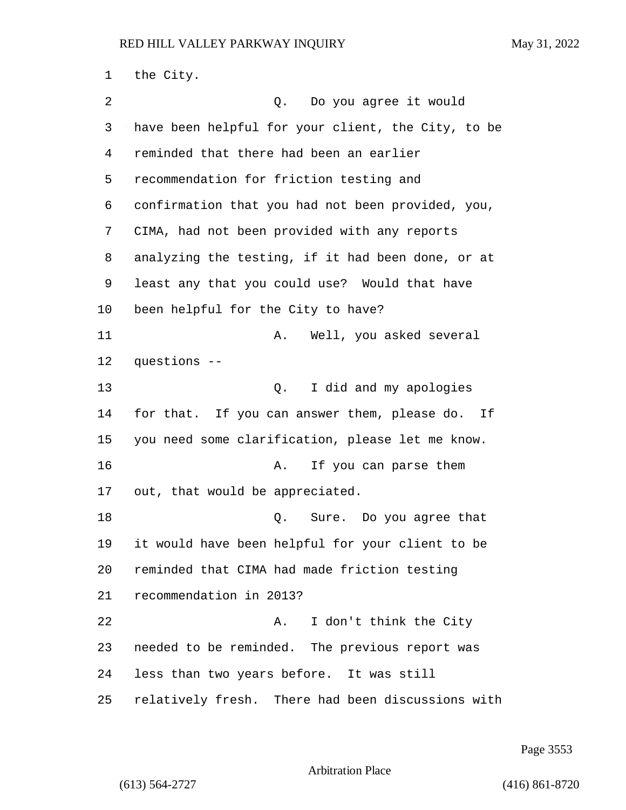the City. 2 Q. Do you agree it would have been helpful for your client, the City, to be reminded that there had been an earlier recommendation for friction testing and confirmation that you had not been provided, you, CIMA, had not been provided with any reports analyzing the testing, if it had been done, or at least any that you could use? Would that have been helpful for the City to have? 11 A. Well, you asked several questions -- 13 Q. I did and my apologies for that. If you can answer them, please do. If you need some clarification, please let me know. 16 A. If you can parse them out, that would be appreciated. 18 Q. Sure. Do you agree that it would have been helpful for your client to be reminded that CIMA had made friction testing recommendation in 2013? 22 A. I don't think the City needed to be reminded. The previous report was less than two years before. It was still relatively fresh. There had been discussions with

Page 3553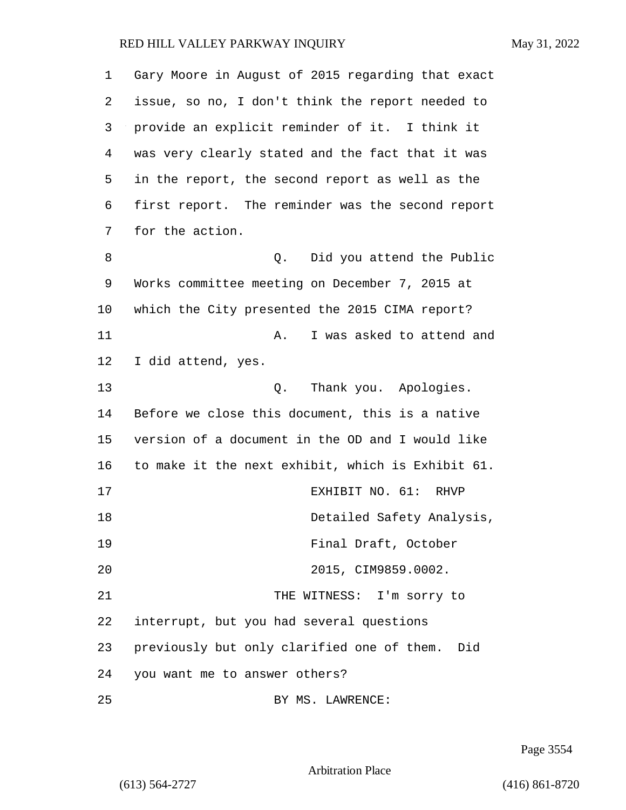| 1  | Gary Moore in August of 2015 regarding that exact |
|----|---------------------------------------------------|
| 2  | issue, so no, I don't think the report needed to  |
| 3  | provide an explicit reminder of it. I think it    |
| 4  | was very clearly stated and the fact that it was  |
| 5  | in the report, the second report as well as the   |
| 6  | first report. The reminder was the second report  |
| 7  | for the action.                                   |
| 8  | Did you attend the Public<br>Q.                   |
| 9  | Works committee meeting on December 7, 2015 at    |
| 10 | which the City presented the 2015 CIMA report?    |
| 11 | I was asked to attend and<br>A.                   |
| 12 | I did attend, yes.                                |
| 13 | Thank you. Apologies.<br>Q.                       |
| 14 | Before we close this document, this is a native   |
| 15 | version of a document in the OD and I would like  |
| 16 | to make it the next exhibit, which is Exhibit 61. |
| 17 | EXHIBIT NO. 61: RHVP                              |
| 18 | Detailed Safety Analysis,                         |
| 19 | Final Draft, October                              |
| 20 | 2015, CIM9859.0002.                               |
| 21 | THE WITNESS: I'm sorry to                         |
| 22 | interrupt, but you had several questions          |
| 23 | previously but only clarified one of them.<br>Did |
| 24 | you want me to answer others?                     |
| 25 | BY MS. LAWRENCE:                                  |

Page 3554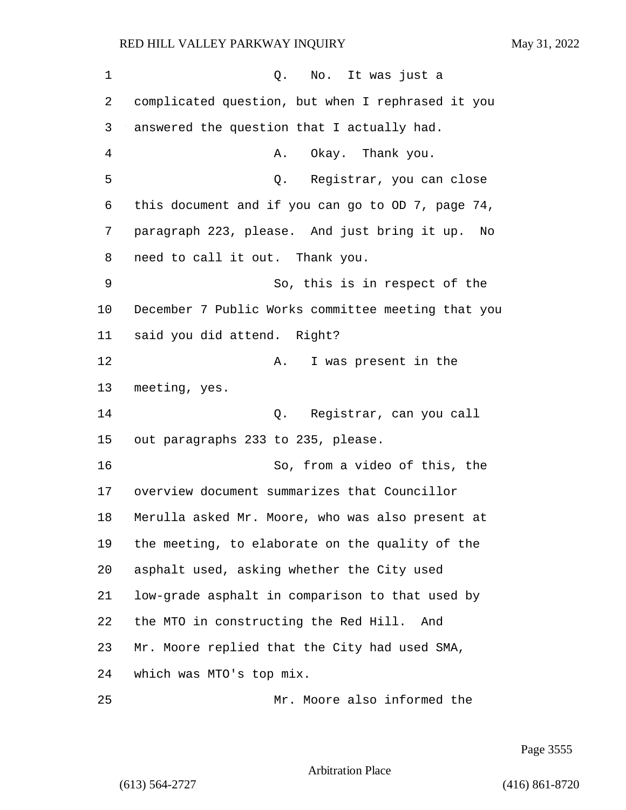1 C. No. It was just a complicated question, but when I rephrased it you answered the question that I actually had. 4 A. Okay. Thank you. 5 Q. Registrar, you can close this document and if you can go to OD 7, page 74, paragraph 223, please. And just bring it up. No need to call it out. Thank you. 9 So, this is in respect of the December 7 Public Works committee meeting that you said you did attend. Right? 12 A. I was present in the meeting, yes. 14 Q. Registrar, can you call out paragraphs 233 to 235, please. 16 So, from a video of this, the overview document summarizes that Councillor Merulla asked Mr. Moore, who was also present at the meeting, to elaborate on the quality of the asphalt used, asking whether the City used low-grade asphalt in comparison to that used by the MTO in constructing the Red Hill. And Mr. Moore replied that the City had used SMA, which was MTO's top mix. 25 Mr. Moore also informed the

Page 3555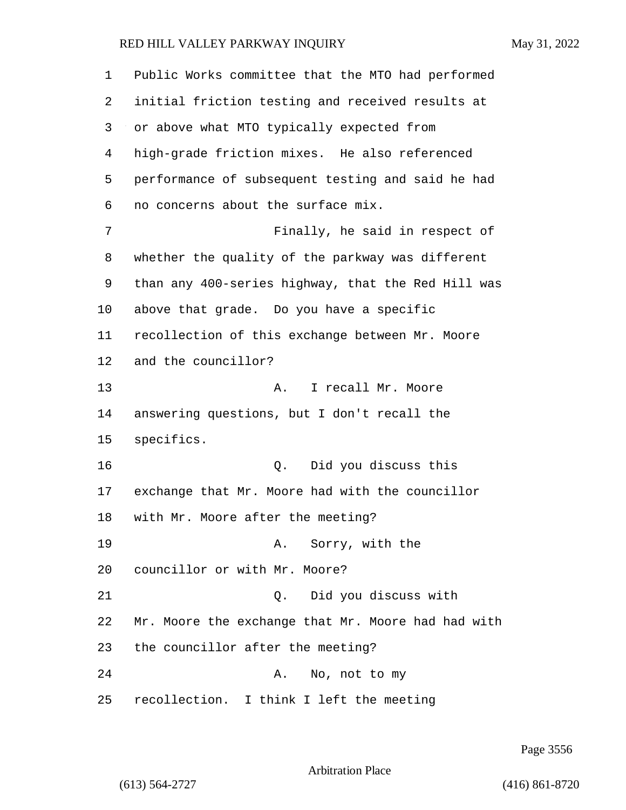| 1              | Public Works committee that the MTO had performed  |
|----------------|----------------------------------------------------|
| 2              | initial friction testing and received results at   |
| 3              | or above what MTO typically expected from          |
| $\overline{4}$ | high-grade friction mixes. He also referenced      |
| 5              | performance of subsequent testing and said he had  |
| 6              | no concerns about the surface mix.                 |
| 7              | Finally, he said in respect of                     |
| 8              | whether the quality of the parkway was different   |
| 9              | than any 400-series highway, that the Red Hill was |
| 10             | above that grade. Do you have a specific           |
| 11             | recollection of this exchange between Mr. Moore    |
| 12             | and the councillor?                                |
| 13             | I recall Mr. Moore<br>Α.                           |
| 14             | answering questions, but I don't recall the        |
| 15             | specifics.                                         |
| 16             | Did you discuss this<br>Q.                         |
| 17             | exchange that Mr. Moore had with the councillor    |
| 18             | with Mr. Moore after the meeting?                  |
| 19             | A. Sorry, with the                                 |
| 20             | councillor or with Mr. Moore?                      |
| 21             | Did you discuss with<br>Q.                         |
| 22             | Mr. Moore the exchange that Mr. Moore had had with |
| 23             | the councillor after the meeting?                  |
| 24             | No, not to my<br>Α.                                |
| 25             | recollection. I think I left the meeting           |

Page 3556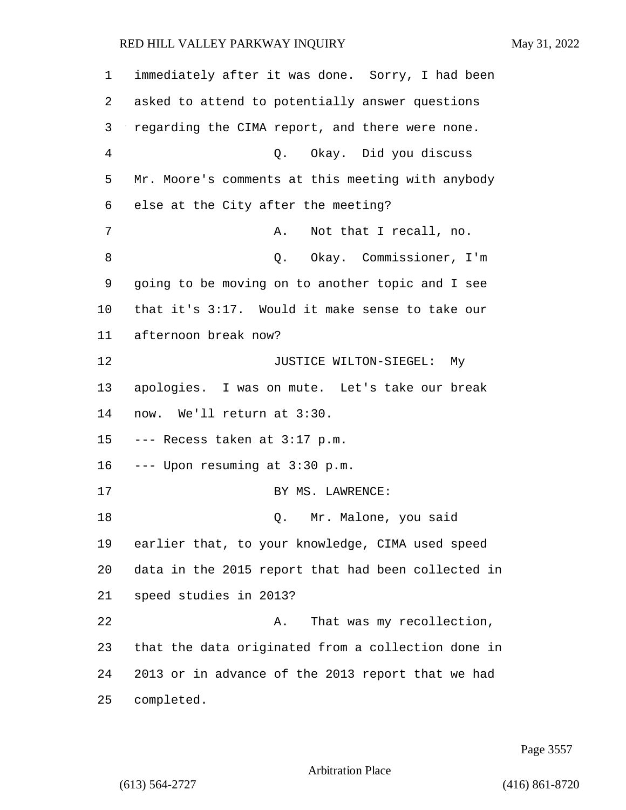| 1              | immediately after it was done. Sorry, I had been   |
|----------------|----------------------------------------------------|
| 2              | asked to attend to potentially answer questions    |
| 3              | regarding the CIMA report, and there were none.    |
| $\overline{4}$ | Q. Okay. Did you discuss                           |
| 5              | Mr. Moore's comments at this meeting with anybody  |
| 6              | else at the City after the meeting?                |
| 7              | Not that I recall, no.<br>Α.                       |
| 8              | Q. Okay. Commissioner, I'm                         |
| 9              | going to be moving on to another topic and I see   |
| 10             | that it's 3:17. Would it make sense to take our    |
| 11             | afternoon break now?                               |
| 12             | JUSTICE WILTON-SIEGEL: My                          |
| 13             | apologies. I was on mute. Let's take our break     |
| 14             | now. We'll return at 3:30.                         |
| 15             | --- Recess taken at 3:17 p.m.                      |
| 16             | --- Upon resuming at 3:30 p.m.                     |
| 17             | BY MS. LAWRENCE:                                   |
| 18             | Mr. Malone, you said<br>Q.                         |
| 19             | earlier that, to your knowledge, CIMA used speed   |
| 20             | data in the 2015 report that had been collected in |
| 21             | speed studies in 2013?                             |
| 22             | That was my recollection,<br>Α.                    |
| 23             | that the data originated from a collection done in |
| 24             | 2013 or in advance of the 2013 report that we had  |
| 25             | completed.                                         |

Page 3557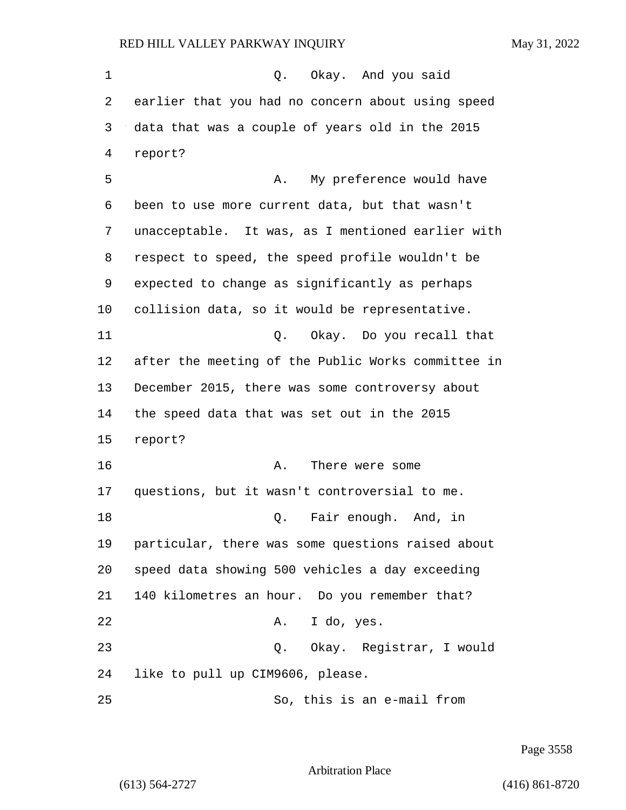1 0. Okay. And you said earlier that you had no concern about using speed data that was a couple of years old in the 2015 report? 5 A. My preference would have been to use more current data, but that wasn't unacceptable. It was, as I mentioned earlier with respect to speed, the speed profile wouldn't be expected to change as significantly as perhaps collision data, so it would be representative. 11 Q. Okay. Do you recall that after the meeting of the Public Works committee in December 2015, there was some controversy about the speed data that was set out in the 2015 report? 16 A. There were some questions, but it wasn't controversial to me. **Q.** Fair enough. And, in particular, there was some questions raised about speed data showing 500 vehicles a day exceeding 140 kilometres an hour. Do you remember that? 22 A. I do, yes. 23 Q. Okay. Registrar, I would like to pull up CIM9606, please. 25 So, this is an e-mail from

Page 3558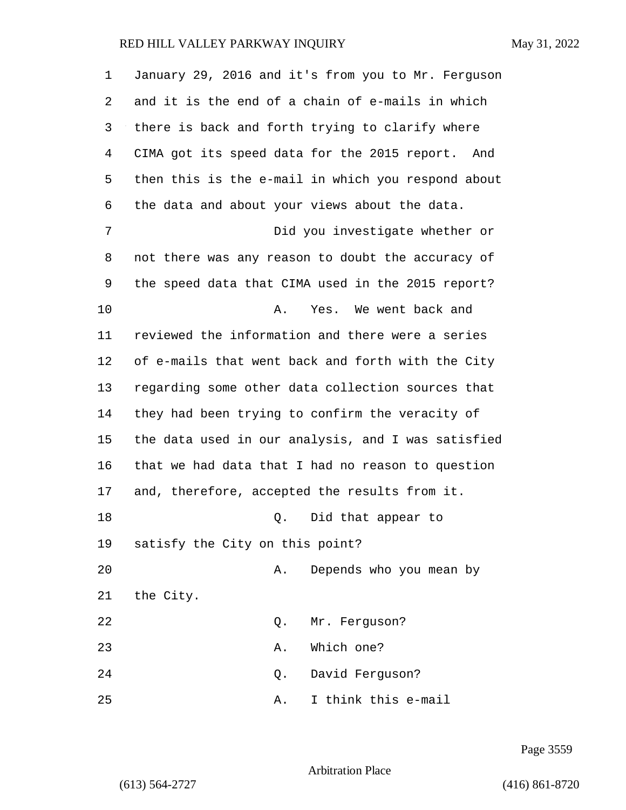| 1  | January 29, 2016 and it's from you to Mr. Ferguson |
|----|----------------------------------------------------|
| 2  | and it is the end of a chain of e-mails in which   |
| 3  | there is back and forth trying to clarify where    |
| 4  | CIMA got its speed data for the 2015 report. And   |
| 5  | then this is the e-mail in which you respond about |
| 6  | the data and about your views about the data.      |
| 7  | Did you investigate whether or                     |
| 8  | not there was any reason to doubt the accuracy of  |
| 9  | the speed data that CIMA used in the 2015 report?  |
| 10 | Yes. We went back and<br>Α.                        |
| 11 | reviewed the information and there were a series   |
| 12 | of e-mails that went back and forth with the City  |
| 13 | regarding some other data collection sources that  |
| 14 | they had been trying to confirm the veracity of    |
| 15 | the data used in our analysis, and I was satisfied |
| 16 | that we had data that I had no reason to question  |
| 17 | and, therefore, accepted the results from it.      |
| 18 | Did that appear to<br>Q.                           |
| 19 | satisfy the City on this point?                    |
| 20 | Depends who you mean by<br>Α.                      |
| 21 | the City.                                          |
| 22 | Mr. Ferguson?<br>Q.                                |
| 23 | Which one?<br>Α.                                   |
| 24 | David Ferguson?<br>Q.                              |
| 25 | I think this e-mail<br>Α.                          |

Page 3559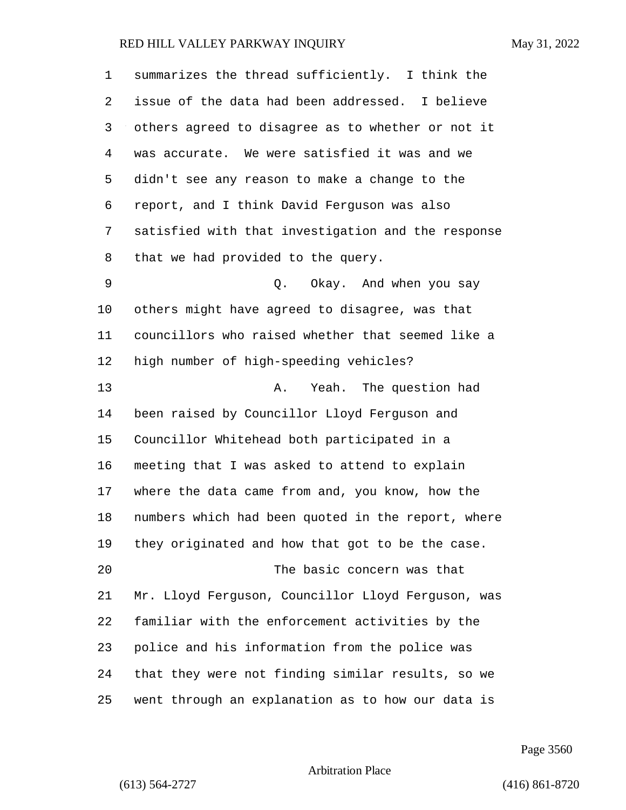| 1  | summarizes the thread sufficiently. I think the    |
|----|----------------------------------------------------|
| 2  | issue of the data had been addressed. I believe    |
| 3  | others agreed to disagree as to whether or not it  |
| 4  | was accurate. We were satisfied it was and we      |
| 5  | didn't see any reason to make a change to the      |
| 6  | report, and I think David Ferguson was also        |
| 7  | satisfied with that investigation and the response |
| 8  | that we had provided to the query.                 |
| 9  | Okay. And when you say<br>Q.                       |
| 10 | others might have agreed to disagree, was that     |
| 11 | councillors who raised whether that seemed like a  |
| 12 | high number of high-speeding vehicles?             |
| 13 | Yeah. The question had<br>Α.                       |
| 14 | been raised by Councillor Lloyd Ferguson and       |
| 15 | Councillor Whitehead both participated in a        |
| 16 | meeting that I was asked to attend to explain      |
| 17 | where the data came from and, you know, how the    |
| 18 | numbers which had been quoted in the report, where |
| 19 | they originated and how that got to be the case.   |
| 20 | The basic concern was that                         |
| 21 | Mr. Lloyd Ferguson, Councillor Lloyd Ferguson, was |
| 22 | familiar with the enforcement activities by the    |
| 23 | police and his information from the police was     |
| 24 | that they were not finding similar results, so we  |
| 25 | went through an explanation as to how our data is  |

Page 3560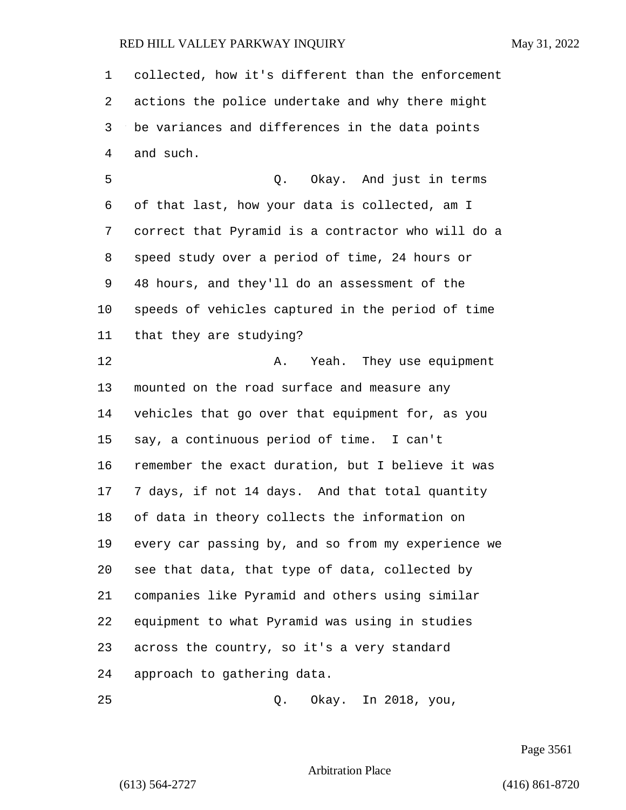collected, how it's different than the enforcement actions the police undertake and why there might be variances and differences in the data points and such. 5 Q. Okay. And just in terms

 of that last, how your data is collected, am I correct that Pyramid is a contractor who will do a speed study over a period of time, 24 hours or 48 hours, and they'll do an assessment of the speeds of vehicles captured in the period of time that they are studying?

**A.** Yeah. They use equipment mounted on the road surface and measure any vehicles that go over that equipment for, as you say, a continuous period of time. I can't remember the exact duration, but I believe it was 7 days, if not 14 days. And that total quantity of data in theory collects the information on every car passing by, and so from my experience we see that data, that type of data, collected by companies like Pyramid and others using similar equipment to what Pyramid was using in studies across the country, so it's a very standard approach to gathering data.

25 Q. Okay. In 2018, you,

Page 3561

Arbitration Place

(613) 564-2727 (416) 861-8720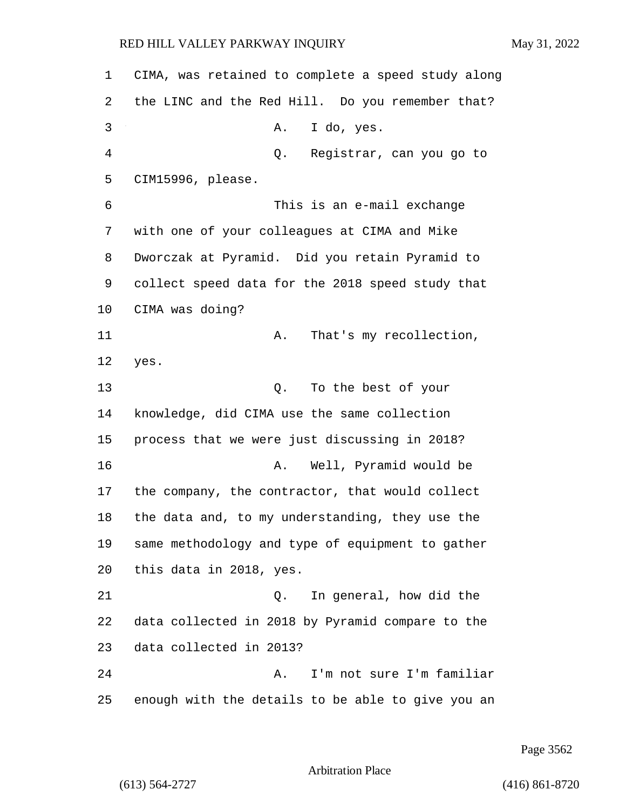CIMA, was retained to complete a speed study along the LINC and the Red Hill. Do you remember that? 3 A. I do, yes. 4 Q. Registrar, can you go to CIM15996, please. 6 This is an e-mail exchange with one of your colleagues at CIMA and Mike Dworczak at Pyramid. Did you retain Pyramid to collect speed data for the 2018 speed study that CIMA was doing? 11 A. That's my recollection, 12 yes. 13 Q. To the best of your knowledge, did CIMA use the same collection process that we were just discussing in 2018? 16 A. Well, Pyramid would be the company, the contractor, that would collect the data and, to my understanding, they use the same methodology and type of equipment to gather this data in 2018, yes. 21 Q. In general, how did the data collected in 2018 by Pyramid compare to the data collected in 2013? 24 A. I'm not sure I'm familiar enough with the details to be able to give you an

Page 3562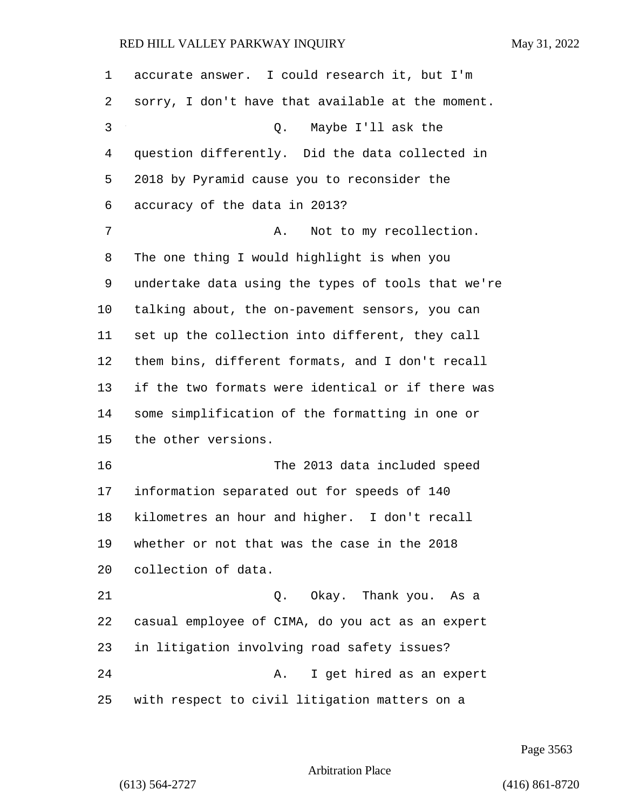| 1            | accurate answer. I could research it, but I'm      |
|--------------|----------------------------------------------------|
| 2            | sorry, I don't have that available at the moment.  |
| $\mathsf{3}$ | Maybe I'll ask the<br>Q.                           |
| 4            | question differently. Did the data collected in    |
| 5            | 2018 by Pyramid cause you to reconsider the        |
| 6            | accuracy of the data in 2013?                      |
| 7            | Not to my recollection.<br>Α.                      |
| 8            | The one thing I would highlight is when you        |
| 9            | undertake data using the types of tools that we're |
| 10           | talking about, the on-pavement sensors, you can    |
| 11           | set up the collection into different, they call    |
| 12           | them bins, different formats, and I don't recall   |
| 13           | if the two formats were identical or if there was  |
| 14           | some simplification of the formatting in one or    |
| 15           | the other versions.                                |
| 16           | The 2013 data included speed                       |
| 17           | information separated out for speeds of 140        |
| 18           | kilometres an hour and higher. I don't recall      |
| 19           | whether or not that was the case in the 2018       |
| 20           | collection of data.                                |
| 21           | Okay. Thank you. As a<br>Q.                        |
| 22           | casual employee of CIMA, do you act as an expert   |
| 23           | in litigation involving road safety issues?        |
| 24           | I get hired as an expert<br>Α.                     |
| 25           | with respect to civil litigation matters on a      |

Page 3563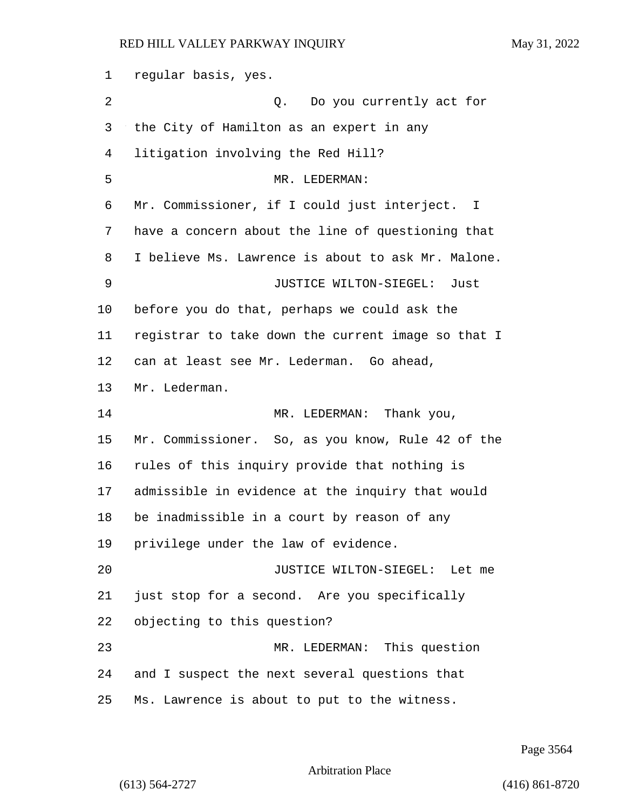regular basis, yes. 2 Q. Do you currently act for the City of Hamilton as an expert in any litigation involving the Red Hill? 5 MR. LEDERMAN: Mr. Commissioner, if I could just interject. I have a concern about the line of questioning that I believe Ms. Lawrence is about to ask Mr. Malone. 9 JUSTICE WILTON-SIEGEL: Just before you do that, perhaps we could ask the registrar to take down the current image so that I can at least see Mr. Lederman. Go ahead, Mr. Lederman. 14 MR. LEDERMAN: Thank you, Mr. Commissioner. So, as you know, Rule 42 of the rules of this inquiry provide that nothing is admissible in evidence at the inquiry that would be inadmissible in a court by reason of any privilege under the law of evidence. 20 JUSTICE WILTON-SIEGEL: Let me just stop for a second. Are you specifically objecting to this question? 23 MR. LEDERMAN: This question and I suspect the next several questions that Ms. Lawrence is about to put to the witness.

Page 3564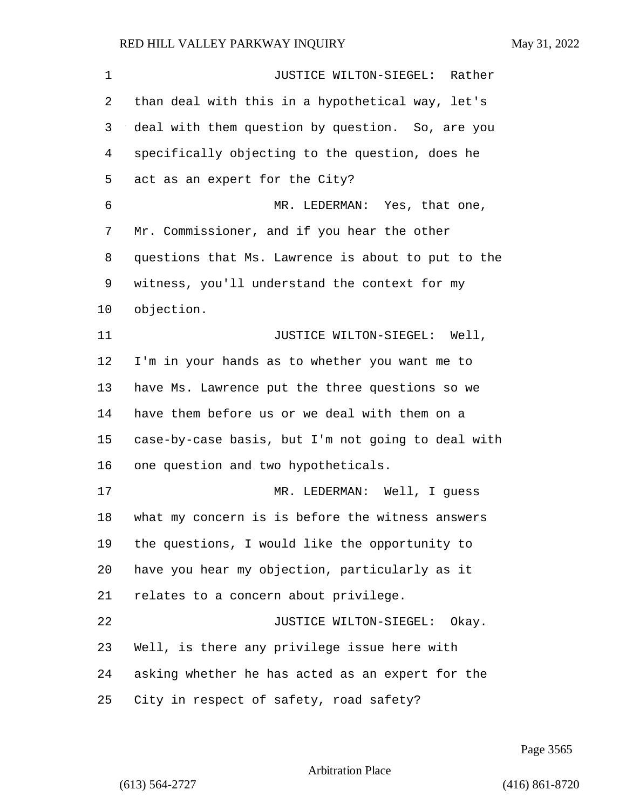1 JUSTICE WILTON-SIEGEL: Rather than deal with this in a hypothetical way, let's deal with them question by question. So, are you specifically objecting to the question, does he act as an expert for the City? 6 MR. LEDERMAN: Yes, that one, Mr. Commissioner, and if you hear the other questions that Ms. Lawrence is about to put to the witness, you'll understand the context for my objection. 11 JUSTICE WILTON-SIEGEL: Well, I'm in your hands as to whether you want me to have Ms. Lawrence put the three questions so we have them before us or we deal with them on a case-by-case basis, but I'm not going to deal with one question and two hypotheticals. 17 MR. LEDERMAN: Well, I guess what my concern is is before the witness answers the questions, I would like the opportunity to have you hear my objection, particularly as it relates to a concern about privilege. 22 JUSTICE WILTON-SIEGEL: Okay. Well, is there any privilege issue here with asking whether he has acted as an expert for the City in respect of safety, road safety?

Page 3565

```
Arbitration Place
```
(613) 564-2727 (416) 861-8720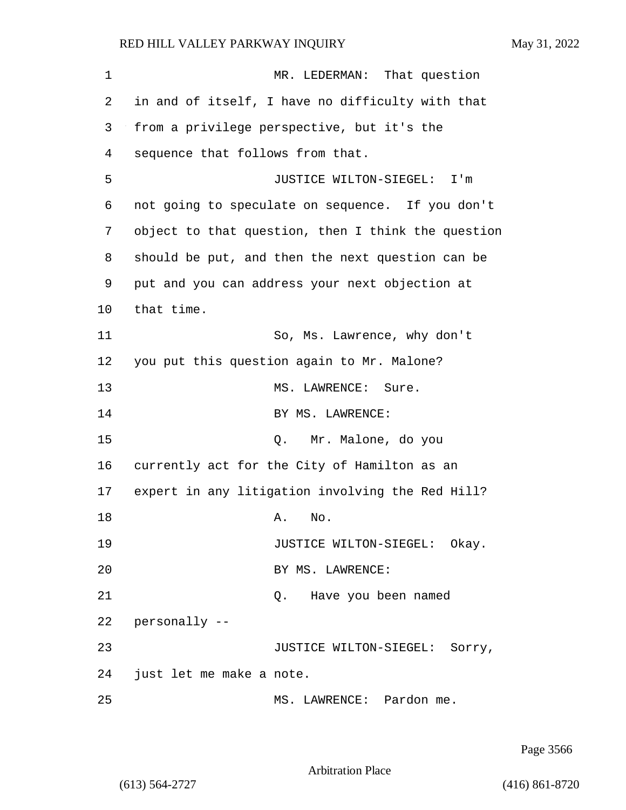| 1  | MR. LEDERMAN: That question                        |
|----|----------------------------------------------------|
| 2  | in and of itself, I have no difficulty with that   |
| 3  | from a privilege perspective, but it's the         |
| 4  | sequence that follows from that.                   |
| 5  | JUSTICE WILTON-SIEGEL:<br>I'm                      |
| 6  | not going to speculate on sequence. If you don't   |
| 7  | object to that question, then I think the question |
| 8  | should be put, and then the next question can be   |
| 9  | put and you can address your next objection at     |
| 10 | that time.                                         |
| 11 | So, Ms. Lawrence, why don't                        |
| 12 | you put this question again to Mr. Malone?         |
| 13 | MS. LAWRENCE:<br>Sure.                             |
| 14 | BY MS. LAWRENCE:                                   |
| 15 | Mr. Malone, do you<br>Q.                           |
| 16 | currently act for the City of Hamilton as an       |
| 17 | expert in any litigation involving the Red Hill?   |
| 18 | No.<br>Α.                                          |
| 19 | JUSTICE WILTON-SIEGEL: Okay.                       |
| 20 | BY MS. LAWRENCE:                                   |
| 21 | Q. Have you been named                             |
| 22 | personally --                                      |
| 23 | JUSTICE WILTON-SIEGEL: Sorry,                      |
| 24 | just let me make a note.                           |
| 25 | MS. LAWRENCE: Pardon me.                           |

Page 3566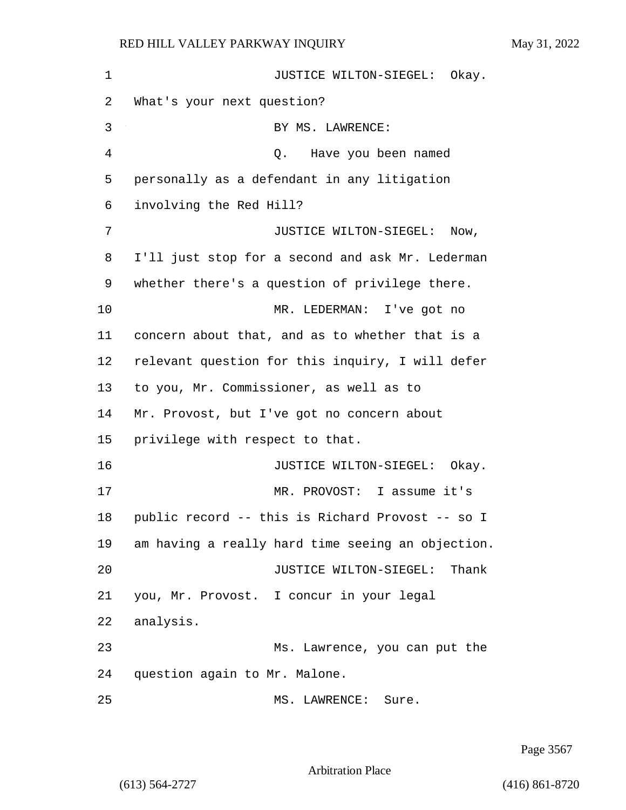1 JUSTICE WILTON-SIEGEL: Okay. What's your next question? 3 BY MS. LAWRENCE: 4 Q. Have you been named personally as a defendant in any litigation involving the Red Hill? 7 JUSTICE WILTON-SIEGEL: Now, I'll just stop for a second and ask Mr. Lederman whether there's a question of privilege there. 10 MR. LEDERMAN: I've got no concern about that, and as to whether that is a relevant question for this inquiry, I will defer to you, Mr. Commissioner, as well as to Mr. Provost, but I've got no concern about privilege with respect to that. **JUSTICE WILTON-SIEGEL:** Okay. 17 MR. PROVOST: I assume it's public record -- this is Richard Provost -- so I am having a really hard time seeing an objection. 20 JUSTICE WILTON-SIEGEL: Thank you, Mr. Provost. I concur in your legal analysis. 23 Ms. Lawrence, you can put the question again to Mr. Malone. 25 MS. LAWRENCE: Sure.

Page 3567

Arbitration Place

(613) 564-2727 (416) 861-8720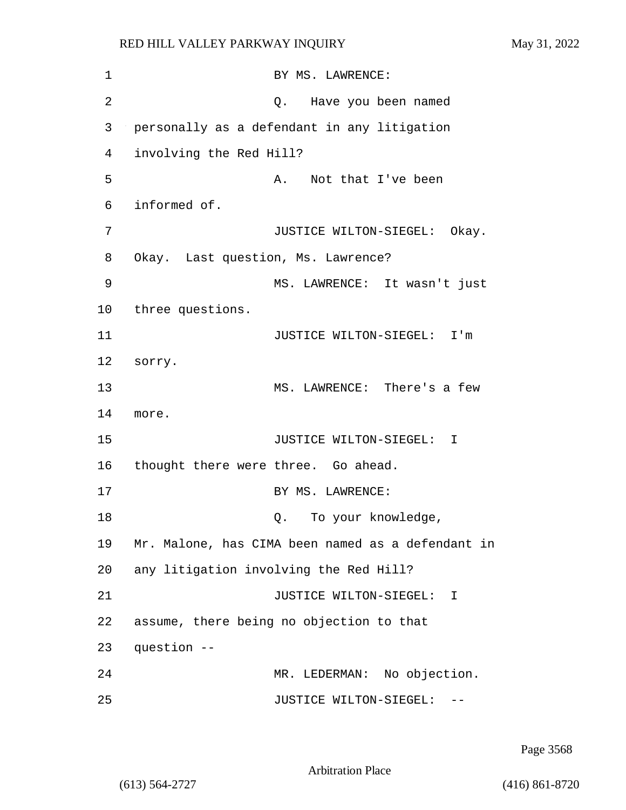| 1  | BY MS. LAWRENCE:                                  |
|----|---------------------------------------------------|
| 2  | Have you been named<br>Q.                         |
| 3  | personally as a defendant in any litigation       |
| 4  | involving the Red Hill?                           |
| 5  | Not that I've been<br>Α.                          |
| 6  | informed of.                                      |
| 7  | JUSTICE WILTON-SIEGEL:<br>Okay.                   |
| 8  | Okay. Last question, Ms. Lawrence?                |
| 9  | MS. LAWRENCE: It wasn't just                      |
| 10 | three questions.                                  |
| 11 | JUSTICE WILTON-SIEGEL: I'm                        |
| 12 | sorry.                                            |
| 13 | MS. LAWRENCE: There's a few                       |
| 14 | more.                                             |
| 15 | JUSTICE WILTON-SIEGEL:<br>$\mathbf{I}$            |
| 16 | thought there were three. Go ahead.               |
| 17 | BY MS. LAWRENCE:                                  |
| 18 | To your knowledge,<br>Q.                          |
| 19 | Mr. Malone, has CIMA been named as a defendant in |
| 20 | any litigation involving the Red Hill?            |
| 21 | JUSTICE WILTON-SIEGEL:<br>$\mathbf{I}$            |
| 22 | assume, there being no objection to that          |
| 23 | question --                                       |
| 24 | MR. LEDERMAN: No objection.                       |
| 25 | JUSTICE WILTON-SIEGEL:                            |

Page 3568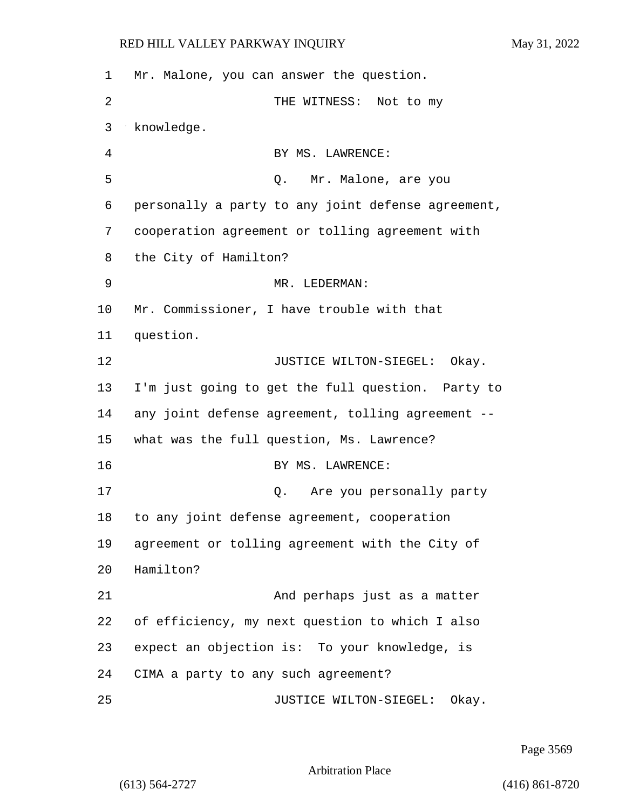| 1  | Mr. Malone, you can answer the question.           |
|----|----------------------------------------------------|
| 2  | THE WITNESS: Not to my                             |
| 3  | knowledge.                                         |
| 4  | BY MS. LAWRENCE:                                   |
| 5  | Q. Mr. Malone, are you                             |
| 6  | personally a party to any joint defense agreement, |
| 7  | cooperation agreement or tolling agreement with    |
| 8  | the City of Hamilton?                              |
| 9  | MR. LEDERMAN:                                      |
| 10 | Mr. Commissioner, I have trouble with that         |
| 11 | question.                                          |
| 12 | JUSTICE WILTON-SIEGEL: Okay.                       |
| 13 | I'm just going to get the full question. Party to  |
| 14 | any joint defense agreement, tolling agreement --  |
| 15 | what was the full question, Ms. Lawrence?          |
| 16 | BY MS. LAWRENCE:                                   |
| 17 | Are you personally party<br>Q.                     |
| 18 | to any joint defense agreement, cooperation        |
| 19 | agreement or tolling agreement with the City of    |
| 20 | Hamilton?                                          |
| 21 | And perhaps just as a matter                       |
| 22 | of efficiency, my next question to which I also    |
| 23 | expect an objection is: To your knowledge, is      |
| 24 | CIMA a party to any such agreement?                |
| 25 | JUSTICE WILTON-SIEGEL:<br>Okay.                    |

Page 3569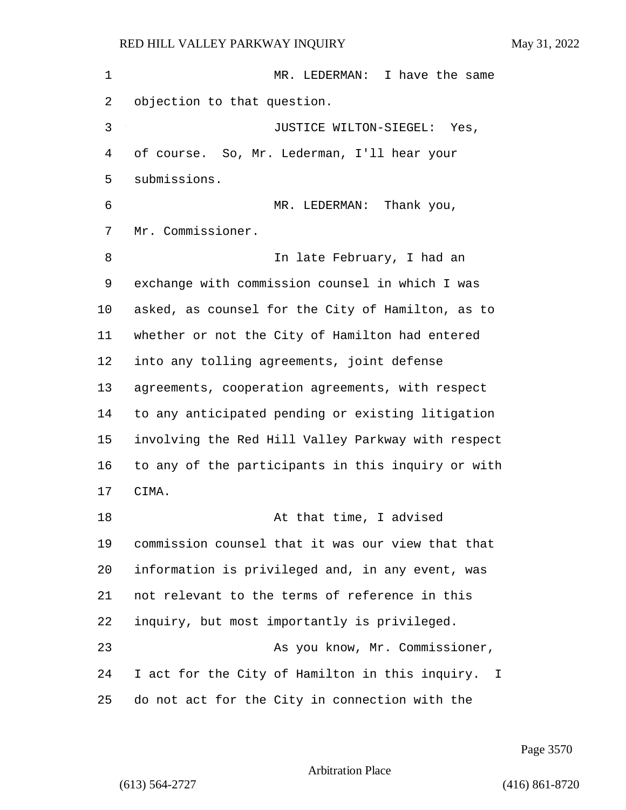1 MR. LEDERMAN: I have the same objection to that question. 3 JUSTICE WILTON-SIEGEL: Yes, of course. So, Mr. Lederman, I'll hear your submissions. 6 MR. LEDERMAN: Thank you, Mr. Commissioner. 8 In late February, I had an exchange with commission counsel in which I was asked, as counsel for the City of Hamilton, as to whether or not the City of Hamilton had entered into any tolling agreements, joint defense agreements, cooperation agreements, with respect to any anticipated pending or existing litigation involving the Red Hill Valley Parkway with respect to any of the participants in this inquiry or with CIMA. **At that time, I advised**  commission counsel that it was our view that that information is privileged and, in any event, was not relevant to the terms of reference in this inquiry, but most importantly is privileged. 23 As you know, Mr. Commissioner, I act for the City of Hamilton in this inquiry. I do not act for the City in connection with the

Page 3570

```
Arbitration Place
```
(613) 564-2727 (416) 861-8720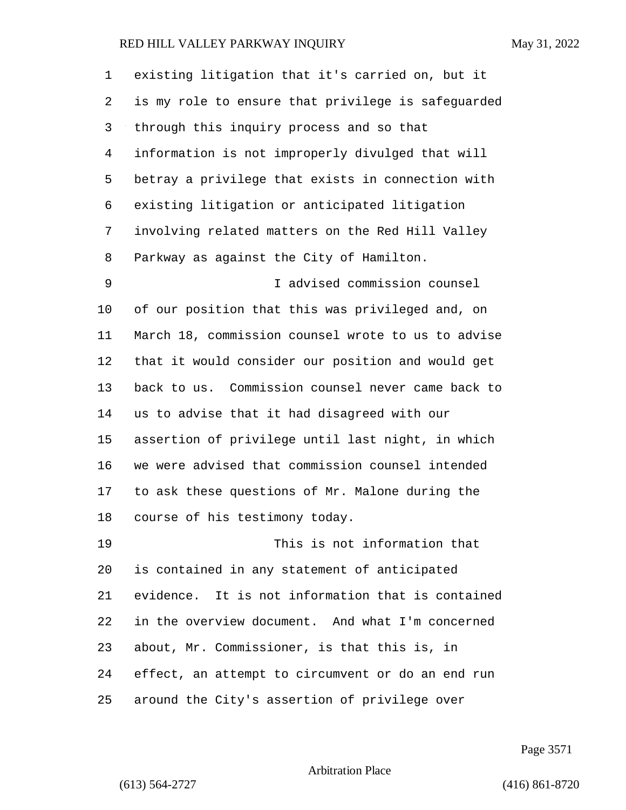| 1              | existing litigation that it's carried on, but it   |
|----------------|----------------------------------------------------|
| 2              | is my role to ensure that privilege is safeguarded |
| 3              | through this inquiry process and so that           |
| $\overline{4}$ | information is not improperly divulged that will   |
| 5              | betray a privilege that exists in connection with  |
| 6              | existing litigation or anticipated litigation      |
| 7              | involving related matters on the Red Hill Valley   |
| 8              | Parkway as against the City of Hamilton.           |
| 9              | I advised commission counsel                       |
| 10             | of our position that this was privileged and, on   |
| 11             | March 18, commission counsel wrote to us to advise |
| 12             | that it would consider our position and would get  |
| 13             | back to us. Commission counsel never came back to  |
| 14             | us to advise that it had disagreed with our        |
| 15             | assertion of privilege until last night, in which  |
| 16             | we were advised that commission counsel intended   |
| 17             | to ask these questions of Mr. Malone during the    |
| 18             | course of his testimony today.                     |
| 19             | This is not information that                       |
| 20             | is contained in any statement of anticipated       |
| 21             | evidence. It is not information that is contained  |
| 22             | in the overview document. And what I'm concerned   |
| 23             | about, Mr. Commissioner, is that this is, in       |
| 24             | effect, an attempt to circumvent or do an end run  |
| 25             | around the City's assertion of privilege over      |

Page 3571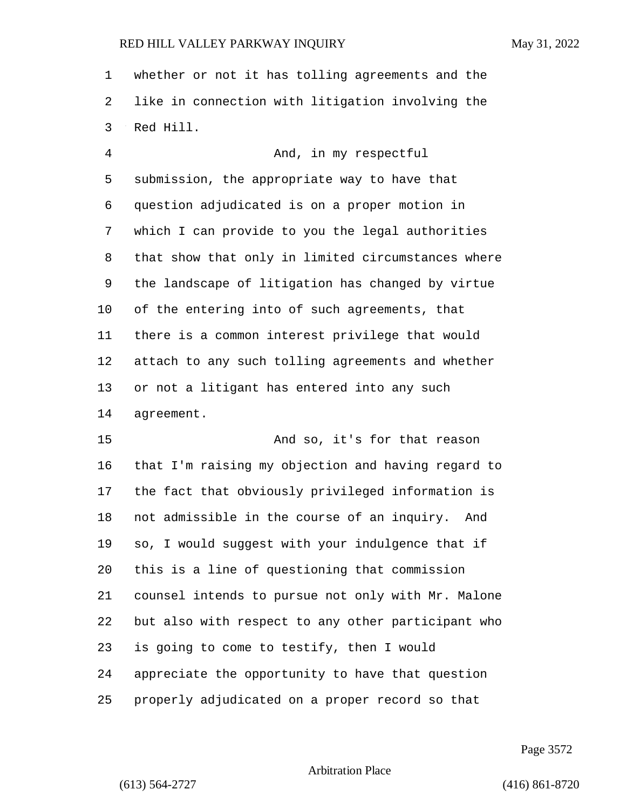whether or not it has tolling agreements and the like in connection with litigation involving the Red Hill.

4 And, in my respectful submission, the appropriate way to have that question adjudicated is on a proper motion in which I can provide to you the legal authorities that show that only in limited circumstances where the landscape of litigation has changed by virtue of the entering into of such agreements, that there is a common interest privilege that would attach to any such tolling agreements and whether or not a litigant has entered into any such agreement.

15 And so, it's for that reason that I'm raising my objection and having regard to the fact that obviously privileged information is not admissible in the course of an inquiry. And so, I would suggest with your indulgence that if this is a line of questioning that commission counsel intends to pursue not only with Mr. Malone but also with respect to any other participant who is going to come to testify, then I would appreciate the opportunity to have that question properly adjudicated on a proper record so that

Page 3572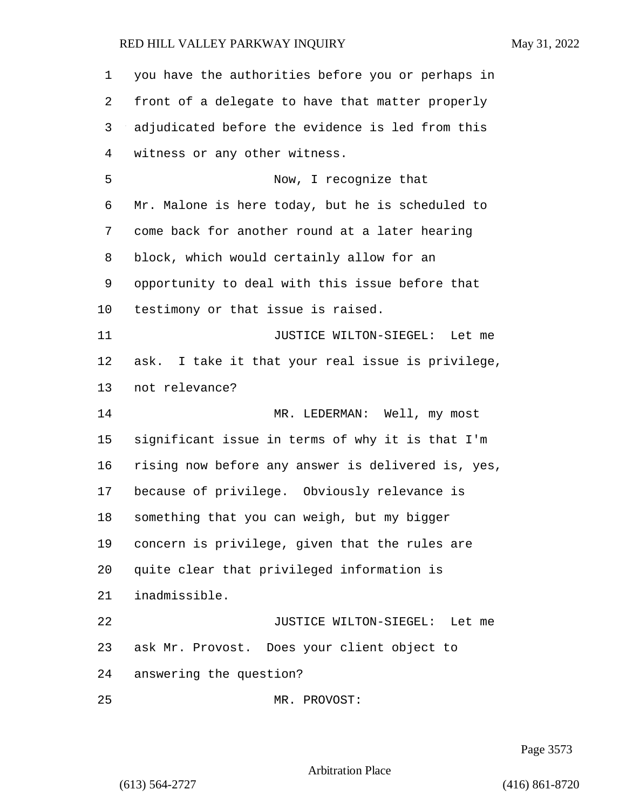| 1  | you have the authorities before you or perhaps in  |
|----|----------------------------------------------------|
| 2  | front of a delegate to have that matter properly   |
| 3  | adjudicated before the evidence is led from this   |
| 4  | witness or any other witness.                      |
| 5  | Now, I recognize that                              |
| 6  | Mr. Malone is here today, but he is scheduled to   |
| 7  | come back for another round at a later hearing     |
| 8  | block, which would certainly allow for an          |
| 9  | opportunity to deal with this issue before that    |
| 10 | testimony or that issue is raised.                 |
| 11 | JUSTICE WILTON-SIEGEL: Let me                      |
| 12 | ask. I take it that your real issue is privilege,  |
| 13 | not relevance?                                     |
| 14 | MR. LEDERMAN: Well, my most                        |
| 15 | significant issue in terms of why it is that I'm   |
| 16 | rising now before any answer is delivered is, yes, |
| 17 | because of privilege. Obviously relevance is       |
| 18 | something that you can weigh, but my bigger        |
| 19 | concern is privilege, given that the rules are     |
| 20 | quite clear that privileged information is         |
| 21 | inadmissible.                                      |
| 22 | JUSTICE WILTON-SIEGEL:<br>Let me                   |
| 23 | ask Mr. Provost. Does your client object to        |
| 24 | answering the question?                            |
| 25 | MR. PROVOST:                                       |

Page 3573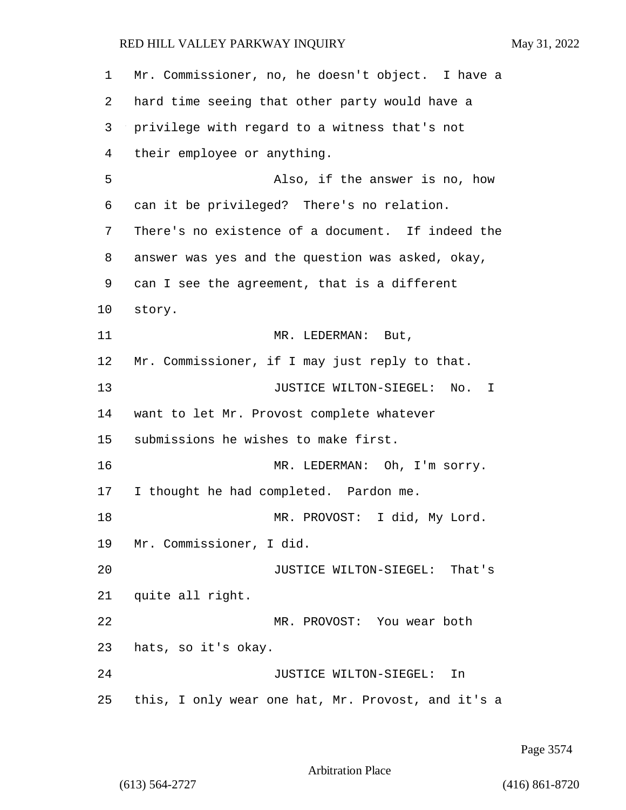Mr. Commissioner, no, he doesn't object. I have a hard time seeing that other party would have a privilege with regard to a witness that's not their employee or anything. 5 Also, if the answer is no, how can it be privileged? There's no relation. There's no existence of a document. If indeed the answer was yes and the question was asked, okay, can I see the agreement, that is a different story. 11 MR. LEDERMAN: But, Mr. Commissioner, if I may just reply to that. **JUSTICE WILTON-SIEGEL:** No. I want to let Mr. Provost complete whatever submissions he wishes to make first. 16 MR. LEDERMAN: Oh, I'm sorry. I thought he had completed. Pardon me. 18 MR. PROVOST: I did, My Lord. Mr. Commissioner, I did. 20 JUSTICE WILTON-SIEGEL: That's quite all right. 22 MR. PROVOST: You wear both hats, so it's okay. 24 JUSTICE WILTON-SIEGEL: In this, I only wear one hat, Mr. Provost, and it's a

Page 3574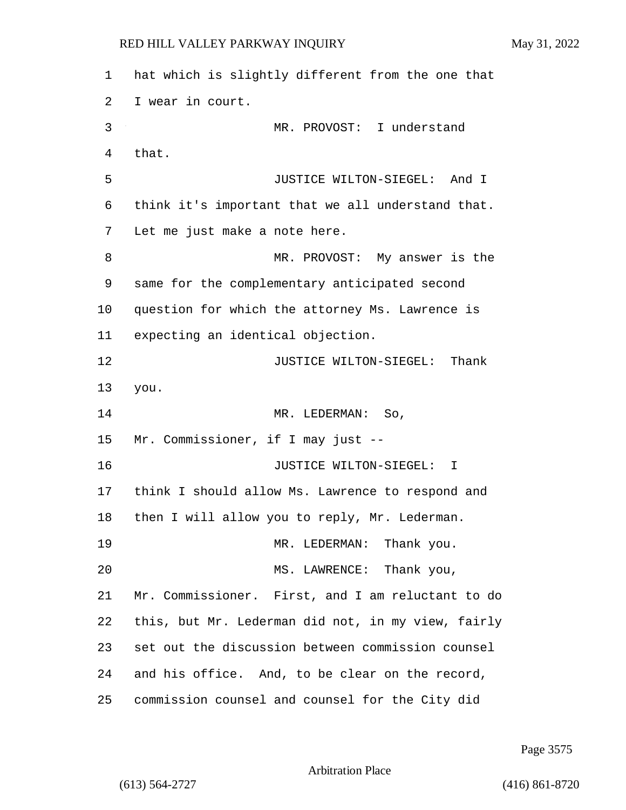hat which is slightly different from the one that I wear in court. 3 MR. PROVOST: I understand that. 5 JUSTICE WILTON-SIEGEL: And I think it's important that we all understand that. Let me just make a note here. 8 MR. PROVOST: My answer is the same for the complementary anticipated second question for which the attorney Ms. Lawrence is expecting an identical objection. **JUSTICE WILTON-SIEGEL:** Thank you. 14 MR. LEDERMAN: So, Mr. Commissioner, if I may just -- 16 JUSTICE WILTON-SIEGEL: I think I should allow Ms. Lawrence to respond and then I will allow you to reply, Mr. Lederman. 19 MR. LEDERMAN: Thank you. 20 MS. LAWRENCE: Thank you, Mr. Commissioner. First, and I am reluctant to do this, but Mr. Lederman did not, in my view, fairly set out the discussion between commission counsel and his office. And, to be clear on the record, commission counsel and counsel for the City did

Page 3575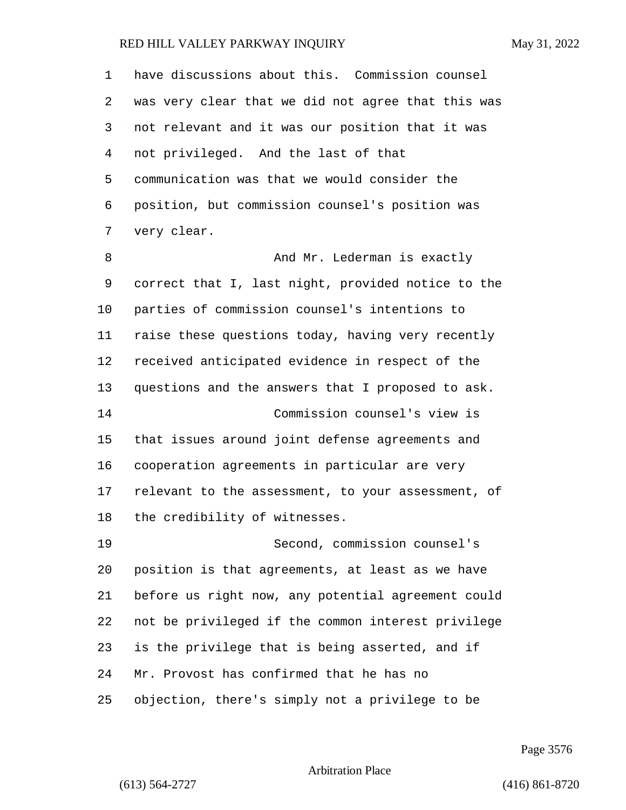| $\mathbf 1$ | have discussions about this. Commission counsel    |
|-------------|----------------------------------------------------|
| 2           | was very clear that we did not agree that this was |
| 3           | not relevant and it was our position that it was   |
| 4           | not privileged. And the last of that               |
| 5           | communication was that we would consider the       |
| 6           | position, but commission counsel's position was    |
| 7           | very clear.                                        |
| 8           | And Mr. Lederman is exactly                        |
| 9           | correct that I, last night, provided notice to the |
| 10          | parties of commission counsel's intentions to      |
| 11          | raise these questions today, having very recently  |
| 12          | received anticipated evidence in respect of the    |
| 13          | questions and the answers that I proposed to ask.  |
| 14          | Commission counsel's view is                       |
| 15          | that issues around joint defense agreements and    |
| 16          | cooperation agreements in particular are very      |
| 17          | relevant to the assessment, to your assessment, of |
| 18          | the credibility of witnesses.                      |
| 19          | Second, commission counsel's                       |
| 20          | position is that agreements, at least as we have   |
| 21          | before us right now, any potential agreement could |
| 22          | not be privileged if the common interest privilege |
| 23          | is the privilege that is being asserted, and if    |
| 24          | Mr. Provost has confirmed that he has no           |
| 25          | objection, there's simply not a privilege to be    |

Page 3576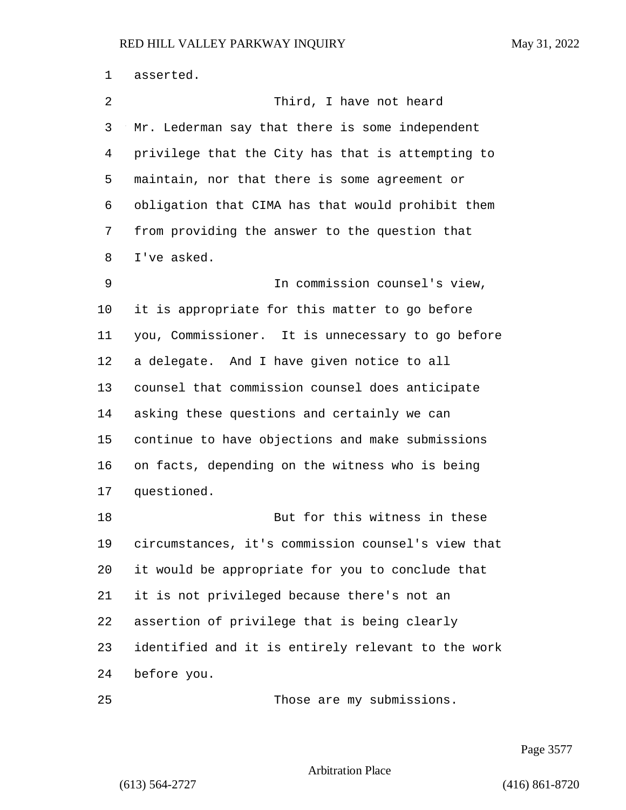asserted. 2 Third, I have not heard Mr. Lederman say that there is some independent privilege that the City has that is attempting to maintain, nor that there is some agreement or obligation that CIMA has that would prohibit them from providing the answer to the question that I've asked. 9 In commission counsel's view, it is appropriate for this matter to go before you, Commissioner. It is unnecessary to go before a delegate. And I have given notice to all counsel that commission counsel does anticipate asking these questions and certainly we can continue to have objections and make submissions on facts, depending on the witness who is being questioned. 18 But for this witness in these circumstances, it's commission counsel's view that it would be appropriate for you to conclude that it is not privileged because there's not an assertion of privilege that is being clearly identified and it is entirely relevant to the work before you. 25 Those are my submissions.

Page 3577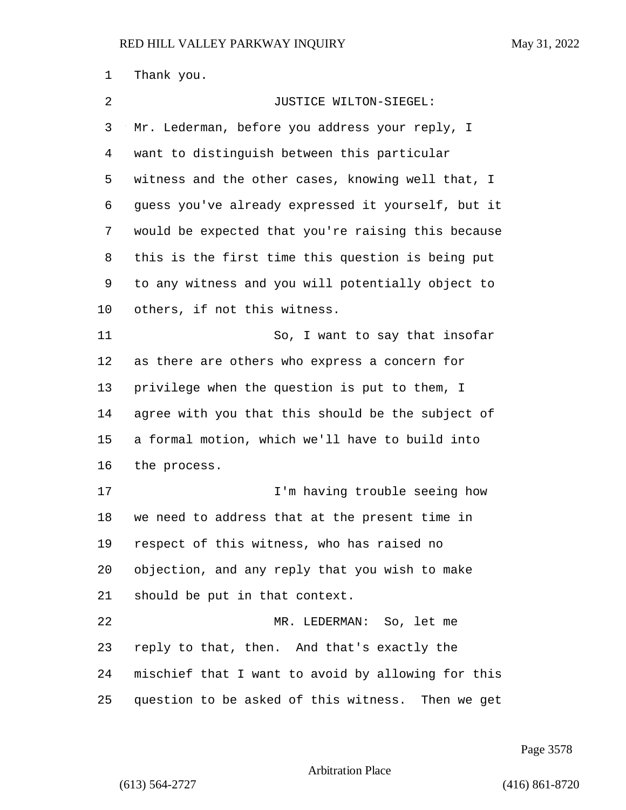Thank you. 2 JUSTICE WILTON-SIEGEL: Mr. Lederman, before you address your reply, I want to distinguish between this particular witness and the other cases, knowing well that, I guess you've already expressed it yourself, but it would be expected that you're raising this because this is the first time this question is being put to any witness and you will potentially object to others, if not this witness. 11 So, I want to say that insofar as there are others who express a concern for privilege when the question is put to them, I agree with you that this should be the subject of a formal motion, which we'll have to build into the process. 17 I'm having trouble seeing how we need to address that at the present time in respect of this witness, who has raised no objection, and any reply that you wish to make should be put in that context. 22 MR. LEDERMAN: So, let me reply to that, then. And that's exactly the mischief that I want to avoid by allowing for this question to be asked of this witness. Then we get

Page 3578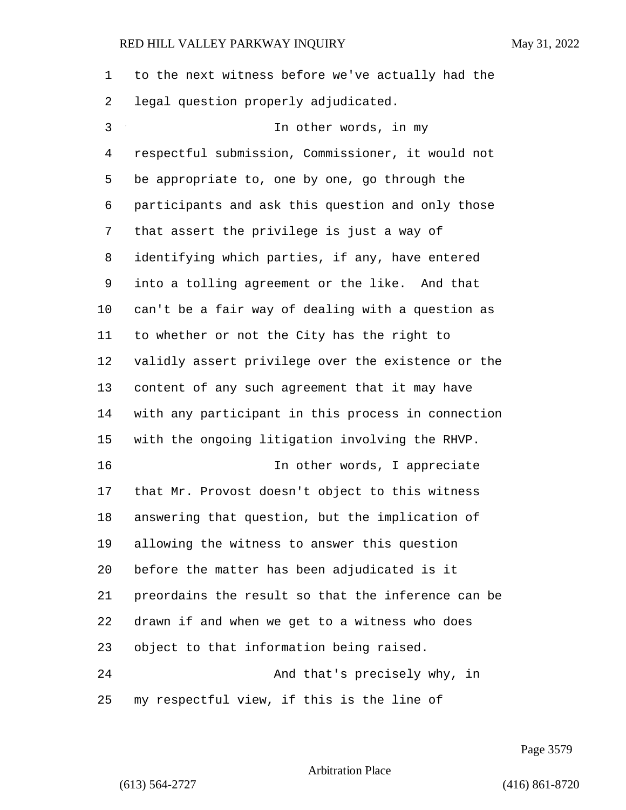to the next witness before we've actually had the legal question properly adjudicated.

3 In other words, in my respectful submission, Commissioner, it would not be appropriate to, one by one, go through the participants and ask this question and only those that assert the privilege is just a way of identifying which parties, if any, have entered into a tolling agreement or the like. And that can't be a fair way of dealing with a question as to whether or not the City has the right to validly assert privilege over the existence or the content of any such agreement that it may have with any participant in this process in connection with the ongoing litigation involving the RHVP. 16 In other words, I appreciate that Mr. Provost doesn't object to this witness answering that question, but the implication of allowing the witness to answer this question before the matter has been adjudicated is it preordains the result so that the inference can be drawn if and when we get to a witness who does object to that information being raised. 24 And that's precisely why, in my respectful view, if this is the line of

Page 3579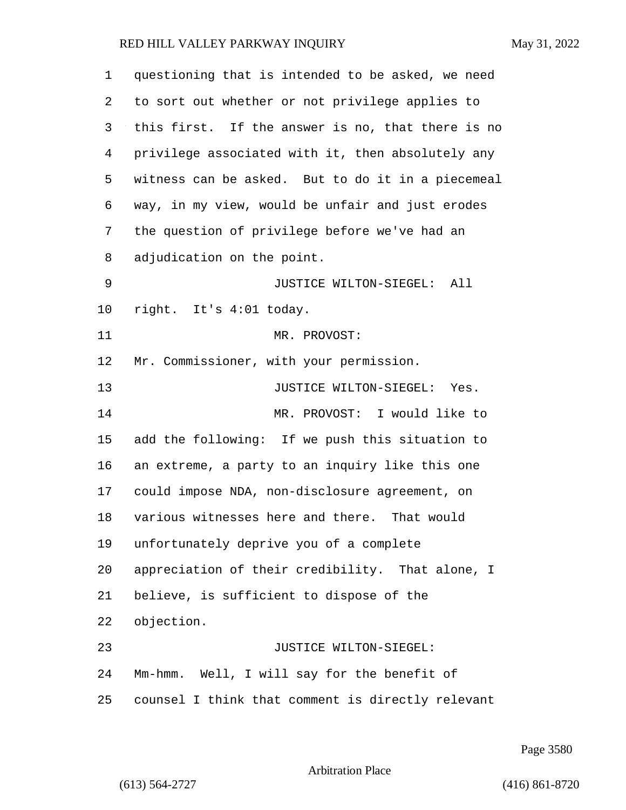| 1  | questioning that is intended to be asked, we need |
|----|---------------------------------------------------|
| 2  | to sort out whether or not privilege applies to   |
| 3  | this first. If the answer is no, that there is no |
| 4  | privilege associated with it, then absolutely any |
| 5  | witness can be asked. But to do it in a piecemeal |
| 6  | way, in my view, would be unfair and just erodes  |
| 7  | the question of privilege before we've had an     |
| 8  | adjudication on the point.                        |
| 9  | JUSTICE WILTON-SIEGEL:<br>All                     |
| 10 | right. It's 4:01 today.                           |
| 11 | MR. PROVOST:                                      |
| 12 | Mr. Commissioner, with your permission.           |
| 13 | JUSTICE WILTON-SIEGEL: Yes.                       |
| 14 | MR. PROVOST: I would like to                      |
| 15 | add the following: If we push this situation to   |
| 16 | an extreme, a party to an inquiry like this one   |
| 17 | could impose NDA, non-disclosure agreement, on    |
| 18 | various witnesses here and there. That would      |
| 19 | unfortunately deprive you of a complete           |
| 20 | appreciation of their credibility. That alone, I  |
| 21 | believe, is sufficient to dispose of the          |
| 22 | objection.                                        |
| 23 | JUSTICE WILTON-SIEGEL:                            |
| 24 | Mm-hmm. Well, I will say for the benefit of       |
| 25 | counsel I think that comment is directly relevant |

Page 3580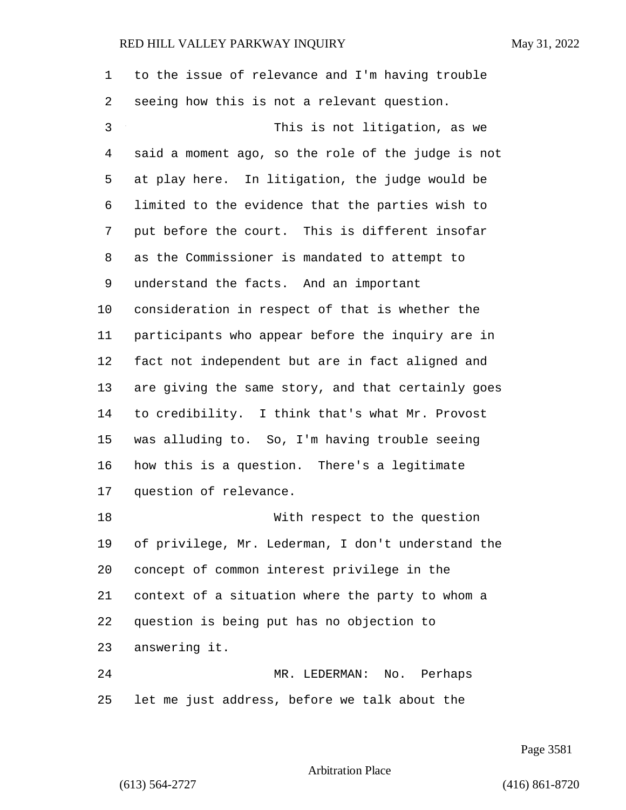to the issue of relevance and I'm having trouble seeing how this is not a relevant question. 3 This is not litigation, as we said a moment ago, so the role of the judge is not at play here. In litigation, the judge would be limited to the evidence that the parties wish to put before the court. This is different insofar as the Commissioner is mandated to attempt to understand the facts. And an important consideration in respect of that is whether the participants who appear before the inquiry are in fact not independent but are in fact aligned and are giving the same story, and that certainly goes to credibility. I think that's what Mr. Provost was alluding to. So, I'm having trouble seeing how this is a question. There's a legitimate question of relevance. 18 With respect to the question of privilege, Mr. Lederman, I don't understand the concept of common interest privilege in the context of a situation where the party to whom a question is being put has no objection to answering it. 24 MR. LEDERMAN: No. Perhaps let me just address, before we talk about the

Page 3581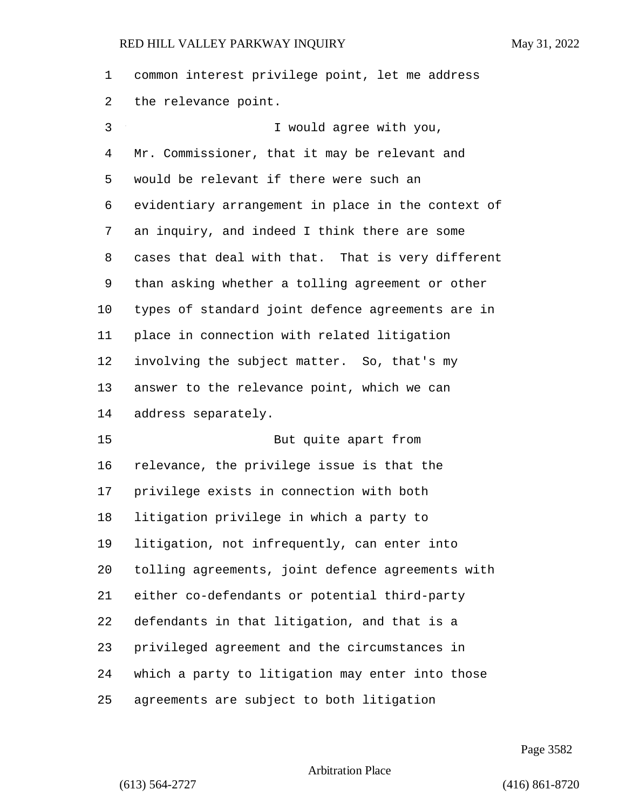common interest privilege point, let me address the relevance point.

| 3  | I would agree with you,                            |
|----|----------------------------------------------------|
| 4  | Mr. Commissioner, that it may be relevant and      |
| 5  | would be relevant if there were such an            |
| 6  | evidentiary arrangement in place in the context of |
| 7  | an inquiry, and indeed I think there are some      |
| 8  | cases that deal with that. That is very different  |
| 9  | than asking whether a tolling agreement or other   |
| 10 | types of standard joint defence agreements are in  |
| 11 | place in connection with related litigation        |
| 12 | involving the subject matter. So, that's my        |
| 13 | answer to the relevance point, which we can        |
| 14 | address separately.                                |
| 15 | But quite apart from                               |
| 16 | relevance, the privilege issue is that the         |
| 17 | privilege exists in connection with both           |
| 18 | litigation privilege in which a party to           |
| 19 | litigation, not infrequently, can enter into       |
| 20 | tolling agreements, joint defence agreements with  |
| 21 | either co-defendants or potential third-party      |
| 22 | defendants in that litigation, and that is a       |

which a party to litigation may enter into those

privileged agreement and the circumstances in

agreements are subject to both litigation

Page 3582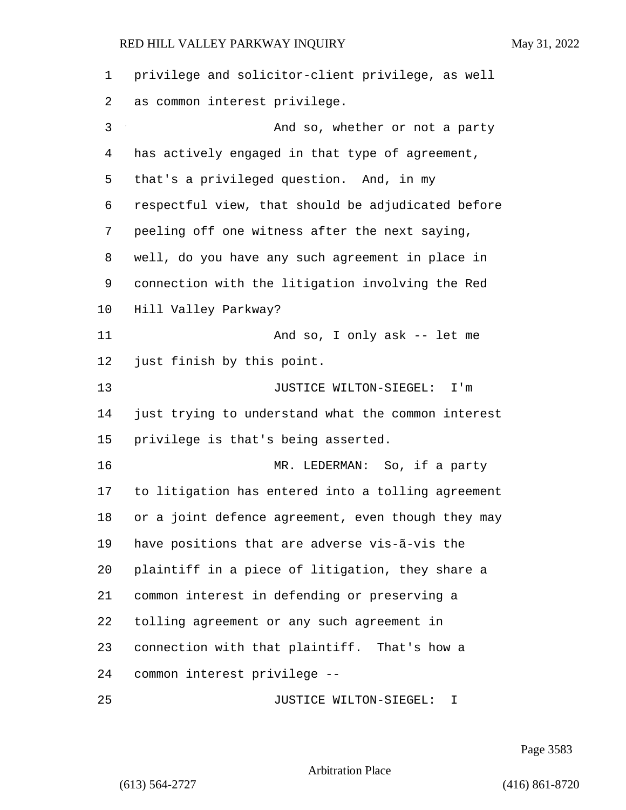| 1  | privilege and solicitor-client privilege, as well  |
|----|----------------------------------------------------|
| 2  | as common interest privilege.                      |
| 3  | And so, whether or not a party                     |
| 4  | has actively engaged in that type of agreement,    |
| 5  | that's a privileged question. And, in my           |
| 6  | respectful view, that should be adjudicated before |
| 7  | peeling off one witness after the next saying,     |
| 8  | well, do you have any such agreement in place in   |
| 9  | connection with the litigation involving the Red   |
| 10 | Hill Valley Parkway?                               |
| 11 | And so, I only ask -- let me                       |
| 12 | just finish by this point.                         |
| 13 | JUSTICE WILTON-SIEGEL:<br>I'm                      |
| 14 | just trying to understand what the common interest |
| 15 | privilege is that's being asserted.                |
| 16 | MR. LEDERMAN: So, if a party                       |
| 17 | to litigation has entered into a tolling agreement |
| 18 | or a joint defence agreement, even though they may |
| 19 | have positions that are adverse vis-ã-vis the      |
| 20 | plaintiff in a piece of litigation, they share a   |
| 21 | common interest in defending or preserving a       |
| 22 | tolling agreement or any such agreement in         |
| 23 | connection with that plaintiff. That's how a       |
| 24 | common interest privilege --                       |
| 25 | JUSTICE WILTON-SIEGEL:<br>T.                       |

Page 3583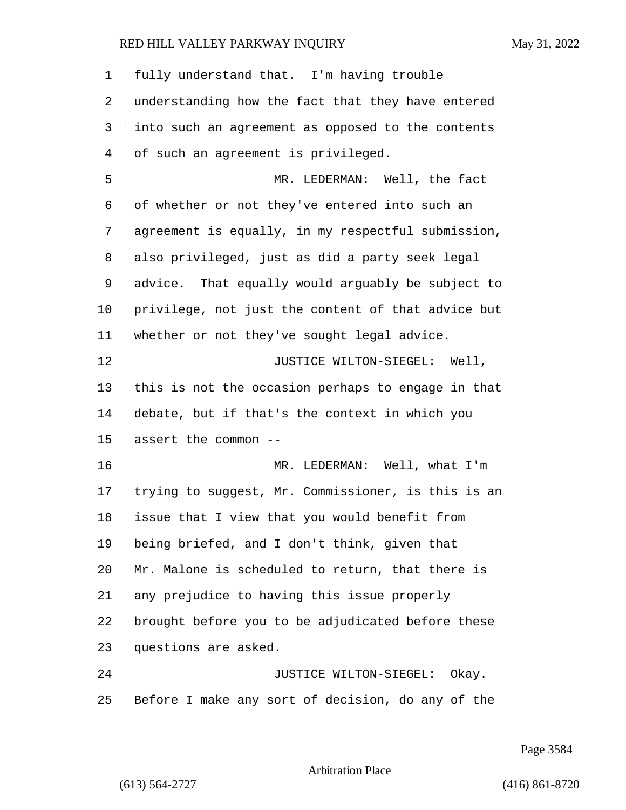| 1  | fully understand that. I'm having trouble          |
|----|----------------------------------------------------|
| 2  | understanding how the fact that they have entered  |
| 3  | into such an agreement as opposed to the contents  |
| 4  | of such an agreement is privileged.                |
| 5  | MR. LEDERMAN: Well, the fact                       |
| 6  | of whether or not they've entered into such an     |
| 7  | agreement is equally, in my respectful submission, |
| 8  | also privileged, just as did a party seek legal    |
| 9  | advice. That equally would arguably be subject to  |
| 10 | privilege, not just the content of that advice but |
| 11 | whether or not they've sought legal advice.        |
| 12 | JUSTICE WILTON-SIEGEL: Well,                       |
| 13 | this is not the occasion perhaps to engage in that |
| 14 | debate, but if that's the context in which you     |
| 15 | assert the common --                               |
| 16 | MR. LEDERMAN: Well, what I'm                       |
| 17 | trying to suggest, Mr. Commissioner, is this is an |
| 18 | issue that I view that you would benefit from      |
| 19 | being briefed, and I don't think, given that       |
| 20 | Mr. Malone is scheduled to return, that there is   |
| 21 | any prejudice to having this issue properly        |
| 22 | brought before you to be adjudicated before these  |
| 23 | questions are asked.                               |
| 24 | JUSTICE WILTON-SIEGEL:<br>Okay.                    |
| 25 | Before I make any sort of decision, do any of the  |

Page 3584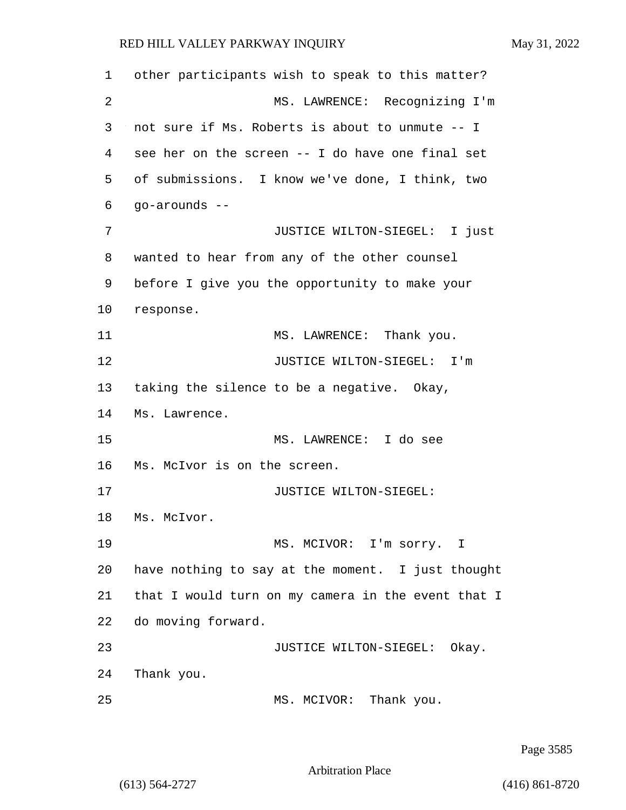other participants wish to speak to this matter? 2 MS. LAWRENCE: Recognizing I'm not sure if Ms. Roberts is about to unmute -- I see her on the screen -- I do have one final set of submissions. I know we've done, I think, two go-arounds -- 7 JUSTICE WILTON-SIEGEL: I just wanted to hear from any of the other counsel before I give you the opportunity to make your response. 11 MS. LAWRENCE: Thank you. 12 JUSTICE WILTON-SIEGEL: I'm taking the silence to be a negative. Okay, Ms. Lawrence. 15 MS. LAWRENCE: I do see Ms. McIvor is on the screen. **JUSTICE WILTON-SIEGEL:**  Ms. McIvor. 19 MS. MCIVOR: I'm sorry. I have nothing to say at the moment. I just thought that I would turn on my camera in the event that I do moving forward. **JUSTICE WILTON-SIEGEL:** Okay. Thank you. 25 MS. MCIVOR: Thank you.

Page 3585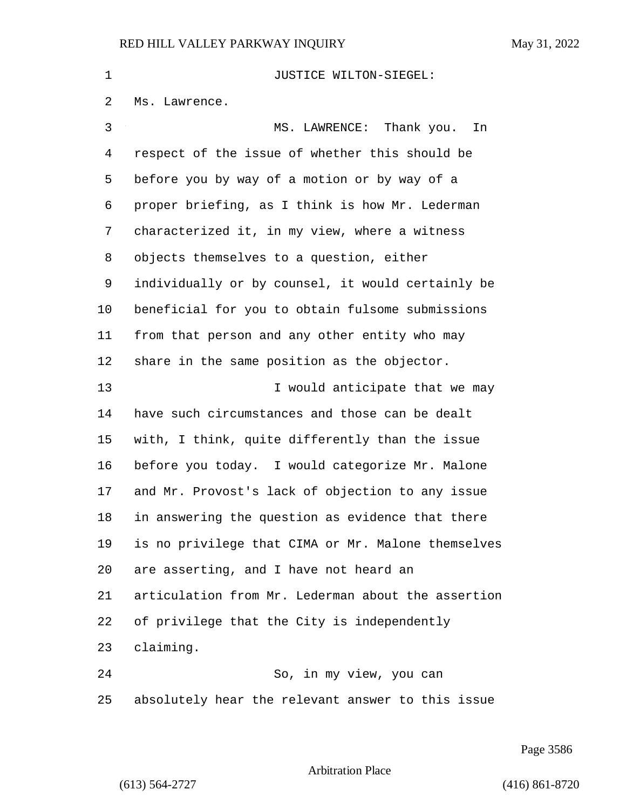| $\mathbf 1$ | JUSTICE WILTON-SIEGEL:                             |
|-------------|----------------------------------------------------|
| 2           | Ms. Lawrence.                                      |
| 3           | MS. LAWRENCE: Thank you.<br>In                     |
| 4           | respect of the issue of whether this should be     |
| 5           | before you by way of a motion or by way of a       |
| 6           | proper briefing, as I think is how Mr. Lederman    |
| 7           | characterized it, in my view, where a witness      |
| 8           | objects themselves to a question, either           |
| 9           | individually or by counsel, it would certainly be  |
| 10          | beneficial for you to obtain fulsome submissions   |
| 11          | from that person and any other entity who may      |
| 12          | share in the same position as the objector.        |
| 13          | I would anticipate that we may                     |
| 14          | have such circumstances and those can be dealt     |
| 15          | with, I think, quite differently than the issue    |
| 16          | before you today. I would categorize Mr. Malone    |
| 17          | and Mr. Provost's lack of objection to any issue   |
| 18          | in answering the question as evidence that there   |
| 19          | is no privilege that CIMA or Mr. Malone themselves |
| 20          | are asserting, and I have not heard an             |
| 21          | articulation from Mr. Lederman about the assertion |
| 22          | of privilege that the City is independently        |
| 23          | claiming.                                          |
| 24          | So, in my view, you can                            |
| 25          | absolutely hear the relevant answer to this issue  |

Page 3586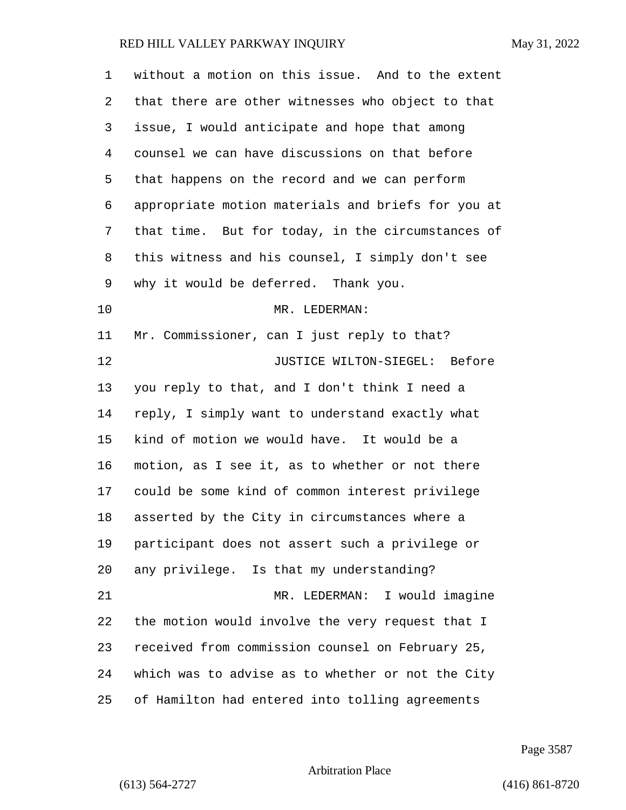| 1  | without a motion on this issue. And to the extent  |
|----|----------------------------------------------------|
| 2  | that there are other witnesses who object to that  |
| 3  | issue, I would anticipate and hope that among      |
| 4  | counsel we can have discussions on that before     |
| 5  | that happens on the record and we can perform      |
| 6  | appropriate motion materials and briefs for you at |
| 7  | that time. But for today, in the circumstances of  |
| 8  | this witness and his counsel, I simply don't see   |
| 9  | why it would be deferred. Thank you.               |
| 10 | MR. LEDERMAN:                                      |
| 11 | Mr. Commissioner, can I just reply to that?        |
| 12 | JUSTICE WILTON-SIEGEL: Before                      |
| 13 | you reply to that, and I don't think I need a      |
| 14 | reply, I simply want to understand exactly what    |
| 15 | kind of motion we would have. It would be a        |
| 16 | motion, as I see it, as to whether or not there    |
| 17 | could be some kind of common interest privilege    |
| 18 | asserted by the City in circumstances where a      |
| 19 | participant does not assert such a privilege or    |
| 20 | any privilege. Is that my understanding?           |
| 21 | MR. LEDERMAN: I would imagine                      |
| 22 | the motion would involve the very request that I   |
| 23 | received from commission counsel on February 25,   |
| 24 | which was to advise as to whether or not the City  |
| 25 | of Hamilton had entered into tolling agreements    |

Page 3587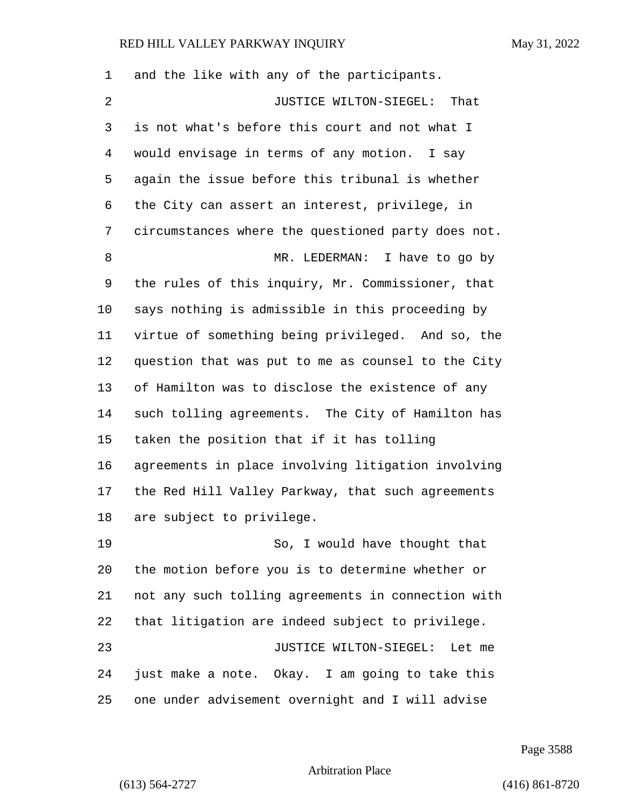and the like with any of the participants. 2 JUSTICE WILTON-SIEGEL: That is not what's before this court and not what I would envisage in terms of any motion. I say again the issue before this tribunal is whether the City can assert an interest, privilege, in circumstances where the questioned party does not. 8 MR. LEDERMAN: I have to go by the rules of this inquiry, Mr. Commissioner, that says nothing is admissible in this proceeding by virtue of something being privileged. And so, the question that was put to me as counsel to the City of Hamilton was to disclose the existence of any such tolling agreements. The City of Hamilton has taken the position that if it has tolling agreements in place involving litigation involving the Red Hill Valley Parkway, that such agreements are subject to privilege. 19 So, I would have thought that the motion before you is to determine whether or not any such tolling agreements in connection with that litigation are indeed subject to privilege. 23 JUSTICE WILTON-SIEGEL: Let me just make a note. Okay. I am going to take this one under advisement overnight and I will advise

Page 3588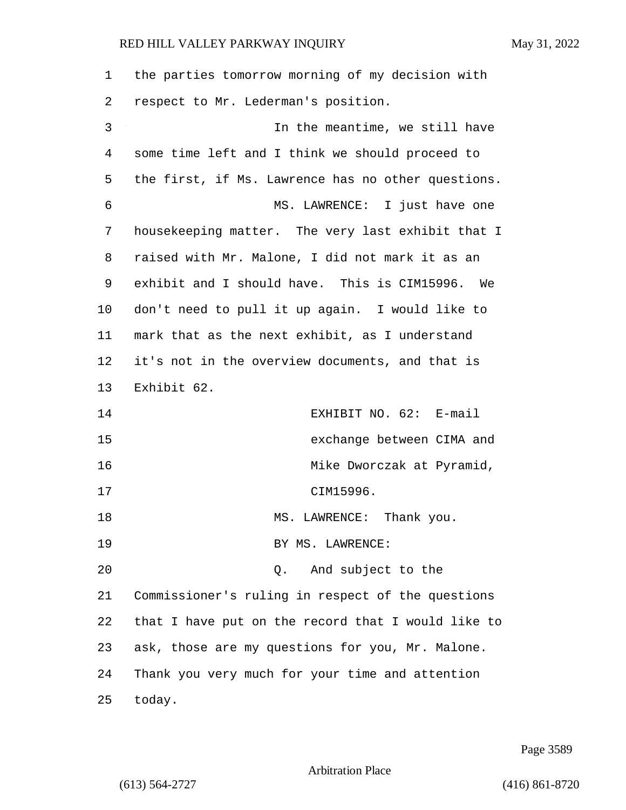| $\mathbf 1$ | the parties tomorrow morning of my decision with   |
|-------------|----------------------------------------------------|
| 2           | respect to Mr. Lederman's position.                |
| 3           | In the meantime, we still have                     |
| 4           | some time left and I think we should proceed to    |
| 5           | the first, if Ms. Lawrence has no other questions. |
| 6           | MS. LAWRENCE: I just have one                      |
| 7           | housekeeping matter. The very last exhibit that I  |
| 8           | raised with Mr. Malone, I did not mark it as an    |
| 9           | exhibit and I should have. This is CIM15996. We    |
| 10          | don't need to pull it up again. I would like to    |
| 11          | mark that as the next exhibit, as I understand     |
| 12          | it's not in the overview documents, and that is    |
| 13          | Exhibit 62.                                        |
| 14          | EXHIBIT NO. 62: E-mail                             |
| 15          | exchange between CIMA and                          |
| 16          | Mike Dworczak at Pyramid,                          |
| 17          | CIM15996.                                          |
| 18          | Thank you.<br>MS.<br>$\mathtt{LAWRENCE}$ :         |
| 19          | BY MS. LAWRENCE:                                   |
| 20          | And subject to the<br>Q.                           |
| 21          | Commissioner's ruling in respect of the questions  |
| 22          | that I have put on the record that I would like to |
| 23          | ask, those are my questions for you, Mr. Malone.   |
| 24          | Thank you very much for your time and attention    |
| 25          | today.                                             |

Page 3589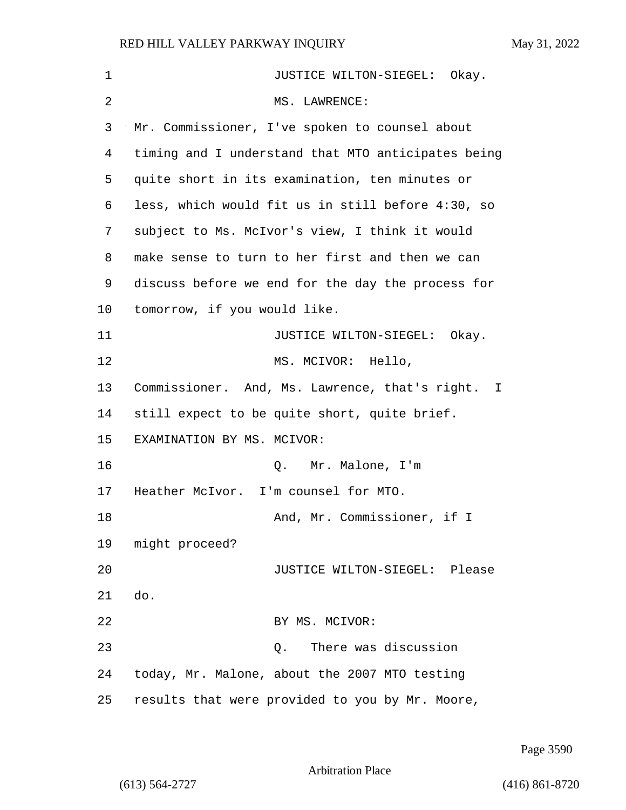| $\mathbf{1}$   | JUSTICE WILTON-SIEGEL: Okay.                       |
|----------------|----------------------------------------------------|
| $\overline{2}$ | MS. LAWRENCE:                                      |
| 3              | Mr. Commissioner, I've spoken to counsel about     |
| 4              | timing and I understand that MTO anticipates being |
| 5              | quite short in its examination, ten minutes or     |
| 6              | less, which would fit us in still before 4:30, so  |
| 7              | subject to Ms. McIvor's view, I think it would     |
| 8              | make sense to turn to her first and then we can    |
| 9              | discuss before we end for the day the process for  |
| $10 \,$        | tomorrow, if you would like.                       |
| 11             | JUSTICE WILTON-SIEGEL: Okay.                       |
| 12             | MS. MCIVOR: Hello,                                 |
| 13             | Commissioner. And, Ms. Lawrence, that's right. I   |
| 14             | still expect to be quite short, quite brief.       |
| 15             | EXAMINATION BY MS. MCIVOR:                         |
| 16             | Q. Mr. Malone, I'm                                 |
| 17             | Heather McIvor. I'm counsel for MTO.               |
| 18             | And, Mr. Commissioner, if I                        |
| 19             | might proceed?                                     |
| 20             | JUSTICE WILTON-SIEGEL: Please                      |
| 21             | do.                                                |
| 22             | BY MS. MCIVOR:                                     |
| 23             | There was discussion<br>Q.                         |
| 24             | today, Mr. Malone, about the 2007 MTO testing      |
| 25             | results that were provided to you by Mr. Moore,    |

Page 3590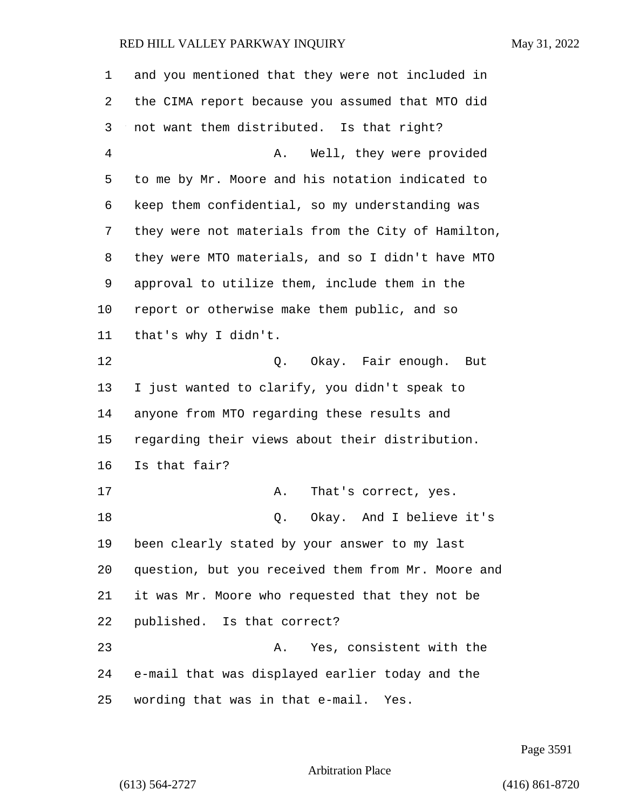| 1              | and you mentioned that they were not included in   |
|----------------|----------------------------------------------------|
| 2              | the CIMA report because you assumed that MTO did   |
| 3              | not want them distributed. Is that right?          |
| $\overline{4}$ | Well, they were provided<br>Α.                     |
| 5              | to me by Mr. Moore and his notation indicated to   |
| 6              | keep them confidential, so my understanding was    |
| 7              | they were not materials from the City of Hamilton, |
| 8              | they were MTO materials, and so I didn't have MTO  |
| 9              | approval to utilize them, include them in the      |
| 10             | report or otherwise make them public, and so       |
| 11             | that's why I didn't.                               |
| 12             | Q. Okay. Fair enough. But                          |
| 13             | I just wanted to clarify, you didn't speak to      |
| 14             | anyone from MTO regarding these results and        |
| 15             | regarding their views about their distribution.    |
| 16             | Is that fair?                                      |
| 17             | Α.<br>That's correct, yes.                         |
| 18             | Okay. And I believe it's<br>Q.                     |
| 19             | been clearly stated by your answer to my last      |
| 20             | question, but you received them from Mr. Moore and |
| 21             | it was Mr. Moore who requested that they not be    |
| 22             | published. Is that correct?                        |
| 23             | Yes, consistent with the<br>Α.                     |
| 24             | e-mail that was displayed earlier today and the    |
| 25             | wording that was in that e-mail. Yes.              |

Page 3591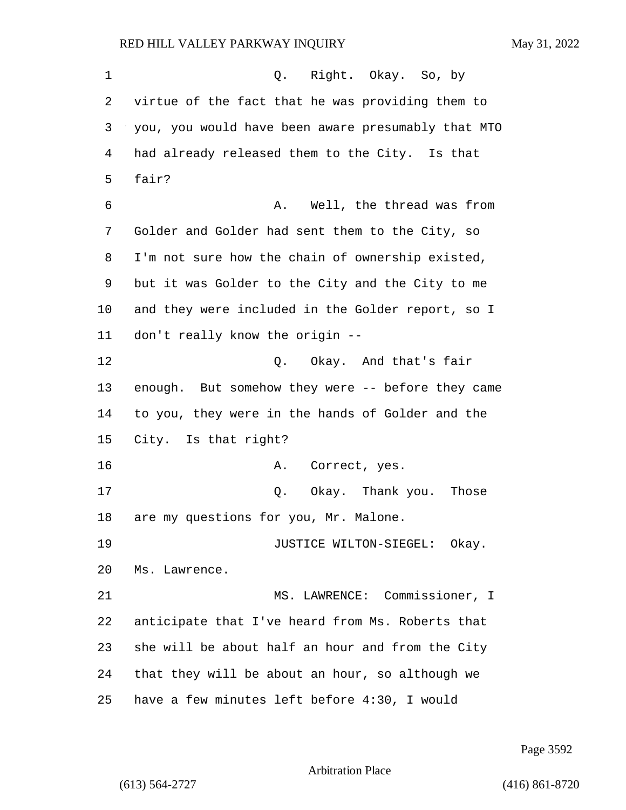1 Q. Right. Okay. So, by virtue of the fact that he was providing them to you, you would have been aware presumably that MTO had already released them to the City. Is that fair? 6 A. Well, the thread was from Golder and Golder had sent them to the City, so I'm not sure how the chain of ownership existed, but it was Golder to the City and the City to me and they were included in the Golder report, so I don't really know the origin -- 12 O. Okay. And that's fair enough. But somehow they were -- before they came to you, they were in the hands of Golder and the City. Is that right? 16 A. Correct, yes. 17 Q. Okay. Thank you. Those are my questions for you, Mr. Malone. **JUSTICE WILTON-SIEGEL:** Okay. Ms. Lawrence. 21 MS. LAWRENCE: Commissioner, I anticipate that I've heard from Ms. Roberts that she will be about half an hour and from the City that they will be about an hour, so although we have a few minutes left before 4:30, I would

Page 3592